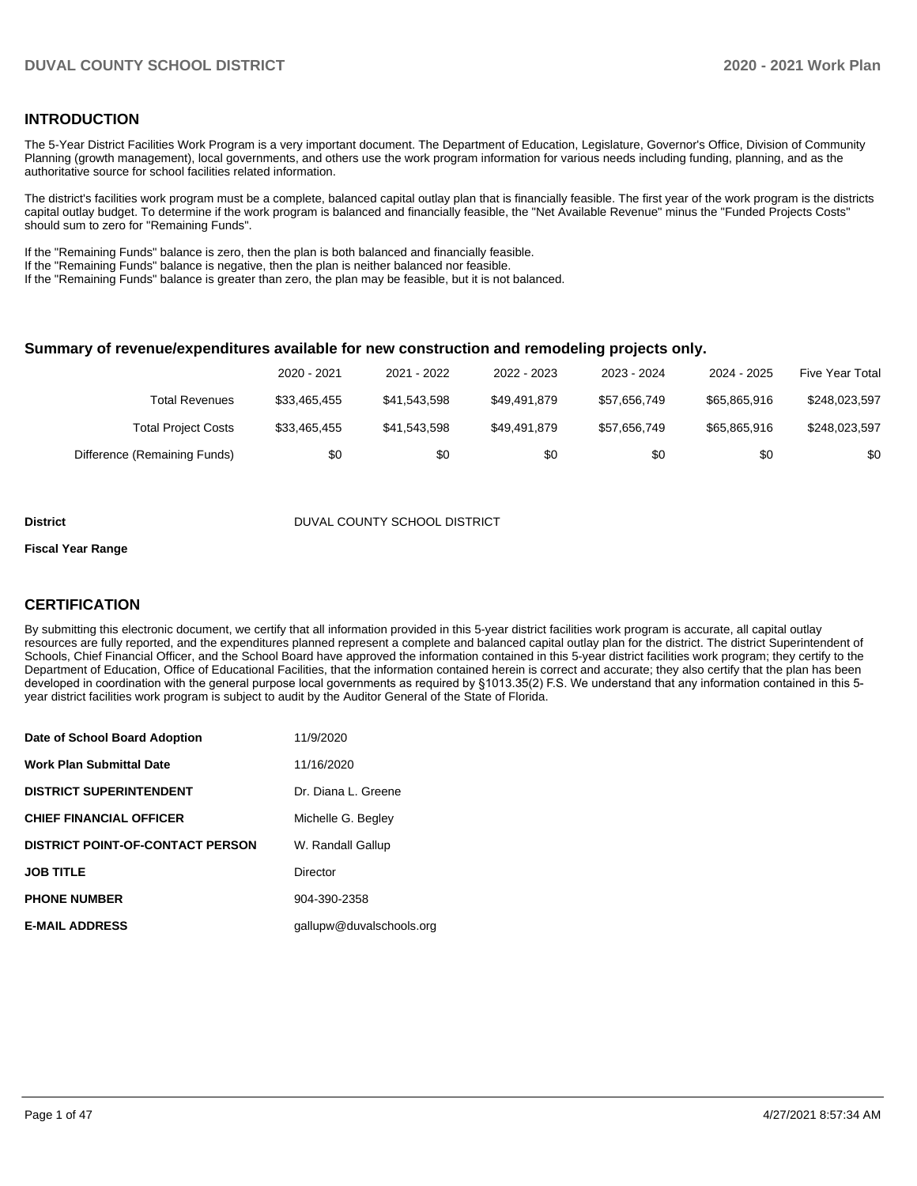### **INTRODUCTION**

The 5-Year District Facilities Work Program is a very important document. The Department of Education, Legislature, Governor's Office, Division of Community Planning (growth management), local governments, and others use the work program information for various needs including funding, planning, and as the authoritative source for school facilities related information.

The district's facilities work program must be a complete, balanced capital outlay plan that is financially feasible. The first year of the work program is the districts capital outlay budget. To determine if the work program is balanced and financially feasible, the "Net Available Revenue" minus the "Funded Projects Costs" should sum to zero for "Remaining Funds".

If the "Remaining Funds" balance is zero, then the plan is both balanced and financially feasible.

If the "Remaining Funds" balance is negative, then the plan is neither balanced nor feasible.

If the "Remaining Funds" balance is greater than zero, the plan may be feasible, but it is not balanced.

#### **Summary of revenue/expenditures available for new construction and remodeling projects only.**

|                              | 2020 - 2021  | 2021 - 2022  | 2022 - 2023  | 2023 - 2024  | 2024 - 2025  | <b>Five Year Total</b> |
|------------------------------|--------------|--------------|--------------|--------------|--------------|------------------------|
| Total Revenues               | \$33,465,455 | \$41.543.598 | \$49.491.879 | \$57.656.749 | \$65,865,916 | \$248,023,597          |
| <b>Total Project Costs</b>   | \$33,465,455 | \$41.543.598 | \$49.491.879 | \$57.656.749 | \$65,865,916 | \$248,023,597          |
| Difference (Remaining Funds) | \$0          | \$0          | \$0          | \$0          | \$0          | \$0                    |

#### **District** District DUVAL COUNTY SCHOOL DISTRICT

#### **Fiscal Year Range**

### **CERTIFICATION**

By submitting this electronic document, we certify that all information provided in this 5-year district facilities work program is accurate, all capital outlay resources are fully reported, and the expenditures planned represent a complete and balanced capital outlay plan for the district. The district Superintendent of Schools, Chief Financial Officer, and the School Board have approved the information contained in this 5-year district facilities work program; they certify to the Department of Education, Office of Educational Facilities, that the information contained herein is correct and accurate; they also certify that the plan has been developed in coordination with the general purpose local governments as required by §1013.35(2) F.S. We understand that any information contained in this 5 year district facilities work program is subject to audit by the Auditor General of the State of Florida.

| Date of School Board Adoption           | 11/9/2020                |
|-----------------------------------------|--------------------------|
| <b>Work Plan Submittal Date</b>         | 11/16/2020               |
| <b>DISTRICT SUPERINTENDENT</b>          | Dr. Diana L. Greene      |
| <b>CHIEF FINANCIAL OFFICER</b>          | Michelle G. Begley       |
| <b>DISTRICT POINT-OF-CONTACT PERSON</b> | W. Randall Gallup        |
| <b>JOB TITLE</b>                        | Director                 |
| <b>PHONE NUMBER</b>                     | 904-390-2358             |
| <b>E-MAIL ADDRESS</b>                   | gallupw@duvalschools.org |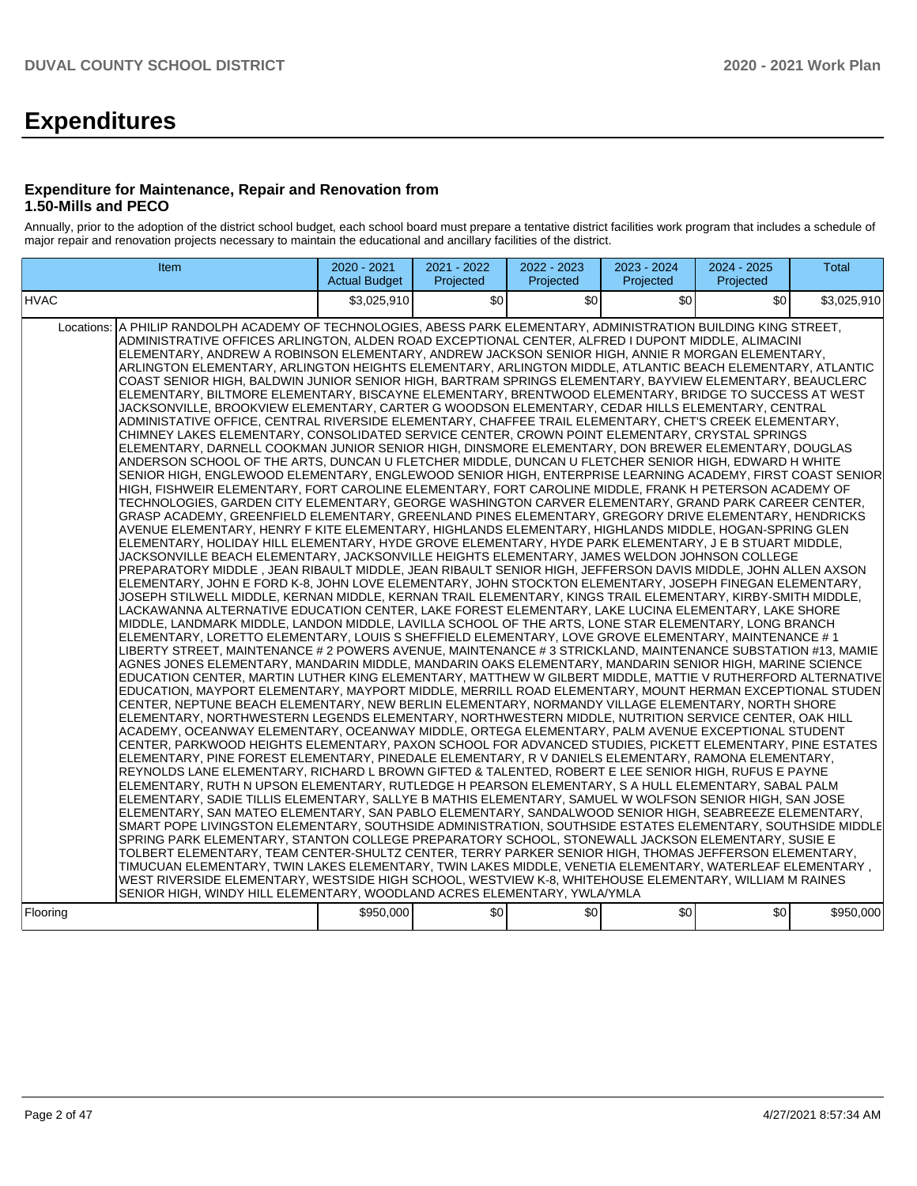# **Expenditures**

#### **Expenditure for Maintenance, Repair and Renovation from 1.50-Mills and PECO**

Annually, prior to the adoption of the district school budget, each school board must prepare a tentative district facilities work program that includes a schedule of major repair and renovation projects necessary to maintain the educational and ancillary facilities of the district.

| Item                                                                                                                                                                                                                                                                                                                                                                                                                                                                                                                                                                                                                                                                                                                                                                                                                                                                                                                                                                                                                                                                                                                                                                                                                                                                                                                                                                                                                                                                                                                                                                                                                                                                                                                                                                                                                                                                                                                                                                                                                                                                                                                                                                                                                                                                                                                                                                                                                                                                                                                                                                                                                                                                                                                                                                                                                                                                                                                                                                                                                                                                                                                                                                                                                                                                                                                                                                                                                                                                                                                                                                                                                                                                                                                                                                                                                                                                                                                                                                                                                                                                                                                                                                                                                                                                                                                                                                                                                                                                                                                                                                                                                                                                                              | 2020 - 2021<br><b>Actual Budget</b> | 2021 - 2022<br>Projected | 2022 - 2023<br>Projected | 2023 - 2024<br>Projected | 2024 - 2025<br>Projected | <b>Total</b> |
|---------------------------------------------------------------------------------------------------------------------------------------------------------------------------------------------------------------------------------------------------------------------------------------------------------------------------------------------------------------------------------------------------------------------------------------------------------------------------------------------------------------------------------------------------------------------------------------------------------------------------------------------------------------------------------------------------------------------------------------------------------------------------------------------------------------------------------------------------------------------------------------------------------------------------------------------------------------------------------------------------------------------------------------------------------------------------------------------------------------------------------------------------------------------------------------------------------------------------------------------------------------------------------------------------------------------------------------------------------------------------------------------------------------------------------------------------------------------------------------------------------------------------------------------------------------------------------------------------------------------------------------------------------------------------------------------------------------------------------------------------------------------------------------------------------------------------------------------------------------------------------------------------------------------------------------------------------------------------------------------------------------------------------------------------------------------------------------------------------------------------------------------------------------------------------------------------------------------------------------------------------------------------------------------------------------------------------------------------------------------------------------------------------------------------------------------------------------------------------------------------------------------------------------------------------------------------------------------------------------------------------------------------------------------------------------------------------------------------------------------------------------------------------------------------------------------------------------------------------------------------------------------------------------------------------------------------------------------------------------------------------------------------------------------------------------------------------------------------------------------------------------------------------------------------------------------------------------------------------------------------------------------------------------------------------------------------------------------------------------------------------------------------------------------------------------------------------------------------------------------------------------------------------------------------------------------------------------------------------------------------------------------------------------------------------------------------------------------------------------------------------------------------------------------------------------------------------------------------------------------------------------------------------------------------------------------------------------------------------------------------------------------------------------------------------------------------------------------------------------------------------------------------------------------------------------------------------------------------------------------------------------------------------------------------------------------------------------------------------------------------------------------------------------------------------------------------------------------------------------------------------------------------------------------------------------------------------------------------------------------------------------------------------------------------------------------------|-------------------------------------|--------------------------|--------------------------|--------------------------|--------------------------|--------------|
| <b>HVAC</b>                                                                                                                                                                                                                                                                                                                                                                                                                                                                                                                                                                                                                                                                                                                                                                                                                                                                                                                                                                                                                                                                                                                                                                                                                                                                                                                                                                                                                                                                                                                                                                                                                                                                                                                                                                                                                                                                                                                                                                                                                                                                                                                                                                                                                                                                                                                                                                                                                                                                                                                                                                                                                                                                                                                                                                                                                                                                                                                                                                                                                                                                                                                                                                                                                                                                                                                                                                                                                                                                                                                                                                                                                                                                                                                                                                                                                                                                                                                                                                                                                                                                                                                                                                                                                                                                                                                                                                                                                                                                                                                                                                                                                                                                                       | \$3.025.910                         | \$0 <sub>1</sub>         | \$0                      | \$0                      | \$0                      | \$3,025,910  |
| A PHILIP RANDOLPH ACADEMY OF TECHNOLOGIES, ABESS PARK ELEMENTARY, ADMINISTRATION BUILDING KING STREET,<br>Locations:<br>ADMINISTRATIVE OFFICES ARLINGTON, ALDEN ROAD EXCEPTIONAL CENTER, ALFRED I DUPONT MIDDLE, ALIMACINI<br>ELEMENTARY, ANDREW A ROBINSON ELEMENTARY, ANDREW JACKSON SENIOR HIGH, ANNIE R MORGAN ELEMENTARY,<br>ARLINGTON ELEMENTARY, ARLINGTON HEIGHTS ELEMENTARY, ARLINGTON MIDDLE, ATLANTIC BEACH ELEMENTARY, ATLANTIC<br>COAST SENIOR HIGH, BALDWIN JUNIOR SENIOR HIGH, BARTRAM SPRINGS ELEMENTARY, BAYVIEW ELEMENTARY, BEAUCLERC<br>ELEMENTARY, BILTMORE ELEMENTARY, BISCAYNE ELEMENTARY, BRENTWOOD ELEMENTARY, BRIDGE TO SUCCESS AT WEST<br>JACKSONVILLE, BROOKVIEW ELEMENTARY, CARTER G WOODSON ELEMENTARY, CEDAR HILLS ELEMENTARY, CENTRAL<br>ADMINISTATIVE OFFICE, CENTRAL RIVERSIDE ELEMENTARY, CHAFFEE TRAIL ELEMENTARY, CHET'S CREEK ELEMENTARY,<br>CHIMNEY LAKES ELEMENTARY, CONSOLIDATED SERVICE CENTER, CROWN POINT ELEMENTARY, CRYSTAL SPRINGS<br>ELEMENTARY, DARNELL COOKMAN JUNIOR SENIOR HIGH, DINSMORE ELEMENTARY, DON BREWER ELEMENTARY, DOUGLAS<br>ANDERSON SCHOOL OF THE ARTS. DUNCAN U FLETCHER MIDDLE. DUNCAN U FLETCHER SENIOR HIGH. EDWARD H WHITE<br>SENIOR HIGH, ENGLEWOOD ELEMENTARY, ENGLEWOOD SENIOR HIGH, ENTERPRISE LEARNING ACADEMY, FIRST COAST SENIOR<br>HIGH, FISHWEIR ELEMENTARY, FORT CAROLINE ELEMENTARY, FORT CAROLINE MIDDLE, FRANK H PETERSON ACADEMY OF<br>TECHNOLOGIES, GARDEN CITY ELEMENTARY, GEORGE WASHINGTON CARVER ELEMENTARY, GRAND PARK CAREER CENTER,<br>GRASP ACADEMY, GREENFIELD ELEMENTARY, GREENLAND PINES ELEMENTARY, GREGORY DRIVE ELEMENTARY, HENDRICKS<br>AVENUE ELEMENTARY, HENRY F KITE ELEMENTARY, HIGHLANDS ELEMENTARY, HIGHLANDS MIDDLE, HOGAN-SPRING GLEN<br>ELEMENTARY, HOLIDAY HILL ELEMENTARY, HYDE GROVE ELEMENTARY, HYDE PARK ELEMENTARY, J E B STUART MIDDLE,<br>JACKSONVILLE BEACH ELEMENTARY, JACKSONVILLE HEIGHTS ELEMENTARY, JAMES WELDON JOHNSON COLLEGE<br>PREPARATORY MIDDLE, JEAN RIBAULT MIDDLE, JEAN RIBAULT SENIOR HIGH, JEFFERSON DAVIS MIDDLE, JOHN ALLEN AXSON<br>ELEMENTARY, JOHN E FORD K-8, JOHN LOVE ELEMENTARY, JOHN STOCKTON ELEMENTARY, JOSEPH FINEGAN ELEMENTARY,<br>JOSEPH STILWELL MIDDLE, KERNAN MIDDLE, KERNAN TRAIL ELEMENTARY, KINGS TRAIL ELEMENTARY, KIRBY-SMITH MIDDLE,<br>LACKAWANNA ALTERNATIVE EDUCATION CENTER, LAKE FOREST ELEMENTARY, LAKE LUCINA ELEMENTARY, LAKE SHORE<br>MIDDLE, LANDMARK MIDDLE, LANDON MIDDLE, LAVILLA SCHOOL OF THE ARTS, LONE STAR ELEMENTARY, LONG BRANCH<br>ELEMENTARY, LORETTO ELEMENTARY, LOUIS S SHEFFIELD ELEMENTARY, LOVE GROVE ELEMENTARY, MAINTENANCE # 1<br>LIBERTY STREET, MAINTENANCE # 2 POWERS AVENUE, MAINTENANCE # 3 STRICKLAND, MAINTENANCE SUBSTATION #13, MAMIE<br>AGNES JONES ELEMENTARY, MANDARIN MIDDLE, MANDARIN OAKS ELEMENTARY, MANDARIN SENIOR HIGH, MARINE SCIENCE<br>EDUCATION CENTER, MARTIN LUTHER KING ELEMENTARY, MATTHEW W GILBERT MIDDLE, MATTIE V RUTHERFORD ALTERNATIVE<br>EDUCATION, MAYPORT ELEMENTARY, MAYPORT MIDDLE, MERRILL ROAD ELEMENTARY, MOUNT HERMAN EXCEPTIONAL STUDEN<br>CENTER, NEPTUNE BEACH ELEMENTARY, NEW BERLIN ELEMENTARY, NORMANDY VILLAGE ELEMENTARY, NORTH SHORE<br>ELEMENTARY, NORTHWESTERN LEGENDS ELEMENTARY, NORTHWESTERN MIDDLE, NUTRITION SERVICE CENTER, OAK HILL<br>ACADEMY, OCEANWAY ELEMENTARY, OCEANWAY MIDDLE, ORTEGA ELEMENTARY, PALM AVENUE EXCEPTIONAL STUDENT<br>CENTER, PARKWOOD HEIGHTS ELEMENTARY, PAXON SCHOOL FOR ADVANCED STUDIES, PICKETT ELEMENTARY, PINE ESTATES<br>ELEMENTARY, PINE FOREST ELEMENTARY, PINEDALE ELEMENTARY, R V DANIELS ELEMENTARY, RAMONA ELEMENTARY,<br>REYNOLDS LANE ELEMENTARY, RICHARD L BROWN GIFTED & TALENTED, ROBERT E LEE SENIOR HIGH, RUFUS E PAYNE<br>ELEMENTARY, RUTH N UPSON ELEMENTARY, RUTLEDGE H PEARSON ELEMENTARY, S A HULL ELEMENTARY, SABAL PALM<br>ELEMENTARY, SADIE TILLIS ELEMENTARY, SALLYE B MATHIS ELEMENTARY, SAMUEL W WOLFSON SENIOR HIGH, SAN JOSE<br>ELEMENTARY, SAN MATEO ELEMENTARY, SAN PABLO ELEMENTARY, SANDALWOOD SENIOR HIGH, SEABREEZE ELEMENTARY,<br>SMART POPE LIVINGSTON ELEMENTARY, SOUTHSIDE ADMINISTRATION, SOUTHSIDE ESTATES ELEMENTARY, SOUTHSIDE MIDDLE<br>SPRING PARK ELEMENTARY. STANTON COLLEGE PREPARATORY SCHOOL. STONEWALL JACKSON ELEMENTARY. SUSIE E<br>TOLBERT ELEMENTARY, TEAM CENTER-SHULTZ CENTER, TERRY PARKER SENIOR HIGH, THOMAS JEFFERSON ELEMENTARY,<br>TIMUCUAN ELEMENTARY, TWIN LAKES ELEMENTARY, TWIN LAKES MIDDLE, VENETIA ELEMENTARY, WATERLEAF ELEMENTARY,<br>WEST RIVERSIDE ELEMENTARY, WESTSIDE HIGH SCHOOL, WESTVIEW K-8, WHITEHOUSE ELEMENTARY, WILLIAM M RAINES<br>SENIOR HIGH, WINDY HILL ELEMENTARY, WOODLAND ACRES ELEMENTARY, YWLA/YMLA<br>Flooring | \$950,000                           | \$0                      | \$0                      | \$0                      | \$0                      | \$950,000    |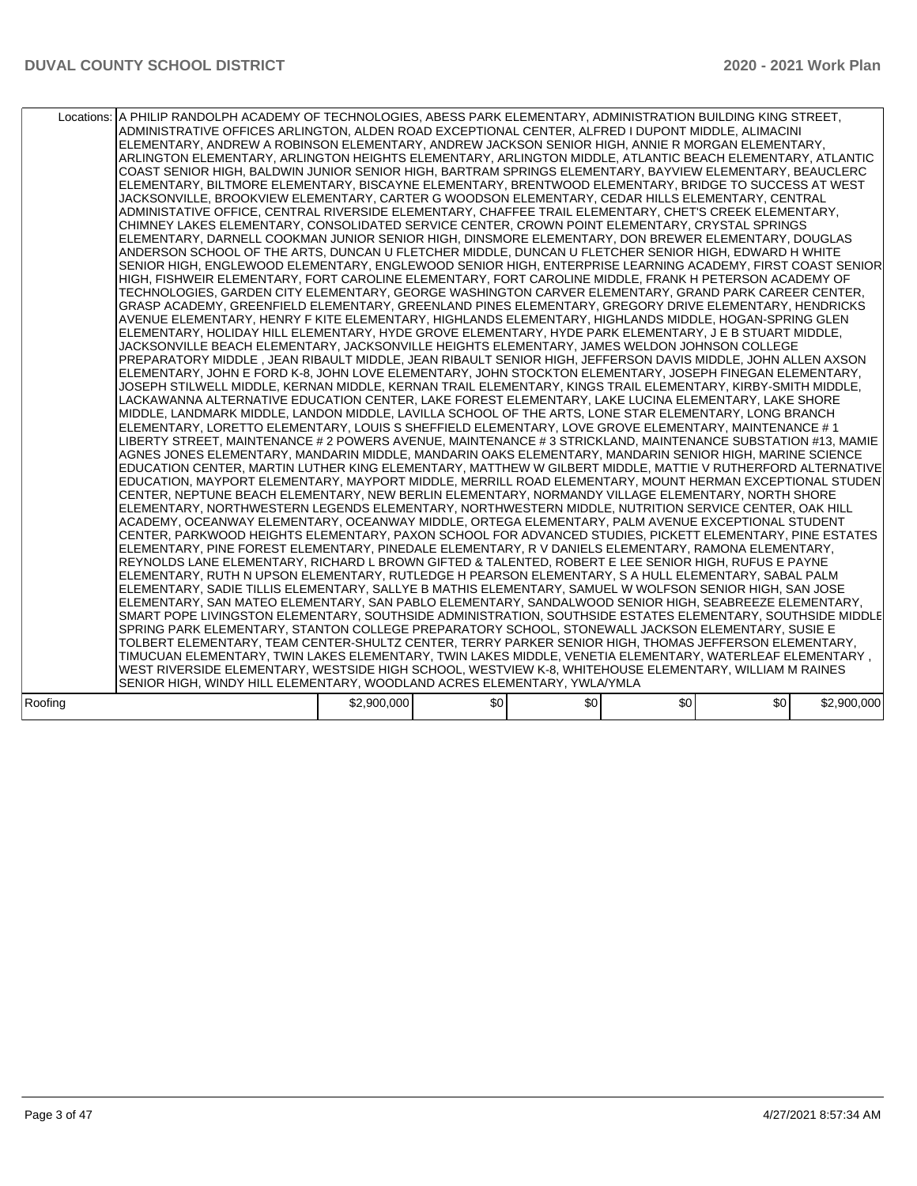|         | Locations: A PHILIP RANDOLPH ACADEMY OF TECHNOLOGIES, ABESS PARK ELEMENTARY, ADMINISTRATION BUILDING KING STREET,<br>ADMINISTRATIVE OFFICES ARLINGTON, ALDEN ROAD EXCEPTIONAL CENTER, ALFRED I DUPONT MIDDLE, ALIMACINI<br>ELEMENTARY, ANDREW A ROBINSON ELEMENTARY, ANDREW JACKSON SENIOR HIGH, ANNIE R MORGAN ELEMENTARY,<br>ARLINGTON ELEMENTARY, ARLINGTON HEIGHTS ELEMENTARY, ARLINGTON MIDDLE, ATLANTIC BEACH ELEMENTARY, ATLANTIC<br>COAST SENIOR HIGH, BALDWIN JUNIOR SENIOR HIGH, BARTRAM SPRINGS ELEMENTARY, BAYVIEW ELEMENTARY, BEAUCLERC<br>ELEMENTARY, BILTMORE ELEMENTARY, BISCAYNE ELEMENTARY, BRENTWOOD ELEMENTARY, BRIDGE TO SUCCESS AT WEST<br>JACKSONVILLE, BROOKVIEW ELEMENTARY, CARTER G WOODSON ELEMENTARY, CEDAR HILLS ELEMENTARY, CENTRAL<br>ADMINISTATIVE OFFICE, CENTRAL RIVERSIDE ELEMENTARY, CHAFFEE TRAIL ELEMENTARY, CHET'S CREEK ELEMENTARY,<br>CHIMNEY LAKES ELEMENTARY, CONSOLIDATED SERVICE CENTER, CROWN POINT ELEMENTARY, CRYSTAL SPRINGS<br>ELEMENTARY, DARNELL COOKMAN JUNIOR SENIOR HIGH, DINSMORE ELEMENTARY, DON BREWER ELEMENTARY, DOUGLAS<br>ANDERSON SCHOOL OF THE ARTS, DUNCAN U FLETCHER MIDDLE, DUNCAN U FLETCHER SENIOR HIGH, EDWARD H WHITE<br>SENIOR HIGH, ENGLEWOOD ELEMENTARY, ENGLEWOOD SENIOR HIGH, ENTERPRISE LEARNING ACADEMY, FIRST COAST SENIOR<br>HIGH. FISHWEIR ELEMENTARY. FORT CAROLINE ELEMENTARY. FORT CAROLINE MIDDLE. FRANK H PETERSON ACADEMY OF<br>TECHNOLOGIES, GARDEN CITY ELEMENTARY, GEORGE WASHINGTON CARVER ELEMENTARY, GRAND PARK CAREER CENTER,<br>GRASP ACADEMY, GREENFIELD ELEMENTARY, GREENLAND PINES ELEMENTARY, GREGORY DRIVE ELEMENTARY, HENDRICKS<br>AVENUE ELEMENTARY, HENRY F KITE ELEMENTARY, HIGHLANDS ELEMENTARY, HIGHLANDS MIDDLE, HOGAN-SPRING GLEN<br>ELEMENTARY, HOLIDAY HILL ELEMENTARY, HYDE GROVE ELEMENTARY, HYDE PARK ELEMENTARY, J E B STUART MIDDLE,<br>JACKSONVILLE BEACH ELEMENTARY, JACKSONVILLE HEIGHTS ELEMENTARY, JAMES WELDON JOHNSON COLLEGE<br>PREPARATORY MIDDLE , JEAN RIBAULT MIDDLE, JEAN RIBAULT SENIOR HIGH, JEFFERSON DAVIS MIDDLE, JOHN ALLEN AXSON<br>ELEMENTARY, JOHN E FORD K-8, JOHN LOVE ELEMENTARY, JOHN STOCKTON ELEMENTARY, JOSEPH FINEGAN ELEMENTARY,<br>JOSEPH STILWELL MIDDLE, KERNAN MIDDLE, KERNAN TRAIL ELEMENTARY, KINGS TRAIL ELEMENTARY, KIRBY-SMITH MIDDLE,<br>LACKAWANNA ALTERNATIVE EDUCATION CENTER, LAKE FOREST ELEMENTARY, LAKE LUCINA ELEMENTARY, LAKE SHORE<br>MIDDLE, LANDMARK MIDDLE, LANDON MIDDLE, LAVILLA SCHOOL OF THE ARTS, LONE STAR ELEMENTARY, LONG BRANCH<br>ELEMENTARY, LORETTO ELEMENTARY, LOUIS S SHEFFIELD ELEMENTARY, LOVE GROVE ELEMENTARY, MAINTENANCE # 1<br>LIBERTY STREET, MAINTENANCE # 2 POWERS AVENUE, MAINTENANCE # 3 STRICKLAND, MAINTENANCE SUBSTATION #13, MAMIE<br>AGNES JONES ELEMENTARY, MANDARIN MIDDLE, MANDARIN OAKS ELEMENTARY, MANDARIN SENIOR HIGH, MARINE SCIENCE<br>EDUCATION CENTER, MARTIN LUTHER KING ELEMENTARY, MATTHEW W GILBERT MIDDLE, MATTIE V RUTHERFORD ALTERNATIVE<br>EDUCATION, MAYPORT ELEMENTARY, MAYPORT MIDDLE, MERRILL ROAD ELEMENTARY, MOUNT HERMAN EXCEPTIONAL STUDEN<br>CENTER, NEPTUNE BEACH ELEMENTARY, NEW BERLIN ELEMENTARY, NORMANDY VILLAGE ELEMENTARY, NORTH SHORE<br>ELEMENTARY, NORTHWESTERN LEGENDS ELEMENTARY, NORTHWESTERN MIDDLE, NUTRITION SERVICE CENTER, OAK HILL<br>ACADEMY, OCEANWAY ELEMENTARY, OCEANWAY MIDDLE, ORTEGA ELEMENTARY, PALM AVENUE EXCEPTIONAL STUDENT<br>CENTER, PARKWOOD HEIGHTS ELEMENTARY, PAXON SCHOOL FOR ADVANCED STUDIES, PICKETT ELEMENTARY, PINE ESTATES<br>ELEMENTARY, PINE FOREST ELEMENTARY, PINEDALE ELEMENTARY, R V DANIELS ELEMENTARY, RAMONA ELEMENTARY,<br>REYNOLDS LANE ELEMENTARY, RICHARD L BROWN GIFTED & TALENTED, ROBERT E LEE SENIOR HIGH, RUFUS E PAYNE<br>ELEMENTARY, RUTH N UPSON ELEMENTARY, RUTLEDGE H PEARSON ELEMENTARY, S A HULL ELEMENTARY, SABAL PALM<br>ELEMENTARY, SADIE TILLIS ELEMENTARY, SALLYE B MATHIS ELEMENTARY, SAMUEL W WOLFSON SENIOR HIGH, SAN JOSE<br>ELEMENTARY, SAN MATEO ELEMENTARY, SAN PABLO ELEMENTARY, SANDALWOOD SENIOR HIGH, SEABREEZE ELEMENTARY,<br>SMART POPE LIVINGSTON ELEMENTARY, SOUTHSIDE ADMINISTRATION, SOUTHSIDE ESTATES ELEMENTARY, SOUTHSIDE MIDDLE<br>SPRING PARK ELEMENTARY, STANTON COLLEGE PREPARATORY SCHOOL, STONEWALL JACKSON ELEMENTARY, SUSIE E<br>TOLBERT ELEMENTARY, TEAM CENTER-SHULTZ CENTER, TERRY PARKER SENIOR HIGH, THOMAS JEFFERSON ELEMENTARY,<br>, TIMUCUAN ELEMENTARY, TWIN LAKES ELEMENTARY, TWIN LAKES MIDDLE, VENETIA ELEMENTARY, WATERLEAF ELEMENTARY<br>WEST RIVERSIDE ELEMENTARY, WESTSIDE HIGH SCHOOL, WESTVIEW K-8, WHITEHOUSE ELEMENTARY, WILLIAM M RAINES<br>SENIOR HIGH, WINDY HILL ELEMENTARY, WOODLAND ACRES ELEMENTARY, YWLA/YMLA |             |     |     |                  |     |             |
|---------|--------------------------------------------------------------------------------------------------------------------------------------------------------------------------------------------------------------------------------------------------------------------------------------------------------------------------------------------------------------------------------------------------------------------------------------------------------------------------------------------------------------------------------------------------------------------------------------------------------------------------------------------------------------------------------------------------------------------------------------------------------------------------------------------------------------------------------------------------------------------------------------------------------------------------------------------------------------------------------------------------------------------------------------------------------------------------------------------------------------------------------------------------------------------------------------------------------------------------------------------------------------------------------------------------------------------------------------------------------------------------------------------------------------------------------------------------------------------------------------------------------------------------------------------------------------------------------------------------------------------------------------------------------------------------------------------------------------------------------------------------------------------------------------------------------------------------------------------------------------------------------------------------------------------------------------------------------------------------------------------------------------------------------------------------------------------------------------------------------------------------------------------------------------------------------------------------------------------------------------------------------------------------------------------------------------------------------------------------------------------------------------------------------------------------------------------------------------------------------------------------------------------------------------------------------------------------------------------------------------------------------------------------------------------------------------------------------------------------------------------------------------------------------------------------------------------------------------------------------------------------------------------------------------------------------------------------------------------------------------------------------------------------------------------------------------------------------------------------------------------------------------------------------------------------------------------------------------------------------------------------------------------------------------------------------------------------------------------------------------------------------------------------------------------------------------------------------------------------------------------------------------------------------------------------------------------------------------------------------------------------------------------------------------------------------------------------------------------------------------------------------------------------------------------------------------------------------------------------------------------------------------------------------------------------------------------------------------------------------------------------------------------------------------------------------------------------------------------------------------------------------------------------------------------------------------------------------------------------------------------------------------------------------------------------------------------------------------------------------------------------------------------------------------------------------------------------------------------------------------------------------------------------------------------------------------------------------------------------------------------------------------------------------------------------------------|-------------|-----|-----|------------------|-----|-------------|
| Roofing |                                                                                                                                                                                                                                                                                                                                                                                                                                                                                                                                                                                                                                                                                                                                                                                                                                                                                                                                                                                                                                                                                                                                                                                                                                                                                                                                                                                                                                                                                                                                                                                                                                                                                                                                                                                                                                                                                                                                                                                                                                                                                                                                                                                                                                                                                                                                                                                                                                                                                                                                                                                                                                                                                                                                                                                                                                                                                                                                                                                                                                                                                                                                                                                                                                                                                                                                                                                                                                                                                                                                                                                                                                                                                                                                                                                                                                                                                                                                                                                                                                                                                                                                                                                                                                                                                                                                                                                                                                                                                                                                                                                                                                                                                      | \$2,900,000 | \$0 | \$0 | \$0 <sub>1</sub> | \$0 | \$2,900,000 |
|         |                                                                                                                                                                                                                                                                                                                                                                                                                                                                                                                                                                                                                                                                                                                                                                                                                                                                                                                                                                                                                                                                                                                                                                                                                                                                                                                                                                                                                                                                                                                                                                                                                                                                                                                                                                                                                                                                                                                                                                                                                                                                                                                                                                                                                                                                                                                                                                                                                                                                                                                                                                                                                                                                                                                                                                                                                                                                                                                                                                                                                                                                                                                                                                                                                                                                                                                                                                                                                                                                                                                                                                                                                                                                                                                                                                                                                                                                                                                                                                                                                                                                                                                                                                                                                                                                                                                                                                                                                                                                                                                                                                                                                                                                                      |             |     |     |                  |     |             |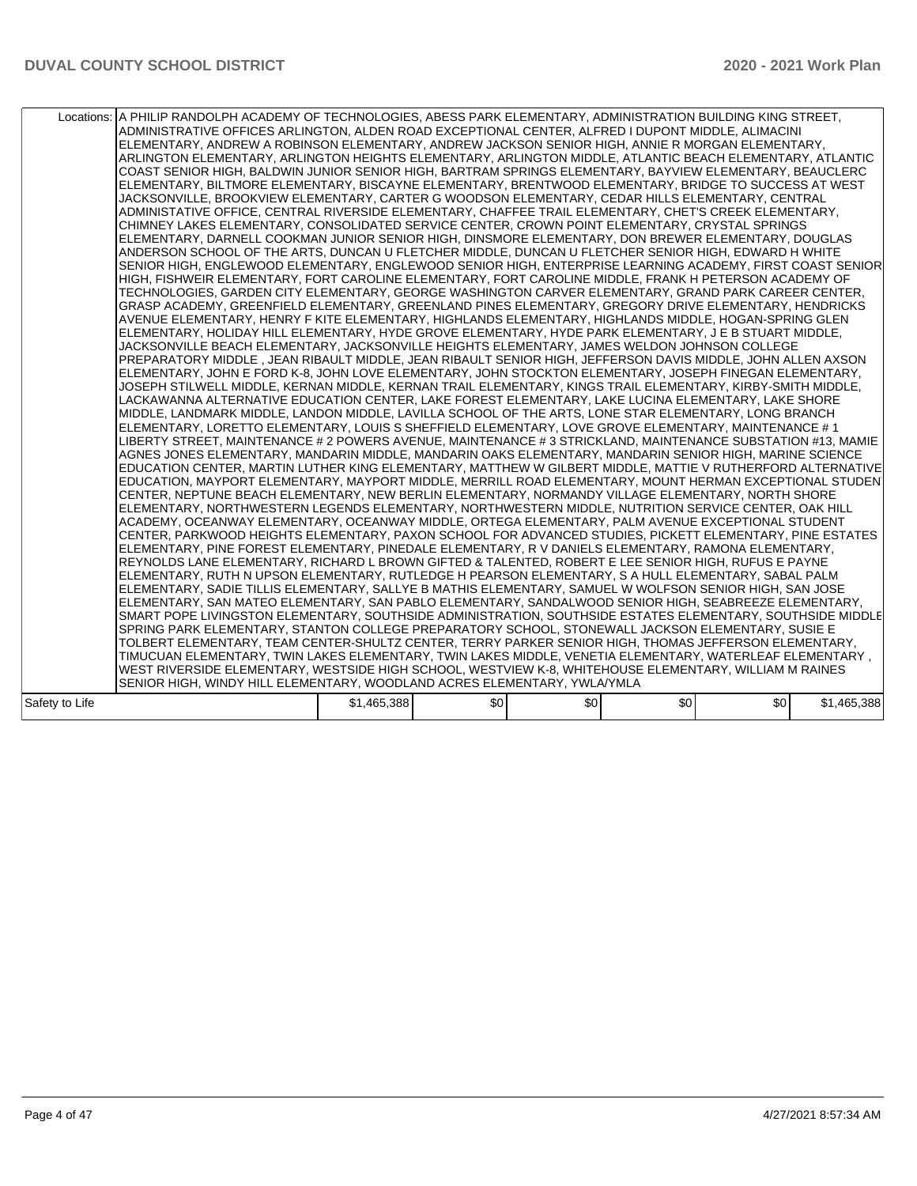|                | Locations: A PHILIP RANDOLPH ACADEMY OF TECHNOLOGIES, ABESS PARK ELEMENTARY, ADMINISTRATION BUILDING KING STREET,<br>ADMINISTRATIVE OFFICES ARLINGTON, ALDEN ROAD EXCEPTIONAL CENTER, ALFRED I DUPONT MIDDLE, ALIMACINI<br>ELEMENTARY, ANDREW A ROBINSON ELEMENTARY, ANDREW JACKSON SENIOR HIGH, ANNIE R MORGAN ELEMENTARY,<br>ARLINGTON ELEMENTARY, ARLINGTON HEIGHTS ELEMENTARY, ARLINGTON MIDDLE, ATLANTIC BEACH ELEMENTARY, ATLANTIC<br>COAST SENIOR HIGH, BALDWIN JUNIOR SENIOR HIGH, BARTRAM SPRINGS ELEMENTARY, BAYVIEW ELEMENTARY, BEAUCLERC<br>ELEMENTARY, BILTMORE ELEMENTARY, BISCAYNE ELEMENTARY, BRENTWOOD ELEMENTARY, BRIDGE TO SUCCESS AT WEST<br>JACKSONVILLE, BROOKVIEW ELEMENTARY, CARTER G WOODSON ELEMENTARY, CEDAR HILLS ELEMENTARY, CENTRAL<br>ADMINISTATIVE OFFICE, CENTRAL RIVERSIDE ELEMENTARY, CHAFFEE TRAIL ELEMENTARY, CHET'S CREEK ELEMENTARY,<br>CHIMNEY LAKES ELEMENTARY, CONSOLIDATED SERVICE CENTER, CROWN POINT ELEMENTARY, CRYSTAL SPRINGS<br>ELEMENTARY, DARNELL COOKMAN JUNIOR SENIOR HIGH, DINSMORE ELEMENTARY, DON BREWER ELEMENTARY, DOUGLAS<br>ANDERSON SCHOOL OF THE ARTS, DUNCAN U FLETCHER MIDDLE, DUNCAN U FLETCHER SENIOR HIGH, EDWARD H WHITE<br>SENIOR HIGH, ENGLEWOOD ELEMENTARY, ENGLEWOOD SENIOR HIGH, ENTERPRISE LEARNING ACADEMY, FIRST COAST SENIOR<br>HIGH. FISHWEIR ELEMENTARY. FORT CAROLINE ELEMENTARY. FORT CAROLINE MIDDLE. FRANK H PETERSON ACADEMY OF<br>TECHNOLOGIES, GARDEN CITY ELEMENTARY, GEORGE WASHINGTON CARVER ELEMENTARY, GRAND PARK CAREER CENTER,<br>GRASP ACADEMY, GREENFIELD ELEMENTARY, GREENLAND PINES ELEMENTARY, GREGORY DRIVE ELEMENTARY, HENDRICKS<br>AVENUE ELEMENTARY, HENRY F KITE ELEMENTARY, HIGHLANDS ELEMENTARY, HIGHLANDS MIDDLE, HOGAN-SPRING GLEN<br>ELEMENTARY, HOLIDAY HILL ELEMENTARY, HYDE GROVE ELEMENTARY, HYDE PARK ELEMENTARY, J E B STUART MIDDLE,<br>JACKSONVILLE BEACH ELEMENTARY, JACKSONVILLE HEIGHTS ELEMENTARY, JAMES WELDON JOHNSON COLLEGE<br>PREPARATORY MIDDLE , JEAN RIBAULT MIDDLE, JEAN RIBAULT SENIOR HIGH, JEFFERSON DAVIS MIDDLE, JOHN ALLEN AXSON<br>ELEMENTARY, JOHN E FORD K-8, JOHN LOVE ELEMENTARY, JOHN STOCKTON ELEMENTARY, JOSEPH FINEGAN ELEMENTARY,<br>JOSEPH STILWELL MIDDLE, KERNAN MIDDLE, KERNAN TRAIL ELEMENTARY, KINGS TRAIL ELEMENTARY, KIRBY-SMITH MIDDLE,<br>LACKAWANNA ALTERNATIVE EDUCATION CENTER, LAKE FOREST ELEMENTARY, LAKE LUCINA ELEMENTARY, LAKE SHORE<br>MIDDLE, LANDMARK MIDDLE, LANDON MIDDLE, LAVILLA SCHOOL OF THE ARTS, LONE STAR ELEMENTARY, LONG BRANCH<br>ELEMENTARY, LORETTO ELEMENTARY, LOUIS S SHEFFIELD ELEMENTARY, LOVE GROVE ELEMENTARY, MAINTENANCE # 1<br>LIBERTY STREET, MAINTENANCE # 2 POWERS AVENUE, MAINTENANCE # 3 STRICKLAND, MAINTENANCE SUBSTATION #13, MAMIE<br>AGNES JONES ELEMENTARY, MANDARIN MIDDLE, MANDARIN OAKS ELEMENTARY, MANDARIN SENIOR HIGH, MARINE SCIENCE<br>EDUCATION CENTER, MARTIN LUTHER KING ELEMENTARY, MATTHEW W GILBERT MIDDLE, MATTIE V RUTHERFORD ALTERNATIVE<br>EDUCATION, MAYPORT ELEMENTARY, MAYPORT MIDDLE, MERRILL ROAD ELEMENTARY, MOUNT HERMAN EXCEPTIONAL STUDEN<br>CENTER, NEPTUNE BEACH ELEMENTARY, NEW BERLIN ELEMENTARY, NORMANDY VILLAGE ELEMENTARY, NORTH SHORE<br>ELEMENTARY, NORTHWESTERN LEGENDS ELEMENTARY, NORTHWESTERN MIDDLE, NUTRITION SERVICE CENTER, OAK HILL<br>ACADEMY, OCEANWAY ELEMENTARY, OCEANWAY MIDDLE, ORTEGA ELEMENTARY, PALM AVENUE EXCEPTIONAL STUDENT<br>CENTER, PARKWOOD HEIGHTS ELEMENTARY, PAXON SCHOOL FOR ADVANCED STUDIES, PICKETT ELEMENTARY, PINE ESTATES<br>ELEMENTARY, PINE FOREST ELEMENTARY, PINEDALE ELEMENTARY, R V DANIELS ELEMENTARY, RAMONA ELEMENTARY,<br>REYNOLDS LANE ELEMENTARY, RICHARD L BROWN GIFTED & TALENTED, ROBERT E LEE SENIOR HIGH, RUFUS E PAYNE<br>ELEMENTARY, RUTH N UPSON ELEMENTARY, RUTLEDGE H PEARSON ELEMENTARY, S A HULL ELEMENTARY, SABAL PALM<br>ELEMENTARY, SADIE TILLIS ELEMENTARY, SALLYE B MATHIS ELEMENTARY, SAMUEL W WOLFSON SENIOR HIGH, SAN JOSE<br>ELEMENTARY, SAN MATEO ELEMENTARY, SAN PABLO ELEMENTARY, SANDALWOOD SENIOR HIGH, SEABREEZE ELEMENTARY,<br>SMART POPE LIVINGSTON ELEMENTARY, SOUTHSIDE ADMINISTRATION, SOUTHSIDE ESTATES ELEMENTARY, SOUTHSIDE MIDDLE<br>SPRING PARK ELEMENTARY, STANTON COLLEGE PREPARATORY SCHOOL, STONEWALL JACKSON ELEMENTARY, SUSIE E<br>TOLBERT ELEMENTARY, TEAM CENTER-SHULTZ CENTER, TERRY PARKER SENIOR HIGH, THOMAS JEFFERSON ELEMENTARY,<br>, TIMUCUAN ELEMENTARY, TWIN LAKES ELEMENTARY, TWIN LAKES MIDDLE, VENETIA ELEMENTARY, WATERLEAF ELEMENTARY<br>WEST RIVERSIDE ELEMENTARY, WESTSIDE HIGH SCHOOL, WESTVIEW K-8, WHITEHOUSE ELEMENTARY, WILLIAM M RAINES<br>SENIOR HIGH, WINDY HILL ELEMENTARY, WOODLAND ACRES ELEMENTARY, YWLA/YMLA |             |     |     |                  |     |             |
|----------------|--------------------------------------------------------------------------------------------------------------------------------------------------------------------------------------------------------------------------------------------------------------------------------------------------------------------------------------------------------------------------------------------------------------------------------------------------------------------------------------------------------------------------------------------------------------------------------------------------------------------------------------------------------------------------------------------------------------------------------------------------------------------------------------------------------------------------------------------------------------------------------------------------------------------------------------------------------------------------------------------------------------------------------------------------------------------------------------------------------------------------------------------------------------------------------------------------------------------------------------------------------------------------------------------------------------------------------------------------------------------------------------------------------------------------------------------------------------------------------------------------------------------------------------------------------------------------------------------------------------------------------------------------------------------------------------------------------------------------------------------------------------------------------------------------------------------------------------------------------------------------------------------------------------------------------------------------------------------------------------------------------------------------------------------------------------------------------------------------------------------------------------------------------------------------------------------------------------------------------------------------------------------------------------------------------------------------------------------------------------------------------------------------------------------------------------------------------------------------------------------------------------------------------------------------------------------------------------------------------------------------------------------------------------------------------------------------------------------------------------------------------------------------------------------------------------------------------------------------------------------------------------------------------------------------------------------------------------------------------------------------------------------------------------------------------------------------------------------------------------------------------------------------------------------------------------------------------------------------------------------------------------------------------------------------------------------------------------------------------------------------------------------------------------------------------------------------------------------------------------------------------------------------------------------------------------------------------------------------------------------------------------------------------------------------------------------------------------------------------------------------------------------------------------------------------------------------------------------------------------------------------------------------------------------------------------------------------------------------------------------------------------------------------------------------------------------------------------------------------------------------------------------------------------------------------------------------------------------------------------------------------------------------------------------------------------------------------------------------------------------------------------------------------------------------------------------------------------------------------------------------------------------------------------------------------------------------------------------------------------------------------------------------------------------------------------|-------------|-----|-----|------------------|-----|-------------|
| Safety to Life |                                                                                                                                                                                                                                                                                                                                                                                                                                                                                                                                                                                                                                                                                                                                                                                                                                                                                                                                                                                                                                                                                                                                                                                                                                                                                                                                                                                                                                                                                                                                                                                                                                                                                                                                                                                                                                                                                                                                                                                                                                                                                                                                                                                                                                                                                                                                                                                                                                                                                                                                                                                                                                                                                                                                                                                                                                                                                                                                                                                                                                                                                                                                                                                                                                                                                                                                                                                                                                                                                                                                                                                                                                                                                                                                                                                                                                                                                                                                                                                                                                                                                                                                                                                                                                                                                                                                                                                                                                                                                                                                                                                                                                                                                      | \$1,465,388 | \$0 | \$0 | \$0 <sub>1</sub> | \$0 | \$1,465,388 |
|                |                                                                                                                                                                                                                                                                                                                                                                                                                                                                                                                                                                                                                                                                                                                                                                                                                                                                                                                                                                                                                                                                                                                                                                                                                                                                                                                                                                                                                                                                                                                                                                                                                                                                                                                                                                                                                                                                                                                                                                                                                                                                                                                                                                                                                                                                                                                                                                                                                                                                                                                                                                                                                                                                                                                                                                                                                                                                                                                                                                                                                                                                                                                                                                                                                                                                                                                                                                                                                                                                                                                                                                                                                                                                                                                                                                                                                                                                                                                                                                                                                                                                                                                                                                                                                                                                                                                                                                                                                                                                                                                                                                                                                                                                                      |             |     |     |                  |     |             |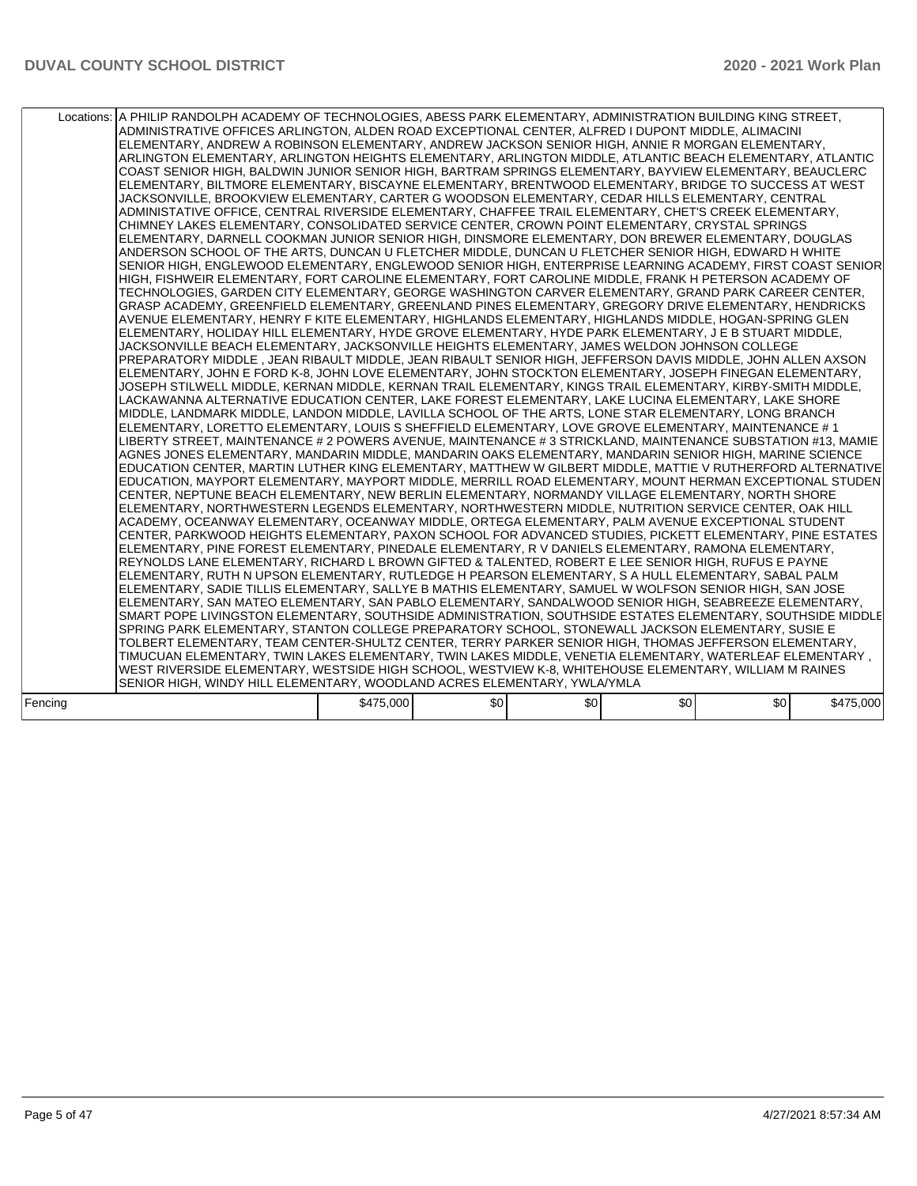|         | Locations: A PHILIP RANDOLPH ACADEMY OF TECHNOLOGIES, ABESS PARK ELEMENTARY, ADMINISTRATION BUILDING KING STREET,<br>ADMINISTRATIVE OFFICES ARLINGTON, ALDEN ROAD EXCEPTIONAL CENTER, ALFRED I DUPONT MIDDLE, ALIMACINI<br>ELEMENTARY, ANDREW A ROBINSON ELEMENTARY, ANDREW JACKSON SENIOR HIGH, ANNIE R MORGAN ELEMENTARY,<br>ARLINGTON ELEMENTARY, ARLINGTON HEIGHTS ELEMENTARY, ARLINGTON MIDDLE, ATLANTIC BEACH ELEMENTARY, ATLANTIC<br>COAST SENIOR HIGH, BALDWIN JUNIOR SENIOR HIGH, BARTRAM SPRINGS ELEMENTARY, BAYVIEW ELEMENTARY, BEAUCLERC<br>ELEMENTARY, BILTMORE ELEMENTARY, BISCAYNE ELEMENTARY, BRENTWOOD ELEMENTARY, BRIDGE TO SUCCESS AT WEST<br>JACKSONVILLE, BROOKVIEW ELEMENTARY, CARTER G WOODSON ELEMENTARY, CEDAR HILLS ELEMENTARY, CENTRAL<br>ADMINISTATIVE OFFICE, CENTRAL RIVERSIDE ELEMENTARY, CHAFFEE TRAIL ELEMENTARY, CHET'S CREEK ELEMENTARY,<br>CHIMNEY LAKES ELEMENTARY, CONSOLIDATED SERVICE CENTER, CROWN POINT ELEMENTARY, CRYSTAL SPRINGS<br>ELEMENTARY, DARNELL COOKMAN JUNIOR SENIOR HIGH, DINSMORE ELEMENTARY, DON BREWER ELEMENTARY, DOUGLAS<br>ANDERSON SCHOOL OF THE ARTS, DUNCAN U FLETCHER MIDDLE, DUNCAN U FLETCHER SENIOR HIGH, EDWARD H WHITE<br>SENIOR HIGH, ENGLEWOOD ELEMENTARY, ENGLEWOOD SENIOR HIGH, ENTERPRISE LEARNING ACADEMY, FIRST COAST SENIOR<br>HIGH, FISHWEIR ELEMENTARY, FORT CAROLINE ELEMENTARY, FORT CAROLINE MIDDLE, FRANK H PETERSON ACADEMY OF<br>TECHNOLOGIES, GARDEN CITY ELEMENTARY, GEORGE WASHINGTON CARVER ELEMENTARY, GRAND PARK CAREER CENTER,<br>GRASP ACADEMY, GREENFIELD ELEMENTARY, GREENLAND PINES ELEMENTARY, GREGORY DRIVE ELEMENTARY, HENDRICKS<br>AVENUE ELEMENTARY, HENRY F KITE ELEMENTARY, HIGHLANDS ELEMENTARY, HIGHLANDS MIDDLE, HOGAN-SPRING GLEN<br>ELEMENTARY, HOLIDAY HILL ELEMENTARY, HYDE GROVE ELEMENTARY, HYDE PARK ELEMENTARY, J E B STUART MIDDLE,<br>JACKSONVILLE BEACH ELEMENTARY, JACKSONVILLE HEIGHTS ELEMENTARY, JAMES WELDON JOHNSON COLLEGE<br>PREPARATORY MIDDLE . JEAN RIBAULT MIDDLE. JEAN RIBAULT SENIOR HIGH. JEFFERSON DAVIS MIDDLE. JOHN ALLEN AXSON<br>ELEMENTARY, JOHN E FORD K-8, JOHN LOVE ELEMENTARY, JOHN STOCKTON ELEMENTARY, JOSEPH FINEGAN ELEMENTARY,<br>JOSEPH STILWELL MIDDLE, KERNAN MIDDLE, KERNAN TRAIL ELEMENTARY, KINGS TRAIL ELEMENTARY, KIRBY-SMITH MIDDLE,<br>LACKAWANNA ALTERNATIVE EDUCATION CENTER, LAKE FOREST ELEMENTARY, LAKE LUCINA ELEMENTARY, LAKE SHORE<br>MIDDLE, LANDMARK MIDDLE, LANDON MIDDLE, LAVILLA SCHOOL OF THE ARTS, LONE STAR ELEMENTARY, LONG BRANCH<br>ELEMENTARY, LORETTO ELEMENTARY, LOUIS S SHEFFIELD ELEMENTARY, LOVE GROVE ELEMENTARY, MAINTENANCE #1<br>LIBERTY STREET, MAINTENANCE # 2 POWERS AVENUE, MAINTENANCE # 3 STRICKLAND, MAINTENANCE SUBSTATION #13, MAMIE<br>AGNES JONES ELEMENTARY, MANDARIN MIDDLE, MANDARIN OAKS ELEMENTARY, MANDARIN SENIOR HIGH, MARINE SCIENCE<br>EDUCATION CENTER, MARTIN LUTHER KING ELEMENTARY, MATTHEW W GILBERT MIDDLE, MATTIE V RUTHERFORD ALTERNATIVE<br>EDUCATION, MAYPORT ELEMENTARY, MAYPORT MIDDLE, MERRILL ROAD ELEMENTARY, MOUNT HERMAN EXCEPTIONAL STUDEN<br>CENTER, NEPTUNE BEACH ELEMENTARY, NEW BERLIN ELEMENTARY, NORMANDY VILLAGE ELEMENTARY, NORTH SHORE<br>ELEMENTARY, NORTHWESTERN LEGENDS ELEMENTARY, NORTHWESTERN MIDDLE, NUTRITION SERVICE CENTER, OAK HILL<br>ACADEMY, OCEANWAY ELEMENTARY, OCEANWAY MIDDLE, ORTEGA ELEMENTARY, PALM AVENUE EXCEPTIONAL STUDENT<br>CENTER, PARKWOOD HEIGHTS ELEMENTARY, PAXON SCHOOL FOR ADVANCED STUDIES, PICKETT ELEMENTARY, PINE ESTATES<br>ELEMENTARY, PINE FOREST ELEMENTARY, PINEDALE ELEMENTARY, R V DANIELS ELEMENTARY, RAMONA ELEMENTARY,<br>REYNOLDS LANE ELEMENTARY, RICHARD L BROWN GIFTED & TALENTED, ROBERT E LEE SENIOR HIGH, RUFUS E PAYNE<br>ELEMENTARY, RUTH N UPSON ELEMENTARY, RUTLEDGE H PEARSON ELEMENTARY, S A HULL ELEMENTARY, SABAL PALM<br>ELEMENTARY, SADIE TILLIS ELEMENTARY, SALLYE B MATHIS ELEMENTARY, SAMUEL W WOLFSON SENIOR HIGH, SAN JOSE<br>ELEMENTARY, SAN MATEO ELEMENTARY, SAN PABLO ELEMENTARY, SANDALWOOD SENIOR HIGH, SEABREEZE ELEMENTARY,<br>SMART POPE LIVINGSTON ELEMENTARY, SOUTHSIDE ADMINISTRATION, SOUTHSIDE ESTATES ELEMENTARY, SOUTHSIDE MIDDLE<br>SPRING PARK ELEMENTARY, STANTON COLLEGE PREPARATORY SCHOOL, STONEWALL JACKSON ELEMENTARY, SUSIE E<br>TOLBERT ELEMENTARY, TEAM CENTER-SHULTZ CENTER, TERRY PARKER SENIOR HIGH, THOMAS JEFFERSON ELEMENTARY,<br>, TIMUCUAN ELEMENTARY, TWIN LAKES ELEMENTARY, TWIN LAKES MIDDLE, VENETIA ELEMENTARY, WATERLEAF ELEMENTARY<br>WEST RIVERSIDE ELEMENTARY, WESTSIDE HIGH SCHOOL, WESTVIEW K-8, WHITEHOUSE ELEMENTARY, WILLIAM M RAINES<br>SENIOR HIGH, WINDY HILL ELEMENTARY, WOODLAND ACRES ELEMENTARY, YWLA/YMLA |           |     |     |                  |     |           |
|---------|-------------------------------------------------------------------------------------------------------------------------------------------------------------------------------------------------------------------------------------------------------------------------------------------------------------------------------------------------------------------------------------------------------------------------------------------------------------------------------------------------------------------------------------------------------------------------------------------------------------------------------------------------------------------------------------------------------------------------------------------------------------------------------------------------------------------------------------------------------------------------------------------------------------------------------------------------------------------------------------------------------------------------------------------------------------------------------------------------------------------------------------------------------------------------------------------------------------------------------------------------------------------------------------------------------------------------------------------------------------------------------------------------------------------------------------------------------------------------------------------------------------------------------------------------------------------------------------------------------------------------------------------------------------------------------------------------------------------------------------------------------------------------------------------------------------------------------------------------------------------------------------------------------------------------------------------------------------------------------------------------------------------------------------------------------------------------------------------------------------------------------------------------------------------------------------------------------------------------------------------------------------------------------------------------------------------------------------------------------------------------------------------------------------------------------------------------------------------------------------------------------------------------------------------------------------------------------------------------------------------------------------------------------------------------------------------------------------------------------------------------------------------------------------------------------------------------------------------------------------------------------------------------------------------------------------------------------------------------------------------------------------------------------------------------------------------------------------------------------------------------------------------------------------------------------------------------------------------------------------------------------------------------------------------------------------------------------------------------------------------------------------------------------------------------------------------------------------------------------------------------------------------------------------------------------------------------------------------------------------------------------------------------------------------------------------------------------------------------------------------------------------------------------------------------------------------------------------------------------------------------------------------------------------------------------------------------------------------------------------------------------------------------------------------------------------------------------------------------------------------------------------------------------------------------------------------------------------------------------------------------------------------------------------------------------------------------------------------------------------------------------------------------------------------------------------------------------------------------------------------------------------------------------------------------------------------------------------------------------------------------------------------------------------------------------------|-----------|-----|-----|------------------|-----|-----------|
| Fencing |                                                                                                                                                                                                                                                                                                                                                                                                                                                                                                                                                                                                                                                                                                                                                                                                                                                                                                                                                                                                                                                                                                                                                                                                                                                                                                                                                                                                                                                                                                                                                                                                                                                                                                                                                                                                                                                                                                                                                                                                                                                                                                                                                                                                                                                                                                                                                                                                                                                                                                                                                                                                                                                                                                                                                                                                                                                                                                                                                                                                                                                                                                                                                                                                                                                                                                                                                                                                                                                                                                                                                                                                                                                                                                                                                                                                                                                                                                                                                                                                                                                                                                                                                                                                                                                                                                                                                                                                                                                                                                                                                                                                                                                                                     | \$475,000 | \$0 | \$0 | \$0 <sub>1</sub> | \$0 | \$475,000 |
|         |                                                                                                                                                                                                                                                                                                                                                                                                                                                                                                                                                                                                                                                                                                                                                                                                                                                                                                                                                                                                                                                                                                                                                                                                                                                                                                                                                                                                                                                                                                                                                                                                                                                                                                                                                                                                                                                                                                                                                                                                                                                                                                                                                                                                                                                                                                                                                                                                                                                                                                                                                                                                                                                                                                                                                                                                                                                                                                                                                                                                                                                                                                                                                                                                                                                                                                                                                                                                                                                                                                                                                                                                                                                                                                                                                                                                                                                                                                                                                                                                                                                                                                                                                                                                                                                                                                                                                                                                                                                                                                                                                                                                                                                                                     |           |     |     |                  |     |           |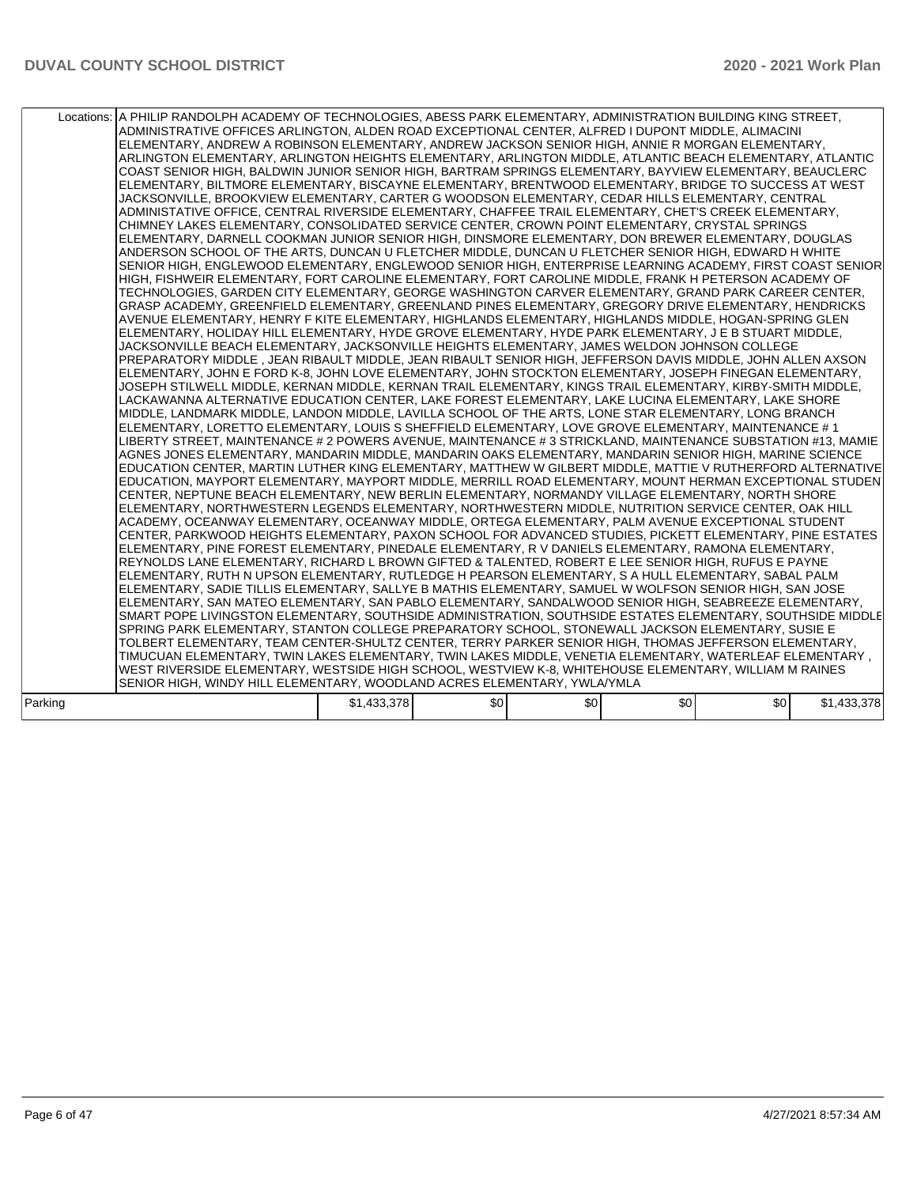|         | Locations: A PHILIP RANDOLPH ACADEMY OF TECHNOLOGIES, ABESS PARK ELEMENTARY, ADMINISTRATION BUILDING KING STREET,<br>ADMINISTRATIVE OFFICES ARLINGTON, ALDEN ROAD EXCEPTIONAL CENTER, ALFRED I DUPONT MIDDLE, ALIMACINI<br>ELEMENTARY, ANDREW A ROBINSON ELEMENTARY, ANDREW JACKSON SENIOR HIGH, ANNIE R MORGAN ELEMENTARY,<br>ARLINGTON ELEMENTARY, ARLINGTON HEIGHTS ELEMENTARY, ARLINGTON MIDDLE, ATLANTIC BEACH ELEMENTARY, ATLANTIC<br>COAST SENIOR HIGH, BALDWIN JUNIOR SENIOR HIGH, BARTRAM SPRINGS ELEMENTARY, BAYVIEW ELEMENTARY, BEAUCLERC<br>ELEMENTARY, BILTMORE ELEMENTARY, BISCAYNE ELEMENTARY, BRENTWOOD ELEMENTARY, BRIDGE TO SUCCESS AT WEST<br>JACKSONVILLE, BROOKVIEW ELEMENTARY, CARTER G WOODSON ELEMENTARY, CEDAR HILLS ELEMENTARY, CENTRAL<br>ADMINISTATIVE OFFICE, CENTRAL RIVERSIDE ELEMENTARY, CHAFFEE TRAIL ELEMENTARY, CHET'S CREEK ELEMENTARY,<br>CHIMNEY LAKES ELEMENTARY, CONSOLIDATED SERVICE CENTER, CROWN POINT ELEMENTARY, CRYSTAL SPRINGS<br>ELEMENTARY, DARNELL COOKMAN JUNIOR SENIOR HIGH, DINSMORE ELEMENTARY, DON BREWER ELEMENTARY, DOUGLAS<br>ANDERSON SCHOOL OF THE ARTS, DUNCAN U FLETCHER MIDDLE, DUNCAN U FLETCHER SENIOR HIGH, EDWARD H WHITE<br>SENIOR HIGH, ENGLEWOOD ELEMENTARY, ENGLEWOOD SENIOR HIGH, ENTERPRISE LEARNING ACADEMY, FIRST COAST SENIOR<br>HIGH. FISHWEIR ELEMENTARY. FORT CAROLINE ELEMENTARY. FORT CAROLINE MIDDLE. FRANK H PETERSON ACADEMY OF<br>TECHNOLOGIES, GARDEN CITY ELEMENTARY, GEORGE WASHINGTON CARVER ELEMENTARY, GRAND PARK CAREER CENTER,<br>GRASP ACADEMY, GREENFIELD ELEMENTARY, GREENLAND PINES ELEMENTARY, GREGORY DRIVE ELEMENTARY, HENDRICKS<br>AVENUE ELEMENTARY, HENRY F KITE ELEMENTARY, HIGHLANDS ELEMENTARY, HIGHLANDS MIDDLE, HOGAN-SPRING GLEN<br>ELEMENTARY, HOLIDAY HILL ELEMENTARY, HYDE GROVE ELEMENTARY, HYDE PARK ELEMENTARY, J E B STUART MIDDLE,<br>JACKSONVILLE BEACH ELEMENTARY, JACKSONVILLE HEIGHTS ELEMENTARY, JAMES WELDON JOHNSON COLLEGE<br>PREPARATORY MIDDLE , JEAN RIBAULT MIDDLE, JEAN RIBAULT SENIOR HIGH, JEFFERSON DAVIS MIDDLE, JOHN ALLEN AXSON<br>ELEMENTARY, JOHN E FORD K-8, JOHN LOVE ELEMENTARY, JOHN STOCKTON ELEMENTARY, JOSEPH FINEGAN ELEMENTARY,<br>JOSEPH STILWELL MIDDLE, KERNAN MIDDLE, KERNAN TRAIL ELEMENTARY, KINGS TRAIL ELEMENTARY, KIRBY-SMITH MIDDLE,<br>LACKAWANNA ALTERNATIVE EDUCATION CENTER, LAKE FOREST ELEMENTARY, LAKE LUCINA ELEMENTARY, LAKE SHORE<br>MIDDLE, LANDMARK MIDDLE, LANDON MIDDLE, LAVILLA SCHOOL OF THE ARTS, LONE STAR ELEMENTARY, LONG BRANCH<br>ELEMENTARY, LORETTO ELEMENTARY, LOUIS S SHEFFIELD ELEMENTARY, LOVE GROVE ELEMENTARY, MAINTENANCE # 1<br>LIBERTY STREET, MAINTENANCE # 2 POWERS AVENUE, MAINTENANCE # 3 STRICKLAND, MAINTENANCE SUBSTATION #13, MAMIE<br>AGNES JONES ELEMENTARY, MANDARIN MIDDLE, MANDARIN OAKS ELEMENTARY, MANDARIN SENIOR HIGH, MARINE SCIENCE<br>EDUCATION CENTER, MARTIN LUTHER KING ELEMENTARY, MATTHEW W GILBERT MIDDLE, MATTIE V RUTHERFORD ALTERNATIVE<br>EDUCATION, MAYPORT ELEMENTARY, MAYPORT MIDDLE, MERRILL ROAD ELEMENTARY, MOUNT HERMAN EXCEPTIONAL STUDEN<br>CENTER, NEPTUNE BEACH ELEMENTARY, NEW BERLIN ELEMENTARY, NORMANDY VILLAGE ELEMENTARY, NORTH SHORE<br>ELEMENTARY, NORTHWESTERN LEGENDS ELEMENTARY, NORTHWESTERN MIDDLE, NUTRITION SERVICE CENTER, OAK HILL<br>ACADEMY, OCEANWAY ELEMENTARY, OCEANWAY MIDDLE, ORTEGA ELEMENTARY, PALM AVENUE EXCEPTIONAL STUDENT<br>CENTER, PARKWOOD HEIGHTS ELEMENTARY, PAXON SCHOOL FOR ADVANCED STUDIES, PICKETT ELEMENTARY, PINE ESTATES<br>ELEMENTARY, PINE FOREST ELEMENTARY, PINEDALE ELEMENTARY, R V DANIELS ELEMENTARY, RAMONA ELEMENTARY,<br>REYNOLDS LANE ELEMENTARY, RICHARD L BROWN GIFTED & TALENTED, ROBERT E LEE SENIOR HIGH, RUFUS E PAYNE<br>ELEMENTARY, RUTH N UPSON ELEMENTARY, RUTLEDGE H PEARSON ELEMENTARY, S A HULL ELEMENTARY, SABAL PALM<br>ELEMENTARY, SADIE TILLIS ELEMENTARY, SALLYE B MATHIS ELEMENTARY, SAMUEL W WOLFSON SENIOR HIGH, SAN JOSE<br>ELEMENTARY, SAN MATEO ELEMENTARY, SAN PABLO ELEMENTARY, SANDALWOOD SENIOR HIGH, SEABREEZE ELEMENTARY,<br>SMART POPE LIVINGSTON ELEMENTARY, SOUTHSIDE ADMINISTRATION, SOUTHSIDE ESTATES ELEMENTARY, SOUTHSIDE MIDDLE<br>SPRING PARK ELEMENTARY, STANTON COLLEGE PREPARATORY SCHOOL, STONEWALL JACKSON ELEMENTARY, SUSIE E<br>TOLBERT ELEMENTARY, TEAM CENTER-SHULTZ CENTER, TERRY PARKER SENIOR HIGH, THOMAS JEFFERSON ELEMENTARY,<br>, TIMUCUAN ELEMENTARY, TWIN LAKES ELEMENTARY, TWIN LAKES MIDDLE, VENETIA ELEMENTARY, WATERLEAF ELEMENTARY<br>WEST RIVERSIDE ELEMENTARY, WESTSIDE HIGH SCHOOL, WESTVIEW K-8, WHITEHOUSE ELEMENTARY, WILLIAM M RAINES<br>SENIOR HIGH, WINDY HILL ELEMENTARY, WOODLAND ACRES ELEMENTARY, YWLA/YMLA |             |     |     |                  |     |             |
|---------|--------------------------------------------------------------------------------------------------------------------------------------------------------------------------------------------------------------------------------------------------------------------------------------------------------------------------------------------------------------------------------------------------------------------------------------------------------------------------------------------------------------------------------------------------------------------------------------------------------------------------------------------------------------------------------------------------------------------------------------------------------------------------------------------------------------------------------------------------------------------------------------------------------------------------------------------------------------------------------------------------------------------------------------------------------------------------------------------------------------------------------------------------------------------------------------------------------------------------------------------------------------------------------------------------------------------------------------------------------------------------------------------------------------------------------------------------------------------------------------------------------------------------------------------------------------------------------------------------------------------------------------------------------------------------------------------------------------------------------------------------------------------------------------------------------------------------------------------------------------------------------------------------------------------------------------------------------------------------------------------------------------------------------------------------------------------------------------------------------------------------------------------------------------------------------------------------------------------------------------------------------------------------------------------------------------------------------------------------------------------------------------------------------------------------------------------------------------------------------------------------------------------------------------------------------------------------------------------------------------------------------------------------------------------------------------------------------------------------------------------------------------------------------------------------------------------------------------------------------------------------------------------------------------------------------------------------------------------------------------------------------------------------------------------------------------------------------------------------------------------------------------------------------------------------------------------------------------------------------------------------------------------------------------------------------------------------------------------------------------------------------------------------------------------------------------------------------------------------------------------------------------------------------------------------------------------------------------------------------------------------------------------------------------------------------------------------------------------------------------------------------------------------------------------------------------------------------------------------------------------------------------------------------------------------------------------------------------------------------------------------------------------------------------------------------------------------------------------------------------------------------------------------------------------------------------------------------------------------------------------------------------------------------------------------------------------------------------------------------------------------------------------------------------------------------------------------------------------------------------------------------------------------------------------------------------------------------------------------------------------------------------------------------------------------------------|-------------|-----|-----|------------------|-----|-------------|
| Parking |                                                                                                                                                                                                                                                                                                                                                                                                                                                                                                                                                                                                                                                                                                                                                                                                                                                                                                                                                                                                                                                                                                                                                                                                                                                                                                                                                                                                                                                                                                                                                                                                                                                                                                                                                                                                                                                                                                                                                                                                                                                                                                                                                                                                                                                                                                                                                                                                                                                                                                                                                                                                                                                                                                                                                                                                                                                                                                                                                                                                                                                                                                                                                                                                                                                                                                                                                                                                                                                                                                                                                                                                                                                                                                                                                                                                                                                                                                                                                                                                                                                                                                                                                                                                                                                                                                                                                                                                                                                                                                                                                                                                                                                                                      | \$1,433,378 | \$0 | \$0 | \$0 <sub>1</sub> | \$0 | \$1,433,378 |
|         |                                                                                                                                                                                                                                                                                                                                                                                                                                                                                                                                                                                                                                                                                                                                                                                                                                                                                                                                                                                                                                                                                                                                                                                                                                                                                                                                                                                                                                                                                                                                                                                                                                                                                                                                                                                                                                                                                                                                                                                                                                                                                                                                                                                                                                                                                                                                                                                                                                                                                                                                                                                                                                                                                                                                                                                                                                                                                                                                                                                                                                                                                                                                                                                                                                                                                                                                                                                                                                                                                                                                                                                                                                                                                                                                                                                                                                                                                                                                                                                                                                                                                                                                                                                                                                                                                                                                                                                                                                                                                                                                                                                                                                                                                      |             |     |     |                  |     |             |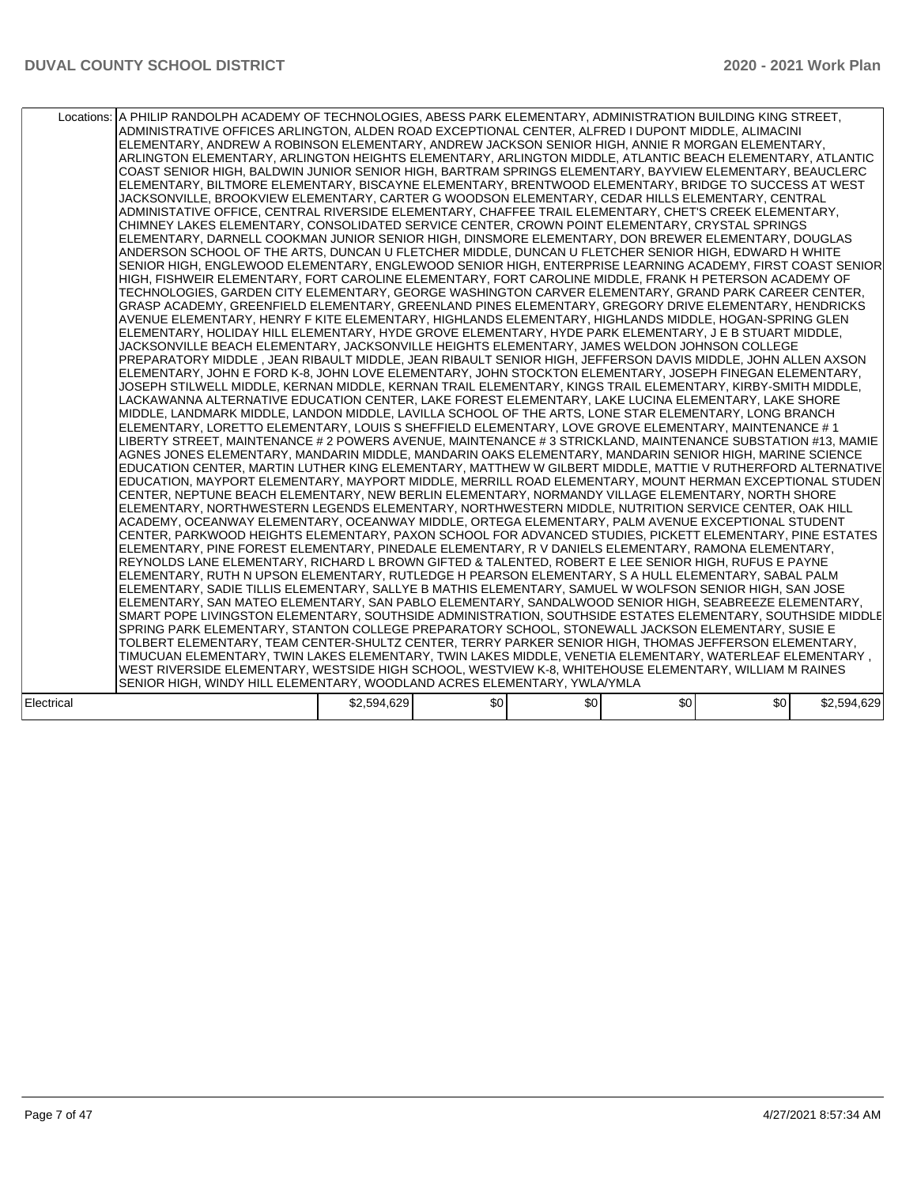|            | Locations: A PHILIP RANDOLPH ACADEMY OF TECHNOLOGIES, ABESS PARK ELEMENTARY, ADMINISTRATION BUILDING KING STREET,<br>ADMINISTRATIVE OFFICES ARLINGTON, ALDEN ROAD EXCEPTIONAL CENTER, ALFRED I DUPONT MIDDLE, ALIMACINI<br>ELEMENTARY, ANDREW A ROBINSON ELEMENTARY, ANDREW JACKSON SENIOR HIGH, ANNIE R MORGAN ELEMENTARY,<br>ARLINGTON ELEMENTARY, ARLINGTON HEIGHTS ELEMENTARY, ARLINGTON MIDDLE, ATLANTIC BEACH ELEMENTARY, ATLANTIC<br>COAST SENIOR HIGH, BALDWIN JUNIOR SENIOR HIGH, BARTRAM SPRINGS ELEMENTARY, BAYVIEW ELEMENTARY, BEAUCLERC<br>ELEMENTARY, BILTMORE ELEMENTARY, BISCAYNE ELEMENTARY, BRENTWOOD ELEMENTARY, BRIDGE TO SUCCESS AT WEST<br>JACKSONVILLE, BROOKVIEW ELEMENTARY, CARTER G WOODSON ELEMENTARY, CEDAR HILLS ELEMENTARY, CENTRAL<br>ADMINISTATIVE OFFICE, CENTRAL RIVERSIDE ELEMENTARY, CHAFFEE TRAIL ELEMENTARY, CHET'S CREEK ELEMENTARY,<br>CHIMNEY LAKES ELEMENTARY, CONSOLIDATED SERVICE CENTER, CROWN POINT ELEMENTARY, CRYSTAL SPRINGS<br>ELEMENTARY, DARNELL COOKMAN JUNIOR SENIOR HIGH, DINSMORE ELEMENTARY, DON BREWER ELEMENTARY, DOUGLAS<br>ANDERSON SCHOOL OF THE ARTS, DUNCAN U FLETCHER MIDDLE, DUNCAN U FLETCHER SENIOR HIGH, EDWARD H WHITE<br>SENIOR HIGH, ENGLEWOOD ELEMENTARY, ENGLEWOOD SENIOR HIGH, ENTERPRISE LEARNING ACADEMY, FIRST COAST SENIOR<br>HIGH, FISHWEIR ELEMENTARY, FORT CAROLINE ELEMENTARY, FORT CAROLINE MIDDLE, FRANK H PETERSON ACADEMY OF<br>TECHNOLOGIES, GARDEN CITY ELEMENTARY, GEORGE WASHINGTON CARVER ELEMENTARY, GRAND PARK CAREER CENTER,<br>GRASP ACADEMY, GREENFIELD ELEMENTARY, GREENLAND PINES ELEMENTARY, GREGORY DRIVE ELEMENTARY, HENDRICKS<br>AVENUE ELEMENTARY, HENRY F KITE ELEMENTARY, HIGHLANDS ELEMENTARY, HIGHLANDS MIDDLE, HOGAN-SPRING GLEN<br>ELEMENTARY, HOLIDAY HILL ELEMENTARY, HYDE GROVE ELEMENTARY, HYDE PARK ELEMENTARY, J E B STUART MIDDLE,<br>JACKSONVILLE BEACH ELEMENTARY, JACKSONVILLE HEIGHTS ELEMENTARY, JAMES WELDON JOHNSON COLLEGE<br>PREPARATORY MIDDLE . JEAN RIBAULT MIDDLE. JEAN RIBAULT SENIOR HIGH. JEFFERSON DAVIS MIDDLE. JOHN ALLEN AXSON<br>ELEMENTARY, JOHN E FORD K-8, JOHN LOVE ELEMENTARY, JOHN STOCKTON ELEMENTARY, JOSEPH FINEGAN ELEMENTARY,<br>JOSEPH STILWELL MIDDLE, KERNAN MIDDLE, KERNAN TRAIL ELEMENTARY, KINGS TRAIL ELEMENTARY, KIRBY-SMITH MIDDLE,<br>LACKAWANNA ALTERNATIVE EDUCATION CENTER, LAKE FOREST ELEMENTARY, LAKE LUCINA ELEMENTARY, LAKE SHORE<br>MIDDLE, LANDMARK MIDDLE, LANDON MIDDLE, LAVILLA SCHOOL OF THE ARTS, LONE STAR ELEMENTARY, LONG BRANCH<br>ELEMENTARY, LORETTO ELEMENTARY, LOUIS S SHEFFIELD ELEMENTARY, LOVE GROVE ELEMENTARY, MAINTENANCE #1<br>LIBERTY STREET, MAINTENANCE # 2 POWERS AVENUE, MAINTENANCE # 3 STRICKLAND, MAINTENANCE SUBSTATION #13, MAMIE<br>AGNES JONES ELEMENTARY, MANDARIN MIDDLE, MANDARIN OAKS ELEMENTARY, MANDARIN SENIOR HIGH, MARINE SCIENCE<br>EDUCATION CENTER, MARTIN LUTHER KING ELEMENTARY, MATTHEW W GILBERT MIDDLE, MATTIE V RUTHERFORD ALTERNATIVE<br>EDUCATION, MAYPORT ELEMENTARY, MAYPORT MIDDLE, MERRILL ROAD ELEMENTARY, MOUNT HERMAN EXCEPTIONAL STUDEN<br>CENTER, NEPTUNE BEACH ELEMENTARY, NEW BERLIN ELEMENTARY, NORMANDY VILLAGE ELEMENTARY, NORTH SHORE<br>ELEMENTARY, NORTHWESTERN LEGENDS ELEMENTARY, NORTHWESTERN MIDDLE, NUTRITION SERVICE CENTER, OAK HILL<br>ACADEMY, OCEANWAY ELEMENTARY, OCEANWAY MIDDLE, ORTEGA ELEMENTARY, PALM AVENUE EXCEPTIONAL STUDENT<br>CENTER, PARKWOOD HEIGHTS ELEMENTARY, PAXON SCHOOL FOR ADVANCED STUDIES, PICKETT ELEMENTARY, PINE ESTATES<br>ELEMENTARY, PINE FOREST ELEMENTARY, PINEDALE ELEMENTARY, R V DANIELS ELEMENTARY, RAMONA ELEMENTARY,<br>REYNOLDS LANE ELEMENTARY, RICHARD L BROWN GIFTED & TALENTED, ROBERT E LEE SENIOR HIGH, RUFUS E PAYNE<br>ELEMENTARY, RUTH N UPSON ELEMENTARY, RUTLEDGE H PEARSON ELEMENTARY, S A HULL ELEMENTARY, SABAL PALM<br>ELEMENTARY, SADIE TILLIS ELEMENTARY, SALLYE B MATHIS ELEMENTARY, SAMUEL W WOLFSON SENIOR HIGH, SAN JOSE<br>ELEMENTARY, SAN MATEO ELEMENTARY, SAN PABLO ELEMENTARY, SANDALWOOD SENIOR HIGH, SEABREEZE ELEMENTARY,<br>SMART POPE LIVINGSTON ELEMENTARY, SOUTHSIDE ADMINISTRATION, SOUTHSIDE ESTATES ELEMENTARY, SOUTHSIDE MIDDLE<br>SPRING PARK ELEMENTARY, STANTON COLLEGE PREPARATORY SCHOOL, STONEWALL JACKSON ELEMENTARY, SUSIE E<br>TOLBERT ELEMENTARY, TEAM CENTER-SHULTZ CENTER, TERRY PARKER SENIOR HIGH, THOMAS JEFFERSON ELEMENTARY,<br>, TIMUCUAN ELEMENTARY, TWIN LAKES ELEMENTARY, TWIN LAKES MIDDLE, VENETIA ELEMENTARY, WATERLEAF ELEMENTARY<br>WEST RIVERSIDE ELEMENTARY, WESTSIDE HIGH SCHOOL, WESTVIEW K-8, WHITEHOUSE ELEMENTARY, WILLIAM M RAINES<br>SENIOR HIGH, WINDY HILL ELEMENTARY, WOODLAND ACRES ELEMENTARY, YWLA/YMLA |             |     |     |                  |     |             |
|------------|-------------------------------------------------------------------------------------------------------------------------------------------------------------------------------------------------------------------------------------------------------------------------------------------------------------------------------------------------------------------------------------------------------------------------------------------------------------------------------------------------------------------------------------------------------------------------------------------------------------------------------------------------------------------------------------------------------------------------------------------------------------------------------------------------------------------------------------------------------------------------------------------------------------------------------------------------------------------------------------------------------------------------------------------------------------------------------------------------------------------------------------------------------------------------------------------------------------------------------------------------------------------------------------------------------------------------------------------------------------------------------------------------------------------------------------------------------------------------------------------------------------------------------------------------------------------------------------------------------------------------------------------------------------------------------------------------------------------------------------------------------------------------------------------------------------------------------------------------------------------------------------------------------------------------------------------------------------------------------------------------------------------------------------------------------------------------------------------------------------------------------------------------------------------------------------------------------------------------------------------------------------------------------------------------------------------------------------------------------------------------------------------------------------------------------------------------------------------------------------------------------------------------------------------------------------------------------------------------------------------------------------------------------------------------------------------------------------------------------------------------------------------------------------------------------------------------------------------------------------------------------------------------------------------------------------------------------------------------------------------------------------------------------------------------------------------------------------------------------------------------------------------------------------------------------------------------------------------------------------------------------------------------------------------------------------------------------------------------------------------------------------------------------------------------------------------------------------------------------------------------------------------------------------------------------------------------------------------------------------------------------------------------------------------------------------------------------------------------------------------------------------------------------------------------------------------------------------------------------------------------------------------------------------------------------------------------------------------------------------------------------------------------------------------------------------------------------------------------------------------------------------------------------------------------------------------------------------------------------------------------------------------------------------------------------------------------------------------------------------------------------------------------------------------------------------------------------------------------------------------------------------------------------------------------------------------------------------------------------------------------------------------------------------------------------------|-------------|-----|-----|------------------|-----|-------------|
| Electrical |                                                                                                                                                                                                                                                                                                                                                                                                                                                                                                                                                                                                                                                                                                                                                                                                                                                                                                                                                                                                                                                                                                                                                                                                                                                                                                                                                                                                                                                                                                                                                                                                                                                                                                                                                                                                                                                                                                                                                                                                                                                                                                                                                                                                                                                                                                                                                                                                                                                                                                                                                                                                                                                                                                                                                                                                                                                                                                                                                                                                                                                                                                                                                                                                                                                                                                                                                                                                                                                                                                                                                                                                                                                                                                                                                                                                                                                                                                                                                                                                                                                                                                                                                                                                                                                                                                                                                                                                                                                                                                                                                                                                                                                                                     | \$2,594,629 | \$0 | \$0 | \$0 <sub>1</sub> | \$0 | \$2,594,629 |
|            |                                                                                                                                                                                                                                                                                                                                                                                                                                                                                                                                                                                                                                                                                                                                                                                                                                                                                                                                                                                                                                                                                                                                                                                                                                                                                                                                                                                                                                                                                                                                                                                                                                                                                                                                                                                                                                                                                                                                                                                                                                                                                                                                                                                                                                                                                                                                                                                                                                                                                                                                                                                                                                                                                                                                                                                                                                                                                                                                                                                                                                                                                                                                                                                                                                                                                                                                                                                                                                                                                                                                                                                                                                                                                                                                                                                                                                                                                                                                                                                                                                                                                                                                                                                                                                                                                                                                                                                                                                                                                                                                                                                                                                                                                     |             |     |     |                  |     |             |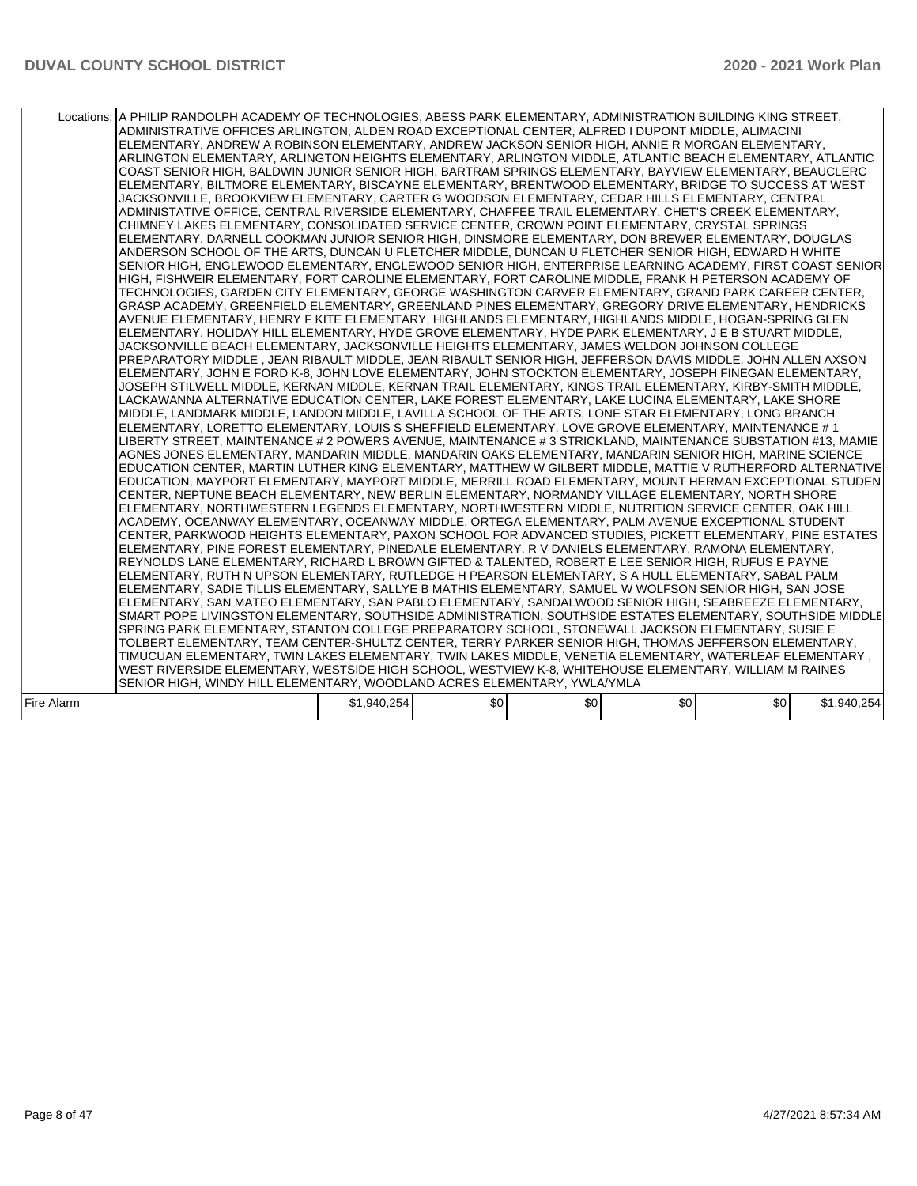|            | Locations: A PHILIP RANDOLPH ACADEMY OF TECHNOLOGIES, ABESS PARK ELEMENTARY, ADMINISTRATION BUILDING KING STREET,<br>ADMINISTRATIVE OFFICES ARLINGTON. ALDEN ROAD EXCEPTIONAL CENTER. ALFRED I DUPONT MIDDLE. ALIMACINI<br>ELEMENTARY, ANDREW A ROBINSON ELEMENTARY, ANDREW JACKSON SENIOR HIGH, ANNIE R MORGAN ELEMENTARY,<br>ARLINGTON ELEMENTARY, ARLINGTON HEIGHTS ELEMENTARY, ARLINGTON MIDDLE, ATLANTIC BEACH ELEMENTARY, ATLANTIC<br>COAST SENIOR HIGH, BALDWIN JUNIOR SENIOR HIGH, BARTRAM SPRINGS ELEMENTARY, BAYVIEW ELEMENTARY, BEAUCLERC<br>ELEMENTARY, BILTMORE ELEMENTARY, BISCAYNE ELEMENTARY, BRENTWOOD ELEMENTARY, BRIDGE TO SUCCESS AT WEST<br>JACKSONVILLE, BROOKVIEW ELEMENTARY, CARTER G WOODSON ELEMENTARY, CEDAR HILLS ELEMENTARY, CENTRAL<br>ADMINISTATIVE OFFICE, CENTRAL RIVERSIDE ELEMENTARY, CHAFFEE TRAIL ELEMENTARY, CHET'S CREEK ELEMENTARY,<br>CHIMNEY LAKES ELEMENTARY, CONSOLIDATED SERVICE CENTER, CROWN POINT ELEMENTARY, CRYSTAL SPRINGS<br>ELEMENTARY, DARNELL COOKMAN JUNIOR SENIOR HIGH, DINSMORE ELEMENTARY, DON BREWER ELEMENTARY, DOUGLAS<br>ANDERSON SCHOOL OF THE ARTS, DUNCAN U FLETCHER MIDDLE, DUNCAN U FLETCHER SENIOR HIGH, EDWARD H WHITE<br>SENIOR HIGH, ENGLEWOOD ELEMENTARY, ENGLEWOOD SENIOR HIGH, ENTERPRISE LEARNING ACADEMY, FIRST COAST SENIOR<br>HIGH, FISHWEIR ELEMENTARY, FORT CAROLINE ELEMENTARY, FORT CAROLINE MIDDLE, FRANK H PETERSON ACADEMY OF<br>TECHNOLOGIES, GARDEN CITY ELEMENTARY, GEORGE WASHINGTON CARVER ELEMENTARY, GRAND PARK CAREER CENTER,<br>GRASP ACADEMY, GREENFIELD ELEMENTARY, GREENLAND PINES ELEMENTARY, GREGORY DRIVE ELEMENTARY, HENDRICKS<br>AVENUE ELEMENTARY, HENRY F KITE ELEMENTARY, HIGHLANDS ELEMENTARY, HIGHLANDS MIDDLE, HOGAN-SPRING GLEN<br>ELEMENTARY, HOLIDAY HILL ELEMENTARY, HYDE GROVE ELEMENTARY, HYDE PARK ELEMENTARY, J E B STUART MIDDLE,<br>JACKSONVILLE BEACH ELEMENTARY, JACKSONVILLE HEIGHTS ELEMENTARY, JAMES WELDON JOHNSON COLLEGE<br>PREPARATORY MIDDLE , JEAN RIBAULT MIDDLE, JEAN RIBAULT SENIOR HIGH, JEFFERSON DAVIS MIDDLE, JOHN ALLEN AXSON<br>ELEMENTARY, JOHN E FORD K-8, JOHN LOVE ELEMENTARY, JOHN STOCKTON ELEMENTARY, JOSEPH FINEGAN ELEMENTARY,<br>JOSEPH STILWELL MIDDLE, KERNAN MIDDLE, KERNAN TRAIL ELEMENTARY, KINGS TRAIL ELEMENTARY, KIRBY-SMITH MIDDLE,<br>LACKAWANNA ALTERNATIVE EDUCATION CENTER, LAKE FOREST ELEMENTARY, LAKE LUCINA ELEMENTARY, LAKE SHORE<br>MIDDLE, LANDMARK MIDDLE, LANDON MIDDLE, LAVILLA SCHOOL OF THE ARTS, LONE STAR ELEMENTARY, LONG BRANCH<br>ELEMENTARY, LORETTO ELEMENTARY, LOUIS S SHEFFIELD ELEMENTARY, LOVE GROVE ELEMENTARY, MAINTENANCE # 1<br>LIBERTY STREET, MAINTENANCE # 2 POWERS AVENUE, MAINTENANCE # 3 STRICKLAND, MAINTENANCE SUBSTATION #13, MAMIE<br>AGNES JONES ELEMENTARY, MANDARIN MIDDLE, MANDARIN OAKS ELEMENTARY, MANDARIN SENIOR HIGH, MARINE SCIENCE<br>EDUCATION CENTER, MARTIN LUTHER KING ELEMENTARY, MATTHEW W GILBERT MIDDLE, MATTIE V RUTHERFORD ALTERNATIVE<br>EDUCATION, MAYPORT ELEMENTARY, MAYPORT MIDDLE, MERRILL ROAD ELEMENTARY, MOUNT HERMAN EXCEPTIONAL STUDEN<br>CENTER, NEPTUNE BEACH ELEMENTARY, NEW BERLIN ELEMENTARY, NORMANDY VILLAGE ELEMENTARY, NORTH SHORE<br>ELEMENTARY, NORTHWESTERN LEGENDS ELEMENTARY, NORTHWESTERN MIDDLE, NUTRITION SERVICE CENTER, OAK HILL<br>ACADEMY, OCEANWAY ELEMENTARY, OCEANWAY MIDDLE, ORTEGA ELEMENTARY, PALM AVENUE EXCEPTIONAL STUDENT<br>CENTER, PARKWOOD HEIGHTS ELEMENTARY, PAXON SCHOOL FOR ADVANCED STUDIES, PICKETT ELEMENTARY, PINE ESTATES<br>ELEMENTARY, PINE FOREST ELEMENTARY, PINEDALE ELEMENTARY, R V DANIELS ELEMENTARY, RAMONA ELEMENTARY,<br>REYNOLDS LANE ELEMENTARY, RICHARD L BROWN GIFTED & TALENTED, ROBERT E LEE SENIOR HIGH, RUFUS E PAYNE<br>ELEMENTARY, RUTH N UPSON ELEMENTARY, RUTLEDGE H PEARSON ELEMENTARY, S A HULL ELEMENTARY, SABAL PALM<br>ELEMENTARY, SADIE TILLIS ELEMENTARY, SALLYE B MATHIS ELEMENTARY, SAMUEL W WOLFSON SENIOR HIGH, SAN JOSE<br>ELEMENTARY, SAN MATEO ELEMENTARY, SAN PABLO ELEMENTARY, SANDALWOOD SENIOR HIGH, SEABREEZE ELEMENTARY,<br>SMART POPE LIVINGSTON ELEMENTARY, SOUTHSIDE ADMINISTRATION, SOUTHSIDE ESTATES ELEMENTARY, SOUTHSIDE MIDDLE<br>SPRING PARK ELEMENTARY, STANTON COLLEGE PREPARATORY SCHOOL, STONEWALL JACKSON ELEMENTARY, SUSIE E<br>TOLBERT ELEMENTARY, TEAM CENTER-SHULTZ CENTER, TERRY PARKER SENIOR HIGH, THOMAS JEFFERSON ELEMENTARY,<br>, TIMUCUAN ELEMENTARY, TWIN LAKES ELEMENTARY, TWIN LAKES MIDDLE, VENETIA ELEMENTARY, WATERLEAF ELEMENTARY<br>WEST RIVERSIDE ELEMENTARY, WESTSIDE HIGH SCHOOL, WESTVIEW K-8, WHITEHOUSE ELEMENTARY, WILLIAM M RAINES<br>SENIOR HIGH, WINDY HILL ELEMENTARY, WOODLAND ACRES ELEMENTARY, YWLA/YMLA |             |     |     |     |     |             |
|------------|--------------------------------------------------------------------------------------------------------------------------------------------------------------------------------------------------------------------------------------------------------------------------------------------------------------------------------------------------------------------------------------------------------------------------------------------------------------------------------------------------------------------------------------------------------------------------------------------------------------------------------------------------------------------------------------------------------------------------------------------------------------------------------------------------------------------------------------------------------------------------------------------------------------------------------------------------------------------------------------------------------------------------------------------------------------------------------------------------------------------------------------------------------------------------------------------------------------------------------------------------------------------------------------------------------------------------------------------------------------------------------------------------------------------------------------------------------------------------------------------------------------------------------------------------------------------------------------------------------------------------------------------------------------------------------------------------------------------------------------------------------------------------------------------------------------------------------------------------------------------------------------------------------------------------------------------------------------------------------------------------------------------------------------------------------------------------------------------------------------------------------------------------------------------------------------------------------------------------------------------------------------------------------------------------------------------------------------------------------------------------------------------------------------------------------------------------------------------------------------------------------------------------------------------------------------------------------------------------------------------------------------------------------------------------------------------------------------------------------------------------------------------------------------------------------------------------------------------------------------------------------------------------------------------------------------------------------------------------------------------------------------------------------------------------------------------------------------------------------------------------------------------------------------------------------------------------------------------------------------------------------------------------------------------------------------------------------------------------------------------------------------------------------------------------------------------------------------------------------------------------------------------------------------------------------------------------------------------------------------------------------------------------------------------------------------------------------------------------------------------------------------------------------------------------------------------------------------------------------------------------------------------------------------------------------------------------------------------------------------------------------------------------------------------------------------------------------------------------------------------------------------------------------------------------------------------------------------------------------------------------------------------------------------------------------------------------------------------------------------------------------------------------------------------------------------------------------------------------------------------------------------------------------------------------------------------------------------------------------------------------------------------------------------------------------------|-------------|-----|-----|-----|-----|-------------|
| Fire Alarm |                                                                                                                                                                                                                                                                                                                                                                                                                                                                                                                                                                                                                                                                                                                                                                                                                                                                                                                                                                                                                                                                                                                                                                                                                                                                                                                                                                                                                                                                                                                                                                                                                                                                                                                                                                                                                                                                                                                                                                                                                                                                                                                                                                                                                                                                                                                                                                                                                                                                                                                                                                                                                                                                                                                                                                                                                                                                                                                                                                                                                                                                                                                                                                                                                                                                                                                                                                                                                                                                                                                                                                                                                                                                                                                                                                                                                                                                                                                                                                                                                                                                                                                                                                                                                                                                                                                                                                                                                                                                                                                                                                                                                                                                                      | \$1,940,254 | \$0 | \$0 | \$0 | \$0 | \$1,940,254 |
|            |                                                                                                                                                                                                                                                                                                                                                                                                                                                                                                                                                                                                                                                                                                                                                                                                                                                                                                                                                                                                                                                                                                                                                                                                                                                                                                                                                                                                                                                                                                                                                                                                                                                                                                                                                                                                                                                                                                                                                                                                                                                                                                                                                                                                                                                                                                                                                                                                                                                                                                                                                                                                                                                                                                                                                                                                                                                                                                                                                                                                                                                                                                                                                                                                                                                                                                                                                                                                                                                                                                                                                                                                                                                                                                                                                                                                                                                                                                                                                                                                                                                                                                                                                                                                                                                                                                                                                                                                                                                                                                                                                                                                                                                                                      |             |     |     |     |     |             |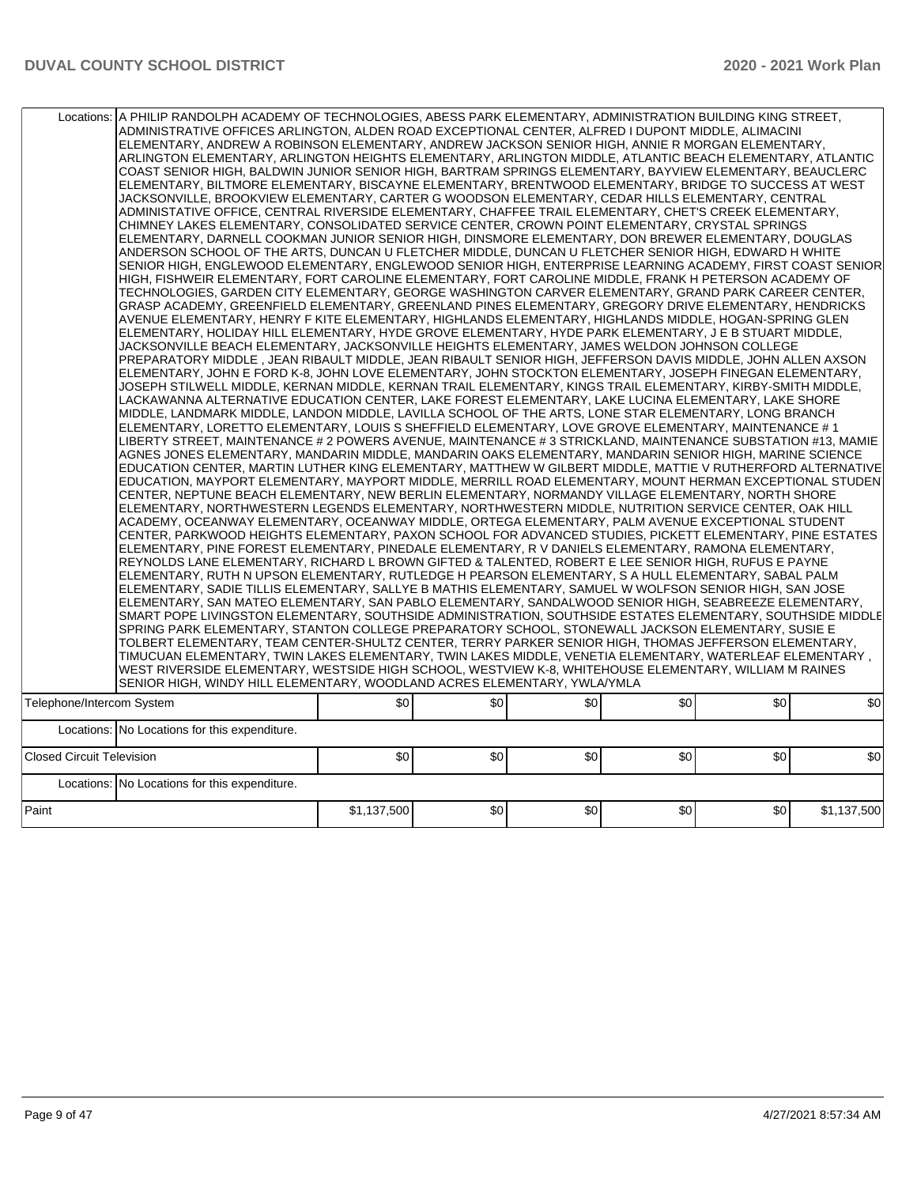|                                  | Locations:   A PHILIP RANDOLPH ACADEMY OF TECHNOLOGIES, ABESS PARK ELEMENTARY, ADMINISTRATION BUILDING KING STREET,<br>ADMINISTRATIVE OFFICES ARLINGTON, ALDEN ROAD EXCEPTIONAL CENTER, ALFRED I DUPONT MIDDLE, ALIMACINI<br>ELEMENTARY, ANDREW A ROBINSON ELEMENTARY, ANDREW JACKSON SENIOR HIGH, ANNIE R MORGAN ELEMENTARY,<br>ARLINGTON ELEMENTARY, ARLINGTON HEIGHTS ELEMENTARY, ARLINGTON MIDDLE, ATLANTIC BEACH ELEMENTARY, ATLANTIC<br>COAST SENIOR HIGH, BALDWIN JUNIOR SENIOR HIGH, BARTRAM SPRINGS ELEMENTARY, BAYVIEW ELEMENTARY, BEAUCLERC<br>ELEMENTARY, BILTMORE ELEMENTARY, BISCAYNE ELEMENTARY, BRENTWOOD ELEMENTARY, BRIDGE TO SUCCESS AT WEST<br>JACKSONVILLE, BROOKVIEW ELEMENTARY, CARTER G WOODSON ELEMENTARY, CEDAR HILLS ELEMENTARY, CENTRAL<br>ADMINISTATIVE OFFICE, CENTRAL RIVERSIDE ELEMENTARY, CHAFFEE TRAIL ELEMENTARY, CHET'S CREEK ELEMENTARY,<br>CHIMNEY LAKES ELEMENTARY, CONSOLIDATED SERVICE CENTER, CROWN POINT ELEMENTARY, CRYSTAL SPRINGS<br>ELEMENTARY, DARNELL COOKMAN JUNIOR SENIOR HIGH, DINSMORE ELEMENTARY, DON BREWER ELEMENTARY, DOUGLAS<br>ANDERSON SCHOOL OF THE ARTS, DUNCAN U FLETCHER MIDDLE, DUNCAN U FLETCHER SENIOR HIGH, EDWARD H WHITE<br>SENIOR HIGH, ENGLEWOOD ELEMENTARY, ENGLEWOOD SENIOR HIGH, ENTERPRISE LEARNING ACADEMY, FIRST COAST SENIOR<br>HIGH, FISHWEIR ELEMENTARY, FORT CAROLINE ELEMENTARY, FORT CAROLINE MIDDLE, FRANK H PETERSON ACADEMY OF<br>TECHNOLOGIES, GARDEN CITY ELEMENTARY, GEORGE WASHINGTON CARVER ELEMENTARY, GRAND PARK CAREER CENTER,<br>GRASP ACADEMY, GREENFIELD ELEMENTARY, GREENLAND PINES ELEMENTARY, GREGORY DRIVE ELEMENTARY, HENDRICKS<br>AVENUE ELEMENTARY, HENRY F KITE ELEMENTARY, HIGHLANDS ELEMENTARY, HIGHLANDS MIDDLE, HOGAN-SPRING GLEN<br>ELEMENTARY, HOLIDAY HILL ELEMENTARY, HYDE GROVE ELEMENTARY, HYDE PARK ELEMENTARY, J E B STUART MIDDLE,<br>JACKSONVILLE BEACH ELEMENTARY, JACKSONVILLE HEIGHTS ELEMENTARY, JAMES WELDON JOHNSON COLLEGE<br>PREPARATORY MIDDLE, JEAN RIBAULT MIDDLE, JEAN RIBAULT SENIOR HIGH, JEFFERSON DAVIS MIDDLE, JOHN ALLEN AXSON<br>ELEMENTARY, JOHN E FORD K-8, JOHN LOVE ELEMENTARY, JOHN STOCKTON ELEMENTARY, JOSEPH FINEGAN ELEMENTARY,<br>JOSEPH STILWELL MIDDLE, KERNAN MIDDLE, KERNAN TRAIL ELEMENTARY, KINGS TRAIL ELEMENTARY, KIRBY-SMITH MIDDLE,<br>LACKAWANNA ALTERNATIVE EDUCATION CENTER, LAKE FOREST ELEMENTARY, LAKE LUCINA ELEMENTARY, LAKE SHORE<br>MIDDLE, LANDMARK MIDDLE, LANDON MIDDLE, LAVILLA SCHOOL OF THE ARTS, LONE STAR ELEMENTARY, LONG BRANCH<br>ELEMENTARY, LORETTO ELEMENTARY, LOUIS S SHEFFIELD ELEMENTARY, LOVE GROVE ELEMENTARY, MAINTENANCE # 1<br>LIBERTY STREET, MAINTENANCE # 2 POWERS AVENUE, MAINTENANCE # 3 STRICKLAND, MAINTENANCE SUBSTATION #13, MAMIE<br>AGNES JONES ELEMENTARY, MANDARIN MIDDLE, MANDARIN OAKS ELEMENTARY, MANDARIN SENIOR HIGH, MARINE SCIENCE<br>EDUCATION CENTER, MARTIN LUTHER KING ELEMENTARY, MATTHEW W GILBERT MIDDLE, MATTIE V RUTHERFORD ALTERNATIVE<br>EDUCATION, MAYPORT ELEMENTARY, MAYPORT MIDDLE, MERRILL ROAD ELEMENTARY, MOUNT HERMAN EXCEPTIONAL STUDEN<br>CENTER, NEPTUNE BEACH ELEMENTARY, NEW BERLIN ELEMENTARY, NORMANDY VILLAGE ELEMENTARY, NORTH SHORE<br>ELEMENTARY, NORTHWESTERN LEGENDS ELEMENTARY, NORTHWESTERN MIDDLE, NUTRITION SERVICE CENTER, OAK HILL<br>ACADEMY, OCEANWAY ELEMENTARY, OCEANWAY MIDDLE, ORTEGA ELEMENTARY, PALM AVENUE EXCEPTIONAL STUDENT<br>CENTER, PARKWOOD HEIGHTS ELEMENTARY, PAXON SCHOOL FOR ADVANCED STUDIES, PICKETT ELEMENTARY, PINE ESTATES<br>ELEMENTARY, PINE FOREST ELEMENTARY, PINEDALE ELEMENTARY, R V DANIELS ELEMENTARY, RAMONA ELEMENTARY,<br>REYNOLDS LANE ELEMENTARY, RICHARD L BROWN GIFTED & TALENTED, ROBERT E LEE SENIOR HIGH, RUFUS E PAYNE<br>ELEMENTARY, RUTH N UPSON ELEMENTARY, RUTLEDGE H PEARSON ELEMENTARY, S A HULL ELEMENTARY, SABAL PALM<br>ELEMENTARY, SADIE TILLIS ELEMENTARY, SALLYE B MATHIS ELEMENTARY, SAMUEL W WOLFSON SENIOR HIGH, SAN JOSE<br>ELEMENTARY, SAN MATEO ELEMENTARY, SAN PABLO ELEMENTARY, SANDALWOOD SENIOR HIGH, SEABREEZE ELEMENTARY,<br>SMART POPE LIVINGSTON ELEMENTARY, SOUTHSIDE ADMINISTRATION, SOUTHSIDE ESTATES ELEMENTARY, SOUTHSIDE MIDDLE<br>SPRING PARK ELEMENTARY, STANTON COLLEGE PREPARATORY SCHOOL, STONEWALL JACKSON ELEMENTARY, SUSIE E<br>TOLBERT ELEMENTARY, TEAM CENTER-SHULTZ CENTER, TERRY PARKER SENIOR HIGH, THOMAS JEFFERSON ELEMENTARY,<br>TIMUCUAN ELEMENTARY, TWIN LAKES ELEMENTARY, TWIN LAKES MIDDLE, VENETIA ELEMENTARY, WATERLEAF ELEMENTARY,<br>WEST RIVERSIDE ELEMENTARY, WESTSIDE HIGH SCHOOL, WESTVIEW K-8, WHITEHOUSE ELEMENTARY, WILLIAM M RAINES<br>SENIOR HIGH, WINDY HILL ELEMENTARY, WOODLAND ACRES ELEMENTARY, YWLA/YMLA |             |     |     |     |     |             |
|----------------------------------|--------------------------------------------------------------------------------------------------------------------------------------------------------------------------------------------------------------------------------------------------------------------------------------------------------------------------------------------------------------------------------------------------------------------------------------------------------------------------------------------------------------------------------------------------------------------------------------------------------------------------------------------------------------------------------------------------------------------------------------------------------------------------------------------------------------------------------------------------------------------------------------------------------------------------------------------------------------------------------------------------------------------------------------------------------------------------------------------------------------------------------------------------------------------------------------------------------------------------------------------------------------------------------------------------------------------------------------------------------------------------------------------------------------------------------------------------------------------------------------------------------------------------------------------------------------------------------------------------------------------------------------------------------------------------------------------------------------------------------------------------------------------------------------------------------------------------------------------------------------------------------------------------------------------------------------------------------------------------------------------------------------------------------------------------------------------------------------------------------------------------------------------------------------------------------------------------------------------------------------------------------------------------------------------------------------------------------------------------------------------------------------------------------------------------------------------------------------------------------------------------------------------------------------------------------------------------------------------------------------------------------------------------------------------------------------------------------------------------------------------------------------------------------------------------------------------------------------------------------------------------------------------------------------------------------------------------------------------------------------------------------------------------------------------------------------------------------------------------------------------------------------------------------------------------------------------------------------------------------------------------------------------------------------------------------------------------------------------------------------------------------------------------------------------------------------------------------------------------------------------------------------------------------------------------------------------------------------------------------------------------------------------------------------------------------------------------------------------------------------------------------------------------------------------------------------------------------------------------------------------------------------------------------------------------------------------------------------------------------------------------------------------------------------------------------------------------------------------------------------------------------------------------------------------------------------------------------------------------------------------------------------------------------------------------------------------------------------------------------------------------------------------------------------------------------------------------------------------------------------------------------------------------------------------------------------------------------------------------------------------------------------------------------------------------------------|-------------|-----|-----|-----|-----|-------------|
| Telephone/Intercom System        |                                                                                                                                                                                                                                                                                                                                                                                                                                                                                                                                                                                                                                                                                                                                                                                                                                                                                                                                                                                                                                                                                                                                                                                                                                                                                                                                                                                                                                                                                                                                                                                                                                                                                                                                                                                                                                                                                                                                                                                                                                                                                                                                                                                                                                                                                                                                                                                                                                                                                                                                                                                                                                                                                                                                                                                                                                                                                                                                                                                                                                                                                                                                                                                                                                                                                                                                                                                                                                                                                                                                                                                                                                                                                                                                                                                                                                                                                                                                                                                                                                                                                                                                                                                                                                                                                                                                                                                                                                                                                                                                                                                                                                                                                      | \$0         | \$0 | \$0 | \$0 | \$0 | \$0         |
|                                  |                                                                                                                                                                                                                                                                                                                                                                                                                                                                                                                                                                                                                                                                                                                                                                                                                                                                                                                                                                                                                                                                                                                                                                                                                                                                                                                                                                                                                                                                                                                                                                                                                                                                                                                                                                                                                                                                                                                                                                                                                                                                                                                                                                                                                                                                                                                                                                                                                                                                                                                                                                                                                                                                                                                                                                                                                                                                                                                                                                                                                                                                                                                                                                                                                                                                                                                                                                                                                                                                                                                                                                                                                                                                                                                                                                                                                                                                                                                                                                                                                                                                                                                                                                                                                                                                                                                                                                                                                                                                                                                                                                                                                                                                                      |             |     |     |     |     |             |
|                                  | Locations: No Locations for this expenditure.                                                                                                                                                                                                                                                                                                                                                                                                                                                                                                                                                                                                                                                                                                                                                                                                                                                                                                                                                                                                                                                                                                                                                                                                                                                                                                                                                                                                                                                                                                                                                                                                                                                                                                                                                                                                                                                                                                                                                                                                                                                                                                                                                                                                                                                                                                                                                                                                                                                                                                                                                                                                                                                                                                                                                                                                                                                                                                                                                                                                                                                                                                                                                                                                                                                                                                                                                                                                                                                                                                                                                                                                                                                                                                                                                                                                                                                                                                                                                                                                                                                                                                                                                                                                                                                                                                                                                                                                                                                                                                                                                                                                                                        |             |     |     |     |     |             |
| <b>Closed Circuit Television</b> |                                                                                                                                                                                                                                                                                                                                                                                                                                                                                                                                                                                                                                                                                                                                                                                                                                                                                                                                                                                                                                                                                                                                                                                                                                                                                                                                                                                                                                                                                                                                                                                                                                                                                                                                                                                                                                                                                                                                                                                                                                                                                                                                                                                                                                                                                                                                                                                                                                                                                                                                                                                                                                                                                                                                                                                                                                                                                                                                                                                                                                                                                                                                                                                                                                                                                                                                                                                                                                                                                                                                                                                                                                                                                                                                                                                                                                                                                                                                                                                                                                                                                                                                                                                                                                                                                                                                                                                                                                                                                                                                                                                                                                                                                      | \$0         | \$0 | \$0 | \$0 | \$0 | \$0         |
|                                  | Locations: No Locations for this expenditure.                                                                                                                                                                                                                                                                                                                                                                                                                                                                                                                                                                                                                                                                                                                                                                                                                                                                                                                                                                                                                                                                                                                                                                                                                                                                                                                                                                                                                                                                                                                                                                                                                                                                                                                                                                                                                                                                                                                                                                                                                                                                                                                                                                                                                                                                                                                                                                                                                                                                                                                                                                                                                                                                                                                                                                                                                                                                                                                                                                                                                                                                                                                                                                                                                                                                                                                                                                                                                                                                                                                                                                                                                                                                                                                                                                                                                                                                                                                                                                                                                                                                                                                                                                                                                                                                                                                                                                                                                                                                                                                                                                                                                                        |             |     |     |     |     |             |
| Paint                            |                                                                                                                                                                                                                                                                                                                                                                                                                                                                                                                                                                                                                                                                                                                                                                                                                                                                                                                                                                                                                                                                                                                                                                                                                                                                                                                                                                                                                                                                                                                                                                                                                                                                                                                                                                                                                                                                                                                                                                                                                                                                                                                                                                                                                                                                                                                                                                                                                                                                                                                                                                                                                                                                                                                                                                                                                                                                                                                                                                                                                                                                                                                                                                                                                                                                                                                                                                                                                                                                                                                                                                                                                                                                                                                                                                                                                                                                                                                                                                                                                                                                                                                                                                                                                                                                                                                                                                                                                                                                                                                                                                                                                                                                                      | \$1,137,500 | \$0 | \$0 | \$0 | \$0 | \$1,137,500 |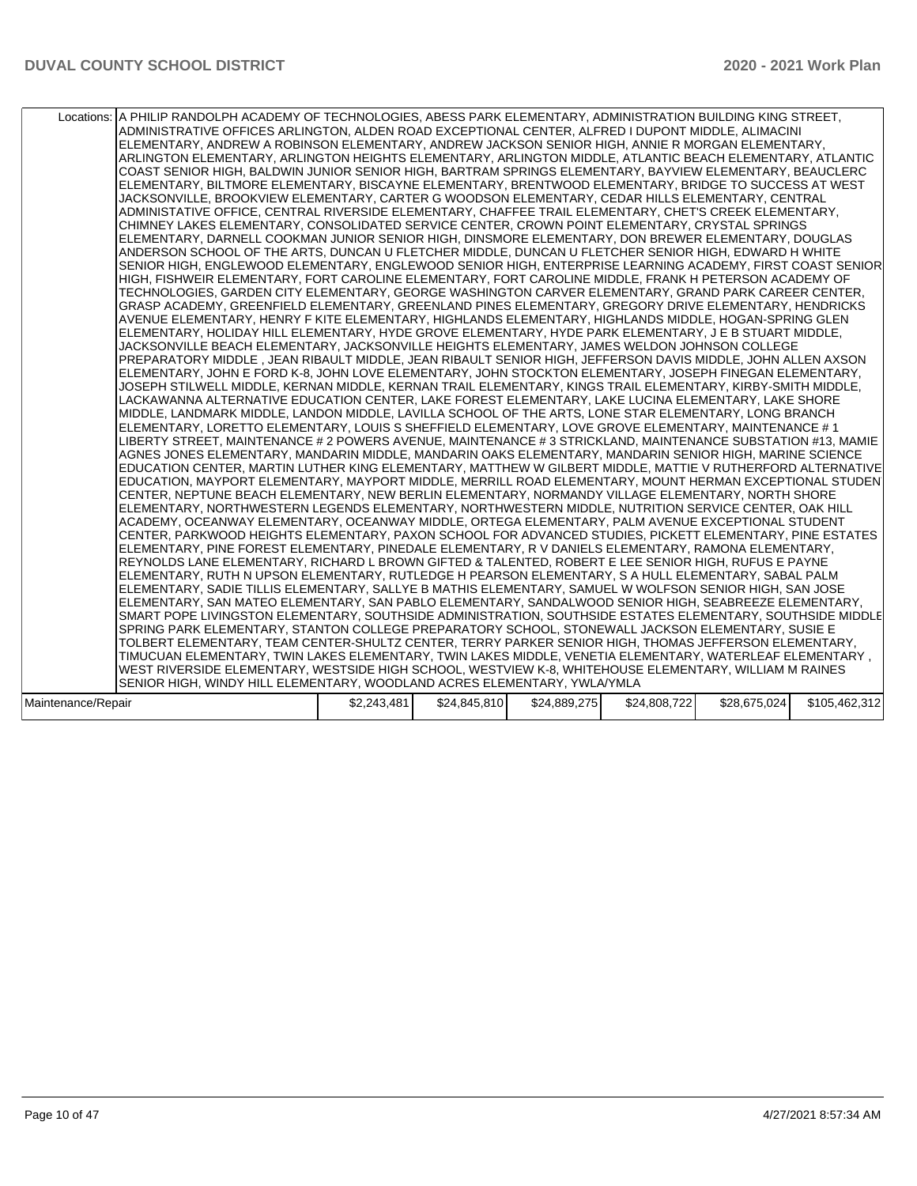|                    | Locations: A PHILIP RANDOLPH ACADEMY OF TECHNOLOGIES, ABESS PARK ELEMENTARY, ADMINISTRATION BUILDING KING STREET,<br>ADMINISTRATIVE OFFICES ARLINGTON, ALDEN ROAD EXCEPTIONAL CENTER, ALFRED I DUPONT MIDDLE, ALIMACINI<br>ELEMENTARY, ANDREW A ROBINSON ELEMENTARY, ANDREW JACKSON SENIOR HIGH, ANNIE R MORGAN ELEMENTARY,<br>ARLINGTON ELEMENTARY, ARLINGTON HEIGHTS ELEMENTARY, ARLINGTON MIDDLE, ATLANTIC BEACH ELEMENTARY, ATLANTIC<br>COAST SENIOR HIGH, BALDWIN JUNIOR SENIOR HIGH, BARTRAM SPRINGS ELEMENTARY, BAYVIEW ELEMENTARY, BEAUCLERC<br>ELEMENTARY, BILTMORE ELEMENTARY, BISCAYNE ELEMENTARY, BRENTWOOD ELEMENTARY, BRIDGE TO SUCCESS AT WEST<br>JACKSONVILLE, BROOKVIEW ELEMENTARY, CARTER G WOODSON ELEMENTARY, CEDAR HILLS ELEMENTARY, CENTRAL<br>ADMINISTATIVE OFFICE, CENTRAL RIVERSIDE ELEMENTARY, CHAFFEE TRAIL ELEMENTARY, CHET'S CREEK ELEMENTARY,<br>CHIMNEY LAKES ELEMENTARY, CONSOLIDATED SERVICE CENTER, CROWN POINT ELEMENTARY, CRYSTAL SPRINGS<br>ELEMENTARY, DARNELL COOKMAN JUNIOR SENIOR HIGH, DINSMORE ELEMENTARY, DON BREWER ELEMENTARY, DOUGLAS<br>ANDERSON SCHOOL OF THE ARTS, DUNCAN U FLETCHER MIDDLE, DUNCAN U FLETCHER SENIOR HIGH, EDWARD H WHITE<br>SENIOR HIGH, ENGLEWOOD ELEMENTARY, ENGLEWOOD SENIOR HIGH, ENTERPRISE LEARNING ACADEMY, FIRST COAST SENIOR<br>HIGH. FISHWEIR ELEMENTARY. FORT CAROLINE ELEMENTARY. FORT CAROLINE MIDDLE. FRANK H PETERSON ACADEMY OF<br>TECHNOLOGIES, GARDEN CITY ELEMENTARY, GEORGE WASHINGTON CARVER ELEMENTARY, GRAND PARK CAREER CENTER,<br>GRASP ACADEMY, GREENFIELD ELEMENTARY, GREENLAND PINES ELEMENTARY, GREGORY DRIVE ELEMENTARY, HENDRICKS<br>AVENUE ELEMENTARY, HENRY F KITE ELEMENTARY, HIGHLANDS ELEMENTARY, HIGHLANDS MIDDLE, HOGAN-SPRING GLEN<br>ELEMENTARY, HOLIDAY HILL ELEMENTARY, HYDE GROVE ELEMENTARY, HYDE PARK ELEMENTARY, J E B STUART MIDDLE,<br>JACKSONVILLE BEACH ELEMENTARY, JACKSONVILLE HEIGHTS ELEMENTARY, JAMES WELDON JOHNSON COLLEGE<br>PREPARATORY MIDDLE , JEAN RIBAULT MIDDLE, JEAN RIBAULT SENIOR HIGH, JEFFERSON DAVIS MIDDLE, JOHN ALLEN AXSON<br>ELEMENTARY, JOHN E FORD K-8, JOHN LOVE ELEMENTARY, JOHN STOCKTON ELEMENTARY, JOSEPH FINEGAN ELEMENTARY,<br>JOSEPH STILWELL MIDDLE, KERNAN MIDDLE, KERNAN TRAIL ELEMENTARY, KINGS TRAIL ELEMENTARY, KIRBY-SMITH MIDDLE,<br>LACKAWANNA ALTERNATIVE EDUCATION CENTER, LAKE FOREST ELEMENTARY, LAKE LUCINA ELEMENTARY, LAKE SHORE<br>MIDDLE, LANDMARK MIDDLE, LANDON MIDDLE, LAVILLA SCHOOL OF THE ARTS, LONE STAR ELEMENTARY, LONG BRANCH<br>ELEMENTARY, LORETTO ELEMENTARY, LOUIS S SHEFFIELD ELEMENTARY, LOVE GROVE ELEMENTARY, MAINTENANCE # 1<br>LIBERTY STREET, MAINTENANCE # 2 POWERS AVENUE, MAINTENANCE # 3 STRICKLAND, MAINTENANCE SUBSTATION #13, MAMIE<br>AGNES JONES ELEMENTARY, MANDARIN MIDDLE, MANDARIN OAKS ELEMENTARY, MANDARIN SENIOR HIGH, MARINE SCIENCE<br>EDUCATION CENTER, MARTIN LUTHER KING ELEMENTARY, MATTHEW W GILBERT MIDDLE, MATTIE V RUTHERFORD ALTERNATIVE<br>EDUCATION, MAYPORT ELEMENTARY, MAYPORT MIDDLE, MERRILL ROAD ELEMENTARY, MOUNT HERMAN EXCEPTIONAL STUDEN<br>CENTER, NEPTUNE BEACH ELEMENTARY, NEW BERLIN ELEMENTARY, NORMANDY VILLAGE ELEMENTARY, NORTH SHORE<br>ELEMENTARY, NORTHWESTERN LEGENDS ELEMENTARY, NORTHWESTERN MIDDLE, NUTRITION SERVICE CENTER, OAK HILL<br>ACADEMY, OCEANWAY ELEMENTARY, OCEANWAY MIDDLE, ORTEGA ELEMENTARY, PALM AVENUE EXCEPTIONAL STUDENT<br>CENTER, PARKWOOD HEIGHTS ELEMENTARY, PAXON SCHOOL FOR ADVANCED STUDIES, PICKETT ELEMENTARY, PINE ESTATES<br>ELEMENTARY, PINE FOREST ELEMENTARY, PINEDALE ELEMENTARY, R V DANIELS ELEMENTARY, RAMONA ELEMENTARY,<br>REYNOLDS LANE ELEMENTARY, RICHARD L BROWN GIFTED & TALENTED, ROBERT E LEE SENIOR HIGH, RUFUS E PAYNE<br>ELEMENTARY, RUTH N UPSON ELEMENTARY, RUTLEDGE H PEARSON ELEMENTARY, S A HULL ELEMENTARY, SABAL PALM <br>ELEMENTARY, SADIE TILLIS ELEMENTARY, SALLYE B MATHIS ELEMENTARY, SAMUEL W WOLFSON SENIOR HIGH, SAN JOSE<br>ELEMENTARY, SAN MATEO ELEMENTARY, SAN PABLO ELEMENTARY, SANDALWOOD SENIOR HIGH, SEABREEZE ELEMENTARY,<br>SMART POPE LIVINGSTON ELEMENTARY, SOUTHSIDE ADMINISTRATION, SOUTHSIDE ESTATES ELEMENTARY, SOUTHSIDE MIDDLE<br>SPRING PARK ELEMENTARY, STANTON COLLEGE PREPARATORY SCHOOL, STONEWALL JACKSON ELEMENTARY, SUSIE E<br>TOLBERT ELEMENTARY, TEAM CENTER-SHULTZ CENTER, TERRY PARKER SENIOR HIGH, THOMAS JEFFERSON ELEMENTARY,<br>TIMUCUAN ELEMENTARY, TWIN LAKES ELEMENTARY, TWIN LAKES MIDDLE, VENETIA ELEMENTARY, WATERLEAF ELEMENTARY, |             |              |              |              |              |               |
|--------------------|------------------------------------------------------------------------------------------------------------------------------------------------------------------------------------------------------------------------------------------------------------------------------------------------------------------------------------------------------------------------------------------------------------------------------------------------------------------------------------------------------------------------------------------------------------------------------------------------------------------------------------------------------------------------------------------------------------------------------------------------------------------------------------------------------------------------------------------------------------------------------------------------------------------------------------------------------------------------------------------------------------------------------------------------------------------------------------------------------------------------------------------------------------------------------------------------------------------------------------------------------------------------------------------------------------------------------------------------------------------------------------------------------------------------------------------------------------------------------------------------------------------------------------------------------------------------------------------------------------------------------------------------------------------------------------------------------------------------------------------------------------------------------------------------------------------------------------------------------------------------------------------------------------------------------------------------------------------------------------------------------------------------------------------------------------------------------------------------------------------------------------------------------------------------------------------------------------------------------------------------------------------------------------------------------------------------------------------------------------------------------------------------------------------------------------------------------------------------------------------------------------------------------------------------------------------------------------------------------------------------------------------------------------------------------------------------------------------------------------------------------------------------------------------------------------------------------------------------------------------------------------------------------------------------------------------------------------------------------------------------------------------------------------------------------------------------------------------------------------------------------------------------------------------------------------------------------------------------------------------------------------------------------------------------------------------------------------------------------------------------------------------------------------------------------------------------------------------------------------------------------------------------------------------------------------------------------------------------------------------------------------------------------------------------------------------------------------------------------------------------------------------------------------------------------------------------------------------------------------------------------------------------------------------------------------------------------------------------------------------------------------------------------------------------------------------------------------------------------------------------------------------------------------------------------------------------------------------------------------------------------------------------------------------------------------------------------------------------------------------------------------------------------------------------------------------------------------------------------------------------|-------------|--------------|--------------|--------------|--------------|---------------|
|                    |                                                                                                                                                                                                                                                                                                                                                                                                                                                                                                                                                                                                                                                                                                                                                                                                                                                                                                                                                                                                                                                                                                                                                                                                                                                                                                                                                                                                                                                                                                                                                                                                                                                                                                                                                                                                                                                                                                                                                                                                                                                                                                                                                                                                                                                                                                                                                                                                                                                                                                                                                                                                                                                                                                                                                                                                                                                                                                                                                                                                                                                                                                                                                                                                                                                                                                                                                                                                                                                                                                                                                                                                                                                                                                                                                                                                                                                                                                                                                                                                                                                                                                                                                                                                                                                                                                                                                                                                                                                                                                |             |              |              |              |              |               |
|                    | WEST RIVERSIDE ELEMENTARY, WESTSIDE HIGH SCHOOL, WESTVIEW K-8, WHITEHOUSE ELEMENTARY, WILLIAM M RAINES                                                                                                                                                                                                                                                                                                                                                                                                                                                                                                                                                                                                                                                                                                                                                                                                                                                                                                                                                                                                                                                                                                                                                                                                                                                                                                                                                                                                                                                                                                                                                                                                                                                                                                                                                                                                                                                                                                                                                                                                                                                                                                                                                                                                                                                                                                                                                                                                                                                                                                                                                                                                                                                                                                                                                                                                                                                                                                                                                                                                                                                                                                                                                                                                                                                                                                                                                                                                                                                                                                                                                                                                                                                                                                                                                                                                                                                                                                                                                                                                                                                                                                                                                                                                                                                                                                                                                                                         |             |              |              |              |              |               |
|                    | SENIOR HIGH, WINDY HILL ELEMENTARY, WOODLAND ACRES ELEMENTARY, YWLA/YMLA                                                                                                                                                                                                                                                                                                                                                                                                                                                                                                                                                                                                                                                                                                                                                                                                                                                                                                                                                                                                                                                                                                                                                                                                                                                                                                                                                                                                                                                                                                                                                                                                                                                                                                                                                                                                                                                                                                                                                                                                                                                                                                                                                                                                                                                                                                                                                                                                                                                                                                                                                                                                                                                                                                                                                                                                                                                                                                                                                                                                                                                                                                                                                                                                                                                                                                                                                                                                                                                                                                                                                                                                                                                                                                                                                                                                                                                                                                                                                                                                                                                                                                                                                                                                                                                                                                                                                                                                                       |             |              |              |              |              |               |
| Maintenance/Repair |                                                                                                                                                                                                                                                                                                                                                                                                                                                                                                                                                                                                                                                                                                                                                                                                                                                                                                                                                                                                                                                                                                                                                                                                                                                                                                                                                                                                                                                                                                                                                                                                                                                                                                                                                                                                                                                                                                                                                                                                                                                                                                                                                                                                                                                                                                                                                                                                                                                                                                                                                                                                                                                                                                                                                                                                                                                                                                                                                                                                                                                                                                                                                                                                                                                                                                                                                                                                                                                                                                                                                                                                                                                                                                                                                                                                                                                                                                                                                                                                                                                                                                                                                                                                                                                                                                                                                                                                                                                                                                | \$2,243,481 | \$24,845,810 | \$24,889,275 | \$24,808,722 | \$28,675,024 | \$105,462,312 |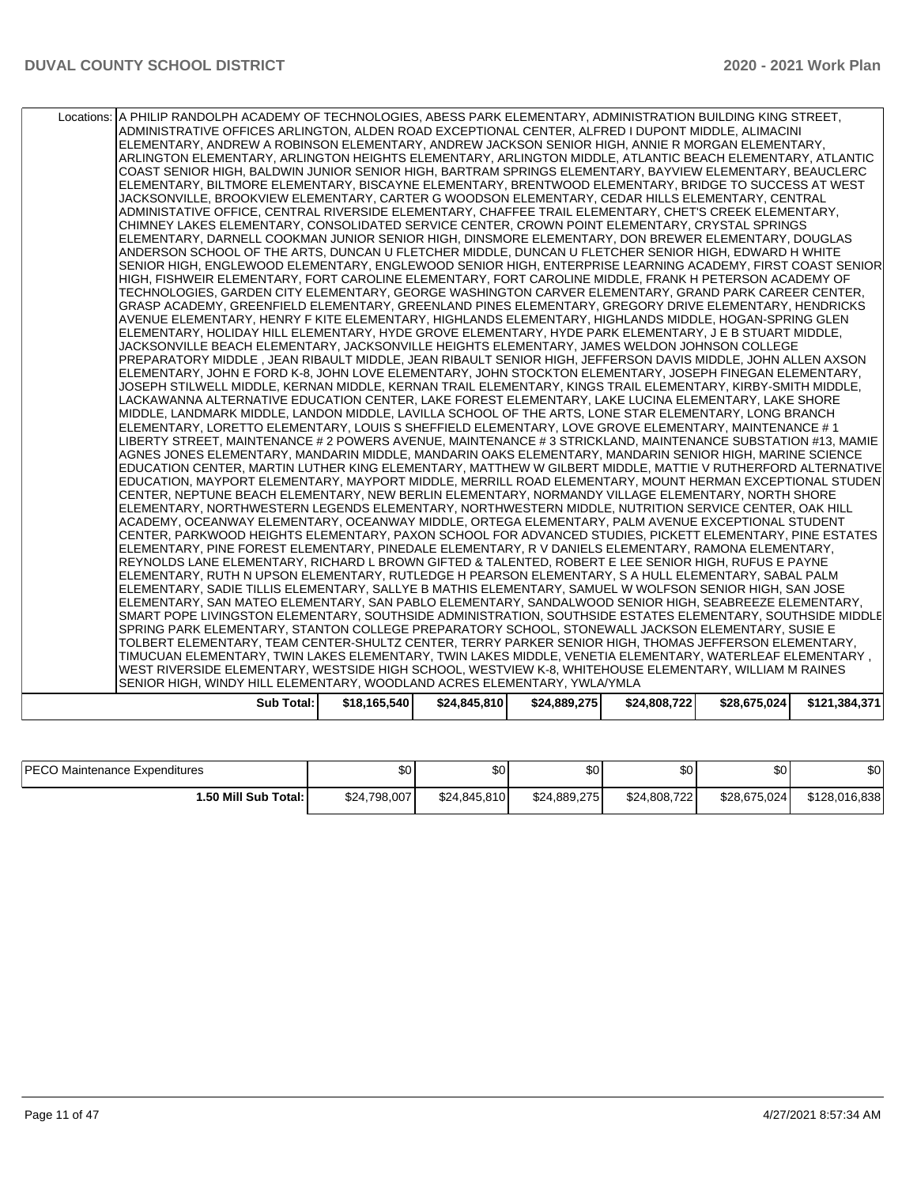| ADMINISTRATIVE OFFICES ARLINGTON, ALDEN ROAD EXCEPTIONAL CENTER, ALFRED I DUPONT MIDDLE, ALIMACINI<br>ELEMENTARY, ANDREW A ROBINSON ELEMENTARY, ANDREW JACKSON SENIOR HIGH, ANNIE R MORGAN ELEMENTARY,<br>ARLINGTON ELEMENTARY, ARLINGTON HEIGHTS ELEMENTARY, ARLINGTON MIDDLE, ATLANTIC BEACH ELEMENTARY, ATLANTIC<br>COAST SENIOR HIGH, BALDWIN JUNIOR SENIOR HIGH, BARTRAM SPRINGS ELEMENTARY, BAYVIEW ELEMENTARY, BEAUCLERC<br>ELEMENTARY, BILTMORE ELEMENTARY, BISCAYNE ELEMENTARY, BRENTWOOD ELEMENTARY, BRIDGE TO SUCCESS AT WEST<br>JACKSONVILLE, BROOKVIEW ELEMENTARY, CARTER G WOODSON ELEMENTARY, CEDAR HILLS ELEMENTARY, CENTRAL<br>ADMINISTATIVE OFFICE, CENTRAL RIVERSIDE ELEMENTARY, CHAFFEE TRAIL ELEMENTARY, CHET'S CREEK ELEMENTARY,<br>CHIMNEY LAKES ELEMENTARY, CONSOLIDATED SERVICE CENTER, CROWN POINT ELEMENTARY, CRYSTAL SPRINGS<br>ELEMENTARY, DARNELL COOKMAN JUNIOR SENIOR HIGH, DINSMORE ELEMENTARY, DON BREWER ELEMENTARY, DOUGLAS<br>ANDERSON SCHOOL OF THE ARTS, DUNCAN U FLETCHER MIDDLE, DUNCAN U FLETCHER SENIOR HIGH, EDWARD H WHITE<br>SENIOR HIGH, ENGLEWOOD ELEMENTARY, ENGLEWOOD SENIOR HIGH, ENTERPRISE LEARNING ACADEMY, FIRST COAST SENIOR<br>HIGH, FISHWEIR ELEMENTARY, FORT CAROLINE ELEMENTARY, FORT CAROLINE MIDDLE, FRANK H PETERSON ACADEMY OF<br>TECHNOLOGIES, GARDEN CITY ELEMENTARY, GEORGE WASHINGTON CARVER ELEMENTARY, GRAND PARK CAREER CENTER,<br>GRASP ACADEMY, GREENFIELD ELEMENTARY, GREENLAND PINES ELEMENTARY, GREGORY DRIVE ELEMENTARY, HENDRICKS<br>AVENUE ELEMENTARY, HENRY F KITE ELEMENTARY, HIGHLANDS ELEMENTARY, HIGHLANDS MIDDLE, HOGAN-SPRING GLEN<br>ELEMENTARY, HOLIDAY HILL ELEMENTARY, HYDE GROVE ELEMENTARY, HYDE PARK ELEMENTARY, J E B STUART MIDDLE,<br>JACKSONVILLE BEACH ELEMENTARY, JACKSONVILLE HEIGHTS ELEMENTARY, JAMES WELDON JOHNSON COLLEGE<br>PREPARATORY MIDDLE, JEAN RIBAULT MIDDLE, JEAN RIBAULT SENIOR HIGH, JEFFERSON DAVIS MIDDLE, JOHN ALLEN AXSON<br>ELEMENTARY, JOHN E FORD K-8, JOHN LOVE ELEMENTARY, JOHN STOCKTON ELEMENTARY, JOSEPH FINEGAN ELEMENTARY,<br>JOSEPH STILWELL MIDDLE, KERNAN MIDDLE, KERNAN TRAIL ELEMENTARY, KINGS TRAIL ELEMENTARY, KIRBY-SMITH MIDDLE,<br>LACKAWANNA ALTERNATIVE EDUCATION CENTER, LAKE FOREST ELEMENTARY, LAKE LUCINA ELEMENTARY, LAKE SHORE<br>MIDDLE, LANDMARK MIDDLE, LANDON MIDDLE, LAVILLA SCHOOL OF THE ARTS, LONE STAR ELEMENTARY, LONG BRANCH<br>ELEMENTARY, LORETTO ELEMENTARY, LOUIS S SHEFFIELD ELEMENTARY, LOVE GROVE ELEMENTARY, MAINTENANCE # 1<br>LIBERTY STREET, MAINTENANCE # 2 POWERS AVENUE, MAINTENANCE # 3 STRICKLAND, MAINTENANCE SUBSTATION #13, MAMIE<br>AGNES JONES ELEMENTARY, MANDARIN MIDDLE, MANDARIN OAKS ELEMENTARY, MANDARIN SENIOR HIGH, MARINE SCIENCE<br>EDUCATION CENTER, MARTIN LUTHER KING ELEMENTARY, MATTHEW W GILBERT MIDDLE, MATTIE V RUTHERFORD ALTERNATIVE<br>EDUCATION, MAYPORT ELEMENTARY, MAYPORT MIDDLE, MERRILL ROAD ELEMENTARY, MOUNT HERMAN EXCEPTIONAL STUDEN<br>CENTER, NEPTUNE BEACH ELEMENTARY, NEW BERLIN ELEMENTARY, NORMANDY VILLAGE ELEMENTARY, NORTH SHORE<br>ELEMENTARY, NORTHWESTERN LEGENDS ELEMENTARY, NORTHWESTERN MIDDLE, NUTRITION SERVICE CENTER, OAK HILL<br>ACADEMY, OCEANWAY ELEMENTARY, OCEANWAY MIDDLE, ORTEGA ELEMENTARY, PALM AVENUE EXCEPTIONAL STUDENT<br>CENTER, PARKWOOD HEIGHTS ELEMENTARY, PAXON SCHOOL FOR ADVANCED STUDIES, PICKETT ELEMENTARY, PINE ESTATES<br>ELEMENTARY, PINE FOREST ELEMENTARY, PINEDALE ELEMENTARY, R V DANIELS ELEMENTARY, RAMONA ELEMENTARY,<br>REYNOLDS LANE ELEMENTARY, RICHARD L BROWN GIFTED & TALENTED, ROBERT E LEE SENIOR HIGH, RUFUS E PAYNE<br>ELEMENTARY, RUTH N UPSON ELEMENTARY, RUTLEDGE H PEARSON ELEMENTARY, S A HULL ELEMENTARY, SABAL PALM<br>ELEMENTARY, SADIE TILLIS ELEMENTARY, SALLYE B MATHIS ELEMENTARY, SAMUEL W WOLFSON SENIOR HIGH, SAN JOSE<br>ELEMENTARY, SAN MATEO ELEMENTARY, SAN PABLO ELEMENTARY, SANDALWOOD SENIOR HIGH, SEABREEZE ELEMENTARY,<br>SMART POPE LIVINGSTON ELEMENTARY, SOUTHSIDE ADMINISTRATION, SOUTHSIDE ESTATES ELEMENTARY, SOUTHSIDE MIDDLE<br>SPRING PARK ELEMENTARY, STANTON COLLEGE PREPARATORY SCHOOL, STONEWALL JACKSON ELEMENTARY, SUSIE E<br>TOLBERT ELEMENTARY, TEAM CENTER-SHULTZ CENTER, TERRY PARKER SENIOR HIGH, THOMAS JEFFERSON ELEMENTARY,<br>TIMUCUAN ELEMENTARY, TWIN LAKES ELEMENTARY, TWIN LAKES MIDDLE, VENETIA ELEMENTARY, WATERLEAF ELEMENTARY ,<br>WEST RIVERSIDE ELEMENTARY, WESTSIDE HIGH SCHOOL, WESTVIEW K-8, WHITEHOUSE ELEMENTARY, WILLIAM M RAINES<br>SENIOR HIGH, WINDY HILL ELEMENTARY, WOODLAND ACRES ELEMENTARY, YWLAYMLA | <b>Sub Total:</b> | \$18,165,540 | \$24,845,810 | \$24,889,275 | \$24,808,722 | \$28,675,024 | \$121,384,371 |
|---------------------------------------------------------------------------------------------------------------------------------------------------------------------------------------------------------------------------------------------------------------------------------------------------------------------------------------------------------------------------------------------------------------------------------------------------------------------------------------------------------------------------------------------------------------------------------------------------------------------------------------------------------------------------------------------------------------------------------------------------------------------------------------------------------------------------------------------------------------------------------------------------------------------------------------------------------------------------------------------------------------------------------------------------------------------------------------------------------------------------------------------------------------------------------------------------------------------------------------------------------------------------------------------------------------------------------------------------------------------------------------------------------------------------------------------------------------------------------------------------------------------------------------------------------------------------------------------------------------------------------------------------------------------------------------------------------------------------------------------------------------------------------------------------------------------------------------------------------------------------------------------------------------------------------------------------------------------------------------------------------------------------------------------------------------------------------------------------------------------------------------------------------------------------------------------------------------------------------------------------------------------------------------------------------------------------------------------------------------------------------------------------------------------------------------------------------------------------------------------------------------------------------------------------------------------------------------------------------------------------------------------------------------------------------------------------------------------------------------------------------------------------------------------------------------------------------------------------------------------------------------------------------------------------------------------------------------------------------------------------------------------------------------------------------------------------------------------------------------------------------------------------------------------------------------------------------------------------------------------------------------------------------------------------------------------------------------------------------------------------------------------------------------------------------------------------------------------------------------------------------------------------------------------------------------------------------------------------------------------------------------------------------------------------------------------------------------------------------------------------------------------------------------------------------------------------------------------------------------------------------------------------------------------------------------------------------------------------------------------------------------------------------------------------------------------------------------------------------------------------------------------------------------------------------------------------------------------------------------------------------------------------------------------------------------------------------------------------------------------------------------------------------------------------------------------------------------------------------------------------------------------------------------------------------------|-------------------|--------------|--------------|--------------|--------------|--------------|---------------|
|                                                                                                                                                                                                                                                                                                                                                                                                                                                                                                                                                                                                                                                                                                                                                                                                                                                                                                                                                                                                                                                                                                                                                                                                                                                                                                                                                                                                                                                                                                                                                                                                                                                                                                                                                                                                                                                                                                                                                                                                                                                                                                                                                                                                                                                                                                                                                                                                                                                                                                                                                                                                                                                                                                                                                                                                                                                                                                                                                                                                                                                                                                                                                                                                                                                                                                                                                                                                                                                                                                                                                                                                                                                                                                                                                                                                                                                                                                                                                                                                                                                                                                                                                                                                                                                                                                                                                                                                                                                                                                                                                               |                   |              |              |              |              |              |               |
|                                                                                                                                                                                                                                                                                                                                                                                                                                                                                                                                                                                                                                                                                                                                                                                                                                                                                                                                                                                                                                                                                                                                                                                                                                                                                                                                                                                                                                                                                                                                                                                                                                                                                                                                                                                                                                                                                                                                                                                                                                                                                                                                                                                                                                                                                                                                                                                                                                                                                                                                                                                                                                                                                                                                                                                                                                                                                                                                                                                                                                                                                                                                                                                                                                                                                                                                                                                                                                                                                                                                                                                                                                                                                                                                                                                                                                                                                                                                                                                                                                                                                                                                                                                                                                                                                                                                                                                                                                                                                                                                                               |                   |              |              |              |              |              |               |
|                                                                                                                                                                                                                                                                                                                                                                                                                                                                                                                                                                                                                                                                                                                                                                                                                                                                                                                                                                                                                                                                                                                                                                                                                                                                                                                                                                                                                                                                                                                                                                                                                                                                                                                                                                                                                                                                                                                                                                                                                                                                                                                                                                                                                                                                                                                                                                                                                                                                                                                                                                                                                                                                                                                                                                                                                                                                                                                                                                                                                                                                                                                                                                                                                                                                                                                                                                                                                                                                                                                                                                                                                                                                                                                                                                                                                                                                                                                                                                                                                                                                                                                                                                                                                                                                                                                                                                                                                                                                                                                                                               |                   |              |              |              |              |              |               |
|                                                                                                                                                                                                                                                                                                                                                                                                                                                                                                                                                                                                                                                                                                                                                                                                                                                                                                                                                                                                                                                                                                                                                                                                                                                                                                                                                                                                                                                                                                                                                                                                                                                                                                                                                                                                                                                                                                                                                                                                                                                                                                                                                                                                                                                                                                                                                                                                                                                                                                                                                                                                                                                                                                                                                                                                                                                                                                                                                                                                                                                                                                                                                                                                                                                                                                                                                                                                                                                                                                                                                                                                                                                                                                                                                                                                                                                                                                                                                                                                                                                                                                                                                                                                                                                                                                                                                                                                                                                                                                                                                               |                   |              |              |              |              |              |               |
|                                                                                                                                                                                                                                                                                                                                                                                                                                                                                                                                                                                                                                                                                                                                                                                                                                                                                                                                                                                                                                                                                                                                                                                                                                                                                                                                                                                                                                                                                                                                                                                                                                                                                                                                                                                                                                                                                                                                                                                                                                                                                                                                                                                                                                                                                                                                                                                                                                                                                                                                                                                                                                                                                                                                                                                                                                                                                                                                                                                                                                                                                                                                                                                                                                                                                                                                                                                                                                                                                                                                                                                                                                                                                                                                                                                                                                                                                                                                                                                                                                                                                                                                                                                                                                                                                                                                                                                                                                                                                                                                                               |                   |              |              |              |              |              |               |
|                                                                                                                                                                                                                                                                                                                                                                                                                                                                                                                                                                                                                                                                                                                                                                                                                                                                                                                                                                                                                                                                                                                                                                                                                                                                                                                                                                                                                                                                                                                                                                                                                                                                                                                                                                                                                                                                                                                                                                                                                                                                                                                                                                                                                                                                                                                                                                                                                                                                                                                                                                                                                                                                                                                                                                                                                                                                                                                                                                                                                                                                                                                                                                                                                                                                                                                                                                                                                                                                                                                                                                                                                                                                                                                                                                                                                                                                                                                                                                                                                                                                                                                                                                                                                                                                                                                                                                                                                                                                                                                                                               |                   |              |              |              |              |              |               |
|                                                                                                                                                                                                                                                                                                                                                                                                                                                                                                                                                                                                                                                                                                                                                                                                                                                                                                                                                                                                                                                                                                                                                                                                                                                                                                                                                                                                                                                                                                                                                                                                                                                                                                                                                                                                                                                                                                                                                                                                                                                                                                                                                                                                                                                                                                                                                                                                                                                                                                                                                                                                                                                                                                                                                                                                                                                                                                                                                                                                                                                                                                                                                                                                                                                                                                                                                                                                                                                                                                                                                                                                                                                                                                                                                                                                                                                                                                                                                                                                                                                                                                                                                                                                                                                                                                                                                                                                                                                                                                                                                               |                   |              |              |              |              |              |               |
|                                                                                                                                                                                                                                                                                                                                                                                                                                                                                                                                                                                                                                                                                                                                                                                                                                                                                                                                                                                                                                                                                                                                                                                                                                                                                                                                                                                                                                                                                                                                                                                                                                                                                                                                                                                                                                                                                                                                                                                                                                                                                                                                                                                                                                                                                                                                                                                                                                                                                                                                                                                                                                                                                                                                                                                                                                                                                                                                                                                                                                                                                                                                                                                                                                                                                                                                                                                                                                                                                                                                                                                                                                                                                                                                                                                                                                                                                                                                                                                                                                                                                                                                                                                                                                                                                                                                                                                                                                                                                                                                                               |                   |              |              |              |              |              |               |
|                                                                                                                                                                                                                                                                                                                                                                                                                                                                                                                                                                                                                                                                                                                                                                                                                                                                                                                                                                                                                                                                                                                                                                                                                                                                                                                                                                                                                                                                                                                                                                                                                                                                                                                                                                                                                                                                                                                                                                                                                                                                                                                                                                                                                                                                                                                                                                                                                                                                                                                                                                                                                                                                                                                                                                                                                                                                                                                                                                                                                                                                                                                                                                                                                                                                                                                                                                                                                                                                                                                                                                                                                                                                                                                                                                                                                                                                                                                                                                                                                                                                                                                                                                                                                                                                                                                                                                                                                                                                                                                                                               |                   |              |              |              |              |              |               |
|                                                                                                                                                                                                                                                                                                                                                                                                                                                                                                                                                                                                                                                                                                                                                                                                                                                                                                                                                                                                                                                                                                                                                                                                                                                                                                                                                                                                                                                                                                                                                                                                                                                                                                                                                                                                                                                                                                                                                                                                                                                                                                                                                                                                                                                                                                                                                                                                                                                                                                                                                                                                                                                                                                                                                                                                                                                                                                                                                                                                                                                                                                                                                                                                                                                                                                                                                                                                                                                                                                                                                                                                                                                                                                                                                                                                                                                                                                                                                                                                                                                                                                                                                                                                                                                                                                                                                                                                                                                                                                                                                               |                   |              |              |              |              |              |               |
|                                                                                                                                                                                                                                                                                                                                                                                                                                                                                                                                                                                                                                                                                                                                                                                                                                                                                                                                                                                                                                                                                                                                                                                                                                                                                                                                                                                                                                                                                                                                                                                                                                                                                                                                                                                                                                                                                                                                                                                                                                                                                                                                                                                                                                                                                                                                                                                                                                                                                                                                                                                                                                                                                                                                                                                                                                                                                                                                                                                                                                                                                                                                                                                                                                                                                                                                                                                                                                                                                                                                                                                                                                                                                                                                                                                                                                                                                                                                                                                                                                                                                                                                                                                                                                                                                                                                                                                                                                                                                                                                                               |                   |              |              |              |              |              |               |
|                                                                                                                                                                                                                                                                                                                                                                                                                                                                                                                                                                                                                                                                                                                                                                                                                                                                                                                                                                                                                                                                                                                                                                                                                                                                                                                                                                                                                                                                                                                                                                                                                                                                                                                                                                                                                                                                                                                                                                                                                                                                                                                                                                                                                                                                                                                                                                                                                                                                                                                                                                                                                                                                                                                                                                                                                                                                                                                                                                                                                                                                                                                                                                                                                                                                                                                                                                                                                                                                                                                                                                                                                                                                                                                                                                                                                                                                                                                                                                                                                                                                                                                                                                                                                                                                                                                                                                                                                                                                                                                                                               |                   |              |              |              |              |              |               |
|                                                                                                                                                                                                                                                                                                                                                                                                                                                                                                                                                                                                                                                                                                                                                                                                                                                                                                                                                                                                                                                                                                                                                                                                                                                                                                                                                                                                                                                                                                                                                                                                                                                                                                                                                                                                                                                                                                                                                                                                                                                                                                                                                                                                                                                                                                                                                                                                                                                                                                                                                                                                                                                                                                                                                                                                                                                                                                                                                                                                                                                                                                                                                                                                                                                                                                                                                                                                                                                                                                                                                                                                                                                                                                                                                                                                                                                                                                                                                                                                                                                                                                                                                                                                                                                                                                                                                                                                                                                                                                                                                               |                   |              |              |              |              |              |               |
|                                                                                                                                                                                                                                                                                                                                                                                                                                                                                                                                                                                                                                                                                                                                                                                                                                                                                                                                                                                                                                                                                                                                                                                                                                                                                                                                                                                                                                                                                                                                                                                                                                                                                                                                                                                                                                                                                                                                                                                                                                                                                                                                                                                                                                                                                                                                                                                                                                                                                                                                                                                                                                                                                                                                                                                                                                                                                                                                                                                                                                                                                                                                                                                                                                                                                                                                                                                                                                                                                                                                                                                                                                                                                                                                                                                                                                                                                                                                                                                                                                                                                                                                                                                                                                                                                                                                                                                                                                                                                                                                                               |                   |              |              |              |              |              |               |
|                                                                                                                                                                                                                                                                                                                                                                                                                                                                                                                                                                                                                                                                                                                                                                                                                                                                                                                                                                                                                                                                                                                                                                                                                                                                                                                                                                                                                                                                                                                                                                                                                                                                                                                                                                                                                                                                                                                                                                                                                                                                                                                                                                                                                                                                                                                                                                                                                                                                                                                                                                                                                                                                                                                                                                                                                                                                                                                                                                                                                                                                                                                                                                                                                                                                                                                                                                                                                                                                                                                                                                                                                                                                                                                                                                                                                                                                                                                                                                                                                                                                                                                                                                                                                                                                                                                                                                                                                                                                                                                                                               |                   |              |              |              |              |              |               |
|                                                                                                                                                                                                                                                                                                                                                                                                                                                                                                                                                                                                                                                                                                                                                                                                                                                                                                                                                                                                                                                                                                                                                                                                                                                                                                                                                                                                                                                                                                                                                                                                                                                                                                                                                                                                                                                                                                                                                                                                                                                                                                                                                                                                                                                                                                                                                                                                                                                                                                                                                                                                                                                                                                                                                                                                                                                                                                                                                                                                                                                                                                                                                                                                                                                                                                                                                                                                                                                                                                                                                                                                                                                                                                                                                                                                                                                                                                                                                                                                                                                                                                                                                                                                                                                                                                                                                                                                                                                                                                                                                               |                   |              |              |              |              |              |               |
|                                                                                                                                                                                                                                                                                                                                                                                                                                                                                                                                                                                                                                                                                                                                                                                                                                                                                                                                                                                                                                                                                                                                                                                                                                                                                                                                                                                                                                                                                                                                                                                                                                                                                                                                                                                                                                                                                                                                                                                                                                                                                                                                                                                                                                                                                                                                                                                                                                                                                                                                                                                                                                                                                                                                                                                                                                                                                                                                                                                                                                                                                                                                                                                                                                                                                                                                                                                                                                                                                                                                                                                                                                                                                                                                                                                                                                                                                                                                                                                                                                                                                                                                                                                                                                                                                                                                                                                                                                                                                                                                                               |                   |              |              |              |              |              |               |
|                                                                                                                                                                                                                                                                                                                                                                                                                                                                                                                                                                                                                                                                                                                                                                                                                                                                                                                                                                                                                                                                                                                                                                                                                                                                                                                                                                                                                                                                                                                                                                                                                                                                                                                                                                                                                                                                                                                                                                                                                                                                                                                                                                                                                                                                                                                                                                                                                                                                                                                                                                                                                                                                                                                                                                                                                                                                                                                                                                                                                                                                                                                                                                                                                                                                                                                                                                                                                                                                                                                                                                                                                                                                                                                                                                                                                                                                                                                                                                                                                                                                                                                                                                                                                                                                                                                                                                                                                                                                                                                                                               |                   |              |              |              |              |              |               |
|                                                                                                                                                                                                                                                                                                                                                                                                                                                                                                                                                                                                                                                                                                                                                                                                                                                                                                                                                                                                                                                                                                                                                                                                                                                                                                                                                                                                                                                                                                                                                                                                                                                                                                                                                                                                                                                                                                                                                                                                                                                                                                                                                                                                                                                                                                                                                                                                                                                                                                                                                                                                                                                                                                                                                                                                                                                                                                                                                                                                                                                                                                                                                                                                                                                                                                                                                                                                                                                                                                                                                                                                                                                                                                                                                                                                                                                                                                                                                                                                                                                                                                                                                                                                                                                                                                                                                                                                                                                                                                                                                               |                   |              |              |              |              |              |               |
|                                                                                                                                                                                                                                                                                                                                                                                                                                                                                                                                                                                                                                                                                                                                                                                                                                                                                                                                                                                                                                                                                                                                                                                                                                                                                                                                                                                                                                                                                                                                                                                                                                                                                                                                                                                                                                                                                                                                                                                                                                                                                                                                                                                                                                                                                                                                                                                                                                                                                                                                                                                                                                                                                                                                                                                                                                                                                                                                                                                                                                                                                                                                                                                                                                                                                                                                                                                                                                                                                                                                                                                                                                                                                                                                                                                                                                                                                                                                                                                                                                                                                                                                                                                                                                                                                                                                                                                                                                                                                                                                                               |                   |              |              |              |              |              |               |
|                                                                                                                                                                                                                                                                                                                                                                                                                                                                                                                                                                                                                                                                                                                                                                                                                                                                                                                                                                                                                                                                                                                                                                                                                                                                                                                                                                                                                                                                                                                                                                                                                                                                                                                                                                                                                                                                                                                                                                                                                                                                                                                                                                                                                                                                                                                                                                                                                                                                                                                                                                                                                                                                                                                                                                                                                                                                                                                                                                                                                                                                                                                                                                                                                                                                                                                                                                                                                                                                                                                                                                                                                                                                                                                                                                                                                                                                                                                                                                                                                                                                                                                                                                                                                                                                                                                                                                                                                                                                                                                                                               |                   |              |              |              |              |              |               |
|                                                                                                                                                                                                                                                                                                                                                                                                                                                                                                                                                                                                                                                                                                                                                                                                                                                                                                                                                                                                                                                                                                                                                                                                                                                                                                                                                                                                                                                                                                                                                                                                                                                                                                                                                                                                                                                                                                                                                                                                                                                                                                                                                                                                                                                                                                                                                                                                                                                                                                                                                                                                                                                                                                                                                                                                                                                                                                                                                                                                                                                                                                                                                                                                                                                                                                                                                                                                                                                                                                                                                                                                                                                                                                                                                                                                                                                                                                                                                                                                                                                                                                                                                                                                                                                                                                                                                                                                                                                                                                                                                               |                   |              |              |              |              |              |               |
|                                                                                                                                                                                                                                                                                                                                                                                                                                                                                                                                                                                                                                                                                                                                                                                                                                                                                                                                                                                                                                                                                                                                                                                                                                                                                                                                                                                                                                                                                                                                                                                                                                                                                                                                                                                                                                                                                                                                                                                                                                                                                                                                                                                                                                                                                                                                                                                                                                                                                                                                                                                                                                                                                                                                                                                                                                                                                                                                                                                                                                                                                                                                                                                                                                                                                                                                                                                                                                                                                                                                                                                                                                                                                                                                                                                                                                                                                                                                                                                                                                                                                                                                                                                                                                                                                                                                                                                                                                                                                                                                                               |                   |              |              |              |              |              |               |
|                                                                                                                                                                                                                                                                                                                                                                                                                                                                                                                                                                                                                                                                                                                                                                                                                                                                                                                                                                                                                                                                                                                                                                                                                                                                                                                                                                                                                                                                                                                                                                                                                                                                                                                                                                                                                                                                                                                                                                                                                                                                                                                                                                                                                                                                                                                                                                                                                                                                                                                                                                                                                                                                                                                                                                                                                                                                                                                                                                                                                                                                                                                                                                                                                                                                                                                                                                                                                                                                                                                                                                                                                                                                                                                                                                                                                                                                                                                                                                                                                                                                                                                                                                                                                                                                                                                                                                                                                                                                                                                                                               |                   |              |              |              |              |              |               |
|                                                                                                                                                                                                                                                                                                                                                                                                                                                                                                                                                                                                                                                                                                                                                                                                                                                                                                                                                                                                                                                                                                                                                                                                                                                                                                                                                                                                                                                                                                                                                                                                                                                                                                                                                                                                                                                                                                                                                                                                                                                                                                                                                                                                                                                                                                                                                                                                                                                                                                                                                                                                                                                                                                                                                                                                                                                                                                                                                                                                                                                                                                                                                                                                                                                                                                                                                                                                                                                                                                                                                                                                                                                                                                                                                                                                                                                                                                                                                                                                                                                                                                                                                                                                                                                                                                                                                                                                                                                                                                                                                               |                   |              |              |              |              |              |               |
|                                                                                                                                                                                                                                                                                                                                                                                                                                                                                                                                                                                                                                                                                                                                                                                                                                                                                                                                                                                                                                                                                                                                                                                                                                                                                                                                                                                                                                                                                                                                                                                                                                                                                                                                                                                                                                                                                                                                                                                                                                                                                                                                                                                                                                                                                                                                                                                                                                                                                                                                                                                                                                                                                                                                                                                                                                                                                                                                                                                                                                                                                                                                                                                                                                                                                                                                                                                                                                                                                                                                                                                                                                                                                                                                                                                                                                                                                                                                                                                                                                                                                                                                                                                                                                                                                                                                                                                                                                                                                                                                                               |                   |              |              |              |              |              |               |
|                                                                                                                                                                                                                                                                                                                                                                                                                                                                                                                                                                                                                                                                                                                                                                                                                                                                                                                                                                                                                                                                                                                                                                                                                                                                                                                                                                                                                                                                                                                                                                                                                                                                                                                                                                                                                                                                                                                                                                                                                                                                                                                                                                                                                                                                                                                                                                                                                                                                                                                                                                                                                                                                                                                                                                                                                                                                                                                                                                                                                                                                                                                                                                                                                                                                                                                                                                                                                                                                                                                                                                                                                                                                                                                                                                                                                                                                                                                                                                                                                                                                                                                                                                                                                                                                                                                                                                                                                                                                                                                                                               |                   |              |              |              |              |              |               |
|                                                                                                                                                                                                                                                                                                                                                                                                                                                                                                                                                                                                                                                                                                                                                                                                                                                                                                                                                                                                                                                                                                                                                                                                                                                                                                                                                                                                                                                                                                                                                                                                                                                                                                                                                                                                                                                                                                                                                                                                                                                                                                                                                                                                                                                                                                                                                                                                                                                                                                                                                                                                                                                                                                                                                                                                                                                                                                                                                                                                                                                                                                                                                                                                                                                                                                                                                                                                                                                                                                                                                                                                                                                                                                                                                                                                                                                                                                                                                                                                                                                                                                                                                                                                                                                                                                                                                                                                                                                                                                                                                               |                   |              |              |              |              |              |               |
|                                                                                                                                                                                                                                                                                                                                                                                                                                                                                                                                                                                                                                                                                                                                                                                                                                                                                                                                                                                                                                                                                                                                                                                                                                                                                                                                                                                                                                                                                                                                                                                                                                                                                                                                                                                                                                                                                                                                                                                                                                                                                                                                                                                                                                                                                                                                                                                                                                                                                                                                                                                                                                                                                                                                                                                                                                                                                                                                                                                                                                                                                                                                                                                                                                                                                                                                                                                                                                                                                                                                                                                                                                                                                                                                                                                                                                                                                                                                                                                                                                                                                                                                                                                                                                                                                                                                                                                                                                                                                                                                                               |                   |              |              |              |              |              |               |
|                                                                                                                                                                                                                                                                                                                                                                                                                                                                                                                                                                                                                                                                                                                                                                                                                                                                                                                                                                                                                                                                                                                                                                                                                                                                                                                                                                                                                                                                                                                                                                                                                                                                                                                                                                                                                                                                                                                                                                                                                                                                                                                                                                                                                                                                                                                                                                                                                                                                                                                                                                                                                                                                                                                                                                                                                                                                                                                                                                                                                                                                                                                                                                                                                                                                                                                                                                                                                                                                                                                                                                                                                                                                                                                                                                                                                                                                                                                                                                                                                                                                                                                                                                                                                                                                                                                                                                                                                                                                                                                                                               |                   |              |              |              |              |              |               |
|                                                                                                                                                                                                                                                                                                                                                                                                                                                                                                                                                                                                                                                                                                                                                                                                                                                                                                                                                                                                                                                                                                                                                                                                                                                                                                                                                                                                                                                                                                                                                                                                                                                                                                                                                                                                                                                                                                                                                                                                                                                                                                                                                                                                                                                                                                                                                                                                                                                                                                                                                                                                                                                                                                                                                                                                                                                                                                                                                                                                                                                                                                                                                                                                                                                                                                                                                                                                                                                                                                                                                                                                                                                                                                                                                                                                                                                                                                                                                                                                                                                                                                                                                                                                                                                                                                                                                                                                                                                                                                                                                               |                   |              |              |              |              |              |               |
|                                                                                                                                                                                                                                                                                                                                                                                                                                                                                                                                                                                                                                                                                                                                                                                                                                                                                                                                                                                                                                                                                                                                                                                                                                                                                                                                                                                                                                                                                                                                                                                                                                                                                                                                                                                                                                                                                                                                                                                                                                                                                                                                                                                                                                                                                                                                                                                                                                                                                                                                                                                                                                                                                                                                                                                                                                                                                                                                                                                                                                                                                                                                                                                                                                                                                                                                                                                                                                                                                                                                                                                                                                                                                                                                                                                                                                                                                                                                                                                                                                                                                                                                                                                                                                                                                                                                                                                                                                                                                                                                                               |                   |              |              |              |              |              |               |
|                                                                                                                                                                                                                                                                                                                                                                                                                                                                                                                                                                                                                                                                                                                                                                                                                                                                                                                                                                                                                                                                                                                                                                                                                                                                                                                                                                                                                                                                                                                                                                                                                                                                                                                                                                                                                                                                                                                                                                                                                                                                                                                                                                                                                                                                                                                                                                                                                                                                                                                                                                                                                                                                                                                                                                                                                                                                                                                                                                                                                                                                                                                                                                                                                                                                                                                                                                                                                                                                                                                                                                                                                                                                                                                                                                                                                                                                                                                                                                                                                                                                                                                                                                                                                                                                                                                                                                                                                                                                                                                                                               |                   |              |              |              |              |              |               |
|                                                                                                                                                                                                                                                                                                                                                                                                                                                                                                                                                                                                                                                                                                                                                                                                                                                                                                                                                                                                                                                                                                                                                                                                                                                                                                                                                                                                                                                                                                                                                                                                                                                                                                                                                                                                                                                                                                                                                                                                                                                                                                                                                                                                                                                                                                                                                                                                                                                                                                                                                                                                                                                                                                                                                                                                                                                                                                                                                                                                                                                                                                                                                                                                                                                                                                                                                                                                                                                                                                                                                                                                                                                                                                                                                                                                                                                                                                                                                                                                                                                                                                                                                                                                                                                                                                                                                                                                                                                                                                                                                               |                   |              |              |              |              |              |               |
|                                                                                                                                                                                                                                                                                                                                                                                                                                                                                                                                                                                                                                                                                                                                                                                                                                                                                                                                                                                                                                                                                                                                                                                                                                                                                                                                                                                                                                                                                                                                                                                                                                                                                                                                                                                                                                                                                                                                                                                                                                                                                                                                                                                                                                                                                                                                                                                                                                                                                                                                                                                                                                                                                                                                                                                                                                                                                                                                                                                                                                                                                                                                                                                                                                                                                                                                                                                                                                                                                                                                                                                                                                                                                                                                                                                                                                                                                                                                                                                                                                                                                                                                                                                                                                                                                                                                                                                                                                                                                                                                                               |                   |              |              |              |              |              |               |
|                                                                                                                                                                                                                                                                                                                                                                                                                                                                                                                                                                                                                                                                                                                                                                                                                                                                                                                                                                                                                                                                                                                                                                                                                                                                                                                                                                                                                                                                                                                                                                                                                                                                                                                                                                                                                                                                                                                                                                                                                                                                                                                                                                                                                                                                                                                                                                                                                                                                                                                                                                                                                                                                                                                                                                                                                                                                                                                                                                                                                                                                                                                                                                                                                                                                                                                                                                                                                                                                                                                                                                                                                                                                                                                                                                                                                                                                                                                                                                                                                                                                                                                                                                                                                                                                                                                                                                                                                                                                                                                                                               |                   |              |              |              |              |              |               |
|                                                                                                                                                                                                                                                                                                                                                                                                                                                                                                                                                                                                                                                                                                                                                                                                                                                                                                                                                                                                                                                                                                                                                                                                                                                                                                                                                                                                                                                                                                                                                                                                                                                                                                                                                                                                                                                                                                                                                                                                                                                                                                                                                                                                                                                                                                                                                                                                                                                                                                                                                                                                                                                                                                                                                                                                                                                                                                                                                                                                                                                                                                                                                                                                                                                                                                                                                                                                                                                                                                                                                                                                                                                                                                                                                                                                                                                                                                                                                                                                                                                                                                                                                                                                                                                                                                                                                                                                                                                                                                                                                               |                   |              |              |              |              |              |               |
|                                                                                                                                                                                                                                                                                                                                                                                                                                                                                                                                                                                                                                                                                                                                                                                                                                                                                                                                                                                                                                                                                                                                                                                                                                                                                                                                                                                                                                                                                                                                                                                                                                                                                                                                                                                                                                                                                                                                                                                                                                                                                                                                                                                                                                                                                                                                                                                                                                                                                                                                                                                                                                                                                                                                                                                                                                                                                                                                                                                                                                                                                                                                                                                                                                                                                                                                                                                                                                                                                                                                                                                                                                                                                                                                                                                                                                                                                                                                                                                                                                                                                                                                                                                                                                                                                                                                                                                                                                                                                                                                                               |                   |              |              |              |              |              |               |
|                                                                                                                                                                                                                                                                                                                                                                                                                                                                                                                                                                                                                                                                                                                                                                                                                                                                                                                                                                                                                                                                                                                                                                                                                                                                                                                                                                                                                                                                                                                                                                                                                                                                                                                                                                                                                                                                                                                                                                                                                                                                                                                                                                                                                                                                                                                                                                                                                                                                                                                                                                                                                                                                                                                                                                                                                                                                                                                                                                                                                                                                                                                                                                                                                                                                                                                                                                                                                                                                                                                                                                                                                                                                                                                                                                                                                                                                                                                                                                                                                                                                                                                                                                                                                                                                                                                                                                                                                                                                                                                                                               |                   |              |              |              |              |              |               |
| Locations: A PHILIP RANDOLPH ACADEMY OF TECHNOLOGIES, ABESS PARK ELEMENTARY, ADMINISTRATION BUILDING KING STREET,                                                                                                                                                                                                                                                                                                                                                                                                                                                                                                                                                                                                                                                                                                                                                                                                                                                                                                                                                                                                                                                                                                                                                                                                                                                                                                                                                                                                                                                                                                                                                                                                                                                                                                                                                                                                                                                                                                                                                                                                                                                                                                                                                                                                                                                                                                                                                                                                                                                                                                                                                                                                                                                                                                                                                                                                                                                                                                                                                                                                                                                                                                                                                                                                                                                                                                                                                                                                                                                                                                                                                                                                                                                                                                                                                                                                                                                                                                                                                                                                                                                                                                                                                                                                                                                                                                                                                                                                                                             |                   |              |              |              |              |              |               |

| <b>PECO Maintenance Expenditures</b> | ሶሰ<br>טס     | ድሰ<br>υŒ     | ¢∩<br>υU     | ሶሳ<br>Ψ      | ሶሳ<br>ა∪     | \$0           |
|--------------------------------------|--------------|--------------|--------------|--------------|--------------|---------------|
| I.50 Mill Sub Total: I               | \$24,798,007 | \$24,845,810 | \$24,889,275 | \$24,808,722 | \$28.675.024 | \$128,016,838 |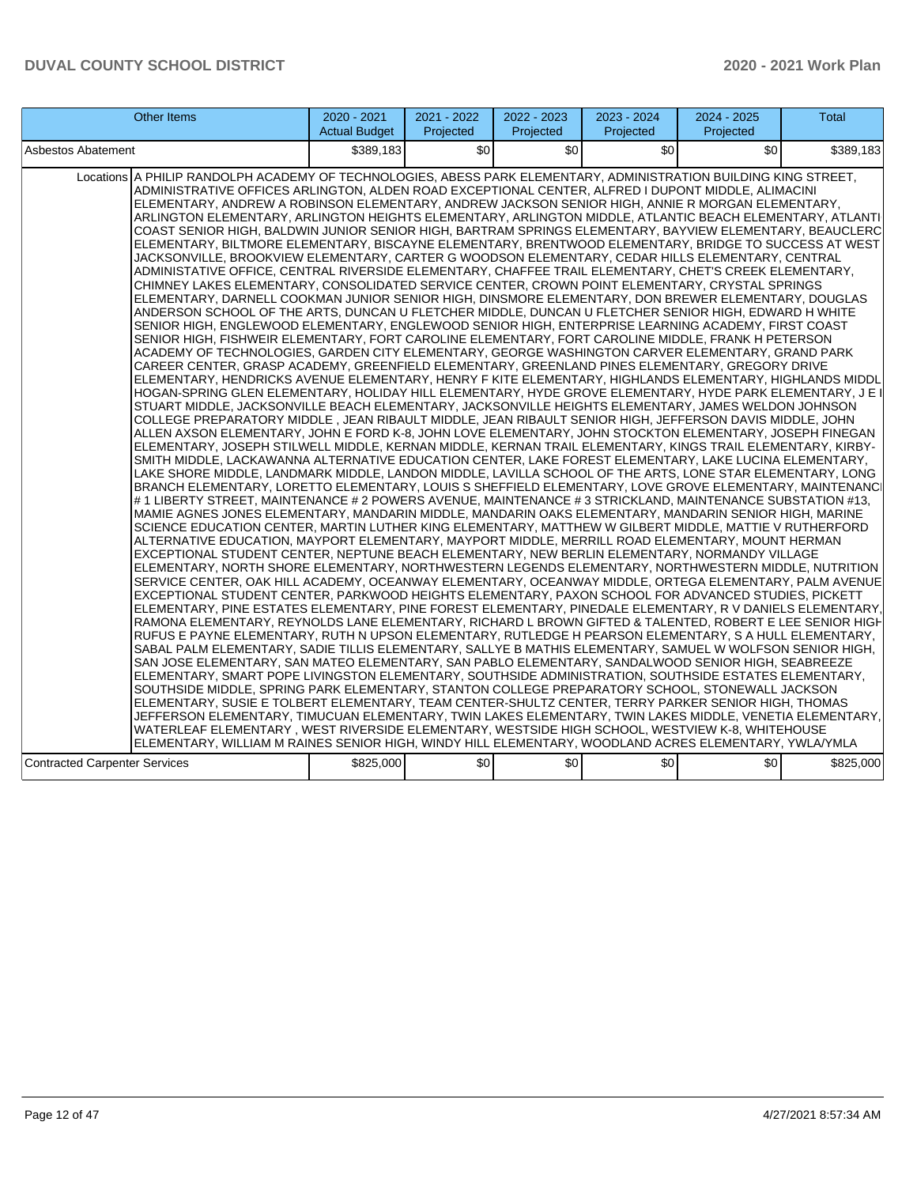| <b>Other Items</b>                                                                                                                                                                                                                                                                                                                                                                                                                                                                                                                                                                                                                                                                                                                                                                                                                                                                                                                                                                                                                                                                                                                                                                                                                                                                                                                                                                                                                                                                                                                                                                                                                                                                                                                                                                                                                                                                                                                                                                                                                                                                                                                                                                                                                                                                                                                                                                                                                                                                                                                                                                                                                                                                                                                                                                                                                                                                                                                                                                                                                                                                                                                                                                                                                                                                                                                                                                                                                                                                                                                                                                                                                                                                                                                                                                                                                                                                                                                                                                                                                                                                                                                                                                                                                                                                                                                                                                                                                                                                                                                                                                                                                                                                                                        | $2020 - 2021$<br><b>Actual Budget</b> | 2021 - 2022<br>Projected | 2022 - 2023<br>Projected | 2023 - 2024<br>Projected | $2024 - 2025$<br>Projected | <b>Total</b> |
|---------------------------------------------------------------------------------------------------------------------------------------------------------------------------------------------------------------------------------------------------------------------------------------------------------------------------------------------------------------------------------------------------------------------------------------------------------------------------------------------------------------------------------------------------------------------------------------------------------------------------------------------------------------------------------------------------------------------------------------------------------------------------------------------------------------------------------------------------------------------------------------------------------------------------------------------------------------------------------------------------------------------------------------------------------------------------------------------------------------------------------------------------------------------------------------------------------------------------------------------------------------------------------------------------------------------------------------------------------------------------------------------------------------------------------------------------------------------------------------------------------------------------------------------------------------------------------------------------------------------------------------------------------------------------------------------------------------------------------------------------------------------------------------------------------------------------------------------------------------------------------------------------------------------------------------------------------------------------------------------------------------------------------------------------------------------------------------------------------------------------------------------------------------------------------------------------------------------------------------------------------------------------------------------------------------------------------------------------------------------------------------------------------------------------------------------------------------------------------------------------------------------------------------------------------------------------------------------------------------------------------------------------------------------------------------------------------------------------------------------------------------------------------------------------------------------------------------------------------------------------------------------------------------------------------------------------------------------------------------------------------------------------------------------------------------------------------------------------------------------------------------------------------------------------------------------------------------------------------------------------------------------------------------------------------------------------------------------------------------------------------------------------------------------------------------------------------------------------------------------------------------------------------------------------------------------------------------------------------------------------------------------------------------------------------------------------------------------------------------------------------------------------------------------------------------------------------------------------------------------------------------------------------------------------------------------------------------------------------------------------------------------------------------------------------------------------------------------------------------------------------------------------------------------------------------------------------------------------------------------------------------------------------------------------------------------------------------------------------------------------------------------------------------------------------------------------------------------------------------------------------------------------------------------------------------------------------------------------------------------------------------------------------------------------------------------------------------------------|---------------------------------------|--------------------------|--------------------------|--------------------------|----------------------------|--------------|
| Asbestos Abatement                                                                                                                                                                                                                                                                                                                                                                                                                                                                                                                                                                                                                                                                                                                                                                                                                                                                                                                                                                                                                                                                                                                                                                                                                                                                                                                                                                                                                                                                                                                                                                                                                                                                                                                                                                                                                                                                                                                                                                                                                                                                                                                                                                                                                                                                                                                                                                                                                                                                                                                                                                                                                                                                                                                                                                                                                                                                                                                                                                                                                                                                                                                                                                                                                                                                                                                                                                                                                                                                                                                                                                                                                                                                                                                                                                                                                                                                                                                                                                                                                                                                                                                                                                                                                                                                                                                                                                                                                                                                                                                                                                                                                                                                                                        | \$389.183                             | \$0                      | \$0                      | \$0                      | \$0                        | \$389,183    |
| Locations A PHILIP RANDOLPH ACADEMY OF TECHNOLOGIES, ABESS PARK ELEMENTARY, ADMINISTRATION BUILDING KING STREET,<br>ADMINISTRATIVE OFFICES ARLINGTON, ALDEN ROAD EXCEPTIONAL CENTER, ALFRED I DUPONT MIDDLE, ALIMACINI<br>ELEMENTARY, ANDREW A ROBINSON ELEMENTARY, ANDREW JACKSON SENIOR HIGH, ANNIE R MORGAN ELEMENTARY,<br>ARLINGTON ELEMENTARY, ARLINGTON HEIGHTS ELEMENTARY, ARLINGTON MIDDLE, ATLANTIC BEACH ELEMENTARY, ATLANTI<br>COAST SENIOR HIGH, BALDWIN JUNIOR SENIOR HIGH, BARTRAM SPRINGS ELEMENTARY, BAYVIEW ELEMENTARY, BEAUCLERC<br>ELEMENTARY, BILTMORE ELEMENTARY, BISCAYNE ELEMENTARY, BRENTWOOD ELEMENTARY, BRIDGE TO SUCCESS AT WEST<br>JACKSONVILLE, BROOKVIEW ELEMENTARY, CARTER G WOODSON ELEMENTARY, CEDAR HILLS ELEMENTARY, CENTRAL<br>ADMINISTATIVE OFFICE, CENTRAL RIVERSIDE ELEMENTARY, CHAFFEE TRAIL ELEMENTARY, CHET'S CREEK ELEMENTARY,<br>CHIMNEY LAKES ELEMENTARY, CONSOLIDATED SERVICE CENTER, CROWN POINT ELEMENTARY, CRYSTAL SPRINGS<br>ELEMENTARY, DARNELL COOKMAN JUNIOR SENIOR HIGH, DINSMORE ELEMENTARY, DON BREWER ELEMENTARY, DOUGLAS<br>ANDERSON SCHOOL OF THE ARTS, DUNCAN U FLETCHER MIDDLE, DUNCAN U FLETCHER SENIOR HIGH, EDWARD H WHITE<br>SENIOR HIGH, ENGLEWOOD ELEMENTARY, ENGLEWOOD SENIOR HIGH, ENTERPRISE LEARNING ACADEMY, FIRST COAST<br>SENIOR HIGH, FISHWEIR ELEMENTARY, FORT CAROLINE ELEMENTARY, FORT CAROLINE MIDDLE, FRANK H PETERSON<br>ACADEMY OF TECHNOLOGIES, GARDEN CITY ELEMENTARY, GEORGE WASHINGTON CARVER ELEMENTARY, GRAND PARK<br>CAREER CENTER, GRASP ACADEMY, GREENFIELD ELEMENTARY, GREENLAND PINES ELEMENTARY, GREGORY DRIVE<br>ELEMENTARY, HENDRICKS AVENUE ELEMENTARY, HENRY F KITE ELEMENTARY, HIGHLANDS ELEMENTARY, HIGHLANDS MIDDL<br>HOGAN-SPRING GLEN ELEMENTARY, HOLIDAY HILL ELEMENTARY, HYDE GROVE ELEMENTARY, HYDE PARK ELEMENTARY, J E I<br>STUART MIDDLE, JACKSONVILLE BEACH ELEMENTARY, JACKSONVILLE HEIGHTS ELEMENTARY, JAMES WELDON JOHNSON<br>COLLEGE PREPARATORY MIDDLE, JEAN RIBAULT MIDDLE, JEAN RIBAULT SENIOR HIGH, JEFFERSON DAVIS MIDDLE, JOHN<br>ALLEN AXSON ELEMENTARY, JOHN E FORD K-8, JOHN LOVE ELEMENTARY, JOHN STOCKTON ELEMENTARY, JOSEPH FINEGAN<br>ELEMENTARY, JOSEPH STILWELL MIDDLE, KERNAN MIDDLE, KERNAN TRAIL ELEMENTARY, KINGS TRAIL ELEMENTARY, KIRBY-<br>SMITH MIDDLE, LACKAWANNA ALTERNATIVE EDUCATION CENTER, LAKE FOREST ELEMENTARY, LAKE LUCINA ELEMENTARY,<br>LAKE SHORE MIDDLE, LANDMARK MIDDLE, LANDON MIDDLE, LAVILLA SCHOOL OF THE ARTS, LONE STAR ELEMENTARY, LONG<br>BRANCH ELEMENTARY, LORETTO ELEMENTARY, LOUIS S SHEFFIELD ELEMENTARY, LOVE GROVE ELEMENTARY, MAINTENANCI<br># 1 LIBERTY STREET, MAINTENANCE # 2 POWERS AVENUE, MAINTENANCE # 3 STRICKLAND, MAINTENANCE SUBSTATION #13,<br>MAMIE AGNES JONES ELEMENTARY, MANDARIN MIDDLE, MANDARIN OAKS ELEMENTARY, MANDARIN SENIOR HIGH, MARINE<br>SCIENCE EDUCATION CENTER, MARTIN LUTHER KING ELEMENTARY, MATTHEW W GILBERT MIDDLE, MATTIE V RUTHERFORD<br>ALTERNATIVE EDUCATION, MAYPORT ELEMENTARY, MAYPORT MIDDLE, MERRILL ROAD ELEMENTARY, MOUNT HERMAN<br>EXCEPTIONAL STUDENT CENTER, NEPTUNE BEACH ELEMENTARY, NEW BERLIN ELEMENTARY, NORMANDY VILLAGE<br>ELEMENTARY, NORTH SHORE ELEMENTARY, NORTHWESTERN LEGENDS ELEMENTARY, NORTHWESTERN MIDDLE, NUTRITION<br>SERVICE CENTER, OAK HILL ACADEMY, OCEANWAY ELEMENTARY, OCEANWAY MIDDLE, ORTEGA ELEMENTARY, PALM AVENUE<br>EXCEPTIONAL STUDENT CENTER, PARKWOOD HEIGHTS ELEMENTARY, PAXON SCHOOL FOR ADVANCED STUDIES, PICKETT<br>ELEMENTARY, PINE ESTATES ELEMENTARY, PINE FOREST ELEMENTARY, PINEDALE ELEMENTARY, R V DANIELS ELEMENTARY.<br>RAMONA ELEMENTARY, REYNOLDS LANE ELEMENTARY, RICHARD L BROWN GIFTED & TALENTED, ROBERT E LEE SENIOR HIGH<br>RUFUS E PAYNE ELEMENTARY, RUTH N UPSON ELEMENTARY, RUTLEDGE H PEARSON ELEMENTARY, S A HULL ELEMENTARY,<br>SABAL PALM ELEMENTARY, SADIE TILLIS ELEMENTARY, SALLYE B MATHIS ELEMENTARY, SAMUEL W WOLFSON SENIOR HIGH,<br>SAN JOSE ELEMENTARY, SAN MATEO ELEMENTARY, SAN PABLO ELEMENTARY, SANDALWOOD SENIOR HIGH, SEABREEZE<br>ELEMENTARY, SMART POPE LIVINGSTON ELEMENTARY, SOUTHSIDE ADMINISTRATION, SOUTHSIDE ESTATES ELEMENTARY,<br>SOUTHSIDE MIDDLE, SPRING PARK ELEMENTARY, STANTON COLLEGE PREPARATORY SCHOOL, STONEWALL JACKSON<br>ELEMENTARY, SUSIE E TOLBERT ELEMENTARY, TEAM CENTER-SHULTZ CENTER, TERRY PARKER SENIOR HIGH, THOMAS<br>JEFFERSON ELEMENTARY, TIMUCUAN ELEMENTARY, TWIN LAKES ELEMENTARY, TWIN LAKES MIDDLE, VENETIA ELEMENTARY,<br>WATERLEAF ELEMENTARY , WEST RIVERSIDE ELEMENTARY, WESTSIDE HIGH SCHOOL, WESTVIEW K-8, WHITEHOUSE<br>ELEMENTARY, WILLIAM M RAINES SENIOR HIGH, WINDY HILL ELEMENTARY, WOODLAND ACRES ELEMENTARY, YWLA/YMLA<br><b>Contracted Carpenter Services</b> | \$825,000                             | \$0                      | \$0                      | \$0                      | \$0                        | \$825,000    |
|                                                                                                                                                                                                                                                                                                                                                                                                                                                                                                                                                                                                                                                                                                                                                                                                                                                                                                                                                                                                                                                                                                                                                                                                                                                                                                                                                                                                                                                                                                                                                                                                                                                                                                                                                                                                                                                                                                                                                                                                                                                                                                                                                                                                                                                                                                                                                                                                                                                                                                                                                                                                                                                                                                                                                                                                                                                                                                                                                                                                                                                                                                                                                                                                                                                                                                                                                                                                                                                                                                                                                                                                                                                                                                                                                                                                                                                                                                                                                                                                                                                                                                                                                                                                                                                                                                                                                                                                                                                                                                                                                                                                                                                                                                                           |                                       |                          |                          |                          |                            |              |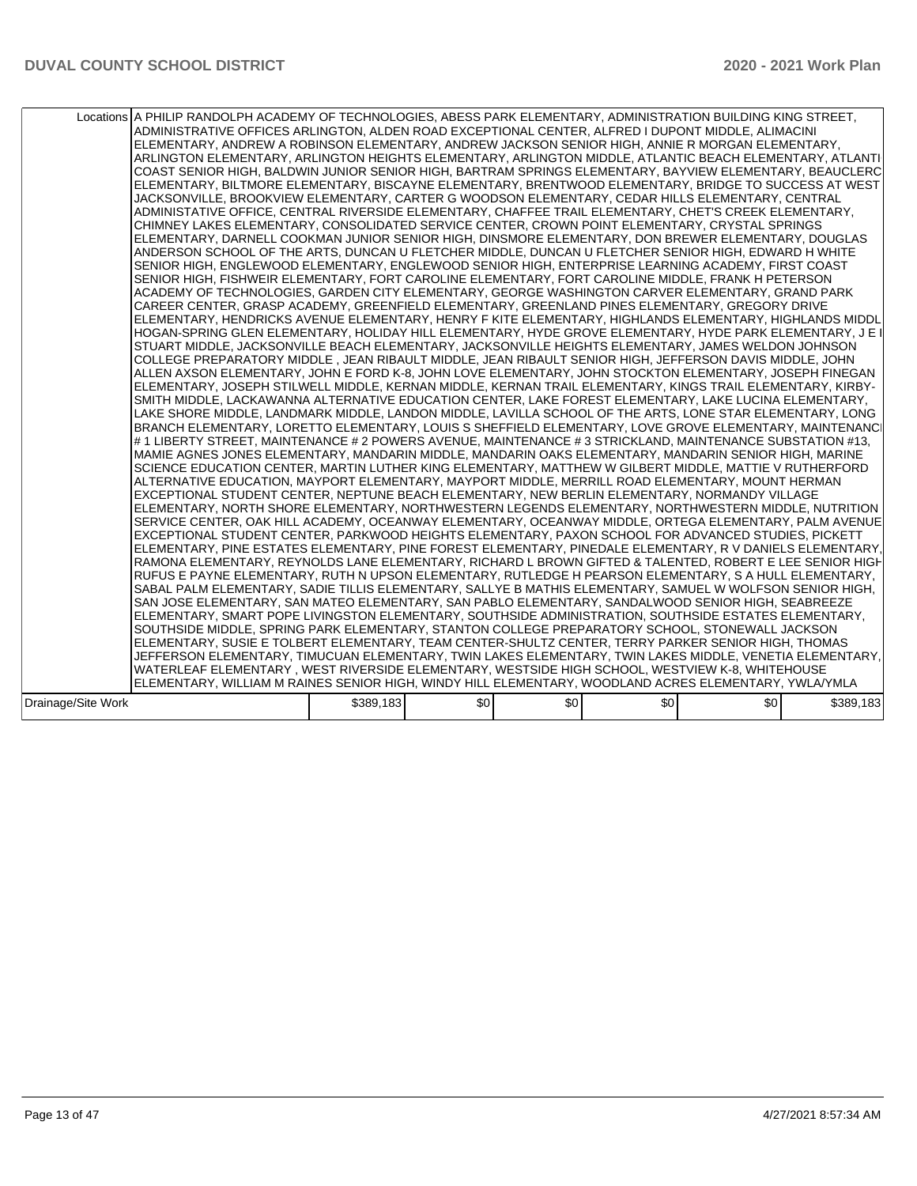|                    | Locations A PHILIP RANDOLPH ACADEMY OF TECHNOLOGIES, ABESS PARK ELEMENTARY, ADMINISTRATION BUILDING KING STREET,<br>ADMINISTRATIVE OFFICES ARLINGTON, ALDEN ROAD EXCEPTIONAL CENTER, ALFRED I DUPONT MIDDLE, ALIMACINI<br>ELEMENTARY, ANDREW A ROBINSON ELEMENTARY, ANDREW JACKSON SENIOR HIGH, ANNIE R MORGAN ELEMENTARY,<br>ARLINGTON ELEMENTARY, ARLINGTON HEIGHTS ELEMENTARY, ARLINGTON MIDDLE, ATLANTIC BEACH ELEMENTARY, ATLANTI<br>COAST SENIOR HIGH, BALDWIN JUNIOR SENIOR HIGH, BARTRAM SPRINGS ELEMENTARY, BAYVIEW ELEMENTARY, BEAUCLERC<br>ELEMENTARY, BILTMORE ELEMENTARY, BISCAYNE ELEMENTARY, BRENTWOOD ELEMENTARY, BRIDGE TO SUCCESS AT WEST<br>JACKSONVILLE, BROOKVIEW ELEMENTARY, CARTER G WOODSON ELEMENTARY, CEDAR HILLS ELEMENTARY, CENTRAL<br>ADMINISTATIVE OFFICE, CENTRAL RIVERSIDE ELEMENTARY, CHAFFEE TRAIL ELEMENTARY, CHET'S CREEK ELEMENTARY,<br>CHIMNEY LAKES ELEMENTARY, CONSOLIDATED SERVICE CENTER, CROWN POINT ELEMENTARY, CRYSTAL SPRINGS<br>ELEMENTARY, DARNELL COOKMAN JUNIOR SENIOR HIGH, DINSMORE ELEMENTARY, DON BREWER ELEMENTARY, DOUGLAS<br>ANDERSON SCHOOL OF THE ARTS, DUNCAN U FLETCHER MIDDLE, DUNCAN U FLETCHER SENIOR HIGH, EDWARD H WHITE<br>SENIOR HIGH, ENGLEWOOD ELEMENTARY, ENGLEWOOD SENIOR HIGH, ENTERPRISE LEARNING ACADEMY, FIRST COAST<br>SENIOR HIGH, FISHWEIR ELEMENTARY, FORT CAROLINE ELEMENTARY, FORT CAROLINE MIDDLE, FRANK H PETERSON<br>ACADEMY OF TECHNOLOGIES, GARDEN CITY ELEMENTARY, GEORGE WASHINGTON CARVER ELEMENTARY, GRAND PARK<br>CAREER CENTER, GRASP ACADEMY, GREENFIELD ELEMENTARY, GREENLAND PINES ELEMENTARY, GREGORY DRIVE<br>ELEMENTARY, HENDRICKS AVENUE ELEMENTARY, HENRY F KITE ELEMENTARY, HIGHLANDS ELEMENTARY, HIGHLANDS MIDDL<br>HOGAN-SPRING GLEN ELEMENTARY, HOLIDAY HILL ELEMENTARY, HYDE GROVE ELEMENTARY, HYDE PARK ELEMENTARY, J E I<br>STUART MIDDLE, JACKSONVILLE BEACH ELEMENTARY, JACKSONVILLE HEIGHTS ELEMENTARY, JAMES WELDON JOHNSON<br>COLLEGE PREPARATORY MIDDLE , JEAN RIBAULT MIDDLE, JEAN RIBAULT SENIOR HIGH, JEFFERSON DAVIS MIDDLE, JOHN<br>ALLEN AXSON ELEMENTARY, JOHN E FORD K-8, JOHN LOVE ELEMENTARY, JOHN STOCKTON ELEMENTARY, JOSEPH FINEGAN<br>ELEMENTARY, JOSEPH STILWELL MIDDLE, KERNAN MIDDLE, KERNAN TRAIL ELEMENTARY, KINGS TRAIL ELEMENTARY, KIRBY-<br>SMITH MIDDLE, LACKAWANNA ALTERNATIVE EDUCATION CENTER, LAKE FOREST ELEMENTARY, LAKE LUCINA ELEMENTARY,<br>LAKE SHORE MIDDLE, LANDMARK MIDDLE, LANDON MIDDLE, LAVILLA SCHOOL OF THE ARTS, LONE STAR ELEMENTARY, LONG<br>BRANCH ELEMENTARY, LORETTO ELEMENTARY, LOUIS S SHEFFIELD ELEMENTARY, LOVE GROVE ELEMENTARY, MAINTENANCI<br># 1 LIBERTY STREET, MAINTENANCE # 2 POWERS AVENUE, MAINTENANCE # 3 STRICKLAND, MAINTENANCE SUBSTATION #13,<br>MAMIE AGNES JONES ELEMENTARY, MANDARIN MIDDLE, MANDARIN OAKS ELEMENTARY, MANDARIN SENIOR HIGH, MARINE<br>SCIENCE EDUCATION CENTER, MARTIN LUTHER KING ELEMENTARY, MATTHEW W GILBERT MIDDLE, MATTIE V RUTHERFORD<br>ALTERNATIVE EDUCATION, MAYPORT ELEMENTARY, MAYPORT MIDDLE, MERRILL ROAD ELEMENTARY, MOUNT HERMAN<br>EXCEPTIONAL STUDENT CENTER, NEPTUNE BEACH ELEMENTARY, NEW BERLIN ELEMENTARY, NORMANDY VILLAGE<br>ELEMENTARY, NORTH SHORE ELEMENTARY, NORTHWESTERN LEGENDS ELEMENTARY, NORTHWESTERN MIDDLE, NUTRITION<br>SERVICE CENTER, OAK HILL ACADEMY, OCEANWAY ELEMENTARY, OCEANWAY MIDDLE, ORTEGA ELEMENTARY, PALM AVENUE<br>EXCEPTIONAL STUDENT CENTER, PARKWOOD HEIGHTS ELEMENTARY, PAXON SCHOOL FOR ADVANCED STUDIES, PICKETT<br>ELEMENTARY, PINE ESTATES ELEMENTARY, PINE FOREST ELEMENTARY, PINEDALE ELEMENTARY, R V DANIELS ELEMENTARY,<br>RAMONA ELEMENTARY, REYNOLDS LANE ELEMENTARY, RICHARD L BROWN GIFTED & TALENTED, ROBERT E LEE SENIOR HIGH<br>RUFUS E PAYNE ELEMENTARY, RUTH N UPSON ELEMENTARY, RUTLEDGE H PEARSON ELEMENTARY, S A HULL ELEMENTARY,<br>SABAL PALM ELEMENTARY, SADIE TILLIS ELEMENTARY, SALLYE B MATHIS ELEMENTARY, SAMUEL W WOLFSON SENIOR HIGH,<br>SAN JOSE ELEMENTARY, SAN MATEO ELEMENTARY, SAN PABLO ELEMENTARY, SANDALWOOD SENIOR HIGH, SEABREEZE<br>ELEMENTARY, SMART POPE LIVINGSTON ELEMENTARY, SOUTHSIDE ADMINISTRATION, SOUTHSIDE ESTATES ELEMENTARY,<br>SOUTHSIDE MIDDLE, SPRING PARK ELEMENTARY, STANTON COLLEGE PREPARATORY SCHOOL, STONEWALL JACKSON<br>ELEMENTARY, SUSIE E TOLBERT ELEMENTARY, TEAM CENTER-SHULTZ CENTER, TERRY PARKER SENIOR HIGH, THOMAS<br>JEFFERSON ELEMENTARY, TIMUCUAN ELEMENTARY, TWIN LAKES ELEMENTARY, TWIN LAKES MIDDLE, VENETIA ELEMENTARY,<br>WATERLEAF ELEMENTARY , WEST RIVERSIDE ELEMENTARY, WESTSIDE HIGH SCHOOL, WESTVIEW K-8, WHITEHOUSE<br>ELEMENTARY, WILLIAM M RAINES SENIOR HIGH, WINDY HILL ELEMENTARY, WOODLAND ACRES ELEMENTARY, YWLA/YMLA |           |     |     |     |     |           |
|--------------------|------------------------------------------------------------------------------------------------------------------------------------------------------------------------------------------------------------------------------------------------------------------------------------------------------------------------------------------------------------------------------------------------------------------------------------------------------------------------------------------------------------------------------------------------------------------------------------------------------------------------------------------------------------------------------------------------------------------------------------------------------------------------------------------------------------------------------------------------------------------------------------------------------------------------------------------------------------------------------------------------------------------------------------------------------------------------------------------------------------------------------------------------------------------------------------------------------------------------------------------------------------------------------------------------------------------------------------------------------------------------------------------------------------------------------------------------------------------------------------------------------------------------------------------------------------------------------------------------------------------------------------------------------------------------------------------------------------------------------------------------------------------------------------------------------------------------------------------------------------------------------------------------------------------------------------------------------------------------------------------------------------------------------------------------------------------------------------------------------------------------------------------------------------------------------------------------------------------------------------------------------------------------------------------------------------------------------------------------------------------------------------------------------------------------------------------------------------------------------------------------------------------------------------------------------------------------------------------------------------------------------------------------------------------------------------------------------------------------------------------------------------------------------------------------------------------------------------------------------------------------------------------------------------------------------------------------------------------------------------------------------------------------------------------------------------------------------------------------------------------------------------------------------------------------------------------------------------------------------------------------------------------------------------------------------------------------------------------------------------------------------------------------------------------------------------------------------------------------------------------------------------------------------------------------------------------------------------------------------------------------------------------------------------------------------------------------------------------------------------------------------------------------------------------------------------------------------------------------------------------------------------------------------------------------------------------------------------------------------------------------------------------------------------------------------------------------------------------------------------------------------------------------------------------------------------------------------------------------------------------------------------------------------------------------------------------------------------------------------------------------------------------------------------------------------------------------------------------------------------------------------------------------------------------------------------------------------------------------------------------------------------------------------------------------------------|-----------|-----|-----|-----|-----|-----------|
| Drainage/Site Work |                                                                                                                                                                                                                                                                                                                                                                                                                                                                                                                                                                                                                                                                                                                                                                                                                                                                                                                                                                                                                                                                                                                                                                                                                                                                                                                                                                                                                                                                                                                                                                                                                                                                                                                                                                                                                                                                                                                                                                                                                                                                                                                                                                                                                                                                                                                                                                                                                                                                                                                                                                                                                                                                                                                                                                                                                                                                                                                                                                                                                                                                                                                                                                                                                                                                                                                                                                                                                                                                                                                                                                                                                                                                                                                                                                                                                                                                                                                                                                                                                                                                                                                                                                                                                                                                                                                                                                                                                                                                                                                                                                                                                                                                                    | \$389,183 | \$0 | \$0 | \$0 | \$0 | \$389,183 |
|                    |                                                                                                                                                                                                                                                                                                                                                                                                                                                                                                                                                                                                                                                                                                                                                                                                                                                                                                                                                                                                                                                                                                                                                                                                                                                                                                                                                                                                                                                                                                                                                                                                                                                                                                                                                                                                                                                                                                                                                                                                                                                                                                                                                                                                                                                                                                                                                                                                                                                                                                                                                                                                                                                                                                                                                                                                                                                                                                                                                                                                                                                                                                                                                                                                                                                                                                                                                                                                                                                                                                                                                                                                                                                                                                                                                                                                                                                                                                                                                                                                                                                                                                                                                                                                                                                                                                                                                                                                                                                                                                                                                                                                                                                                                    |           |     |     |     |     |           |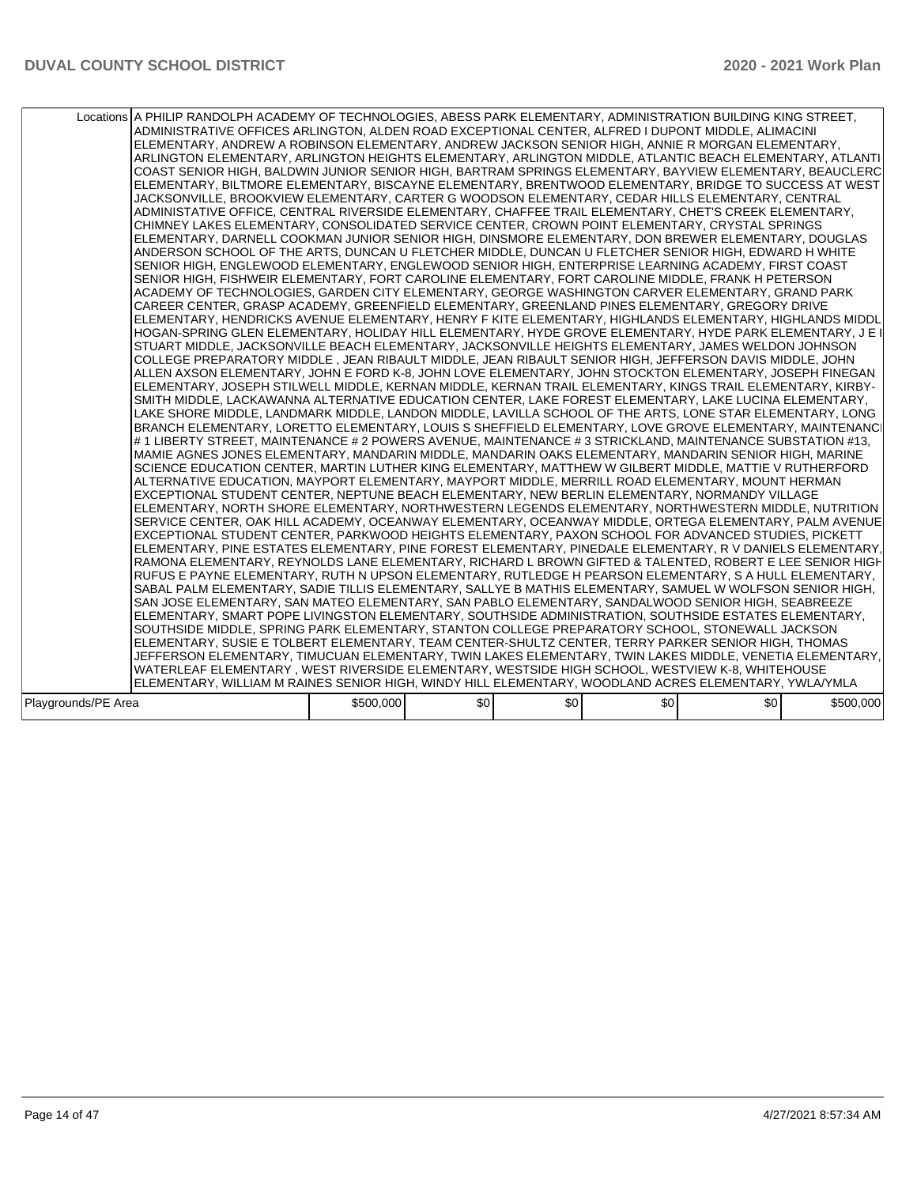|                     | Locations A PHILIP RANDOLPH ACADEMY OF TECHNOLOGIES, ABESS PARK ELEMENTARY, ADMINISTRATION BUILDING KING STREET,<br>ADMINISTRATIVE OFFICES ARLINGTON, ALDEN ROAD EXCEPTIONAL CENTER, ALFRED I DUPONT MIDDLE, ALIMACINI<br>ELEMENTARY, ANDREW A ROBINSON ELEMENTARY, ANDREW JACKSON SENIOR HIGH, ANNIE R MORGAN ELEMENTARY,<br>ARLINGTON ELEMENTARY, ARLINGTON HEIGHTS ELEMENTARY, ARLINGTON MIDDLE, ATLANTIC BEACH ELEMENTARY, ATLANTI<br>COAST SENIOR HIGH, BALDWIN JUNIOR SENIOR HIGH, BARTRAM SPRINGS ELEMENTARY, BAYVIEW ELEMENTARY, BEAUCLERC<br>ELEMENTARY, BILTMORE ELEMENTARY, BISCAYNE ELEMENTARY, BRENTWOOD ELEMENTARY, BRIDGE TO SUCCESS AT WEST<br>JACKSONVILLE. BROOKVIEW ELEMENTARY. CARTER G WOODSON ELEMENTARY. CEDAR HILLS ELEMENTARY. CENTRAL<br>ADMINISTATIVE OFFICE, CENTRAL RIVERSIDE ELEMENTARY, CHAFFEE TRAIL ELEMENTARY, CHET'S CREEK ELEMENTARY,<br>CHIMNEY LAKES ELEMENTARY, CONSOLIDATED SERVICE CENTER, CROWN POINT ELEMENTARY, CRYSTAL SPRINGS<br>ELEMENTARY, DARNELL COOKMAN JUNIOR SENIOR HIGH, DINSMORE ELEMENTARY, DON BREWER ELEMENTARY, DOUGLAS<br>ANDERSON SCHOOL OF THE ARTS, DUNCAN U FLETCHER MIDDLE, DUNCAN U FLETCHER SENIOR HIGH, EDWARD H WHITE<br>SENIOR HIGH, ENGLEWOOD ELEMENTARY, ENGLEWOOD SENIOR HIGH, ENTERPRISE LEARNING ACADEMY, FIRST COAST<br>SENIOR HIGH, FISHWEIR ELEMENTARY, FORT CAROLINE ELEMENTARY, FORT CAROLINE MIDDLE, FRANK H PETERSON<br>ACADEMY OF TECHNOLOGIES, GARDEN CITY ELEMENTARY, GEORGE WASHINGTON CARVER ELEMENTARY, GRAND PARK<br>CAREER CENTER, GRASP ACADEMY, GREENFIELD ELEMENTARY, GREENLAND PINES ELEMENTARY, GREGORY DRIVE<br>ELEMENTARY, HENDRICKS AVENUE ELEMENTARY, HENRY F KITE ELEMENTARY, HIGHLANDS ELEMENTARY, HIGHLANDS MIDDL<br>HOGAN-SPRING GLEN ELEMENTARY. HOLIDAY HILL ELEMENTARY. HYDE GROVE ELEMENTARY. HYDE PARK ELEMENTARY. J E I<br>STUART MIDDLE, JACKSONVILLE BEACH ELEMENTARY, JACKSONVILLE HEIGHTS ELEMENTARY, JAMES WELDON JOHNSON<br>COLLEGE PREPARATORY MIDDLE , JEAN RIBAULT MIDDLE, JEAN RIBAULT SENIOR HIGH, JEFFERSON DAVIS MIDDLE, JOHN<br>ALLEN AXSON ELEMENTARY, JOHN E FORD K-8, JOHN LOVE ELEMENTARY, JOHN STOCKTON ELEMENTARY, JOSEPH FINEGAN<br>IELEMENTARY. JOSEPH STILWELL MIDDLE. KERNAN MIDDLE. KERNAN TRAIL ELEMENTARY. KINGS TRAIL ELEMENTARY. KIRBY-<br>SMITH MIDDLE, LACKAWANNA ALTERNATIVE EDUCATION CENTER, LAKE FOREST ELEMENTARY, LAKE LUCINA ELEMENTARY,<br>LAKE SHORE MIDDLE, LANDMARK MIDDLE, LANDON MIDDLE, LAVILLA SCHOOL OF THE ARTS, LONE STAR ELEMENTARY, LONG<br>IBRANCH ELEMENTARY. LORETTO ELEMENTARY. LOUIS S SHEFFIELD ELEMENTARY. LOVE GROVE ELEMENTARY. MAINTENANCI<br># 1 LIBERTY STREET, MAINTENANCE # 2 POWERS AVENUE, MAINTENANCE # 3 STRICKLAND, MAINTENANCE SUBSTATION #13,<br>MAMIE AGNES JONES ELEMENTARY, MANDARIN MIDDLE, MANDARIN OAKS ELEMENTARY, MANDARIN SENIOR HIGH, MARINE<br>ISCIENCE EDUCATION CENTER. MARTIN LUTHER KING ELEMENTARY. MATTHEW W GILBERT MIDDLE. MATTIE V RUTHERFORD<br>ALTERNATIVE EDUCATION, MAYPORT ELEMENTARY, MAYPORT MIDDLE, MERRILL ROAD ELEMENTARY, MOUNT HERMAN<br>EXCEPTIONAL STUDENT CENTER, NEPTUNE BEACH ELEMENTARY, NEW BERLIN ELEMENTARY, NORMANDY VILLAGE<br>ELEMENTARY, NORTH SHORE ELEMENTARY, NORTHWESTERN LEGENDS ELEMENTARY, NORTHWESTERN MIDDLE, NUTRITION<br>SERVICE CENTER, OAK HILL ACADEMY, OCEANWAY ELEMENTARY, OCEANWAY MIDDLE, ORTEGA ELEMENTARY, PALM AVENUE<br>EXCEPTIONAL STUDENT CENTER, PARKWOOD HEIGHTS ELEMENTARY, PAXON SCHOOL FOR ADVANCED STUDIES, PICKETT<br>ELEMENTARY, PINE ESTATES ELEMENTARY, PINE FOREST ELEMENTARY, PINEDALE ELEMENTARY, R V DANIELS ELEMENTARY,<br>RAMONA ELEMENTARY, REYNOLDS LANE ELEMENTARY, RICHARD L BROWN GIFTED & TALENTED, ROBERT E LEE SENIOR HIGH<br>RUFUS E PAYNE ELEMENTARY, RUTH N UPSON ELEMENTARY, RUTLEDGE H PEARSON ELEMENTARY, S A HULL ELEMENTARY,<br>SABAL PALM ELEMENTARY, SADIE TILLIS ELEMENTARY, SALLYE B MATHIS ELEMENTARY, SAMUEL W WOLFSON SENIOR HIGH,<br>SAN JOSE ELEMENTARY, SAN MATEO ELEMENTARY, SAN PABLO ELEMENTARY, SANDALWOOD SENIOR HIGH, SEABREEZE<br>ELEMENTARY, SMART POPE LIVINGSTON ELEMENTARY, SOUTHSIDE ADMINISTRATION, SOUTHSIDE ESTATES ELEMENTARY,<br>SOUTHSIDE MIDDLE, SPRING PARK ELEMENTARY, STANTON COLLEGE PREPARATORY SCHOOL, STONEWALL JACKSON<br>ELEMENTARY, SUSIE E TOLBERT ELEMENTARY, TEAM CENTER-SHULTZ CENTER, TERRY PARKER SENIOR HIGH, THOMAS<br>JEFFERSON ELEMENTARY, TIMUCUAN ELEMENTARY, TWIN LAKES ELEMENTARY, TWIN LAKES MIDDLE, VENETIA ELEMENTARY,<br>WATERLEAF ELEMENTARY , WEST RIVERSIDE ELEMENTARY, WESTSIDE HIGH SCHOOL, WESTVIEW K-8, WHITEHOUSE<br>ELEMENTARY, WILLIAM M RAINES SENIOR HIGH, WINDY HILL ELEMENTARY, WOODLAND ACRES ELEMENTARY, YWLA/YMLA |           |     |     |     |     |           |
|---------------------|---------------------------------------------------------------------------------------------------------------------------------------------------------------------------------------------------------------------------------------------------------------------------------------------------------------------------------------------------------------------------------------------------------------------------------------------------------------------------------------------------------------------------------------------------------------------------------------------------------------------------------------------------------------------------------------------------------------------------------------------------------------------------------------------------------------------------------------------------------------------------------------------------------------------------------------------------------------------------------------------------------------------------------------------------------------------------------------------------------------------------------------------------------------------------------------------------------------------------------------------------------------------------------------------------------------------------------------------------------------------------------------------------------------------------------------------------------------------------------------------------------------------------------------------------------------------------------------------------------------------------------------------------------------------------------------------------------------------------------------------------------------------------------------------------------------------------------------------------------------------------------------------------------------------------------------------------------------------------------------------------------------------------------------------------------------------------------------------------------------------------------------------------------------------------------------------------------------------------------------------------------------------------------------------------------------------------------------------------------------------------------------------------------------------------------------------------------------------------------------------------------------------------------------------------------------------------------------------------------------------------------------------------------------------------------------------------------------------------------------------------------------------------------------------------------------------------------------------------------------------------------------------------------------------------------------------------------------------------------------------------------------------------------------------------------------------------------------------------------------------------------------------------------------------------------------------------------------------------------------------------------------------------------------------------------------------------------------------------------------------------------------------------------------------------------------------------------------------------------------------------------------------------------------------------------------------------------------------------------------------------------------------------------------------------------------------------------------------------------------------------------------------------------------------------------------------------------------------------------------------------------------------------------------------------------------------------------------------------------------------------------------------------------------------------------------------------------------------------------------------------------------------------------------------------------------------------------------------------------------------------------------------------------------------------------------------------------------------------------------------------------------------------------------------------------------------------------------------------------------------------------------------------------------------------------------------------------------------------------------------------------------------------------------------------------------|-----------|-----|-----|-----|-----|-----------|
|                     |                                                                                                                                                                                                                                                                                                                                                                                                                                                                                                                                                                                                                                                                                                                                                                                                                                                                                                                                                                                                                                                                                                                                                                                                                                                                                                                                                                                                                                                                                                                                                                                                                                                                                                                                                                                                                                                                                                                                                                                                                                                                                                                                                                                                                                                                                                                                                                                                                                                                                                                                                                                                                                                                                                                                                                                                                                                                                                                                                                                                                                                                                                                                                                                                                                                                                                                                                                                                                                                                                                                                                                                                                                                                                                                                                                                                                                                                                                                                                                                                                                                                                                                                                                                                                                                                                                                                                                                                                                                                                                                                                                                                                                                                                       |           |     |     |     |     |           |
| Playgrounds/PE Area |                                                                                                                                                                                                                                                                                                                                                                                                                                                                                                                                                                                                                                                                                                                                                                                                                                                                                                                                                                                                                                                                                                                                                                                                                                                                                                                                                                                                                                                                                                                                                                                                                                                                                                                                                                                                                                                                                                                                                                                                                                                                                                                                                                                                                                                                                                                                                                                                                                                                                                                                                                                                                                                                                                                                                                                                                                                                                                                                                                                                                                                                                                                                                                                                                                                                                                                                                                                                                                                                                                                                                                                                                                                                                                                                                                                                                                                                                                                                                                                                                                                                                                                                                                                                                                                                                                                                                                                                                                                                                                                                                                                                                                                                                       | \$500,000 | \$0 | \$0 | \$0 | \$0 | \$500,000 |
|                     |                                                                                                                                                                                                                                                                                                                                                                                                                                                                                                                                                                                                                                                                                                                                                                                                                                                                                                                                                                                                                                                                                                                                                                                                                                                                                                                                                                                                                                                                                                                                                                                                                                                                                                                                                                                                                                                                                                                                                                                                                                                                                                                                                                                                                                                                                                                                                                                                                                                                                                                                                                                                                                                                                                                                                                                                                                                                                                                                                                                                                                                                                                                                                                                                                                                                                                                                                                                                                                                                                                                                                                                                                                                                                                                                                                                                                                                                                                                                                                                                                                                                                                                                                                                                                                                                                                                                                                                                                                                                                                                                                                                                                                                                                       |           |     |     |     |     |           |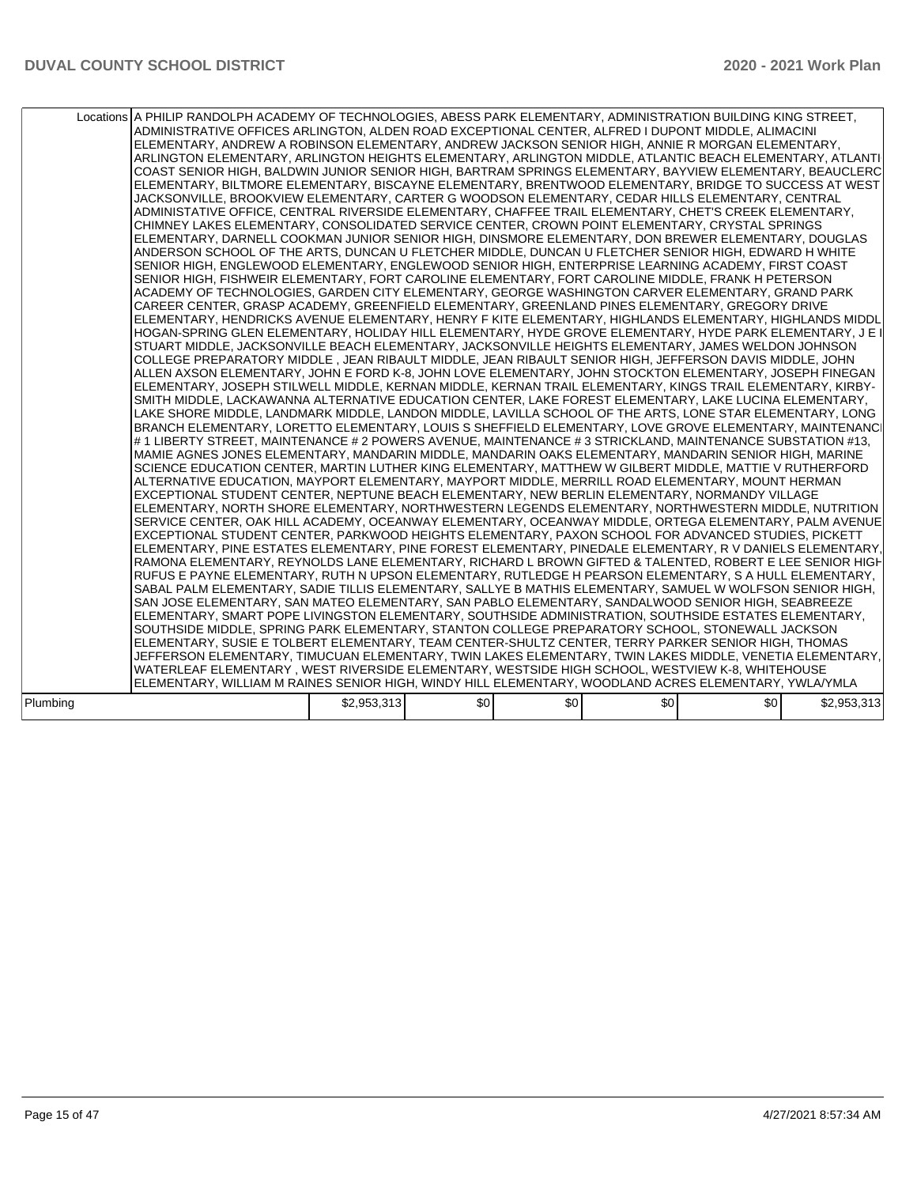|          | Locations A PHILIP RANDOLPH ACADEMY OF TECHNOLOGIES, ABESS PARK ELEMENTARY, ADMINISTRATION BUILDING KING STREET,<br>ADMINISTRATIVE OFFICES ARLINGTON, ALDEN ROAD EXCEPTIONAL CENTER, ALFRED I DUPONT MIDDLE, ALIMACINI<br>ELEMENTARY, ANDREW A ROBINSON ELEMENTARY, ANDREW JACKSON SENIOR HIGH, ANNIE R MORGAN ELEMENTARY,<br>ARLINGTON ELEMENTARY, ARLINGTON HEIGHTS ELEMENTARY, ARLINGTON MIDDLE, ATLANTIC BEACH ELEMENTARY, ATLANTI<br>ICOAST SENIOR HIGH. BALDWIN JUNIOR SENIOR HIGH. BARTRAM SPRINGS ELEMENTARY. BAYVIEW ELEMENTARY. BEAUCLERCI<br>ELEMENTARY, BILTMORE ELEMENTARY, BISCAYNE ELEMENTARY, BRENTWOOD ELEMENTARY, BRIDGE TO SUCCESS AT WEST<br>JACKSONVILLE, BROOKVIEW ELEMENTARY, CARTER G WOODSON ELEMENTARY, CEDAR HILLS ELEMENTARY, CENTRAL<br>ADMINISTATIVE OFFICE, CENTRAL RIVERSIDE ELEMENTARY, CHAFFEE TRAIL ELEMENTARY, CHET'S CREEK ELEMENTARY,<br>CHIMNEY LAKES ELEMENTARY, CONSOLIDATED SERVICE CENTER, CROWN POINT ELEMENTARY, CRYSTAL SPRINGS<br>ELEMENTARY, DARNELL COOKMAN JUNIOR SENIOR HIGH, DINSMORE ELEMENTARY, DON BREWER ELEMENTARY, DOUGLAS<br>ANDERSON SCHOOL OF THE ARTS, DUNCAN U FLETCHER MIDDLE, DUNCAN U FLETCHER SENIOR HIGH, EDWARD H WHITE<br>SENIOR HIGH, ENGLEWOOD ELEMENTARY, ENGLEWOOD SENIOR HIGH, ENTERPRISE LEARNING ACADEMY, FIRST COAST<br>ISENIOR HIGH. FISHWEIR ELEMENTARY. FORT CAROLINE ELEMENTARY. FORT CAROLINE MIDDLE. FRANK H PETERSON<br>ACADEMY OF TECHNOLOGIES, GARDEN CITY ELEMENTARY, GEORGE WASHINGTON CARVER ELEMENTARY, GRAND PARK<br>CAREER CENTER, GRASP ACADEMY, GREENFIELD ELEMENTARY, GREENLAND PINES ELEMENTARY, GREGORY DRIVE<br>ELEMENTARY, HENDRICKS AVENUE ELEMENTARY, HENRY F KITE ELEMENTARY, HIGHLANDS ELEMENTARY, HIGHLANDS MIDDL<br>HOGAN-SPRING GLEN ELEMENTARY, HOLIDAY HILL ELEMENTARY, HYDE GROVE ELEMENTARY, HYDE PARK ELEMENTARY, J E I<br>STUART MIDDLE, JACKSONVILLE BEACH ELEMENTARY, JACKSONVILLE HEIGHTS ELEMENTARY, JAMES WELDON JOHNSON<br>COLLEGE PREPARATORY MIDDLE , JEAN RIBAULT MIDDLE, JEAN RIBAULT SENIOR HIGH, JEFFERSON DAVIS MIDDLE, JOHN<br>ALLEN AXSON ELEMENTARY, JOHN E FORD K-8, JOHN LOVE ELEMENTARY, JOHN STOCKTON ELEMENTARY, JOSEPH FINEGAN<br>ELEMENTARY, JOSEPH STILWELL MIDDLE, KERNAN MIDDLE, KERNAN TRAIL ELEMENTARY, KINGS TRAIL ELEMENTARY, KIRBY-<br>SMITH MIDDLE, LACKAWANNA ALTERNATIVE EDUCATION CENTER, LAKE FOREST ELEMENTARY, LAKE LUCINA ELEMENTARY,<br>LAKE SHORE MIDDLE, LANDMARK MIDDLE, LANDON MIDDLE, LAVILLA SCHOOL OF THE ARTS, LONE STAR ELEMENTARY, LONG<br>BRANCH ELEMENTARY, LORETTO ELEMENTARY, LOUIS S SHEFFIELD ELEMENTARY, LOVE GROVE ELEMENTARY, MAINTENANCI<br># 1 LIBERTY STREET, MAINTENANCE # 2 POWERS AVENUE, MAINTENANCE # 3 STRICKLAND, MAINTENANCE SUBSTATION #13,<br>MAMIE AGNES JONES ELEMENTARY, MANDARIN MIDDLE, MANDARIN OAKS ELEMENTARY, MANDARIN SENIOR HIGH, MARINE<br>SCIENCE EDUCATION CENTER, MARTIN LUTHER KING ELEMENTARY, MATTHEW W GILBERT MIDDLE, MATTIE V RUTHERFORD<br>ALTERNATIVE EDUCATION, MAYPORT ELEMENTARY, MAYPORT MIDDLE, MERRILL ROAD ELEMENTARY, MOUNT HERMAN<br>EXCEPTIONAL STUDENT CENTER, NEPTUNE BEACH ELEMENTARY, NEW BERLIN ELEMENTARY, NORMANDY VILLAGE<br>ELEMENTARY, NORTH SHORE ELEMENTARY, NORTHWESTERN LEGENDS ELEMENTARY, NORTHWESTERN MIDDLE, NUTRITION<br>SERVICE CENTER, OAK HILL ACADEMY, OCEANWAY ELEMENTARY, OCEANWAY MIDDLE, ORTEGA ELEMENTARY, PALM AVENUE<br>EXCEPTIONAL STUDENT CENTER, PARKWOOD HEIGHTS ELEMENTARY, PAXON SCHOOL FOR ADVANCED STUDIES, PICKETT<br>ELEMENTARY, PINE ESTATES ELEMENTARY, PINE FOREST ELEMENTARY, PINEDALE ELEMENTARY, R V DANIELS ELEMENTARY,<br>RAMONA ELEMENTARY, REYNOLDS LANE ELEMENTARY, RICHARD L BROWN GIFTED & TALENTED, ROBERT E LEE SENIOR HIGH<br>IRUFUS E PAYNE ELEMENTARY. RUTH N UPSON ELEMENTARY. RUTLEDGE H PEARSON ELEMENTARY. S A HULL ELEMENTARY.<br>SABAL PALM ELEMENTARY, SADIE TILLIS ELEMENTARY, SALLYE B MATHIS ELEMENTARY, SAMUEL W WOLFSON SENIOR HIGH,<br>SAN JOSE ELEMENTARY, SAN MATEO ELEMENTARY, SAN PABLO ELEMENTARY, SANDALWOOD SENIOR HIGH, SEABREEZE<br>ELEMENTARY, SMART POPE LIVINGSTON ELEMENTARY, SOUTHSIDE ADMINISTRATION, SOUTHSIDE ESTATES ELEMENTARY,<br>SOUTHSIDE MIDDLE, SPRING PARK ELEMENTARY, STANTON COLLEGE PREPARATORY SCHOOL, STONEWALL JACKSON<br>ELEMENTARY, SUSIE E TOLBERT ELEMENTARY, TEAM CENTER-SHULTZ CENTER, TERRY PARKER SENIOR HIGH, THOMAS<br>JEFFERSON ELEMENTARY, TIMUCUAN ELEMENTARY, TWIN LAKES ELEMENTARY, TWIN LAKES MIDDLE, VENETIA ELEMENTARY,<br>WATERLEAF ELEMENTARY , WEST RIVERSIDE ELEMENTARY, WESTSIDE HIGH SCHOOL, WESTVIEW K-8, WHITEHOUSE<br>ELEMENTARY, WILLIAM M RAINES SENIOR HIGH, WINDY HILL ELEMENTARY, WOODLAND ACRES ELEMENTARY, YWLA/YMLA |             |     |     |     |       |             |
|----------|----------------------------------------------------------------------------------------------------------------------------------------------------------------------------------------------------------------------------------------------------------------------------------------------------------------------------------------------------------------------------------------------------------------------------------------------------------------------------------------------------------------------------------------------------------------------------------------------------------------------------------------------------------------------------------------------------------------------------------------------------------------------------------------------------------------------------------------------------------------------------------------------------------------------------------------------------------------------------------------------------------------------------------------------------------------------------------------------------------------------------------------------------------------------------------------------------------------------------------------------------------------------------------------------------------------------------------------------------------------------------------------------------------------------------------------------------------------------------------------------------------------------------------------------------------------------------------------------------------------------------------------------------------------------------------------------------------------------------------------------------------------------------------------------------------------------------------------------------------------------------------------------------------------------------------------------------------------------------------------------------------------------------------------------------------------------------------------------------------------------------------------------------------------------------------------------------------------------------------------------------------------------------------------------------------------------------------------------------------------------------------------------------------------------------------------------------------------------------------------------------------------------------------------------------------------------------------------------------------------------------------------------------------------------------------------------------------------------------------------------------------------------------------------------------------------------------------------------------------------------------------------------------------------------------------------------------------------------------------------------------------------------------------------------------------------------------------------------------------------------------------------------------------------------------------------------------------------------------------------------------------------------------------------------------------------------------------------------------------------------------------------------------------------------------------------------------------------------------------------------------------------------------------------------------------------------------------------------------------------------------------------------------------------------------------------------------------------------------------------------------------------------------------------------------------------------------------------------------------------------------------------------------------------------------------------------------------------------------------------------------------------------------------------------------------------------------------------------------------------------------------------------------------------------------------------------------------------------------------------------------------------------------------------------------------------------------------------------------------------------------------------------------------------------------------------------------------------------------------------------------------------------------------------------------------------------------------------------------------------------------------------------------------------------------------------|-------------|-----|-----|-----|-------|-------------|
| Plumbing |                                                                                                                                                                                                                                                                                                                                                                                                                                                                                                                                                                                                                                                                                                                                                                                                                                                                                                                                                                                                                                                                                                                                                                                                                                                                                                                                                                                                                                                                                                                                                                                                                                                                                                                                                                                                                                                                                                                                                                                                                                                                                                                                                                                                                                                                                                                                                                                                                                                                                                                                                                                                                                                                                                                                                                                                                                                                                                                                                                                                                                                                                                                                                                                                                                                                                                                                                                                                                                                                                                                                                                                                                                                                                                                                                                                                                                                                                                                                                                                                                                                                                                                                                                                                                                                                                                                                                                                                                                                                                                                                                                                                                                                                                        | \$2,953,313 | \$0 | \$0 | \$0 | \$0 I | \$2,953,313 |
|          |                                                                                                                                                                                                                                                                                                                                                                                                                                                                                                                                                                                                                                                                                                                                                                                                                                                                                                                                                                                                                                                                                                                                                                                                                                                                                                                                                                                                                                                                                                                                                                                                                                                                                                                                                                                                                                                                                                                                                                                                                                                                                                                                                                                                                                                                                                                                                                                                                                                                                                                                                                                                                                                                                                                                                                                                                                                                                                                                                                                                                                                                                                                                                                                                                                                                                                                                                                                                                                                                                                                                                                                                                                                                                                                                                                                                                                                                                                                                                                                                                                                                                                                                                                                                                                                                                                                                                                                                                                                                                                                                                                                                                                                                                        |             |     |     |     |       |             |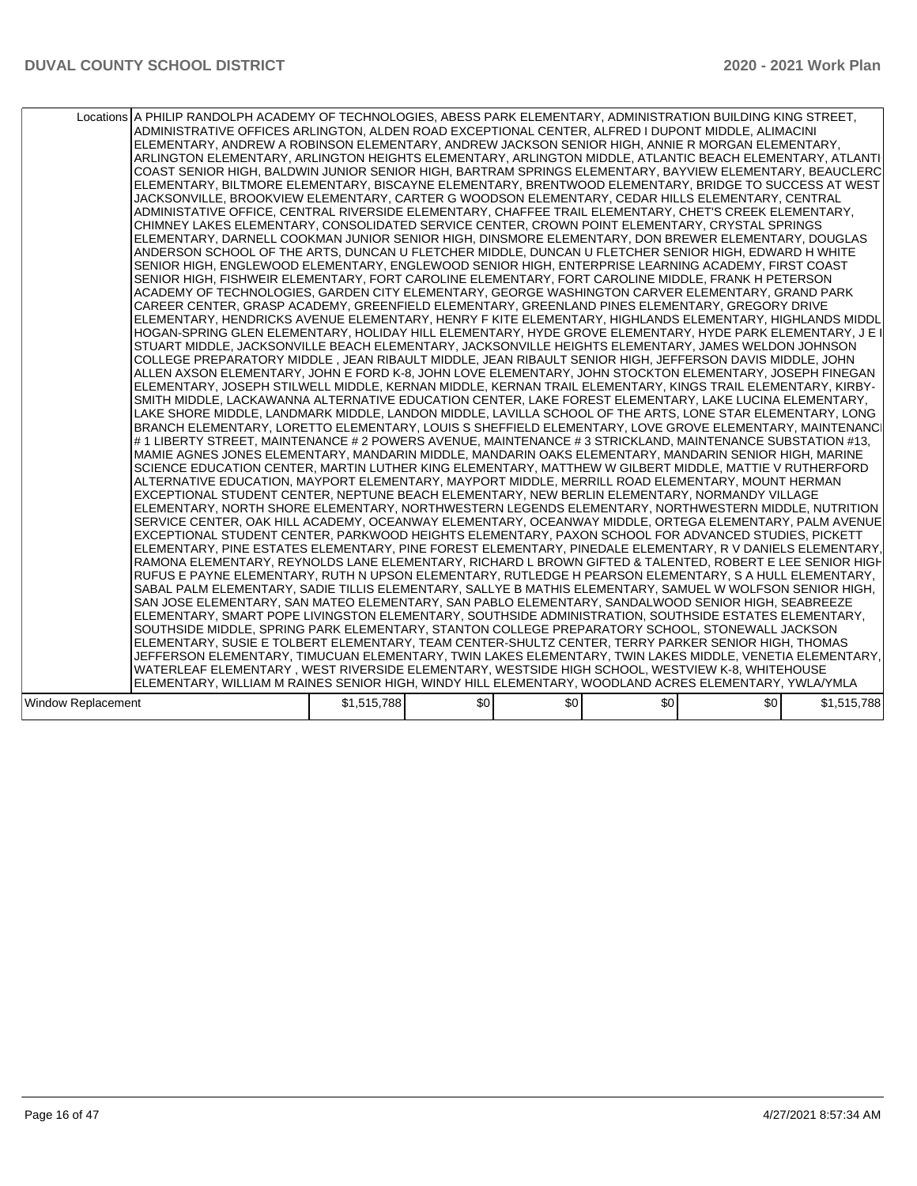|                    | Locations A PHILIP RANDOLPH ACADEMY OF TECHNOLOGIES, ABESS PARK ELEMENTARY, ADMINISTRATION BUILDING KING STREET,<br>ADMINISTRATIVE OFFICES ARLINGTON, ALDEN ROAD EXCEPTIONAL CENTER, ALFRED I DUPONT MIDDLE, ALIMACINI<br>ELEMENTARY, ANDREW A ROBINSON ELEMENTARY, ANDREW JACKSON SENIOR HIGH, ANNIE R MORGAN ELEMENTARY,<br>ARLINGTON ELEMENTARY, ARLINGTON HEIGHTS ELEMENTARY, ARLINGTON MIDDLE, ATLANTIC BEACH ELEMENTARY, ATLANTI<br>COAST SENIOR HIGH, BALDWIN JUNIOR SENIOR HIGH, BARTRAM SPRINGS ELEMENTARY, BAYVIEW ELEMENTARY, BEAUCLERC<br>ELEMENTARY, BILTMORE ELEMENTARY, BISCAYNE ELEMENTARY, BRENTWOOD ELEMENTARY, BRIDGE TO SUCCESS AT WEST<br>JACKSONVILLE, BROOKVIEW ELEMENTARY, CARTER G WOODSON ELEMENTARY, CEDAR HILLS ELEMENTARY, CENTRAL<br>ADMINISTATIVE OFFICE, CENTRAL RIVERSIDE ELEMENTARY, CHAFFEE TRAIL ELEMENTARY, CHET'S CREEK ELEMENTARY,<br>CHIMNEY LAKES ELEMENTARY, CONSOLIDATED SERVICE CENTER, CROWN POINT ELEMENTARY, CRYSTAL SPRINGS<br>ELEMENTARY, DARNELL COOKMAN JUNIOR SENIOR HIGH, DINSMORE ELEMENTARY, DON BREWER ELEMENTARY, DOUGLAS<br>ANDERSON SCHOOL OF THE ARTS, DUNCAN U FLETCHER MIDDLE, DUNCAN U FLETCHER SENIOR HIGH, EDWARD H WHITE<br>SENIOR HIGH, ENGLEWOOD ELEMENTARY, ENGLEWOOD SENIOR HIGH, ENTERPRISE LEARNING ACADEMY, FIRST COAST<br>SENIOR HIGH, FISHWEIR ELEMENTARY, FORT CAROLINE ELEMENTARY, FORT CAROLINE MIDDLE, FRANK H PETERSON<br>ACADEMY OF TECHNOLOGIES, GARDEN CITY ELEMENTARY, GEORGE WASHINGTON CARVER ELEMENTARY, GRAND PARK<br>CAREER CENTER, GRASP ACADEMY, GREENFIELD ELEMENTARY, GREENLAND PINES ELEMENTARY, GREGORY DRIVE<br>ELEMENTARY, HENDRICKS AVENUE ELEMENTARY, HENRY F KITE ELEMENTARY, HIGHLANDS ELEMENTARY, HIGHLANDS MIDDL<br>HOGAN-SPRING GLEN ELEMENTARY, HOLIDAY HILL ELEMENTARY, HYDE GROVE ELEMENTARY, HYDE PARK ELEMENTARY, J E I<br>STUART MIDDLE, JACKSONVILLE BEACH ELEMENTARY, JACKSONVILLE HEIGHTS ELEMENTARY, JAMES WELDON JOHNSON<br>COLLEGE PREPARATORY MIDDLE , JEAN RIBAULT MIDDLE, JEAN RIBAULT SENIOR HIGH, JEFFERSON DAVIS MIDDLE, JOHN<br>ALLEN AXSON ELEMENTARY, JOHN E FORD K-8, JOHN LOVE ELEMENTARY, JOHN STOCKTON ELEMENTARY, JOSEPH FINEGAN<br>ELEMENTARY, JOSEPH STILWELL MIDDLE, KERNAN MIDDLE, KERNAN TRAIL ELEMENTARY, KINGS TRAIL ELEMENTARY, KIRBY-<br>SMITH MIDDLE, LACKAWANNA ALTERNATIVE EDUCATION CENTER, LAKE FOREST ELEMENTARY, LAKE LUCINA ELEMENTARY,<br>LAKE SHORE MIDDLE, LANDMARK MIDDLE, LANDON MIDDLE, LAVILLA SCHOOL OF THE ARTS, LONE STAR ELEMENTARY, LONG<br>BRANCH ELEMENTARY, LORETTO ELEMENTARY, LOUIS S SHEFFIELD ELEMENTARY, LOVE GROVE ELEMENTARY, MAINTENANCI<br># 1 LIBERTY STREET, MAINTENANCE # 2 POWERS AVENUE, MAINTENANCE # 3 STRICKLAND, MAINTENANCE SUBSTATION #13,<br>MAMIE AGNES JONES ELEMENTARY, MANDARIN MIDDLE, MANDARIN OAKS ELEMENTARY, MANDARIN SENIOR HIGH, MARINE<br>SCIENCE EDUCATION CENTER, MARTIN LUTHER KING ELEMENTARY, MATTHEW W GILBERT MIDDLE, MATTIE V RUTHERFORD<br>ALTERNATIVE EDUCATION, MAYPORT ELEMENTARY, MAYPORT MIDDLE, MERRILL ROAD ELEMENTARY, MOUNT HERMAN<br>EXCEPTIONAL STUDENT CENTER, NEPTUNE BEACH ELEMENTARY, NEW BERLIN ELEMENTARY, NORMANDY VILLAGE<br>ELEMENTARY, NORTH SHORE ELEMENTARY, NORTHWESTERN LEGENDS ELEMENTARY, NORTHWESTERN MIDDLE, NUTRITION<br>SERVICE CENTER, OAK HILL ACADEMY, OCEANWAY ELEMENTARY, OCEANWAY MIDDLE, ORTEGA ELEMENTARY, PALM AVENUE<br>EXCEPTIONAL STUDENT CENTER, PARKWOOD HEIGHTS ELEMENTARY, PAXON SCHOOL FOR ADVANCED STUDIES, PICKETT<br>ELEMENTARY, PINE ESTATES ELEMENTARY, PINE FOREST ELEMENTARY, PINEDALE ELEMENTARY, R V DANIELS ELEMENTARY,<br>RAMONA ELEMENTARY, REYNOLDS LANE ELEMENTARY, RICHARD L BROWN GIFTED & TALENTED, ROBERT E LEE SENIOR HIGH<br>RUFUS E PAYNE ELEMENTARY, RUTH N UPSON ELEMENTARY, RUTLEDGE H PEARSON ELEMENTARY, S A HULL ELEMENTARY,<br>SABAL PALM ELEMENTARY, SADIE TILLIS ELEMENTARY, SALLYE B MATHIS ELEMENTARY, SAMUEL W WOLFSON SENIOR HIGH,<br>SAN JOSE ELEMENTARY, SAN MATEO ELEMENTARY, SAN PABLO ELEMENTARY, SANDALWOOD SENIOR HIGH, SEABREEZE<br>ELEMENTARY, SMART POPE LIVINGSTON ELEMENTARY, SOUTHSIDE ADMINISTRATION, SOUTHSIDE ESTATES ELEMENTARY,<br>SOUTHSIDE MIDDLE, SPRING PARK ELEMENTARY, STANTON COLLEGE PREPARATORY SCHOOL, STONEWALL JACKSON<br>ELEMENTARY, SUSIE E TOLBERT ELEMENTARY, TEAM CENTER-SHULTZ CENTER, TERRY PARKER SENIOR HIGH, THOMAS<br>JEFFERSON ELEMENTARY, TIMUCUAN ELEMENTARY, TWIN LAKES ELEMENTARY, TWIN LAKES MIDDLE, VENETIA ELEMENTARY,<br>WATERLEAF ELEMENTARY , WEST RIVERSIDE ELEMENTARY, WESTSIDE HIGH SCHOOL, WESTVIEW K-8, WHITEHOUSE<br>ELEMENTARY, WILLIAM M RAINES SENIOR HIGH, WINDY HILL ELEMENTARY, WOODLAND ACRES ELEMENTARY, YWLA/YMLA |             |     |     |     |     |             |
|--------------------|------------------------------------------------------------------------------------------------------------------------------------------------------------------------------------------------------------------------------------------------------------------------------------------------------------------------------------------------------------------------------------------------------------------------------------------------------------------------------------------------------------------------------------------------------------------------------------------------------------------------------------------------------------------------------------------------------------------------------------------------------------------------------------------------------------------------------------------------------------------------------------------------------------------------------------------------------------------------------------------------------------------------------------------------------------------------------------------------------------------------------------------------------------------------------------------------------------------------------------------------------------------------------------------------------------------------------------------------------------------------------------------------------------------------------------------------------------------------------------------------------------------------------------------------------------------------------------------------------------------------------------------------------------------------------------------------------------------------------------------------------------------------------------------------------------------------------------------------------------------------------------------------------------------------------------------------------------------------------------------------------------------------------------------------------------------------------------------------------------------------------------------------------------------------------------------------------------------------------------------------------------------------------------------------------------------------------------------------------------------------------------------------------------------------------------------------------------------------------------------------------------------------------------------------------------------------------------------------------------------------------------------------------------------------------------------------------------------------------------------------------------------------------------------------------------------------------------------------------------------------------------------------------------------------------------------------------------------------------------------------------------------------------------------------------------------------------------------------------------------------------------------------------------------------------------------------------------------------------------------------------------------------------------------------------------------------------------------------------------------------------------------------------------------------------------------------------------------------------------------------------------------------------------------------------------------------------------------------------------------------------------------------------------------------------------------------------------------------------------------------------------------------------------------------------------------------------------------------------------------------------------------------------------------------------------------------------------------------------------------------------------------------------------------------------------------------------------------------------------------------------------------------------------------------------------------------------------------------------------------------------------------------------------------------------------------------------------------------------------------------------------------------------------------------------------------------------------------------------------------------------------------------------------------------------------------------------------------------------------------------------------------------------------------------------------|-------------|-----|-----|-----|-----|-------------|
| Window Replacement |                                                                                                                                                                                                                                                                                                                                                                                                                                                                                                                                                                                                                                                                                                                                                                                                                                                                                                                                                                                                                                                                                                                                                                                                                                                                                                                                                                                                                                                                                                                                                                                                                                                                                                                                                                                                                                                                                                                                                                                                                                                                                                                                                                                                                                                                                                                                                                                                                                                                                                                                                                                                                                                                                                                                                                                                                                                                                                                                                                                                                                                                                                                                                                                                                                                                                                                                                                                                                                                                                                                                                                                                                                                                                                                                                                                                                                                                                                                                                                                                                                                                                                                                                                                                                                                                                                                                                                                                                                                                                                                                                                                                                                                                                    | \$1,515,788 | \$0 | \$0 | \$0 | \$0 | \$1,515,788 |
|                    |                                                                                                                                                                                                                                                                                                                                                                                                                                                                                                                                                                                                                                                                                                                                                                                                                                                                                                                                                                                                                                                                                                                                                                                                                                                                                                                                                                                                                                                                                                                                                                                                                                                                                                                                                                                                                                                                                                                                                                                                                                                                                                                                                                                                                                                                                                                                                                                                                                                                                                                                                                                                                                                                                                                                                                                                                                                                                                                                                                                                                                                                                                                                                                                                                                                                                                                                                                                                                                                                                                                                                                                                                                                                                                                                                                                                                                                                                                                                                                                                                                                                                                                                                                                                                                                                                                                                                                                                                                                                                                                                                                                                                                                                                    |             |     |     |     |     |             |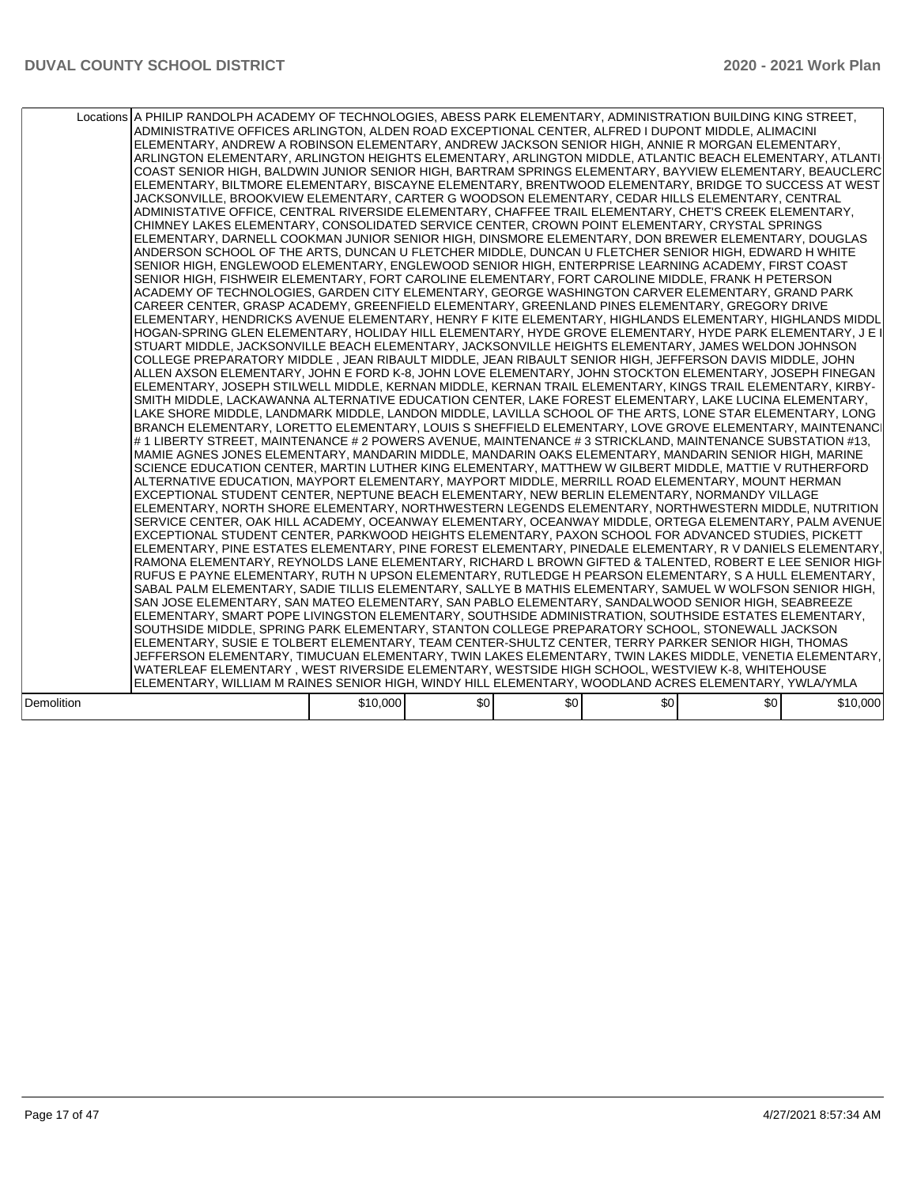|            | Locations A PHILIP RANDOLPH ACADEMY OF TECHNOLOGIES, ABESS PARK ELEMENTARY, ADMINISTRATION BUILDING KING STREET,<br>ADMINISTRATIVE OFFICES ARLINGTON, ALDEN ROAD EXCEPTIONAL CENTER, ALFRED I DUPONT MIDDLE, ALIMACINI<br>ELEMENTARY, ANDREW A ROBINSON ELEMENTARY, ANDREW JACKSON SENIOR HIGH, ANNIE R MORGAN ELEMENTARY,<br>ARLINGTON ELEMENTARY, ARLINGTON HEIGHTS ELEMENTARY, ARLINGTON MIDDLE, ATLANTIC BEACH ELEMENTARY, ATLANTI<br>ICOAST SENIOR HIGH. BALDWIN JUNIOR SENIOR HIGH. BARTRAM SPRINGS ELEMENTARY. BAYVIEW ELEMENTARY. BEAUCLERCI<br>ELEMENTARY, BILTMORE ELEMENTARY, BISCAYNE ELEMENTARY, BRENTWOOD ELEMENTARY, BRIDGE TO SUCCESS AT WEST<br>JACKSONVILLE, BROOKVIEW ELEMENTARY, CARTER G WOODSON ELEMENTARY, CEDAR HILLS ELEMENTARY, CENTRAL<br>ADMINISTATIVE OFFICE, CENTRAL RIVERSIDE ELEMENTARY, CHAFFEE TRAIL ELEMENTARY, CHET'S CREEK ELEMENTARY,<br>CHIMNEY LAKES ELEMENTARY, CONSOLIDATED SERVICE CENTER, CROWN POINT ELEMENTARY, CRYSTAL SPRINGS<br>ELEMENTARY, DARNELL COOKMAN JUNIOR SENIOR HIGH, DINSMORE ELEMENTARY, DON BREWER ELEMENTARY, DOUGLAS<br>ANDERSON SCHOOL OF THE ARTS, DUNCAN U FLETCHER MIDDLE, DUNCAN U FLETCHER SENIOR HIGH, EDWARD H WHITE<br>SENIOR HIGH, ENGLEWOOD ELEMENTARY, ENGLEWOOD SENIOR HIGH, ENTERPRISE LEARNING ACADEMY, FIRST COAST<br>ISENIOR HIGH. FISHWEIR ELEMENTARY. FORT CAROLINE ELEMENTARY. FORT CAROLINE MIDDLE. FRANK H PETERSON<br>ACADEMY OF TECHNOLOGIES, GARDEN CITY ELEMENTARY, GEORGE WASHINGTON CARVER ELEMENTARY, GRAND PARK<br>CAREER CENTER, GRASP ACADEMY, GREENFIELD ELEMENTARY, GREENLAND PINES ELEMENTARY, GREGORY DRIVE<br>ELEMENTARY, HENDRICKS AVENUE ELEMENTARY, HENRY F KITE ELEMENTARY, HIGHLANDS ELEMENTARY, HIGHLANDS MIDDL<br>HOGAN-SPRING GLEN ELEMENTARY, HOLIDAY HILL ELEMENTARY, HYDE GROVE ELEMENTARY, HYDE PARK ELEMENTARY, J E I<br>STUART MIDDLE, JACKSONVILLE BEACH ELEMENTARY, JACKSONVILLE HEIGHTS ELEMENTARY, JAMES WELDON JOHNSON<br>COLLEGE PREPARATORY MIDDLE , JEAN RIBAULT MIDDLE, JEAN RIBAULT SENIOR HIGH, JEFFERSON DAVIS MIDDLE, JOHN<br>ALLEN AXSON ELEMENTARY, JOHN E FORD K-8, JOHN LOVE ELEMENTARY, JOHN STOCKTON ELEMENTARY, JOSEPH FINEGAN<br>ELEMENTARY, JOSEPH STILWELL MIDDLE, KERNAN MIDDLE, KERNAN TRAIL ELEMENTARY, KINGS TRAIL ELEMENTARY, KIRBY-<br>SMITH MIDDLE, LACKAWANNA ALTERNATIVE EDUCATION CENTER, LAKE FOREST ELEMENTARY, LAKE LUCINA ELEMENTARY,<br>LAKE SHORE MIDDLE, LANDMARK MIDDLE, LANDON MIDDLE, LAVILLA SCHOOL OF THE ARTS, LONE STAR ELEMENTARY, LONG<br>BRANCH ELEMENTARY, LORETTO ELEMENTARY, LOUIS S SHEFFIELD ELEMENTARY, LOVE GROVE ELEMENTARY, MAINTENANCI<br># 1 LIBERTY STREET, MAINTENANCE # 2 POWERS AVENUE, MAINTENANCE # 3 STRICKLAND, MAINTENANCE SUBSTATION #13,<br>MAMIE AGNES JONES ELEMENTARY, MANDARIN MIDDLE, MANDARIN OAKS ELEMENTARY, MANDARIN SENIOR HIGH, MARINE<br>SCIENCE EDUCATION CENTER, MARTIN LUTHER KING ELEMENTARY, MATTHEW W GILBERT MIDDLE, MATTIE V RUTHERFORD<br>ALTERNATIVE EDUCATION, MAYPORT ELEMENTARY, MAYPORT MIDDLE, MERRILL ROAD ELEMENTARY, MOUNT HERMAN<br>EXCEPTIONAL STUDENT CENTER, NEPTUNE BEACH ELEMENTARY, NEW BERLIN ELEMENTARY, NORMANDY VILLAGE<br>ELEMENTARY, NORTH SHORE ELEMENTARY, NORTHWESTERN LEGENDS ELEMENTARY, NORTHWESTERN MIDDLE, NUTRITION<br>SERVICE CENTER, OAK HILL ACADEMY, OCEANWAY ELEMENTARY, OCEANWAY MIDDLE, ORTEGA ELEMENTARY, PALM AVENUE<br>EXCEPTIONAL STUDENT CENTER, PARKWOOD HEIGHTS ELEMENTARY, PAXON SCHOOL FOR ADVANCED STUDIES, PICKETT<br>ELEMENTARY, PINE ESTATES ELEMENTARY, PINE FOREST ELEMENTARY, PINEDALE ELEMENTARY, R V DANIELS ELEMENTARY,<br>RAMONA ELEMENTARY, REYNOLDS LANE ELEMENTARY, RICHARD L BROWN GIFTED & TALENTED, ROBERT E LEE SENIOR HIGH<br>IRUFUS E PAYNE ELEMENTARY. RUTH N UPSON ELEMENTARY. RUTLEDGE H PEARSON ELEMENTARY. S A HULL ELEMENTARY.<br>SABAL PALM ELEMENTARY, SADIE TILLIS ELEMENTARY, SALLYE B MATHIS ELEMENTARY, SAMUEL W WOLFSON SENIOR HIGH,<br>SAN JOSE ELEMENTARY, SAN MATEO ELEMENTARY, SAN PABLO ELEMENTARY, SANDALWOOD SENIOR HIGH, SEABREEZE<br>ELEMENTARY, SMART POPE LIVINGSTON ELEMENTARY, SOUTHSIDE ADMINISTRATION, SOUTHSIDE ESTATES ELEMENTARY,<br>SOUTHSIDE MIDDLE, SPRING PARK ELEMENTARY, STANTON COLLEGE PREPARATORY SCHOOL, STONEWALL JACKSON<br>ELEMENTARY, SUSIE E TOLBERT ELEMENTARY, TEAM CENTER-SHULTZ CENTER, TERRY PARKER SENIOR HIGH, THOMAS<br>JEFFERSON ELEMENTARY, TIMUCUAN ELEMENTARY, TWIN LAKES ELEMENTARY, TWIN LAKES MIDDLE, VENETIA ELEMENTARY,<br>WATERLEAF ELEMENTARY , WEST RIVERSIDE ELEMENTARY, WESTSIDE HIGH SCHOOL, WESTVIEW K-8, WHITEHOUSE<br>ELEMENTARY, WILLIAM M RAINES SENIOR HIGH, WINDY HILL ELEMENTARY, WOODLAND ACRES ELEMENTARY, YWLA/YMLA |          |     |     |     |     |          |
|------------|----------------------------------------------------------------------------------------------------------------------------------------------------------------------------------------------------------------------------------------------------------------------------------------------------------------------------------------------------------------------------------------------------------------------------------------------------------------------------------------------------------------------------------------------------------------------------------------------------------------------------------------------------------------------------------------------------------------------------------------------------------------------------------------------------------------------------------------------------------------------------------------------------------------------------------------------------------------------------------------------------------------------------------------------------------------------------------------------------------------------------------------------------------------------------------------------------------------------------------------------------------------------------------------------------------------------------------------------------------------------------------------------------------------------------------------------------------------------------------------------------------------------------------------------------------------------------------------------------------------------------------------------------------------------------------------------------------------------------------------------------------------------------------------------------------------------------------------------------------------------------------------------------------------------------------------------------------------------------------------------------------------------------------------------------------------------------------------------------------------------------------------------------------------------------------------------------------------------------------------------------------------------------------------------------------------------------------------------------------------------------------------------------------------------------------------------------------------------------------------------------------------------------------------------------------------------------------------------------------------------------------------------------------------------------------------------------------------------------------------------------------------------------------------------------------------------------------------------------------------------------------------------------------------------------------------------------------------------------------------------------------------------------------------------------------------------------------------------------------------------------------------------------------------------------------------------------------------------------------------------------------------------------------------------------------------------------------------------------------------------------------------------------------------------------------------------------------------------------------------------------------------------------------------------------------------------------------------------------------------------------------------------------------------------------------------------------------------------------------------------------------------------------------------------------------------------------------------------------------------------------------------------------------------------------------------------------------------------------------------------------------------------------------------------------------------------------------------------------------------------------------------------------------------------------------------------------------------------------------------------------------------------------------------------------------------------------------------------------------------------------------------------------------------------------------------------------------------------------------------------------------------------------------------------------------------------------------------------------------------------------------------------------------------------------------------|----------|-----|-----|-----|-----|----------|
| Demolition |                                                                                                                                                                                                                                                                                                                                                                                                                                                                                                                                                                                                                                                                                                                                                                                                                                                                                                                                                                                                                                                                                                                                                                                                                                                                                                                                                                                                                                                                                                                                                                                                                                                                                                                                                                                                                                                                                                                                                                                                                                                                                                                                                                                                                                                                                                                                                                                                                                                                                                                                                                                                                                                                                                                                                                                                                                                                                                                                                                                                                                                                                                                                                                                                                                                                                                                                                                                                                                                                                                                                                                                                                                                                                                                                                                                                                                                                                                                                                                                                                                                                                                                                                                                                                                                                                                                                                                                                                                                                                                                                                                                                                                                                                        | \$10,000 | \$0 | \$0 | \$0 | \$0 | \$10,000 |
|            |                                                                                                                                                                                                                                                                                                                                                                                                                                                                                                                                                                                                                                                                                                                                                                                                                                                                                                                                                                                                                                                                                                                                                                                                                                                                                                                                                                                                                                                                                                                                                                                                                                                                                                                                                                                                                                                                                                                                                                                                                                                                                                                                                                                                                                                                                                                                                                                                                                                                                                                                                                                                                                                                                                                                                                                                                                                                                                                                                                                                                                                                                                                                                                                                                                                                                                                                                                                                                                                                                                                                                                                                                                                                                                                                                                                                                                                                                                                                                                                                                                                                                                                                                                                                                                                                                                                                                                                                                                                                                                                                                                                                                                                                                        |          |     |     |     |     |          |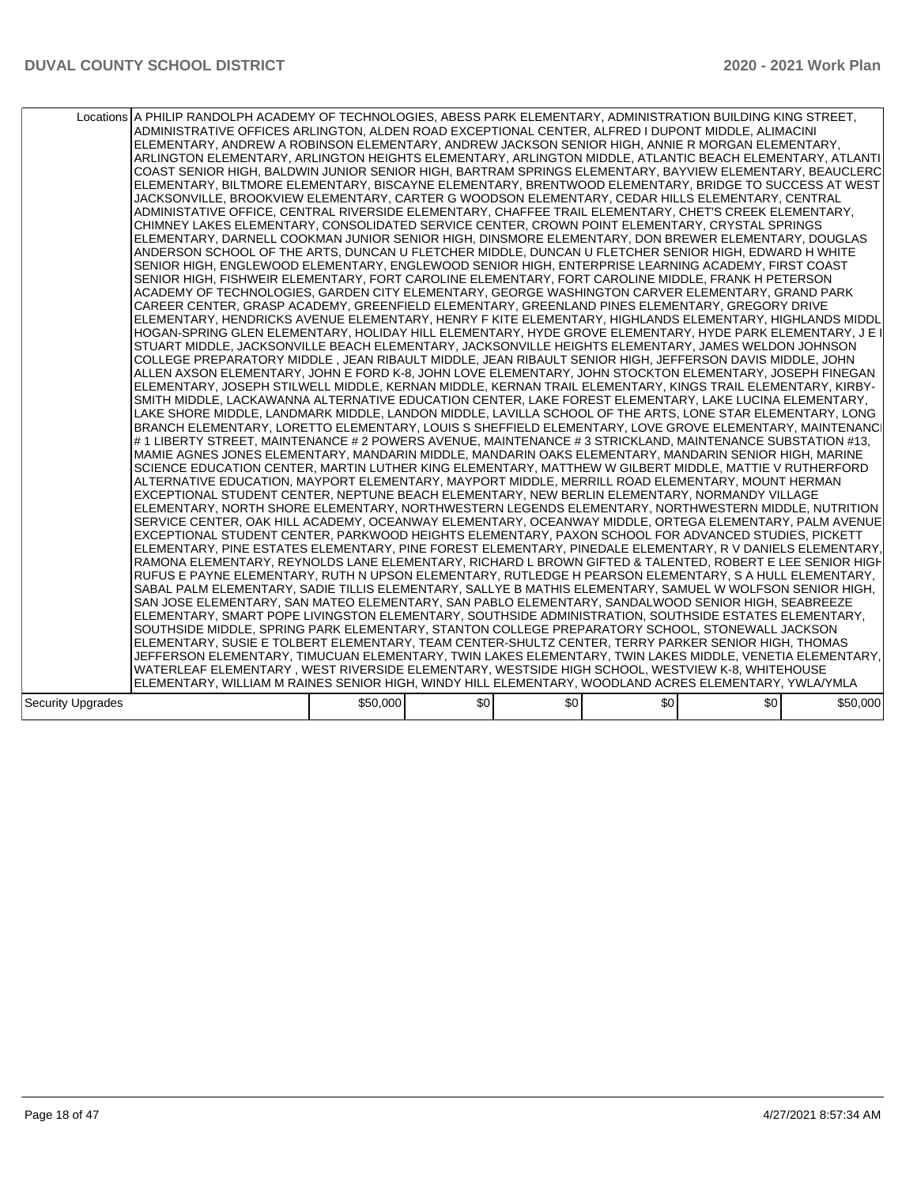|                   | Locations A PHILIP RANDOLPH ACADEMY OF TECHNOLOGIES, ABESS PARK ELEMENTARY, ADMINISTRATION BUILDING KING STREET,<br>ADMINISTRATIVE OFFICES ARLINGTON, ALDEN ROAD EXCEPTIONAL CENTER, ALFRED I DUPONT MIDDLE, ALIMACINI<br>ELEMENTARY, ANDREW A ROBINSON ELEMENTARY, ANDREW JACKSON SENIOR HIGH, ANNIE R MORGAN ELEMENTARY,<br>ARLINGTON ELEMENTARY, ARLINGTON HEIGHTS ELEMENTARY, ARLINGTON MIDDLE, ATLANTIC BEACH ELEMENTARY, ATLANTI<br>COAST SENIOR HIGH, BALDWIN JUNIOR SENIOR HIGH, BARTRAM SPRINGS ELEMENTARY, BAYVIEW ELEMENTARY, BEAUCLERC<br>ELEMENTARY, BILTMORE ELEMENTARY, BISCAYNE ELEMENTARY, BRENTWOOD ELEMENTARY, BRIDGE TO SUCCESS AT WEST<br>JACKSONVILLE, BROOKVIEW ELEMENTARY, CARTER G WOODSON ELEMENTARY, CEDAR HILLS ELEMENTARY, CENTRAL<br>ADMINISTATIVE OFFICE, CENTRAL RIVERSIDE ELEMENTARY, CHAFFEE TRAIL ELEMENTARY, CHET'S CREEK ELEMENTARY,<br>CHIMNEY LAKES ELEMENTARY, CONSOLIDATED SERVICE CENTER, CROWN POINT ELEMENTARY, CRYSTAL SPRINGS<br>ELEMENTARY, DARNELL COOKMAN JUNIOR SENIOR HIGH, DINSMORE ELEMENTARY, DON BREWER ELEMENTARY, DOUGLAS<br>ANDERSON SCHOOL OF THE ARTS, DUNCAN U FLETCHER MIDDLE, DUNCAN U FLETCHER SENIOR HIGH, EDWARD H WHITE<br>SENIOR HIGH, ENGLEWOOD ELEMENTARY, ENGLEWOOD SENIOR HIGH, ENTERPRISE LEARNING ACADEMY, FIRST COAST<br>SENIOR HIGH, FISHWEIR ELEMENTARY, FORT CAROLINE ELEMENTARY, FORT CAROLINE MIDDLE, FRANK H PETERSON<br>ACADEMY OF TECHNOLOGIES, GARDEN CITY ELEMENTARY, GEORGE WASHINGTON CARVER ELEMENTARY, GRAND PARK<br>CAREER CENTER, GRASP ACADEMY, GREENFIELD ELEMENTARY, GREENLAND PINES ELEMENTARY, GREGORY DRIVE<br>ELEMENTARY, HENDRICKS AVENUE ELEMENTARY, HENRY F KITE ELEMENTARY, HIGHLANDS ELEMENTARY, HIGHLANDS MIDDL<br>HOGAN-SPRING GLEN ELEMENTARY, HOLIDAY HILL ELEMENTARY, HYDE GROVE ELEMENTARY, HYDE PARK ELEMENTARY, J E I<br>STUART MIDDLE, JACKSONVILLE BEACH ELEMENTARY, JACKSONVILLE HEIGHTS ELEMENTARY, JAMES WELDON JOHNSON<br>COLLEGE PREPARATORY MIDDLE , JEAN RIBAULT MIDDLE, JEAN RIBAULT SENIOR HIGH, JEFFERSON DAVIS MIDDLE, JOHN<br>ALLEN AXSON ELEMENTARY, JOHN E FORD K-8, JOHN LOVE ELEMENTARY, JOHN STOCKTON ELEMENTARY, JOSEPH FINEGAN<br>ELEMENTARY, JOSEPH STILWELL MIDDLE, KERNAN MIDDLE, KERNAN TRAIL ELEMENTARY, KINGS TRAIL ELEMENTARY, KIRBY-<br>SMITH MIDDLE. LACKAWANNA ALTERNATIVE EDUCATION CENTER. LAKE FOREST ELEMENTARY. LAKE LUCINA ELEMENTARY.<br>LAKE SHORE MIDDLE, LANDMARK MIDDLE, LANDON MIDDLE, LAVILLA SCHOOL OF THE ARTS, LONE STAR ELEMENTARY, LONG<br>BRANCH ELEMENTARY, LORETTO ELEMENTARY, LOUIS S SHEFFIELD ELEMENTARY, LOVE GROVE ELEMENTARY, MAINTENANCI<br># 1 LIBERTY STREET, MAINTENANCE # 2 POWERS AVENUE, MAINTENANCE # 3 STRICKLAND, MAINTENANCE SUBSTATION #13,<br>MAMIE AGNES JONES ELEMENTARY, MANDARIN MIDDLE, MANDARIN OAKS ELEMENTARY, MANDARIN SENIOR HIGH, MARINE<br>SCIENCE EDUCATION CENTER, MARTIN LUTHER KING ELEMENTARY, MATTHEW W GILBERT MIDDLE, MATTIE V RUTHERFORD<br>ALTERNATIVE EDUCATION, MAYPORT ELEMENTARY, MAYPORT MIDDLE, MERRILL ROAD ELEMENTARY, MOUNT HERMAN<br>EXCEPTIONAL STUDENT CENTER, NEPTUNE BEACH ELEMENTARY, NEW BERLIN ELEMENTARY, NORMANDY VILLAGE<br>ELEMENTARY, NORTH SHORE ELEMENTARY, NORTHWESTERN LEGENDS ELEMENTARY, NORTHWESTERN MIDDLE, NUTRITION<br>SERVICE CENTER, OAK HILL ACADEMY, OCEANWAY ELEMENTARY, OCEANWAY MIDDLE, ORTEGA ELEMENTARY, PALM AVENUE<br>EXCEPTIONAL STUDENT CENTER, PARKWOOD HEIGHTS ELEMENTARY, PAXON SCHOOL FOR ADVANCED STUDIES, PICKETT<br>ELEMENTARY, PINE ESTATES ELEMENTARY, PINE FOREST ELEMENTARY, PINEDALE ELEMENTARY, R V DANIELS ELEMENTARY,<br>RAMONA ELEMENTARY, REYNOLDS LANE ELEMENTARY, RICHARD L BROWN GIFTED & TALENTED, ROBERT E LEE SENIOR HIGH<br>RUFUS E PAYNE ELEMENTARY, RUTH N UPSON ELEMENTARY, RUTLEDGE H PEARSON ELEMENTARY, S A HULL ELEMENTARY,<br>SABAL PALM ELEMENTARY. SADIE TILLIS ELEMENTARY. SALLYE B MATHIS ELEMENTARY. SAMUEL W WOLFSON SENIOR HIGH.<br>SAN JOSE ELEMENTARY, SAN MATEO ELEMENTARY, SAN PABLO ELEMENTARY, SANDALWOOD SENIOR HIGH, SEABREEZE<br>ELEMENTARY, SMART POPE LIVINGSTON ELEMENTARY, SOUTHSIDE ADMINISTRATION, SOUTHSIDE ESTATES ELEMENTARY,<br>SOUTHSIDE MIDDLE, SPRING PARK ELEMENTARY, STANTON COLLEGE PREPARATORY SCHOOL, STONEWALL JACKSON<br>ELEMENTARY, SUSIE E TOLBERT ELEMENTARY, TEAM CENTER-SHULTZ CENTER, TERRY PARKER SENIOR HIGH, THOMAS<br>JEFFERSON ELEMENTARY, TIMUCUAN ELEMENTARY, TWIN LAKES ELEMENTARY, TWIN LAKES MIDDLE, VENETIA ELEMENTARY,<br>WATERLEAF ELEMENTARY , WEST RIVERSIDE ELEMENTARY, WESTSIDE HIGH SCHOOL, WESTVIEW K-8, WHITEHOUSE<br>ELEMENTARY, WILLIAM M RAINES SENIOR HIGH, WINDY HILL ELEMENTARY, WOODLAND ACRES ELEMENTARY, YWLA/YMLA |          |     |     |     |     |          |
|-------------------|------------------------------------------------------------------------------------------------------------------------------------------------------------------------------------------------------------------------------------------------------------------------------------------------------------------------------------------------------------------------------------------------------------------------------------------------------------------------------------------------------------------------------------------------------------------------------------------------------------------------------------------------------------------------------------------------------------------------------------------------------------------------------------------------------------------------------------------------------------------------------------------------------------------------------------------------------------------------------------------------------------------------------------------------------------------------------------------------------------------------------------------------------------------------------------------------------------------------------------------------------------------------------------------------------------------------------------------------------------------------------------------------------------------------------------------------------------------------------------------------------------------------------------------------------------------------------------------------------------------------------------------------------------------------------------------------------------------------------------------------------------------------------------------------------------------------------------------------------------------------------------------------------------------------------------------------------------------------------------------------------------------------------------------------------------------------------------------------------------------------------------------------------------------------------------------------------------------------------------------------------------------------------------------------------------------------------------------------------------------------------------------------------------------------------------------------------------------------------------------------------------------------------------------------------------------------------------------------------------------------------------------------------------------------------------------------------------------------------------------------------------------------------------------------------------------------------------------------------------------------------------------------------------------------------------------------------------------------------------------------------------------------------------------------------------------------------------------------------------------------------------------------------------------------------------------------------------------------------------------------------------------------------------------------------------------------------------------------------------------------------------------------------------------------------------------------------------------------------------------------------------------------------------------------------------------------------------------------------------------------------------------------------------------------------------------------------------------------------------------------------------------------------------------------------------------------------------------------------------------------------------------------------------------------------------------------------------------------------------------------------------------------------------------------------------------------------------------------------------------------------------------------------------------------------------------------------------------------------------------------------------------------------------------------------------------------------------------------------------------------------------------------------------------------------------------------------------------------------------------------------------------------------------------------------------------------------------------------------------------------------------------------------------------------------------|----------|-----|-----|-----|-----|----------|
| Security Upgrades |                                                                                                                                                                                                                                                                                                                                                                                                                                                                                                                                                                                                                                                                                                                                                                                                                                                                                                                                                                                                                                                                                                                                                                                                                                                                                                                                                                                                                                                                                                                                                                                                                                                                                                                                                                                                                                                                                                                                                                                                                                                                                                                                                                                                                                                                                                                                                                                                                                                                                                                                                                                                                                                                                                                                                                                                                                                                                                                                                                                                                                                                                                                                                                                                                                                                                                                                                                                                                                                                                                                                                                                                                                                                                                                                                                                                                                                                                                                                                                                                                                                                                                                                                                                                                                                                                                                                                                                                                                                                                                                                                                                                                                                                                    | \$50,000 | \$0 | \$0 | \$0 | \$0 | \$50,000 |
|                   |                                                                                                                                                                                                                                                                                                                                                                                                                                                                                                                                                                                                                                                                                                                                                                                                                                                                                                                                                                                                                                                                                                                                                                                                                                                                                                                                                                                                                                                                                                                                                                                                                                                                                                                                                                                                                                                                                                                                                                                                                                                                                                                                                                                                                                                                                                                                                                                                                                                                                                                                                                                                                                                                                                                                                                                                                                                                                                                                                                                                                                                                                                                                                                                                                                                                                                                                                                                                                                                                                                                                                                                                                                                                                                                                                                                                                                                                                                                                                                                                                                                                                                                                                                                                                                                                                                                                                                                                                                                                                                                                                                                                                                                                                    |          |     |     |     |     |          |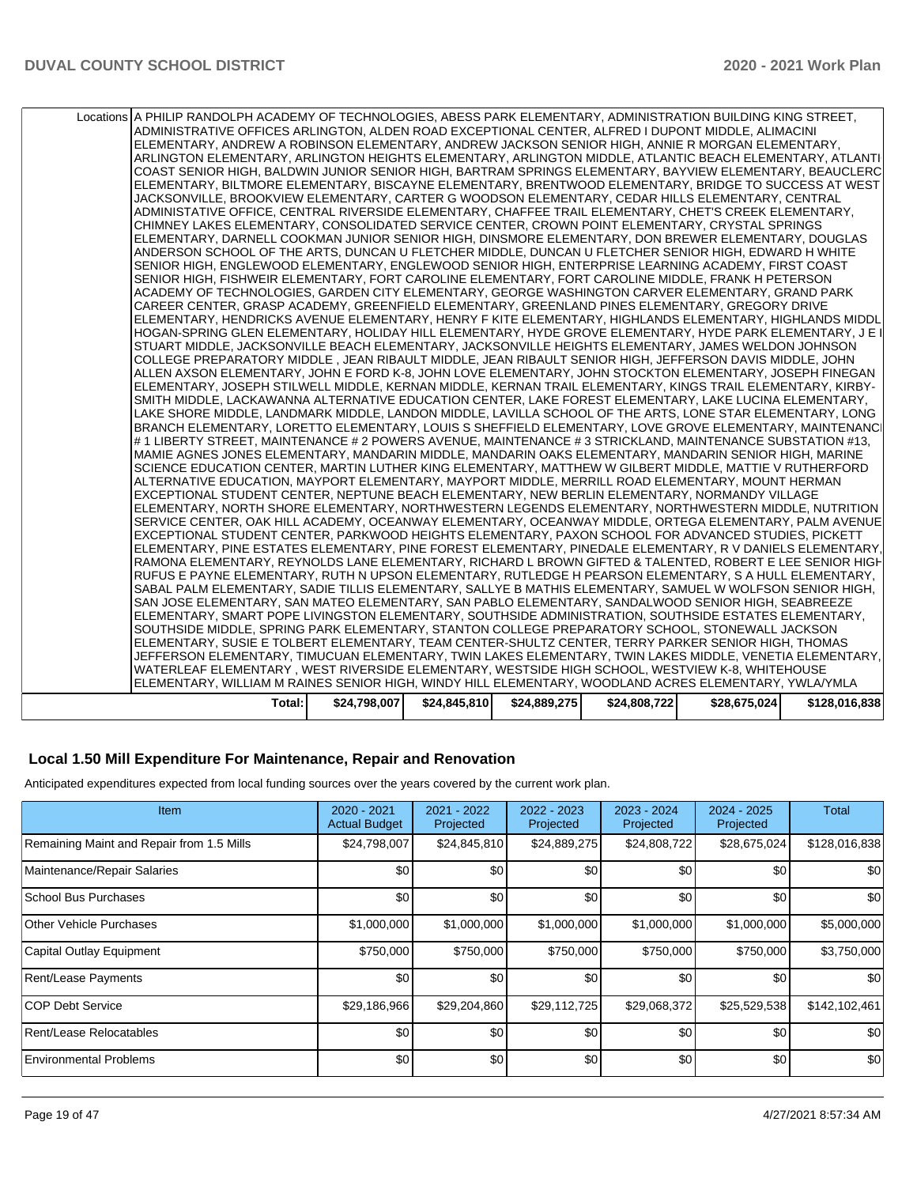| ADMINISTRATIVE OFFICES ARLINGTON, ALDEN ROAD EXCEPTIONAL CENTER, ALFRED I DUPONT MIDDLE, ALIMACINI<br>ELEMENTARY, ANDREW A ROBINSON ELEMENTARY, ANDREW JACKSON SENIOR HIGH, ANNIE R MORGAN ELEMENTARY,<br> ARLINGTON ELEMENTARY, ARLINGTON HEIGHTS ELEMENTARY, ARLINGTON MIDDLE, ATLANTIC BEACH ELEMENTARY, ATLANTI<br>COAST SENIOR HIGH, BALDWIN JUNIOR SENIOR HIGH, BARTRAM SPRINGS ELEMENTARY, BAYVIEW ELEMENTARY, BEAUCLERC<br>ELEMENTARY, BILTMORE ELEMENTARY, BISCAYNE ELEMENTARY, BRENTWOOD ELEMENTARY, BRIDGE TO SUCCESS AT WEST<br>JACKSONVILLE, BROOKVIEW ELEMENTARY, CARTER G WOODSON ELEMENTARY, CEDAR HILLS ELEMENTARY, CENTRAL<br>ADMINISTATIVE OFFICE, CENTRAL RIVERSIDE ELEMENTARY, CHAFFEE TRAIL ELEMENTARY, CHET'S CREEK ELEMENTARY,<br>CHIMNEY LAKES ELEMENTARY, CONSOLIDATED SERVICE CENTER, CROWN POINT ELEMENTARY, CRYSTAL SPRINGS<br>ELEMENTARY, DARNELL COOKMAN JUNIOR SENIOR HIGH, DINSMORE ELEMENTARY, DON BREWER ELEMENTARY, DOUGLAS<br>ANDERSON SCHOOL OF THE ARTS. DUNCAN U FLETCHER MIDDLE. DUNCAN U FLETCHER SENIOR HIGH. EDWARD H WHITE<br>SENIOR HIGH, ENGLEWOOD ELEMENTARY, ENGLEWOOD SENIOR HIGH, ENTERPRISE LEARNING ACADEMY, FIRST COAST<br>SENIOR HIGH, FISHWEIR ELEMENTARY, FORT CAROLINE ELEMENTARY, FORT CAROLINE MIDDLE, FRANK H PETERSON<br>ACADEMY OF TECHNOLOGIES, GARDEN CITY ELEMENTARY, GEORGE WASHINGTON CARVER ELEMENTARY, GRAND PARK<br>CAREER CENTER, GRASP ACADEMY, GREENFIELD ELEMENTARY, GREENLAND PINES ELEMENTARY, GREGORY DRIVE<br>ELEMENTARY, HENDRICKS AVENUE ELEMENTARY, HENRY F KITE ELEMENTARY, HIGHLANDS ELEMENTARY, HIGHLANDS MIDDL<br>HOGAN-SPRING GLEN ELEMENTARY, HOLIDAY HILL ELEMENTARY, HYDE GROVE ELEMENTARY, HYDE PARK ELEMENTARY, J E I<br>STUART MIDDLE, JACKSONVILLE BEACH ELEMENTARY, JACKSONVILLE HEIGHTS ELEMENTARY, JAMES WELDON JOHNSON<br>COLLEGE PREPARATORY MIDDLE , JEAN RIBAULT MIDDLE, JEAN RIBAULT SENIOR HIGH, JEFFERSON DAVIS MIDDLE, JOHN<br>ALLEN AXSON ELEMENTARY, JOHN E FORD K-8, JOHN LOVE ELEMENTARY, JOHN STOCKTON ELEMENTARY, JOSEPH FINEGAN<br>ELEMENTARY, JOSEPH STILWELL MIDDLE, KERNAN MIDDLE, KERNAN TRAIL ELEMENTARY, KINGS TRAIL ELEMENTARY, KIRBY-<br>SMITH MIDDLE, LACKAWANNA ALTERNATIVE EDUCATION CENTER, LAKE FOREST ELEMENTARY, LAKE LUCINA ELEMENTARY,<br>LAKE SHORE MIDDLE, LANDMARK MIDDLE, LANDON MIDDLE, LAVILLA SCHOOL OF THE ARTS, LONE STAR ELEMENTARY, LONG<br>BRANCH ELEMENTARY, LORETTO ELEMENTARY, LOUIS S SHEFFIELD ELEMENTARY, LOVE GROVE ELEMENTARY, MAINTENANCI<br># 1 LIBERTY STREET, MAINTENANCE # 2 POWERS AVENUE, MAINTENANCE # 3 STRICKLAND, MAINTENANCE SUBSTATION #13,<br>MAMIE AGNES JONES ELEMENTARY, MANDARIN MIDDLE, MANDARIN OAKS ELEMENTARY, MANDARIN SENIOR HIGH, MARINE<br>SCIENCE EDUCATION CENTER, MARTIN LUTHER KING ELEMENTARY, MATTHEW W GILBERT MIDDLE, MATTIE V RUTHERFORD<br>ALTERNATIVE EDUCATION, MAYPORT ELEMENTARY, MAYPORT MIDDLE, MERRILL ROAD ELEMENTARY, MOUNT HERMAN<br>EXCEPTIONAL STUDENT CENTER, NEPTUNE BEACH ELEMENTARY, NEW BERLIN ELEMENTARY, NORMANDY VILLAGE<br>IELEMENTARY. NORTH SHORE ELEMENTARY. NORTHWESTERN LEGENDS ELEMENTARY. NORTHWESTERN MIDDLE. NUTRITION<br>SERVICE CENTER, OAK HILL ACADEMY, OCEANWAY ELEMENTARY, OCEANWAY MIDDLE, ORTEGA ELEMENTARY, PALM AVENUE<br>EXCEPTIONAL STUDENT CENTER, PARKWOOD HEIGHTS ELEMENTARY, PAXON SCHOOL FOR ADVANCED STUDIES, PICKETT<br>ELEMENTARY, PINE ESTATES ELEMENTARY, PINE FOREST ELEMENTARY, PINEDALE ELEMENTARY, R V DANIELS ELEMENTARY,<br>RAMONA ELEMENTARY, REYNOLDS LANE ELEMENTARY, RICHARD L BROWN GIFTED & TALENTED, ROBERT E LEE SENIOR HIGH<br>IRUFUS E PAYNE ELEMENTARY, RUTH N UPSON ELEMENTARY, RUTLEDGE H PEARSON ELEMENTARY, S A HULL ELEMENTARY,<br>SABAL PALM ELEMENTARY, SADIE TILLIS ELEMENTARY, SALLYE B MATHIS ELEMENTARY, SAMUEL W WOLFSON SENIOR HIGH,<br>SAN JOSE ELEMENTARY, SAN MATEO ELEMENTARY, SAN PABLO ELEMENTARY, SANDALWOOD SENIOR HIGH, SEABREEZE<br>ELEMENTARY, SMART POPE LIVINGSTON ELEMENTARY, SOUTHSIDE ADMINISTRATION, SOUTHSIDE ESTATES ELEMENTARY,<br>SOUTHSIDE MIDDLE, SPRING PARK ELEMENTARY, STANTON COLLEGE PREPARATORY SCHOOL, STONEWALL JACKSON<br>ELEMENTARY, SUSIE E TOLBERT ELEMENTARY, TEAM CENTER-SHULTZ CENTER, TERRY PARKER SENIOR HIGH, THOMAS<br>JEFFERSON ELEMENTARY, TIMUCUAN ELEMENTARY, TWIN LAKES ELEMENTARY, TWIN LAKES MIDDLE, VENETIA ELEMENTARY,<br>WATERLEAF ELEMENTARY , WEST RIVERSIDE ELEMENTARY, WESTSIDE HIGH SCHOOL, WESTVIEW K-8, WHITEHOUSE<br>ELEMENTARY, WILLIAM M RAINES SENIOR HIGH, WINDY HILL ELEMENTARY, WOODLAND ACRES ELEMENTARY, YWLAYMLA<br>\$24,845,810<br>Total:<br>\$24,798,007<br>\$24,889,275<br>\$24,808,722<br>\$28,675,024 | Locations A PHILIP RANDOLPH ACADEMY OF TECHNOLOGIES, ABESS PARK ELEMENTARY, ADMINISTRATION BUILDING KING STREET, |  |  |               |
|------------------------------------------------------------------------------------------------------------------------------------------------------------------------------------------------------------------------------------------------------------------------------------------------------------------------------------------------------------------------------------------------------------------------------------------------------------------------------------------------------------------------------------------------------------------------------------------------------------------------------------------------------------------------------------------------------------------------------------------------------------------------------------------------------------------------------------------------------------------------------------------------------------------------------------------------------------------------------------------------------------------------------------------------------------------------------------------------------------------------------------------------------------------------------------------------------------------------------------------------------------------------------------------------------------------------------------------------------------------------------------------------------------------------------------------------------------------------------------------------------------------------------------------------------------------------------------------------------------------------------------------------------------------------------------------------------------------------------------------------------------------------------------------------------------------------------------------------------------------------------------------------------------------------------------------------------------------------------------------------------------------------------------------------------------------------------------------------------------------------------------------------------------------------------------------------------------------------------------------------------------------------------------------------------------------------------------------------------------------------------------------------------------------------------------------------------------------------------------------------------------------------------------------------------------------------------------------------------------------------------------------------------------------------------------------------------------------------------------------------------------------------------------------------------------------------------------------------------------------------------------------------------------------------------------------------------------------------------------------------------------------------------------------------------------------------------------------------------------------------------------------------------------------------------------------------------------------------------------------------------------------------------------------------------------------------------------------------------------------------------------------------------------------------------------------------------------------------------------------------------------------------------------------------------------------------------------------------------------------------------------------------------------------------------------------------------------------------------------------------------------------------------------------------------------------------------------------------------------------------------------------------------------------------------------------------------------------------------------------------------------------------------------------------------------------------------------------------------------------------------------------------------------------------------------------------------------------------------------------------------------------------------------------------------------------------------------------------------------------------------------------------------------------------------------------------------------------------------------------------------------------------------------------------------------------------------------------------------------------------------------------------------------|------------------------------------------------------------------------------------------------------------------|--|--|---------------|
|                                                                                                                                                                                                                                                                                                                                                                                                                                                                                                                                                                                                                                                                                                                                                                                                                                                                                                                                                                                                                                                                                                                                                                                                                                                                                                                                                                                                                                                                                                                                                                                                                                                                                                                                                                                                                                                                                                                                                                                                                                                                                                                                                                                                                                                                                                                                                                                                                                                                                                                                                                                                                                                                                                                                                                                                                                                                                                                                                                                                                                                                                                                                                                                                                                                                                                                                                                                                                                                                                                                                                                                                                                                                                                                                                                                                                                                                                                                                                                                                                                                                                                                                                                                                                                                                                                                                                                                                                                                                                                                                                                                                                                                            |                                                                                                                  |  |  |               |
|                                                                                                                                                                                                                                                                                                                                                                                                                                                                                                                                                                                                                                                                                                                                                                                                                                                                                                                                                                                                                                                                                                                                                                                                                                                                                                                                                                                                                                                                                                                                                                                                                                                                                                                                                                                                                                                                                                                                                                                                                                                                                                                                                                                                                                                                                                                                                                                                                                                                                                                                                                                                                                                                                                                                                                                                                                                                                                                                                                                                                                                                                                                                                                                                                                                                                                                                                                                                                                                                                                                                                                                                                                                                                                                                                                                                                                                                                                                                                                                                                                                                                                                                                                                                                                                                                                                                                                                                                                                                                                                                                                                                                                                            |                                                                                                                  |  |  |               |
|                                                                                                                                                                                                                                                                                                                                                                                                                                                                                                                                                                                                                                                                                                                                                                                                                                                                                                                                                                                                                                                                                                                                                                                                                                                                                                                                                                                                                                                                                                                                                                                                                                                                                                                                                                                                                                                                                                                                                                                                                                                                                                                                                                                                                                                                                                                                                                                                                                                                                                                                                                                                                                                                                                                                                                                                                                                                                                                                                                                                                                                                                                                                                                                                                                                                                                                                                                                                                                                                                                                                                                                                                                                                                                                                                                                                                                                                                                                                                                                                                                                                                                                                                                                                                                                                                                                                                                                                                                                                                                                                                                                                                                                            |                                                                                                                  |  |  |               |
|                                                                                                                                                                                                                                                                                                                                                                                                                                                                                                                                                                                                                                                                                                                                                                                                                                                                                                                                                                                                                                                                                                                                                                                                                                                                                                                                                                                                                                                                                                                                                                                                                                                                                                                                                                                                                                                                                                                                                                                                                                                                                                                                                                                                                                                                                                                                                                                                                                                                                                                                                                                                                                                                                                                                                                                                                                                                                                                                                                                                                                                                                                                                                                                                                                                                                                                                                                                                                                                                                                                                                                                                                                                                                                                                                                                                                                                                                                                                                                                                                                                                                                                                                                                                                                                                                                                                                                                                                                                                                                                                                                                                                                                            |                                                                                                                  |  |  |               |
|                                                                                                                                                                                                                                                                                                                                                                                                                                                                                                                                                                                                                                                                                                                                                                                                                                                                                                                                                                                                                                                                                                                                                                                                                                                                                                                                                                                                                                                                                                                                                                                                                                                                                                                                                                                                                                                                                                                                                                                                                                                                                                                                                                                                                                                                                                                                                                                                                                                                                                                                                                                                                                                                                                                                                                                                                                                                                                                                                                                                                                                                                                                                                                                                                                                                                                                                                                                                                                                                                                                                                                                                                                                                                                                                                                                                                                                                                                                                                                                                                                                                                                                                                                                                                                                                                                                                                                                                                                                                                                                                                                                                                                                            |                                                                                                                  |  |  |               |
|                                                                                                                                                                                                                                                                                                                                                                                                                                                                                                                                                                                                                                                                                                                                                                                                                                                                                                                                                                                                                                                                                                                                                                                                                                                                                                                                                                                                                                                                                                                                                                                                                                                                                                                                                                                                                                                                                                                                                                                                                                                                                                                                                                                                                                                                                                                                                                                                                                                                                                                                                                                                                                                                                                                                                                                                                                                                                                                                                                                                                                                                                                                                                                                                                                                                                                                                                                                                                                                                                                                                                                                                                                                                                                                                                                                                                                                                                                                                                                                                                                                                                                                                                                                                                                                                                                                                                                                                                                                                                                                                                                                                                                                            |                                                                                                                  |  |  |               |
|                                                                                                                                                                                                                                                                                                                                                                                                                                                                                                                                                                                                                                                                                                                                                                                                                                                                                                                                                                                                                                                                                                                                                                                                                                                                                                                                                                                                                                                                                                                                                                                                                                                                                                                                                                                                                                                                                                                                                                                                                                                                                                                                                                                                                                                                                                                                                                                                                                                                                                                                                                                                                                                                                                                                                                                                                                                                                                                                                                                                                                                                                                                                                                                                                                                                                                                                                                                                                                                                                                                                                                                                                                                                                                                                                                                                                                                                                                                                                                                                                                                                                                                                                                                                                                                                                                                                                                                                                                                                                                                                                                                                                                                            |                                                                                                                  |  |  |               |
|                                                                                                                                                                                                                                                                                                                                                                                                                                                                                                                                                                                                                                                                                                                                                                                                                                                                                                                                                                                                                                                                                                                                                                                                                                                                                                                                                                                                                                                                                                                                                                                                                                                                                                                                                                                                                                                                                                                                                                                                                                                                                                                                                                                                                                                                                                                                                                                                                                                                                                                                                                                                                                                                                                                                                                                                                                                                                                                                                                                                                                                                                                                                                                                                                                                                                                                                                                                                                                                                                                                                                                                                                                                                                                                                                                                                                                                                                                                                                                                                                                                                                                                                                                                                                                                                                                                                                                                                                                                                                                                                                                                                                                                            |                                                                                                                  |  |  |               |
|                                                                                                                                                                                                                                                                                                                                                                                                                                                                                                                                                                                                                                                                                                                                                                                                                                                                                                                                                                                                                                                                                                                                                                                                                                                                                                                                                                                                                                                                                                                                                                                                                                                                                                                                                                                                                                                                                                                                                                                                                                                                                                                                                                                                                                                                                                                                                                                                                                                                                                                                                                                                                                                                                                                                                                                                                                                                                                                                                                                                                                                                                                                                                                                                                                                                                                                                                                                                                                                                                                                                                                                                                                                                                                                                                                                                                                                                                                                                                                                                                                                                                                                                                                                                                                                                                                                                                                                                                                                                                                                                                                                                                                                            |                                                                                                                  |  |  |               |
|                                                                                                                                                                                                                                                                                                                                                                                                                                                                                                                                                                                                                                                                                                                                                                                                                                                                                                                                                                                                                                                                                                                                                                                                                                                                                                                                                                                                                                                                                                                                                                                                                                                                                                                                                                                                                                                                                                                                                                                                                                                                                                                                                                                                                                                                                                                                                                                                                                                                                                                                                                                                                                                                                                                                                                                                                                                                                                                                                                                                                                                                                                                                                                                                                                                                                                                                                                                                                                                                                                                                                                                                                                                                                                                                                                                                                                                                                                                                                                                                                                                                                                                                                                                                                                                                                                                                                                                                                                                                                                                                                                                                                                                            |                                                                                                                  |  |  |               |
|                                                                                                                                                                                                                                                                                                                                                                                                                                                                                                                                                                                                                                                                                                                                                                                                                                                                                                                                                                                                                                                                                                                                                                                                                                                                                                                                                                                                                                                                                                                                                                                                                                                                                                                                                                                                                                                                                                                                                                                                                                                                                                                                                                                                                                                                                                                                                                                                                                                                                                                                                                                                                                                                                                                                                                                                                                                                                                                                                                                                                                                                                                                                                                                                                                                                                                                                                                                                                                                                                                                                                                                                                                                                                                                                                                                                                                                                                                                                                                                                                                                                                                                                                                                                                                                                                                                                                                                                                                                                                                                                                                                                                                                            |                                                                                                                  |  |  |               |
|                                                                                                                                                                                                                                                                                                                                                                                                                                                                                                                                                                                                                                                                                                                                                                                                                                                                                                                                                                                                                                                                                                                                                                                                                                                                                                                                                                                                                                                                                                                                                                                                                                                                                                                                                                                                                                                                                                                                                                                                                                                                                                                                                                                                                                                                                                                                                                                                                                                                                                                                                                                                                                                                                                                                                                                                                                                                                                                                                                                                                                                                                                                                                                                                                                                                                                                                                                                                                                                                                                                                                                                                                                                                                                                                                                                                                                                                                                                                                                                                                                                                                                                                                                                                                                                                                                                                                                                                                                                                                                                                                                                                                                                            |                                                                                                                  |  |  |               |
|                                                                                                                                                                                                                                                                                                                                                                                                                                                                                                                                                                                                                                                                                                                                                                                                                                                                                                                                                                                                                                                                                                                                                                                                                                                                                                                                                                                                                                                                                                                                                                                                                                                                                                                                                                                                                                                                                                                                                                                                                                                                                                                                                                                                                                                                                                                                                                                                                                                                                                                                                                                                                                                                                                                                                                                                                                                                                                                                                                                                                                                                                                                                                                                                                                                                                                                                                                                                                                                                                                                                                                                                                                                                                                                                                                                                                                                                                                                                                                                                                                                                                                                                                                                                                                                                                                                                                                                                                                                                                                                                                                                                                                                            |                                                                                                                  |  |  |               |
|                                                                                                                                                                                                                                                                                                                                                                                                                                                                                                                                                                                                                                                                                                                                                                                                                                                                                                                                                                                                                                                                                                                                                                                                                                                                                                                                                                                                                                                                                                                                                                                                                                                                                                                                                                                                                                                                                                                                                                                                                                                                                                                                                                                                                                                                                                                                                                                                                                                                                                                                                                                                                                                                                                                                                                                                                                                                                                                                                                                                                                                                                                                                                                                                                                                                                                                                                                                                                                                                                                                                                                                                                                                                                                                                                                                                                                                                                                                                                                                                                                                                                                                                                                                                                                                                                                                                                                                                                                                                                                                                                                                                                                                            |                                                                                                                  |  |  |               |
|                                                                                                                                                                                                                                                                                                                                                                                                                                                                                                                                                                                                                                                                                                                                                                                                                                                                                                                                                                                                                                                                                                                                                                                                                                                                                                                                                                                                                                                                                                                                                                                                                                                                                                                                                                                                                                                                                                                                                                                                                                                                                                                                                                                                                                                                                                                                                                                                                                                                                                                                                                                                                                                                                                                                                                                                                                                                                                                                                                                                                                                                                                                                                                                                                                                                                                                                                                                                                                                                                                                                                                                                                                                                                                                                                                                                                                                                                                                                                                                                                                                                                                                                                                                                                                                                                                                                                                                                                                                                                                                                                                                                                                                            |                                                                                                                  |  |  |               |
|                                                                                                                                                                                                                                                                                                                                                                                                                                                                                                                                                                                                                                                                                                                                                                                                                                                                                                                                                                                                                                                                                                                                                                                                                                                                                                                                                                                                                                                                                                                                                                                                                                                                                                                                                                                                                                                                                                                                                                                                                                                                                                                                                                                                                                                                                                                                                                                                                                                                                                                                                                                                                                                                                                                                                                                                                                                                                                                                                                                                                                                                                                                                                                                                                                                                                                                                                                                                                                                                                                                                                                                                                                                                                                                                                                                                                                                                                                                                                                                                                                                                                                                                                                                                                                                                                                                                                                                                                                                                                                                                                                                                                                                            |                                                                                                                  |  |  |               |
|                                                                                                                                                                                                                                                                                                                                                                                                                                                                                                                                                                                                                                                                                                                                                                                                                                                                                                                                                                                                                                                                                                                                                                                                                                                                                                                                                                                                                                                                                                                                                                                                                                                                                                                                                                                                                                                                                                                                                                                                                                                                                                                                                                                                                                                                                                                                                                                                                                                                                                                                                                                                                                                                                                                                                                                                                                                                                                                                                                                                                                                                                                                                                                                                                                                                                                                                                                                                                                                                                                                                                                                                                                                                                                                                                                                                                                                                                                                                                                                                                                                                                                                                                                                                                                                                                                                                                                                                                                                                                                                                                                                                                                                            |                                                                                                                  |  |  |               |
|                                                                                                                                                                                                                                                                                                                                                                                                                                                                                                                                                                                                                                                                                                                                                                                                                                                                                                                                                                                                                                                                                                                                                                                                                                                                                                                                                                                                                                                                                                                                                                                                                                                                                                                                                                                                                                                                                                                                                                                                                                                                                                                                                                                                                                                                                                                                                                                                                                                                                                                                                                                                                                                                                                                                                                                                                                                                                                                                                                                                                                                                                                                                                                                                                                                                                                                                                                                                                                                                                                                                                                                                                                                                                                                                                                                                                                                                                                                                                                                                                                                                                                                                                                                                                                                                                                                                                                                                                                                                                                                                                                                                                                                            |                                                                                                                  |  |  |               |
|                                                                                                                                                                                                                                                                                                                                                                                                                                                                                                                                                                                                                                                                                                                                                                                                                                                                                                                                                                                                                                                                                                                                                                                                                                                                                                                                                                                                                                                                                                                                                                                                                                                                                                                                                                                                                                                                                                                                                                                                                                                                                                                                                                                                                                                                                                                                                                                                                                                                                                                                                                                                                                                                                                                                                                                                                                                                                                                                                                                                                                                                                                                                                                                                                                                                                                                                                                                                                                                                                                                                                                                                                                                                                                                                                                                                                                                                                                                                                                                                                                                                                                                                                                                                                                                                                                                                                                                                                                                                                                                                                                                                                                                            |                                                                                                                  |  |  |               |
|                                                                                                                                                                                                                                                                                                                                                                                                                                                                                                                                                                                                                                                                                                                                                                                                                                                                                                                                                                                                                                                                                                                                                                                                                                                                                                                                                                                                                                                                                                                                                                                                                                                                                                                                                                                                                                                                                                                                                                                                                                                                                                                                                                                                                                                                                                                                                                                                                                                                                                                                                                                                                                                                                                                                                                                                                                                                                                                                                                                                                                                                                                                                                                                                                                                                                                                                                                                                                                                                                                                                                                                                                                                                                                                                                                                                                                                                                                                                                                                                                                                                                                                                                                                                                                                                                                                                                                                                                                                                                                                                                                                                                                                            |                                                                                                                  |  |  |               |
|                                                                                                                                                                                                                                                                                                                                                                                                                                                                                                                                                                                                                                                                                                                                                                                                                                                                                                                                                                                                                                                                                                                                                                                                                                                                                                                                                                                                                                                                                                                                                                                                                                                                                                                                                                                                                                                                                                                                                                                                                                                                                                                                                                                                                                                                                                                                                                                                                                                                                                                                                                                                                                                                                                                                                                                                                                                                                                                                                                                                                                                                                                                                                                                                                                                                                                                                                                                                                                                                                                                                                                                                                                                                                                                                                                                                                                                                                                                                                                                                                                                                                                                                                                                                                                                                                                                                                                                                                                                                                                                                                                                                                                                            |                                                                                                                  |  |  |               |
|                                                                                                                                                                                                                                                                                                                                                                                                                                                                                                                                                                                                                                                                                                                                                                                                                                                                                                                                                                                                                                                                                                                                                                                                                                                                                                                                                                                                                                                                                                                                                                                                                                                                                                                                                                                                                                                                                                                                                                                                                                                                                                                                                                                                                                                                                                                                                                                                                                                                                                                                                                                                                                                                                                                                                                                                                                                                                                                                                                                                                                                                                                                                                                                                                                                                                                                                                                                                                                                                                                                                                                                                                                                                                                                                                                                                                                                                                                                                                                                                                                                                                                                                                                                                                                                                                                                                                                                                                                                                                                                                                                                                                                                            |                                                                                                                  |  |  |               |
|                                                                                                                                                                                                                                                                                                                                                                                                                                                                                                                                                                                                                                                                                                                                                                                                                                                                                                                                                                                                                                                                                                                                                                                                                                                                                                                                                                                                                                                                                                                                                                                                                                                                                                                                                                                                                                                                                                                                                                                                                                                                                                                                                                                                                                                                                                                                                                                                                                                                                                                                                                                                                                                                                                                                                                                                                                                                                                                                                                                                                                                                                                                                                                                                                                                                                                                                                                                                                                                                                                                                                                                                                                                                                                                                                                                                                                                                                                                                                                                                                                                                                                                                                                                                                                                                                                                                                                                                                                                                                                                                                                                                                                                            |                                                                                                                  |  |  |               |
|                                                                                                                                                                                                                                                                                                                                                                                                                                                                                                                                                                                                                                                                                                                                                                                                                                                                                                                                                                                                                                                                                                                                                                                                                                                                                                                                                                                                                                                                                                                                                                                                                                                                                                                                                                                                                                                                                                                                                                                                                                                                                                                                                                                                                                                                                                                                                                                                                                                                                                                                                                                                                                                                                                                                                                                                                                                                                                                                                                                                                                                                                                                                                                                                                                                                                                                                                                                                                                                                                                                                                                                                                                                                                                                                                                                                                                                                                                                                                                                                                                                                                                                                                                                                                                                                                                                                                                                                                                                                                                                                                                                                                                                            |                                                                                                                  |  |  |               |
|                                                                                                                                                                                                                                                                                                                                                                                                                                                                                                                                                                                                                                                                                                                                                                                                                                                                                                                                                                                                                                                                                                                                                                                                                                                                                                                                                                                                                                                                                                                                                                                                                                                                                                                                                                                                                                                                                                                                                                                                                                                                                                                                                                                                                                                                                                                                                                                                                                                                                                                                                                                                                                                                                                                                                                                                                                                                                                                                                                                                                                                                                                                                                                                                                                                                                                                                                                                                                                                                                                                                                                                                                                                                                                                                                                                                                                                                                                                                                                                                                                                                                                                                                                                                                                                                                                                                                                                                                                                                                                                                                                                                                                                            |                                                                                                                  |  |  |               |
|                                                                                                                                                                                                                                                                                                                                                                                                                                                                                                                                                                                                                                                                                                                                                                                                                                                                                                                                                                                                                                                                                                                                                                                                                                                                                                                                                                                                                                                                                                                                                                                                                                                                                                                                                                                                                                                                                                                                                                                                                                                                                                                                                                                                                                                                                                                                                                                                                                                                                                                                                                                                                                                                                                                                                                                                                                                                                                                                                                                                                                                                                                                                                                                                                                                                                                                                                                                                                                                                                                                                                                                                                                                                                                                                                                                                                                                                                                                                                                                                                                                                                                                                                                                                                                                                                                                                                                                                                                                                                                                                                                                                                                                            |                                                                                                                  |  |  |               |
|                                                                                                                                                                                                                                                                                                                                                                                                                                                                                                                                                                                                                                                                                                                                                                                                                                                                                                                                                                                                                                                                                                                                                                                                                                                                                                                                                                                                                                                                                                                                                                                                                                                                                                                                                                                                                                                                                                                                                                                                                                                                                                                                                                                                                                                                                                                                                                                                                                                                                                                                                                                                                                                                                                                                                                                                                                                                                                                                                                                                                                                                                                                                                                                                                                                                                                                                                                                                                                                                                                                                                                                                                                                                                                                                                                                                                                                                                                                                                                                                                                                                                                                                                                                                                                                                                                                                                                                                                                                                                                                                                                                                                                                            |                                                                                                                  |  |  |               |
|                                                                                                                                                                                                                                                                                                                                                                                                                                                                                                                                                                                                                                                                                                                                                                                                                                                                                                                                                                                                                                                                                                                                                                                                                                                                                                                                                                                                                                                                                                                                                                                                                                                                                                                                                                                                                                                                                                                                                                                                                                                                                                                                                                                                                                                                                                                                                                                                                                                                                                                                                                                                                                                                                                                                                                                                                                                                                                                                                                                                                                                                                                                                                                                                                                                                                                                                                                                                                                                                                                                                                                                                                                                                                                                                                                                                                                                                                                                                                                                                                                                                                                                                                                                                                                                                                                                                                                                                                                                                                                                                                                                                                                                            |                                                                                                                  |  |  |               |
|                                                                                                                                                                                                                                                                                                                                                                                                                                                                                                                                                                                                                                                                                                                                                                                                                                                                                                                                                                                                                                                                                                                                                                                                                                                                                                                                                                                                                                                                                                                                                                                                                                                                                                                                                                                                                                                                                                                                                                                                                                                                                                                                                                                                                                                                                                                                                                                                                                                                                                                                                                                                                                                                                                                                                                                                                                                                                                                                                                                                                                                                                                                                                                                                                                                                                                                                                                                                                                                                                                                                                                                                                                                                                                                                                                                                                                                                                                                                                                                                                                                                                                                                                                                                                                                                                                                                                                                                                                                                                                                                                                                                                                                            |                                                                                                                  |  |  |               |
|                                                                                                                                                                                                                                                                                                                                                                                                                                                                                                                                                                                                                                                                                                                                                                                                                                                                                                                                                                                                                                                                                                                                                                                                                                                                                                                                                                                                                                                                                                                                                                                                                                                                                                                                                                                                                                                                                                                                                                                                                                                                                                                                                                                                                                                                                                                                                                                                                                                                                                                                                                                                                                                                                                                                                                                                                                                                                                                                                                                                                                                                                                                                                                                                                                                                                                                                                                                                                                                                                                                                                                                                                                                                                                                                                                                                                                                                                                                                                                                                                                                                                                                                                                                                                                                                                                                                                                                                                                                                                                                                                                                                                                                            |                                                                                                                  |  |  |               |
|                                                                                                                                                                                                                                                                                                                                                                                                                                                                                                                                                                                                                                                                                                                                                                                                                                                                                                                                                                                                                                                                                                                                                                                                                                                                                                                                                                                                                                                                                                                                                                                                                                                                                                                                                                                                                                                                                                                                                                                                                                                                                                                                                                                                                                                                                                                                                                                                                                                                                                                                                                                                                                                                                                                                                                                                                                                                                                                                                                                                                                                                                                                                                                                                                                                                                                                                                                                                                                                                                                                                                                                                                                                                                                                                                                                                                                                                                                                                                                                                                                                                                                                                                                                                                                                                                                                                                                                                                                                                                                                                                                                                                                                            |                                                                                                                  |  |  |               |
|                                                                                                                                                                                                                                                                                                                                                                                                                                                                                                                                                                                                                                                                                                                                                                                                                                                                                                                                                                                                                                                                                                                                                                                                                                                                                                                                                                                                                                                                                                                                                                                                                                                                                                                                                                                                                                                                                                                                                                                                                                                                                                                                                                                                                                                                                                                                                                                                                                                                                                                                                                                                                                                                                                                                                                                                                                                                                                                                                                                                                                                                                                                                                                                                                                                                                                                                                                                                                                                                                                                                                                                                                                                                                                                                                                                                                                                                                                                                                                                                                                                                                                                                                                                                                                                                                                                                                                                                                                                                                                                                                                                                                                                            |                                                                                                                  |  |  |               |
|                                                                                                                                                                                                                                                                                                                                                                                                                                                                                                                                                                                                                                                                                                                                                                                                                                                                                                                                                                                                                                                                                                                                                                                                                                                                                                                                                                                                                                                                                                                                                                                                                                                                                                                                                                                                                                                                                                                                                                                                                                                                                                                                                                                                                                                                                                                                                                                                                                                                                                                                                                                                                                                                                                                                                                                                                                                                                                                                                                                                                                                                                                                                                                                                                                                                                                                                                                                                                                                                                                                                                                                                                                                                                                                                                                                                                                                                                                                                                                                                                                                                                                                                                                                                                                                                                                                                                                                                                                                                                                                                                                                                                                                            |                                                                                                                  |  |  |               |
|                                                                                                                                                                                                                                                                                                                                                                                                                                                                                                                                                                                                                                                                                                                                                                                                                                                                                                                                                                                                                                                                                                                                                                                                                                                                                                                                                                                                                                                                                                                                                                                                                                                                                                                                                                                                                                                                                                                                                                                                                                                                                                                                                                                                                                                                                                                                                                                                                                                                                                                                                                                                                                                                                                                                                                                                                                                                                                                                                                                                                                                                                                                                                                                                                                                                                                                                                                                                                                                                                                                                                                                                                                                                                                                                                                                                                                                                                                                                                                                                                                                                                                                                                                                                                                                                                                                                                                                                                                                                                                                                                                                                                                                            |                                                                                                                  |  |  |               |
|                                                                                                                                                                                                                                                                                                                                                                                                                                                                                                                                                                                                                                                                                                                                                                                                                                                                                                                                                                                                                                                                                                                                                                                                                                                                                                                                                                                                                                                                                                                                                                                                                                                                                                                                                                                                                                                                                                                                                                                                                                                                                                                                                                                                                                                                                                                                                                                                                                                                                                                                                                                                                                                                                                                                                                                                                                                                                                                                                                                                                                                                                                                                                                                                                                                                                                                                                                                                                                                                                                                                                                                                                                                                                                                                                                                                                                                                                                                                                                                                                                                                                                                                                                                                                                                                                                                                                                                                                                                                                                                                                                                                                                                            |                                                                                                                  |  |  |               |
|                                                                                                                                                                                                                                                                                                                                                                                                                                                                                                                                                                                                                                                                                                                                                                                                                                                                                                                                                                                                                                                                                                                                                                                                                                                                                                                                                                                                                                                                                                                                                                                                                                                                                                                                                                                                                                                                                                                                                                                                                                                                                                                                                                                                                                                                                                                                                                                                                                                                                                                                                                                                                                                                                                                                                                                                                                                                                                                                                                                                                                                                                                                                                                                                                                                                                                                                                                                                                                                                                                                                                                                                                                                                                                                                                                                                                                                                                                                                                                                                                                                                                                                                                                                                                                                                                                                                                                                                                                                                                                                                                                                                                                                            |                                                                                                                  |  |  |               |
|                                                                                                                                                                                                                                                                                                                                                                                                                                                                                                                                                                                                                                                                                                                                                                                                                                                                                                                                                                                                                                                                                                                                                                                                                                                                                                                                                                                                                                                                                                                                                                                                                                                                                                                                                                                                                                                                                                                                                                                                                                                                                                                                                                                                                                                                                                                                                                                                                                                                                                                                                                                                                                                                                                                                                                                                                                                                                                                                                                                                                                                                                                                                                                                                                                                                                                                                                                                                                                                                                                                                                                                                                                                                                                                                                                                                                                                                                                                                                                                                                                                                                                                                                                                                                                                                                                                                                                                                                                                                                                                                                                                                                                                            |                                                                                                                  |  |  |               |
|                                                                                                                                                                                                                                                                                                                                                                                                                                                                                                                                                                                                                                                                                                                                                                                                                                                                                                                                                                                                                                                                                                                                                                                                                                                                                                                                                                                                                                                                                                                                                                                                                                                                                                                                                                                                                                                                                                                                                                                                                                                                                                                                                                                                                                                                                                                                                                                                                                                                                                                                                                                                                                                                                                                                                                                                                                                                                                                                                                                                                                                                                                                                                                                                                                                                                                                                                                                                                                                                                                                                                                                                                                                                                                                                                                                                                                                                                                                                                                                                                                                                                                                                                                                                                                                                                                                                                                                                                                                                                                                                                                                                                                                            |                                                                                                                  |  |  | \$128,016,838 |

## **Local 1.50 Mill Expenditure For Maintenance, Repair and Renovation**

Anticipated expenditures expected from local funding sources over the years covered by the current work plan.

| Item                                      | 2020 - 2021<br><b>Actual Budget</b> | 2021 - 2022<br>Projected | 2022 - 2023<br>Projected | 2023 - 2024<br>Projected | 2024 - 2025<br>Projected | Total         |
|-------------------------------------------|-------------------------------------|--------------------------|--------------------------|--------------------------|--------------------------|---------------|
| Remaining Maint and Repair from 1.5 Mills | \$24,798,007                        | \$24,845,810             | \$24,889,275             | \$24,808,722             | \$28,675,024             | \$128,016,838 |
| Maintenance/Repair Salaries               | \$0                                 | \$0                      | \$0                      | \$0                      | \$0                      | \$0           |
| School Bus Purchases                      | \$0                                 | \$0                      | \$0                      | \$0                      | \$0                      | \$0           |
| <b>Other Vehicle Purchases</b>            | \$1,000,000                         | \$1,000,000              | \$1,000,000              | \$1,000,000              | \$1,000,000              | \$5,000,000   |
| Capital Outlay Equipment                  | \$750,000                           | \$750,000                | \$750,000                | \$750,000                | \$750,000                | \$3,750,000   |
| <b>Rent/Lease Payments</b>                | \$0                                 | \$0                      | \$0                      | \$0                      | \$0                      | \$0           |
| <b>COP Debt Service</b>                   | \$29,186,966                        | \$29,204,860             | \$29,112,725             | \$29,068,372             | \$25,529,538             | \$142,102,461 |
| Rent/Lease Relocatables                   | \$0                                 | \$0                      | \$0                      | \$0                      | \$0                      | \$0           |
| <b>Environmental Problems</b>             | \$0 <sub>1</sub>                    | \$0                      | \$0                      | \$0                      | \$0                      | \$0           |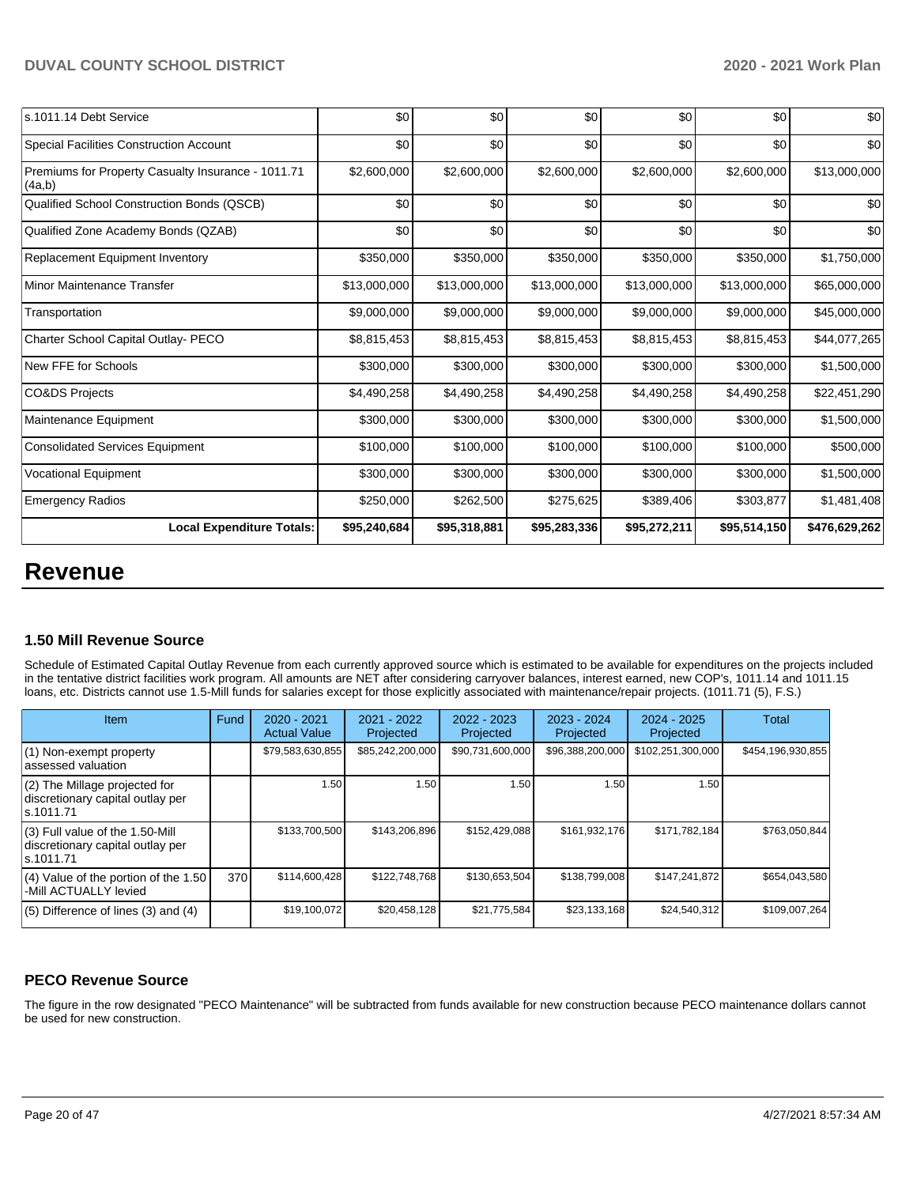| s.1011.14 Debt Service                                       | \$0          | \$0          | \$0          | \$0          | \$0          | \$0           |
|--------------------------------------------------------------|--------------|--------------|--------------|--------------|--------------|---------------|
| Special Facilities Construction Account                      | \$0          | \$0          | \$0          | \$0          | \$0          | \$0           |
| Premiums for Property Casualty Insurance - 1011.71<br>(4a,b) | \$2,600,000  | \$2,600,000  | \$2,600,000  | \$2,600,000  | \$2,600,000  | \$13,000,000  |
| Qualified School Construction Bonds (QSCB)                   | \$0          | \$0          | \$0          | \$0          | \$0          | \$0           |
| Qualified Zone Academy Bonds (QZAB)                          | \$0          | \$0          | \$0          | \$0          | \$0          | \$0           |
| Replacement Equipment Inventory                              | \$350,000    | \$350,000    | \$350,000    | \$350,000    | \$350,000    | \$1,750,000   |
| Minor Maintenance Transfer                                   | \$13,000,000 | \$13,000,000 | \$13,000,000 | \$13,000,000 | \$13,000,000 | \$65,000,000  |
| Transportation                                               | \$9,000,000  | \$9,000,000  | \$9,000,000  | \$9,000,000  | \$9,000,000  | \$45,000,000  |
| Charter School Capital Outlay- PECO                          | \$8,815,453  | \$8,815,453  | \$8,815,453  | \$8,815,453  | \$8,815,453  | \$44,077,265  |
| New FFE for Schools                                          | \$300,000    | \$300,000    | \$300,000    | \$300,000    | \$300,000    | \$1,500,000   |
| CO&DS Projects                                               | \$4,490,258  | \$4,490,258  | \$4,490,258  | \$4,490,258  | \$4,490,258  | \$22,451,290  |
| Maintenance Equipment                                        | \$300,000    | \$300,000    | \$300,000    | \$300,000    | \$300,000    | \$1,500,000   |
| Consolidated Services Equipment                              | \$100,000    | \$100,000    | \$100,000    | \$100,000    | \$100,000    | \$500,000     |
| <b>Vocational Equipment</b>                                  | \$300,000    | \$300,000    | \$300,000    | \$300,000    | \$300,000    | \$1,500,000   |
| <b>Emergency Radios</b>                                      | \$250,000    | \$262,500    | \$275,625    | \$389,406    | \$303,877    | \$1,481,408   |
| <b>Local Expenditure Totals:</b>                             | \$95,240,684 | \$95,318,881 | \$95,283,336 | \$95,272,211 | \$95,514,150 | \$476,629,262 |

# **Revenue**

## **1.50 Mill Revenue Source**

Schedule of Estimated Capital Outlay Revenue from each currently approved source which is estimated to be available for expenditures on the projects included in the tentative district facilities work program. All amounts are NET after considering carryover balances, interest earned, new COP's, 1011.14 and 1011.15 loans, etc. Districts cannot use 1.5-Mill funds for salaries except for those explicitly associated with maintenance/repair projects. (1011.71 (5), F.S.)

| <b>Item</b>                                                                         | Fund | $2020 - 2021$<br><b>Actual Value</b> | 2021 - 2022<br>Projected | $2022 - 2023$<br>Projected | $2023 - 2024$<br>Projected | $2024 - 2025$<br>Projected | Total             |
|-------------------------------------------------------------------------------------|------|--------------------------------------|--------------------------|----------------------------|----------------------------|----------------------------|-------------------|
| (1) Non-exempt property<br>lassessed valuation                                      |      | \$79,583,630,855                     | \$85,242,200,000         | \$90,731,600,000           | \$96,388,200,000           | \$102,251,300,000          | \$454,196,930,855 |
| $(2)$ The Millage projected for<br>discretionary capital outlay per<br>ls.1011.71   |      | 1.50 <sub>1</sub>                    | 1.50                     | 1.50                       | 1.50                       | 1.50                       |                   |
| $(3)$ Full value of the 1.50-Mill<br>discretionary capital outlay per<br>ls.1011.71 |      | \$133,700,500                        | \$143.206.896            | \$152,429,088              | \$161,932,176              | \$171,782,184              | \$763.050.844     |
| (4) Value of the portion of the 1.50<br>-Mill ACTUALLY levied                       | 370  | \$114,600,428                        | \$122.748.768            | \$130,653,504              | \$138,799,008              | \$147.241.872              | \$654.043.580     |
| $(5)$ Difference of lines $(3)$ and $(4)$                                           |      | \$19,100,072                         | \$20,458,128             | \$21,775,584               | \$23,133,168               | \$24,540,312               | \$109,007,264     |

## **PECO Revenue Source**

The figure in the row designated "PECO Maintenance" will be subtracted from funds available for new construction because PECO maintenance dollars cannot be used for new construction.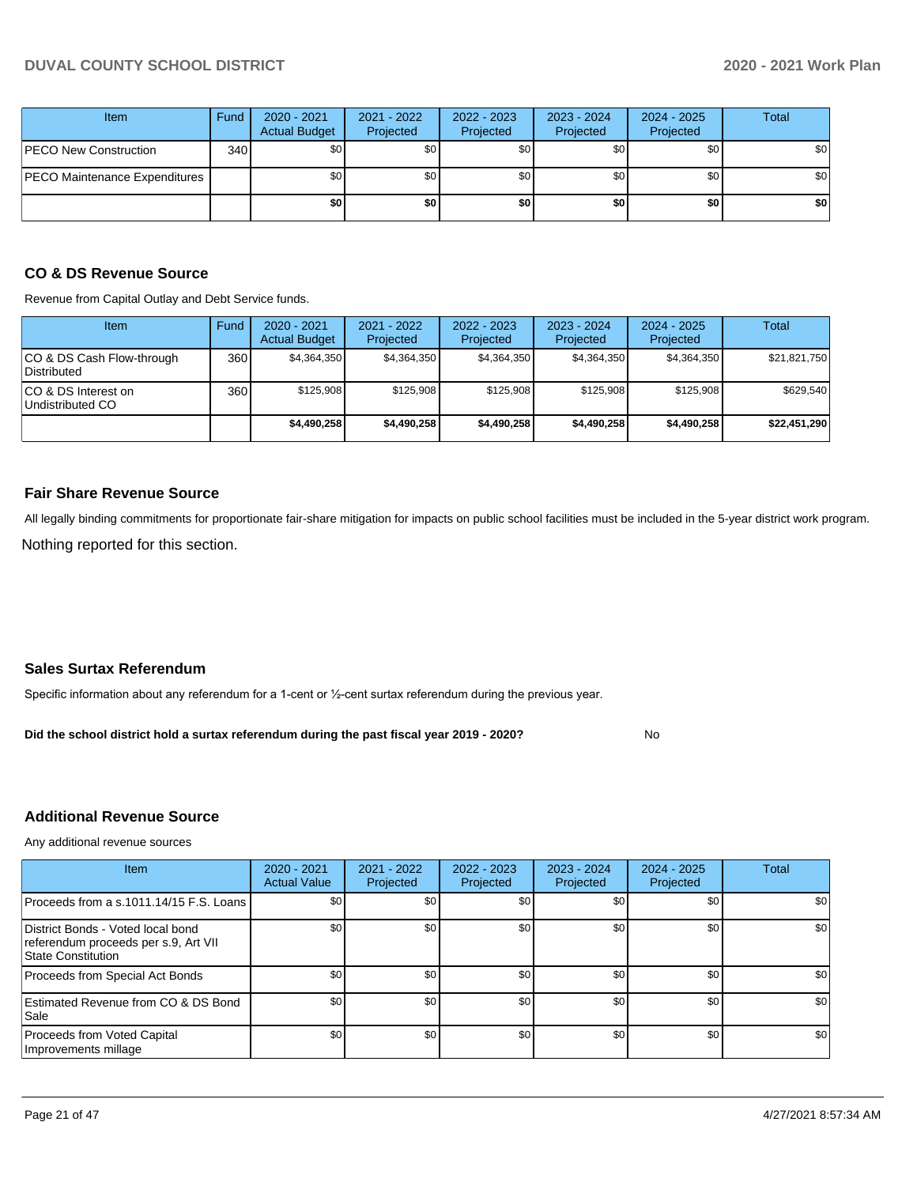| <b>Item</b>                          | Fund | 2020 - 2021<br><b>Actual Budget</b> | 2021 - 2022<br>Projected | 2022 - 2023<br>Projected | 2023 - 2024<br>Projected | 2024 - 2025<br>Projected | Total |
|--------------------------------------|------|-------------------------------------|--------------------------|--------------------------|--------------------------|--------------------------|-------|
| <b>PECO New Construction</b>         | 340  | <b>\$01</b>                         | \$0                      | \$0 <sub>1</sub>         | \$0 <sub>1</sub>         | \$0                      | \$0   |
| <b>PECO Maintenance Expenditures</b> |      | \$0 <sub>1</sub>                    | \$0 <sub>1</sub>         | \$0 <sub>1</sub>         | \$0                      | \$0 <sub>1</sub>         | \$0   |
|                                      |      | \$0                                 | \$0                      | \$0                      | \$0                      | \$0                      | \$0   |

### **CO & DS Revenue Source**

Revenue from Capital Outlay and Debt Service funds.

| <b>Item</b>                               | Fund | $2020 - 2021$<br><b>Actual Budget</b> | $2021 - 2022$<br>Projected | 2022 - 2023<br>Projected | $2023 - 2024$<br>Projected | $2024 - 2025$<br>Projected | Total        |
|-------------------------------------------|------|---------------------------------------|----------------------------|--------------------------|----------------------------|----------------------------|--------------|
| ICO & DS Cash Flow-through<br>Distributed | 360  | \$4.364.350                           | \$4,364,350                | \$4.364.350              | \$4,364,350                | \$4,364,350                | \$21,821,750 |
| ICO & DS Interest on<br>Undistributed CO  | 360  | \$125.908                             | \$125,908                  | \$125.908                | \$125.908                  | \$125.908                  | \$629,540    |
|                                           |      | \$4,490,258                           | \$4.490.258                | \$4,490,258              | \$4,490,258                | \$4.490.258                | \$22,451,290 |

### **Fair Share Revenue Source**

Nothing reported for this section. All legally binding commitments for proportionate fair-share mitigation for impacts on public school facilities must be included in the 5-year district work program.

## **Sales Surtax Referendum**

Specific information about any referendum for a 1-cent or ½-cent surtax referendum during the previous year.

No **Did the school district hold a surtax referendum during the past fiscal year 2019 - 2020?**

#### **Additional Revenue Source**

Any additional revenue sources

| <b>Item</b>                                                                                     | $2020 - 2021$<br><b>Actual Value</b> | $2021 - 2022$<br>Projected | 2022 - 2023<br>Projected | 2023 - 2024<br>Projected | $2024 - 2025$<br>Projected | Total |
|-------------------------------------------------------------------------------------------------|--------------------------------------|----------------------------|--------------------------|--------------------------|----------------------------|-------|
| Proceeds from a s.1011.14/15 F.S. Loans                                                         | \$0 <sub>1</sub>                     | \$0 <sub>1</sub>           | \$0                      |                          | \$0                        | \$0   |
| District Bonds - Voted local bond<br>referendum proceeds per s.9, Art VII<br>State Constitution | \$0                                  | \$0 <sub>1</sub>           | \$0                      | \$0                      | \$0                        | \$0   |
| Proceeds from Special Act Bonds                                                                 | \$0                                  | \$0 <sub>1</sub>           | \$0                      | \$0                      | \$0                        | \$0   |
| Estimated Revenue from CO & DS Bond<br> Sale                                                    | \$0                                  | \$0 <sub>1</sub>           | \$0                      | \$0                      | \$0                        | \$0   |
| Proceeds from Voted Capital<br>Improvements millage                                             | \$0 <sub>1</sub>                     | \$0 <sub>1</sub>           | \$0                      | \$0                      | \$0                        | \$0   |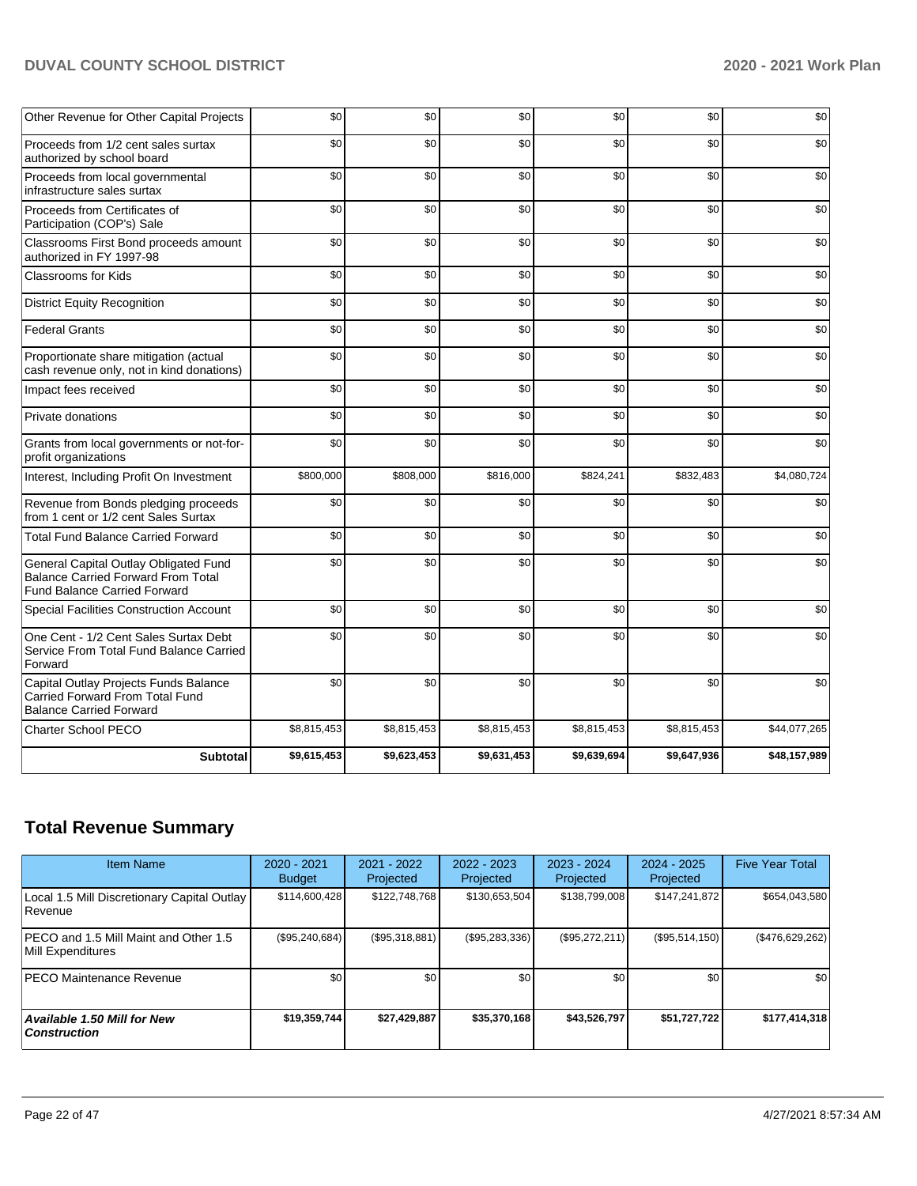| Other Revenue for Other Capital Projects                                                                                  | \$0         | \$0         | \$0         | \$0         | \$0         | \$0          |
|---------------------------------------------------------------------------------------------------------------------------|-------------|-------------|-------------|-------------|-------------|--------------|
| Proceeds from 1/2 cent sales surtax<br>authorized by school board                                                         | \$0         | \$0         | \$0         | \$0         | \$0         | \$0          |
| Proceeds from local governmental<br>infrastructure sales surtax                                                           | \$0         | \$0         | \$0         | \$0         | \$0         | \$0          |
| Proceeds from Certificates of<br>Participation (COP's) Sale                                                               | \$0         | \$0         | \$0         | \$0         | \$0         | \$0          |
| Classrooms First Bond proceeds amount<br>authorized in FY 1997-98                                                         | \$0         | \$0         | \$0         | \$0         | \$0         | \$0          |
| <b>Classrooms for Kids</b>                                                                                                | \$0         | \$0         | \$0         | \$0         | \$0         | \$0          |
| <b>District Equity Recognition</b>                                                                                        | \$0         | \$0         | \$0         | \$0         | \$0         | \$0          |
| <b>Federal Grants</b>                                                                                                     | \$0         | \$0         | \$0         | \$0         | \$0         | \$0          |
| Proportionate share mitigation (actual<br>cash revenue only, not in kind donations)                                       | \$0         | \$0         | \$0         | \$0         | \$0         | \$0          |
| Impact fees received                                                                                                      | \$0         | \$0         | \$0         | \$0         | \$0         | \$0          |
| Private donations                                                                                                         | \$0         | \$0         | \$0         | \$0         | \$0         | \$0          |
| Grants from local governments or not-for-<br>profit organizations                                                         | \$0         | \$0         | \$0         | \$0         | \$0         | \$0          |
| Interest, Including Profit On Investment                                                                                  | \$800,000   | \$808,000   | \$816,000   | \$824,241   | \$832,483   | \$4,080,724  |
| Revenue from Bonds pledging proceeds<br>from 1 cent or 1/2 cent Sales Surtax                                              | \$0         | \$0         | \$0         | \$0         | \$0         | \$0          |
| <b>Total Fund Balance Carried Forward</b>                                                                                 | \$0         | \$0         | \$0         | \$0         | \$0         | \$0          |
| General Capital Outlay Obligated Fund<br><b>Balance Carried Forward From Total</b><br><b>Fund Balance Carried Forward</b> | \$0         | \$0         | \$0         | \$0         | \$0         | \$0          |
| Special Facilities Construction Account                                                                                   | \$0         | \$0         | \$0         | \$0         | \$0         | \$0          |
| One Cent - 1/2 Cent Sales Surtax Debt<br>Service From Total Fund Balance Carried<br>Forward                               | \$0         | \$0         | \$0         | \$0         | \$0         | \$0          |
| Capital Outlay Projects Funds Balance<br>Carried Forward From Total Fund<br><b>Balance Carried Forward</b>                | \$0         | \$0         | \$0         | \$0         | \$0         | \$0          |
| <b>Charter School PECO</b>                                                                                                | \$8,815,453 | \$8,815,453 | \$8,815,453 | \$8,815,453 | \$8,815,453 | \$44,077,265 |
| <b>Subtotal</b>                                                                                                           | \$9,615,453 | \$9,623,453 | \$9,631,453 | \$9,639,694 | \$9,647,936 | \$48,157,989 |

## **Total Revenue Summary**

| <b>Item Name</b>                                              | $2020 - 2021$<br><b>Budget</b> | $2021 - 2022$<br>Projected | 2022 - 2023<br>Projected | $2023 - 2024$<br>Projected | $2024 - 2025$<br>Projected | <b>Five Year Total</b> |
|---------------------------------------------------------------|--------------------------------|----------------------------|--------------------------|----------------------------|----------------------------|------------------------|
| Local 1.5 Mill Discretionary Capital Outlay<br><b>Revenue</b> | \$114,600,428                  | \$122.748.768              | \$130,653,504            | \$138,799,008              | \$147,241,872              | \$654,043,580          |
| PECO and 1.5 Mill Maint and Other 1.5<br>Mill Expenditures    | (\$95,240,684)                 | (S95,318,881)              | (\$95,283,336)           | (\$95,272,211)             | (S95, 514, 150)            | (\$476,629,262)        |
| <b>PECO Maintenance Revenue</b>                               | \$0                            | \$0 <sub>1</sub>           | \$0                      | \$0                        | \$0                        | \$0                    |
| Available 1.50 Mill for New<br>  Construction                 | \$19,359,744                   | \$27.429.887               | \$35,370,168             | \$43,526,797               | \$51,727,722               | \$177,414,318          |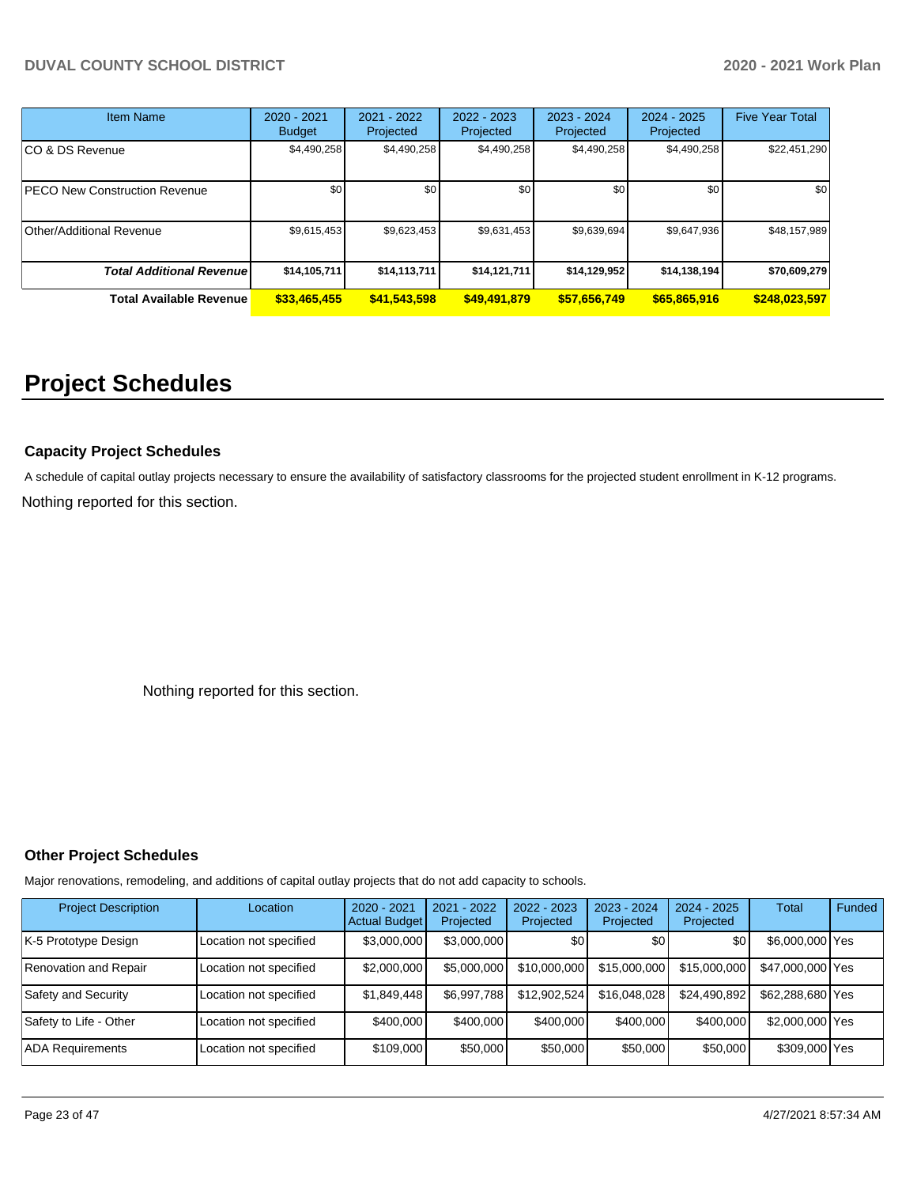| <b>Item Name</b>                     | 2020 - 2021<br><b>Budget</b> | 2021 - 2022<br>Projected | 2022 - 2023<br>Projected | 2023 - 2024<br>Projected | 2024 - 2025<br>Projected | <b>Five Year Total</b> |
|--------------------------------------|------------------------------|--------------------------|--------------------------|--------------------------|--------------------------|------------------------|
| ICO & DS Revenue                     | \$4,490,258                  | \$4,490,258              | \$4,490,258              | \$4,490,258              | \$4,490,258              | \$22,451,290           |
| <b>PECO New Construction Revenue</b> | \$0                          | \$0                      | \$0                      | \$0                      | \$0                      | \$0                    |
| <b>Other/Additional Revenue</b>      | \$9,615,453                  | \$9,623,453              | \$9,631,453              | \$9,639,694              | \$9,647,936              | \$48,157,989           |
| <b>Total Additional Revenue</b>      | \$14,105,711                 | \$14,113,711             | \$14,121,711             | \$14,129,952             | \$14,138,194             | \$70,609,279           |
| <b>Total Available Revenue</b>       | \$33,465,455                 | \$41,543,598             | \$49,491,879             | \$57,656,749             | \$65,865,916             | \$248,023,597          |

# **Project Schedules**

### **Capacity Project Schedules**

A schedule of capital outlay projects necessary to ensure the availability of satisfactory classrooms for the projected student enrollment in K-12 programs.

Nothing reported for this section.

Nothing reported for this section.

### **Other Project Schedules**

Major renovations, remodeling, and additions of capital outlay projects that do not add capacity to schools.

| <b>Project Description</b> | Location               | $2020 - 2021$<br><b>Actual Budget</b> | 2021 - 2022<br>Projected | 2022 - 2023<br>Projected | 2023 - 2024<br>Projected | $2024 - 2025$<br>Projected | <b>Total</b>     | Funded |
|----------------------------|------------------------|---------------------------------------|--------------------------|--------------------------|--------------------------|----------------------------|------------------|--------|
| K-5 Prototype Design       | Location not specified | \$3,000,000                           | \$3,000,000              | \$0                      | \$0                      | \$0                        | \$6,000,000 Yes  |        |
| Renovation and Repair      | Location not specified | \$2,000,000                           | \$5,000,000              | \$10,000,000             | \$15,000,000             | \$15,000,000               | \$47,000,000 Yes |        |
| Safety and Security        | Location not specified | \$1.849.448                           | \$6.997.788              | \$12,902.524             | \$16,048,028             | \$24,490,892               | \$62,288,680 Yes |        |
| Safety to Life - Other     | Location not specified | \$400,000                             | \$400,000                | \$400,000                | \$400,000                | \$400,000                  | \$2,000,000 Yes  |        |
| <b>ADA Requirements</b>    | Location not specified | \$109,000                             | \$50,000                 | \$50,000                 | \$50,000                 | \$50,000                   | \$309,000 Yes    |        |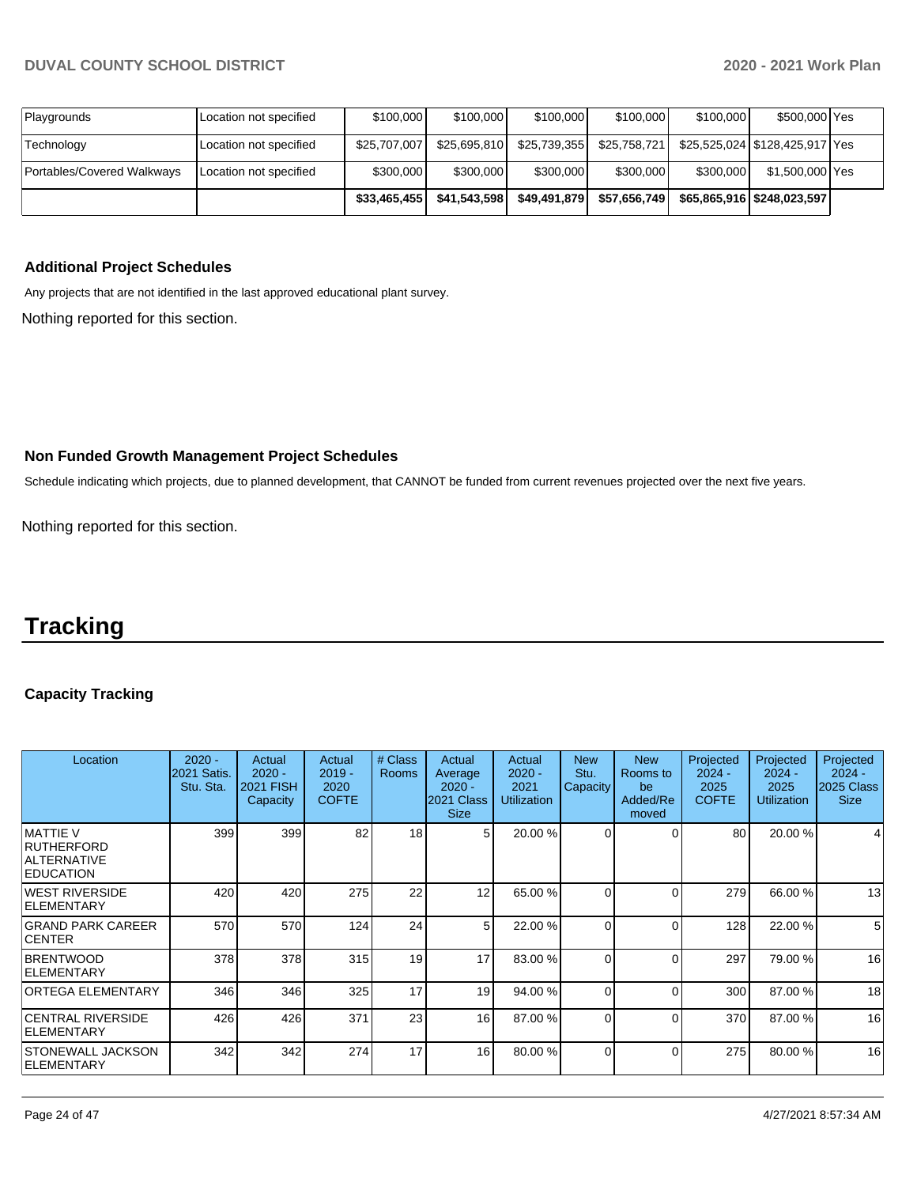|                            |                        | \$33,465,455 | \$41.543.598 | \$49.491.879 | \$57.656.749 |           | \$65.865.916 \$248.023.597     |  |
|----------------------------|------------------------|--------------|--------------|--------------|--------------|-----------|--------------------------------|--|
| Portables/Covered Walkways | Location not specified | \$300,000    | \$300,000    | \$300,000    | \$300,000    | \$300,000 | \$1,500,000 Yes                |  |
| Technology                 | Location not specified | \$25.707.007 | \$25.695.810 | \$25,739,355 | \$25,758,721 |           | \$25.525.024 \$128.425.917 Yes |  |
| Playgrounds                | Location not specified | \$100,000    | \$100,000    | \$100,000    | \$100,000    | \$100,000 | \$500,000 Yes                  |  |

## **Additional Project Schedules**

Any projects that are not identified in the last approved educational plant survey.

Nothing reported for this section.

### **Non Funded Growth Management Project Schedules**

Schedule indicating which projects, due to planned development, that CANNOT be funded from current revenues projected over the next five years.

Nothing reported for this section.

# **Tracking**

### **Capacity Tracking**

| Location                                                                  | $2020 -$<br>2021 Satis.<br>Stu. Sta. | Actual<br>$2020 -$<br><b>2021 FISH</b><br>Capacity | Actual<br>$2019 -$<br>2020<br><b>COFTE</b> | # Class<br><b>Rooms</b> | Actual<br>Average<br>$2020 -$<br>2021 Class<br><b>Size</b> | Actual<br>$2020 -$<br>2021<br><b>Utilization</b> | <b>New</b><br>Stu.<br>Capacity | <b>New</b><br>Rooms to<br>be<br>Added/Re<br>moved | Projected<br>$2024 -$<br>2025<br><b>COFTE</b> | Projected<br>$2024 -$<br>2025<br><b>Utilization</b> | Projected<br>$2024 -$<br>2025 Class<br><b>Size</b> |
|---------------------------------------------------------------------------|--------------------------------------|----------------------------------------------------|--------------------------------------------|-------------------------|------------------------------------------------------------|--------------------------------------------------|--------------------------------|---------------------------------------------------|-----------------------------------------------|-----------------------------------------------------|----------------------------------------------------|
| IMATTIE V<br><b>IRUTHERFORD</b><br><b>ALTERNATIVE</b><br><b>EDUCATION</b> | 399                                  | 399                                                | 82                                         | 18                      | 5                                                          | 20.00 %                                          | $\Omega$                       |                                                   | 80                                            | 20.00 %                                             |                                                    |
| WEST RIVERSIDE<br><b>IELEMENTARY</b>                                      | 420                                  | 420                                                | 275                                        | 22                      | 12                                                         | 65.00 %                                          | $\Omega$                       |                                                   | 279                                           | 66.00 %                                             | 13                                                 |
| <b>GRAND PARK CAREER</b><br><b>ICENTER</b>                                | 570                                  | 570                                                | 124                                        | 24                      | 5 <sup>1</sup>                                             | 22.00 %                                          | $\Omega$                       | $\Omega$                                          | 128                                           | 22.00 %                                             | 5 <sup>5</sup>                                     |
| <b>BRENTWOOD</b><br><b>IELEMENTARY</b>                                    | 378                                  | 378                                                | 315                                        | 19                      | 17                                                         | 83.00 %                                          | 0                              | $\Omega$                                          | 297                                           | 79.00 %                                             | 16                                                 |
| <b>ORTEGA ELEMENTARY</b>                                                  | 346                                  | 346                                                | 325                                        | 17                      | 19                                                         | 94.00 %                                          | $\Omega$                       | 0                                                 | 300                                           | 87.00 %                                             | 18                                                 |
| <b>CENTRAL RIVERSIDE</b><br><b>IELEMENTARY</b>                            | 426                                  | 426                                                | 371                                        | 23                      | 16 <sup>1</sup>                                            | 87.00 %                                          | 0                              | $\Omega$                                          | 370                                           | 87.00 %                                             | 16                                                 |
| ISTONEWALL JACKSON<br><b>ELEMENTARY</b>                                   | 342                                  | 342                                                | 274                                        | 17                      | 16 <sup>1</sup>                                            | 80.00 %                                          | $\Omega$                       | $\Omega$                                          | 275                                           | 80.00 %                                             | 16                                                 |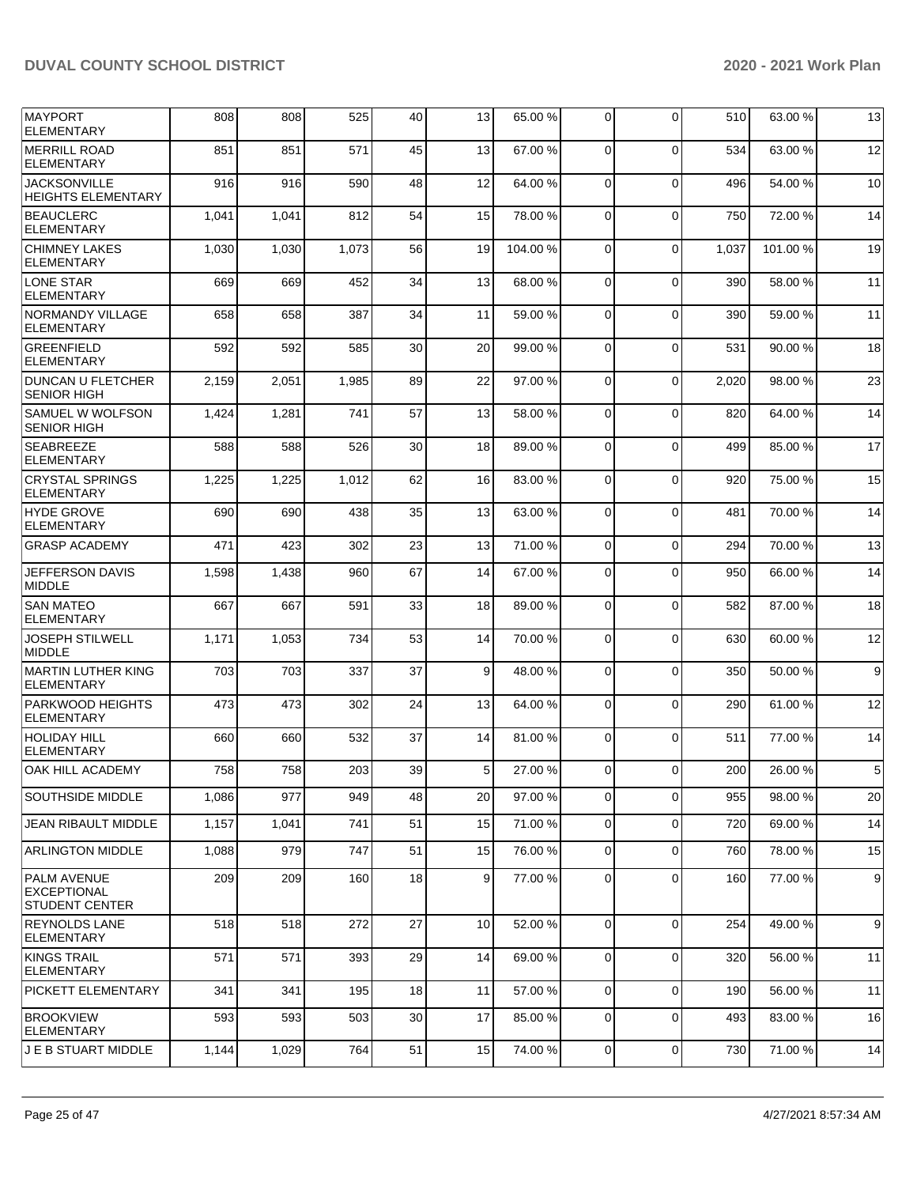| MAYPORT<br><b>ELEMENTARY</b>                                      | 808   | 808   | 525   | 40              | 13             | 65.00 % | $\Omega$    | $\Omega$    | 510   | 63.00 % | 13             |
|-------------------------------------------------------------------|-------|-------|-------|-----------------|----------------|---------|-------------|-------------|-------|---------|----------------|
| <b>MERRILL ROAD</b><br><b>ELEMENTARY</b>                          | 851   | 851   | 571   | 45              | 13             | 67.00%  | $\Omega$    | $\Omega$    | 534   | 63.00 % | 12             |
| <b>JACKSONVILLE</b><br><b>HEIGHTS ELEMENTARY</b>                  | 916   | 916   | 590   | 48              | 12             | 64.00%  | 0           | $\Omega$    | 496   | 54.00 % | 10             |
| <b>BEAUCLERC</b><br><b>ELEMENTARY</b>                             | 1,041 | 1,041 | 812   | 54              | 15             | 78.00 % | $\Omega$    | $\mathbf 0$ | 750   | 72.00 % | 14             |
| <b>CHIMNEY LAKES</b><br><b>ELEMENTARY</b>                         | 1,030 | 1,030 | 1,073 | 56              | 19             | 104.00% | $\Omega$    | $\Omega$    | 1,037 | 101.00% | 19             |
| LONE STAR<br><b>ELEMENTARY</b>                                    | 669   | 669   | 452   | 34              | 13             | 68.00 % | 0           | $\mathbf 0$ | 390   | 58.00 % | 11             |
| <b>NORMANDY VILLAGE</b><br><b>ELEMENTARY</b>                      | 658   | 658   | 387   | 34              | 11             | 59.00 % | $\Omega$    | $\mathbf 0$ | 390   | 59.00 % | 11             |
| <b>GREENFIELD</b><br><b>ELEMENTARY</b>                            | 592   | 592   | 585   | 30              | 20             | 99.00 % | 0           | $\Omega$    | 531   | 90.00 % | 18             |
| <b>DUNCAN U FLETCHER</b><br><b>SENIOR HIGH</b>                    | 2,159 | 2,051 | 1,985 | 89              | 22             | 97.00 % | 0           | $\mathbf 0$ | 2,020 | 98.00 % | 23             |
| SAMUEL W WOLFSON<br><b>SENIOR HIGH</b>                            | 1,424 | 1,281 | 741   | 57              | 13             | 58.00 % | $\Omega$    | $\mathbf 0$ | 820   | 64.00 % | 14             |
| <b>SEABREEZE</b><br><b>ELEMENTARY</b>                             | 588   | 588   | 526   | 30              | 18             | 89.00 % | $\Omega$    | $\Omega$    | 499   | 85.00 % | 17             |
| <b>CRYSTAL SPRINGS</b><br><b>ELEMENTARY</b>                       | 1,225 | 1,225 | 1,012 | 62              | 16             | 83.00 % | $\mathbf 0$ | $\mathbf 0$ | 920   | 75.00 % | 15             |
| <b>HYDE GROVE</b><br><b>ELEMENTARY</b>                            | 690   | 690   | 438   | 35              | 13             | 63.00 % | $\Omega$    | $\mathbf 0$ | 481   | 70.00 % | 14             |
| <b>GRASP ACADEMY</b>                                              | 471   | 423   | 302   | 23              | 13             | 71.00%  | 0           | $\Omega$    | 294   | 70.00 % | 13             |
| <b>JEFFERSON DAVIS</b><br><b>MIDDLE</b>                           | 1,598 | 1,438 | 960   | 67              | 14             | 67.00 % | 0           | $\Omega$    | 950   | 66.00 % | 14             |
| <b>SAN MATEO</b><br><b>ELEMENTARY</b>                             | 667   | 667   | 591   | 33              | 18             | 89.00 % | $\mathbf 0$ | $\mathbf 0$ | 582   | 87.00 % | 18             |
| <b>JOSEPH STILWELL</b><br><b>MIDDLE</b>                           | 1,171 | 1,053 | 734   | 53              | 14             | 70.00 % | $\Omega$    | $\mathbf 0$ | 630   | 60.00 % | 12             |
| <b>MARTIN LUTHER KING</b><br><b>ELEMENTARY</b>                    | 703   | 703   | 337   | 37              | 9              | 48.00 % | 0           | $\Omega$    | 350   | 50.00 % | 9 <sup>1</sup> |
| <b>PARKWOOD HEIGHTS</b><br><b>ELEMENTARY</b>                      | 473   | 473   | 302   | 24              | 13             | 64.00 % | $\mathbf 0$ | $\mathbf 0$ | 290   | 61.00 % | 12             |
| HOLIDAY HILL<br><b>ELEMENTARY</b>                                 | 660   | 660   | 532   | 37              | 14             | 81.00%  | $\Omega$    | $\Omega$    | 511   | 77.00 % | 14             |
| OAK HILL ACADEMY                                                  | 758   | 758   | 203   | 39              | 5              | 27.00 % | 0           | 0           | 200   | 26.00 % | 5              |
| <b>SOUTHSIDE MIDDLE</b>                                           | 1,086 | 977   | 949   | 48              | 20             | 97.00 % | $\mathbf 0$ | 0           | 955   | 98.00 % | 20             |
| <b>JEAN RIBAULT MIDDLE</b>                                        | 1,157 | 1,041 | 741   | 51              | 15             | 71.00 % | $\mathbf 0$ | 0           | 720   | 69.00%  | 14             |
| ARLINGTON MIDDLE                                                  | 1,088 | 979   | 747   | 51              | 15             | 76.00 % | $\mathbf 0$ | 0           | 760   | 78.00 % | 15             |
| <b>PALM AVENUE</b><br><b>EXCEPTIONAL</b><br><b>STUDENT CENTER</b> | 209   | 209   | 160   | 18              | 9 <sub>l</sub> | 77.00 % | 0           | 0           | 160   | 77.00 % | 9              |
| <b>REYNOLDS LANE</b><br>ELEMENTARY                                | 518   | 518   | 272   | 27              | 10             | 52.00 % | $\Omega$    | 0           | 254   | 49.00 % | 9              |
| KINGS TRAIL<br>ELEMENTARY                                         | 571   | 571   | 393   | 29              | 14             | 69.00 % | $\Omega$    | $\mathbf 0$ | 320   | 56.00 % | 11             |
| <b>PICKETT ELEMENTARY</b>                                         | 341   | 341   | 195   | 18 <sup>1</sup> | 11             | 57.00 % | $\mathbf 0$ | $\mathbf 0$ | 190   | 56.00 % | 11             |
| <b>BROOKVIEW</b><br><b>ELEMENTARY</b>                             | 593   | 593   | 503   | 30              | 17             | 85.00 % | 0           | $\Omega$    | 493   | 83.00 % | 16             |
| J E B STUART MIDDLE                                               | 1,144 | 1,029 | 764   | 51              | 15             | 74.00 % | 0           | 0           | 730   | 71.00 % | 14             |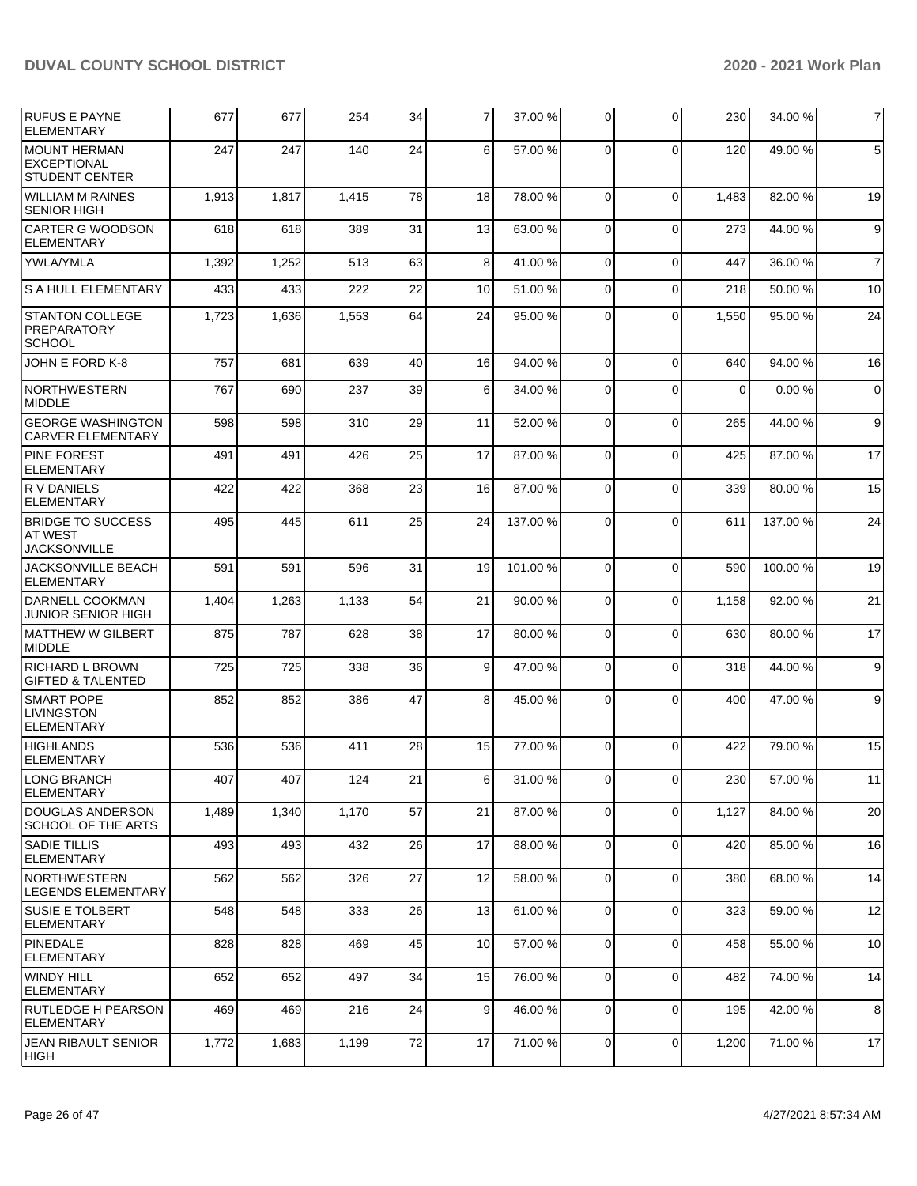| <b>RUFUS E PAYNE</b><br><b>ELEMENTARY</b>                           | 677   | 677   | 254   | 34 | 7  | 37.00 %  | $\Omega$    | $\Omega$       | 230      | 34.00 %  | $\overline{7}$ |
|---------------------------------------------------------------------|-------|-------|-------|----|----|----------|-------------|----------------|----------|----------|----------------|
| <b>IMOUNT HERMAN</b><br><b>EXCEPTIONAL</b><br><b>STUDENT CENTER</b> | 247   | 247   | 140   | 24 | 6  | 57.00%   | $\Omega$    | $\Omega$       | 120      | 49.00 %  | 5              |
| <b>WILLIAM M RAINES</b><br><b>SENIOR HIGH</b>                       | 1,913 | 1,817 | 1,415 | 78 | 18 | 78.00 %  | $\Omega$    | $\Omega$       | 1,483    | 82.00 %  | 19             |
| CARTER G WOODSON<br><b>ELEMENTARY</b>                               | 618   | 618   | 389   | 31 | 13 | 63.00 %  | $\Omega$    | $\Omega$       | 273      | 44.00 %  | 9              |
| <b>YWLA/YMLA</b>                                                    | 1,392 | 1,252 | 513   | 63 | 8  | 41.00%   | 0           | $\Omega$       | 447      | 36.00 %  | $\overline{7}$ |
| S A HULL ELEMENTARY                                                 | 433   | 433   | 222   | 22 | 10 | 51.00 %  | 0           | $\Omega$       | 218      | 50.00 %  | 10             |
| <b>STANTON COLLEGE</b><br><b>PREPARATORY</b><br><b>SCHOOL</b>       | 1,723 | 1,636 | 1,553 | 64 | 24 | 95.00 %  | 0           | $\Omega$       | 1,550    | 95.00 %  | 24             |
| JOHN E FORD K-8                                                     | 757   | 681   | 639   | 40 | 16 | 94.00 %  | 0           | $\Omega$       | 640      | 94.00 %  | 16             |
| NORTHWESTERN<br><b>MIDDLE</b>                                       | 767   | 690   | 237   | 39 | 6  | 34.00 %  | 0           | $\mathbf 0$    | $\Omega$ | 0.00%    | $\mathbf 0$    |
| <b>GEORGE WASHINGTON</b><br><b>CARVER ELEMENTARY</b>                | 598   | 598   | 310   | 29 | 11 | 52.00 %  | $\Omega$    | $\mathbf 0$    | 265      | 44.00 %  | 9              |
| <b>PINE FOREST</b><br><b>ELEMENTARY</b>                             | 491   | 491   | 426   | 25 | 17 | 87.00 %  | 0           | $\Omega$       | 425      | 87.00 %  | 17             |
| <b>RV DANIELS</b><br><b>ELEMENTARY</b>                              | 422   | 422   | 368   | 23 | 16 | 87.00 %  | $\mathbf 0$ | $\mathbf 0$    | 339      | 80.00 %  | 15             |
| <b>BRIDGE TO SUCCESS</b><br><b>AT WEST</b><br><b>JACKSONVILLE</b>   | 495   | 445   | 611   | 25 | 24 | 137.00 % | 0           | $\Omega$       | 611      | 137.00 % | 24             |
| <b>JACKSONVILLE BEACH</b><br><b>ELEMENTARY</b>                      | 591   | 591   | 596   | 31 | 19 | 101.00%  | $\Omega$    | $\Omega$       | 590      | 100.00 % | 19             |
| DARNELL COOKMAN<br><b>JUNIOR SENIOR HIGH</b>                        | 1,404 | 1,263 | 1,133 | 54 | 21 | 90.00 %  | 0           | $\mathbf 0$    | 1,158    | 92.00 %  | 21             |
| MATTHEW W GILBERT<br>MIDDLE                                         | 875   | 787   | 628   | 38 | 17 | 80.00 %  | $\Omega$    | $\Omega$       | 630      | 80.00 %  | 17             |
| <b>RICHARD L BROWN</b><br><b>GIFTED &amp; TALENTED</b>              | 725   | 725   | 338   | 36 | 9  | 47.00 %  | 0           | $\Omega$       | 318      | 44.00 %  | 9              |
| <b>SMART POPE</b><br><b>LIVINGSTON</b><br><b>ELEMENTARY</b>         | 852   | 852   | 386   | 47 | 8  | 45.00 %  | $\Omega$    | $\Omega$       | 400      | 47.00 %  | 9              |
| HIGHLANDS<br><b>ELEMENTARY</b>                                      | 536   | 536   | 411   | 28 | 15 | 77.00 %  | $\Omega$    | $\Omega$       | 422      | 79.00 %  | 15             |
| LONG BRANCH<br><b>ELEMENTARY</b>                                    | 407   | 407   | 124   | 21 | 6  | 31.00 %  | 0           | $\overline{0}$ | 230      | 57.00 %  | 11             |
| DOUGLAS ANDERSON<br><b>SCHOOL OF THE ARTS</b>                       | 1,489 | 1,340 | 1,170 | 57 | 21 | 87.00 %  | $\mathbf 0$ | $\mathbf 0$    | 1,127    | 84.00 %  | 20             |
| <b>SADIE TILLIS</b><br>ELEMENTARY                                   | 493   | 493   | 432   | 26 | 17 | 88.00 %  | $\mathbf 0$ | $\mathbf 0$    | 420      | 85.00 %  | 16             |
| NORTHWESTERN<br>LEGENDS ELEMENTARY                                  | 562   | 562   | 326   | 27 | 12 | 58.00 %  | $\mathbf 0$ | $\mathbf 0$    | 380      | 68.00 %  | 14             |
| <b>SUSIE E TOLBERT</b><br> ELEMENTARY                               | 548   | 548   | 333   | 26 | 13 | 61.00%   | 0           | $\mathbf 0$    | 323      | 59.00 %  | 12             |
| PINEDALE<br>ELEMENTARY                                              | 828   | 828   | 469   | 45 | 10 | 57.00 %  | $\mathbf 0$ | $\mathbf 0$    | 458      | 55.00 %  | 10             |
| WINDY HILL<br><b>ELEMENTARY</b>                                     | 652   | 652   | 497   | 34 | 15 | 76.00 %  | $\mathbf 0$ | $\Omega$       | 482      | 74.00 %  | 14             |
| <b>RUTLEDGE H PEARSON</b><br><b>ELEMENTARY</b>                      | 469   | 469   | 216   | 24 | 9  | 46.00 %  | $\mathbf 0$ | $\mathbf 0$    | 195      | 42.00 %  | 8              |
| JEAN RIBAULT SENIOR<br>HIGH                                         | 1,772 | 1,683 | 1,199 | 72 | 17 | 71.00%   | 0           | 0              | 1,200    | 71.00%   | 17             |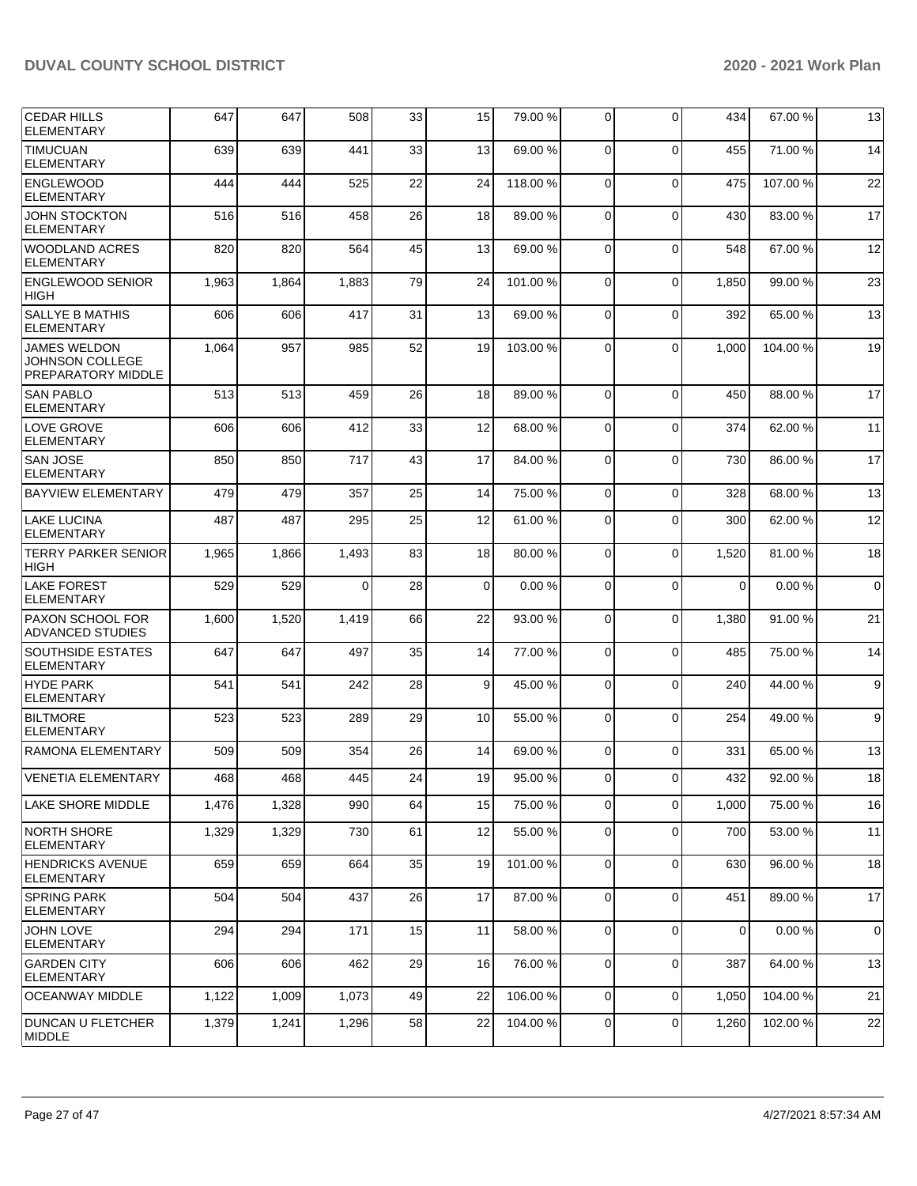| <b>CEDAR HILLS</b><br><b>ELEMENTARY</b>                      | 647   | 647   | 508   | 33 | 15          | 79.00 %  | 0              | $\Omega$       | 434      | 67.00 %  | 13          |
|--------------------------------------------------------------|-------|-------|-------|----|-------------|----------|----------------|----------------|----------|----------|-------------|
| <b>TIMUCUAN</b><br><b>ELEMENTARY</b>                         | 639   | 639   | 441   | 33 | 13          | 69.00 %  | $\mathbf 0$    | $\Omega$       | 455      | 71.00 %  | 14          |
| <b>ENGLEWOOD</b><br><b>ELEMENTARY</b>                        | 444   | 444   | 525   | 22 | 24          | 118.00%  | $\mathbf 0$    | $\Omega$       | 475      | 107.00%  | 22          |
| <b>JOHN STOCKTON</b><br>ELEMENTARY                           | 516   | 516   | 458   | 26 | 18          | 89.00 %  | 0              | $\Omega$       | 430      | 83.00 %  | 17          |
| <b>WOODLAND ACRES</b><br><b>ELEMENTARY</b>                   | 820   | 820   | 564   | 45 | 13          | 69.00 %  | $\mathbf 0$    | $\Omega$       | 548      | 67.00 %  | 12          |
| <b>ENGLEWOOD SENIOR</b><br><b>HIGH</b>                       | 1,963 | 1,864 | 1,883 | 79 | 24          | 101.00%  | $\mathbf 0$    | $\Omega$       | 1,850    | 99.00 %  | 23          |
| <b>SALLYE B MATHIS</b><br><b>ELEMENTARY</b>                  | 606   | 606   | 417   | 31 | 13          | 69.00 %  | 0              | $\Omega$       | 392      | 65.00 %  | 13          |
| <b>JAMES WELDON</b><br>JOHNSON COLLEGE<br>PREPARATORY MIDDLE | 1,064 | 957   | 985   | 52 | 19          | 103.00 % | $\Omega$       | $\Omega$       | 1,000    | 104.00 % | 19          |
| <b>SAN PABLO</b><br><b>ELEMENTARY</b>                        | 513   | 513   | 459   | 26 | 18          | 89.00 %  | $\Omega$       | $\Omega$       | 450      | 88.00 %  | 17          |
| <b>LOVE GROVE</b><br><b>ELEMENTARY</b>                       | 606   | 606   | 412   | 33 | 12          | 68.00 %  | $\mathbf 0$    | $\Omega$       | 374      | 62.00 %  | 11          |
| <b>SAN JOSE</b><br><b>ELEMENTARY</b>                         | 850   | 850   | 717   | 43 | 17          | 84.00 %  | 0              | $\Omega$       | 730      | 86.00%   | 17          |
| <b>BAYVIEW ELEMENTARY</b>                                    | 479   | 479   | 357   | 25 | 14          | 75.00 %  | $\mathbf 0$    | $\Omega$       | 328      | 68.00 %  | 13          |
| <b>LAKE LUCINA</b><br><b>ELEMENTARY</b>                      | 487   | 487   | 295   | 25 | 12          | 61.00 %  | 0              | $\Omega$       | 300      | 62.00 %  | 12          |
| <b>TERRY PARKER SENIOR</b><br><b>HIGH</b>                    | 1,965 | 1,866 | 1,493 | 83 | 18          | 80.00 %  | $\mathbf 0$    | $\Omega$       | 1,520    | 81.00 %  | 18          |
| <b>LAKE FOREST</b><br><b>ELEMENTARY</b>                      | 529   | 529   | 0     | 28 | $\mathbf 0$ | 0.00%    | 0              | $\Omega$       | $\Omega$ | 0.00%    | $\mathbf 0$ |
| <b>PAXON SCHOOL FOR</b><br><b>ADVANCED STUDIES</b>           | 1,600 | 1,520 | 1,419 | 66 | 22          | 93.00 %  | $\mathbf 0$    | $\Omega$       | 1,380    | 91.00 %  | 21          |
| <b>SOUTHSIDE ESTATES</b><br><b>ELEMENTARY</b>                | 647   | 647   | 497   | 35 | 14          | 77.00 %  | $\mathbf 0$    | $\Omega$       | 485      | 75.00 %  | 14          |
| <b>HYDE PARK</b><br><b>ELEMENTARY</b>                        | 541   | 541   | 242   | 28 | 9           | 45.00 %  | 0              | $\Omega$       | 240      | 44.00 %  | 9           |
| <b>BILTMORE</b><br><b>ELEMENTARY</b>                         | 523   | 523   | 289   | 29 | 10          | 55.00 %  | $\mathbf 0$    | $\Omega$       | 254      | 49.00 %  | 9           |
| <b>RAMONA ELEMENTARY</b>                                     | 509   | 509   | 354   | 26 | 14          | 69.00 %  | 0              | $\Omega$       | 331      | 65.00 %  | 13          |
| VENETIA ELEMENTARY                                           | 468   | 468   | 445   | 24 | 19          | 95.00 %  | $\overline{0}$ | $\overline{0}$ | 432      | 92.00 %  | 18          |
| LAKE SHORE MIDDLE                                            | 1,476 | 1,328 | 990   | 64 | 15          | 75.00 %  | $\overline{0}$ | $\Omega$       | 1,000    | 75.00 %  | 16          |
| <b>NORTH SHORE</b><br><b>ELEMENTARY</b>                      | 1,329 | 1,329 | 730   | 61 | 12          | 55.00 %  | 0              | $\mathbf 0$    | 700      | 53.00 %  | 11          |
| <b>HENDRICKS AVENUE</b><br><b>ELEMENTARY</b>                 | 659   | 659   | 664   | 35 | 19          | 101.00%  | 0              | $\mathbf 0$    | 630      | 96.00 %  | 18          |
| <b>SPRING PARK</b><br><b>ELEMENTARY</b>                      | 504   | 504   | 437   | 26 | 17          | 87.00 %  | $\mathbf 0$    | $\mathbf 0$    | 451      | 89.00 %  | 17          |
| <b>JOHN LOVE</b><br><b>ELEMENTARY</b>                        | 294   | 294   | 171   | 15 | 11          | 58.00 %  | $\mathbf 0$    | $\mathbf 0$    | 0        | 0.00%    | 0           |
| <b>GARDEN CITY</b><br>ELEMENTARY                             | 606   | 606   | 462   | 29 | 16          | 76.00 %  | 0              | $\Omega$       | 387      | 64.00 %  | 13          |
| <b>OCEANWAY MIDDLE</b>                                       | 1,122 | 1,009 | 1,073 | 49 | 22          | 106.00%  | $\overline{0}$ | $\mathbf 0$    | 1,050    | 104.00%  | 21          |
| <b>DUNCAN U FLETCHER</b><br>MIDDLE                           | 1,379 | 1,241 | 1,296 | 58 | 22          | 104.00%  | 0              | 0              | 1,260    | 102.00%  | 22          |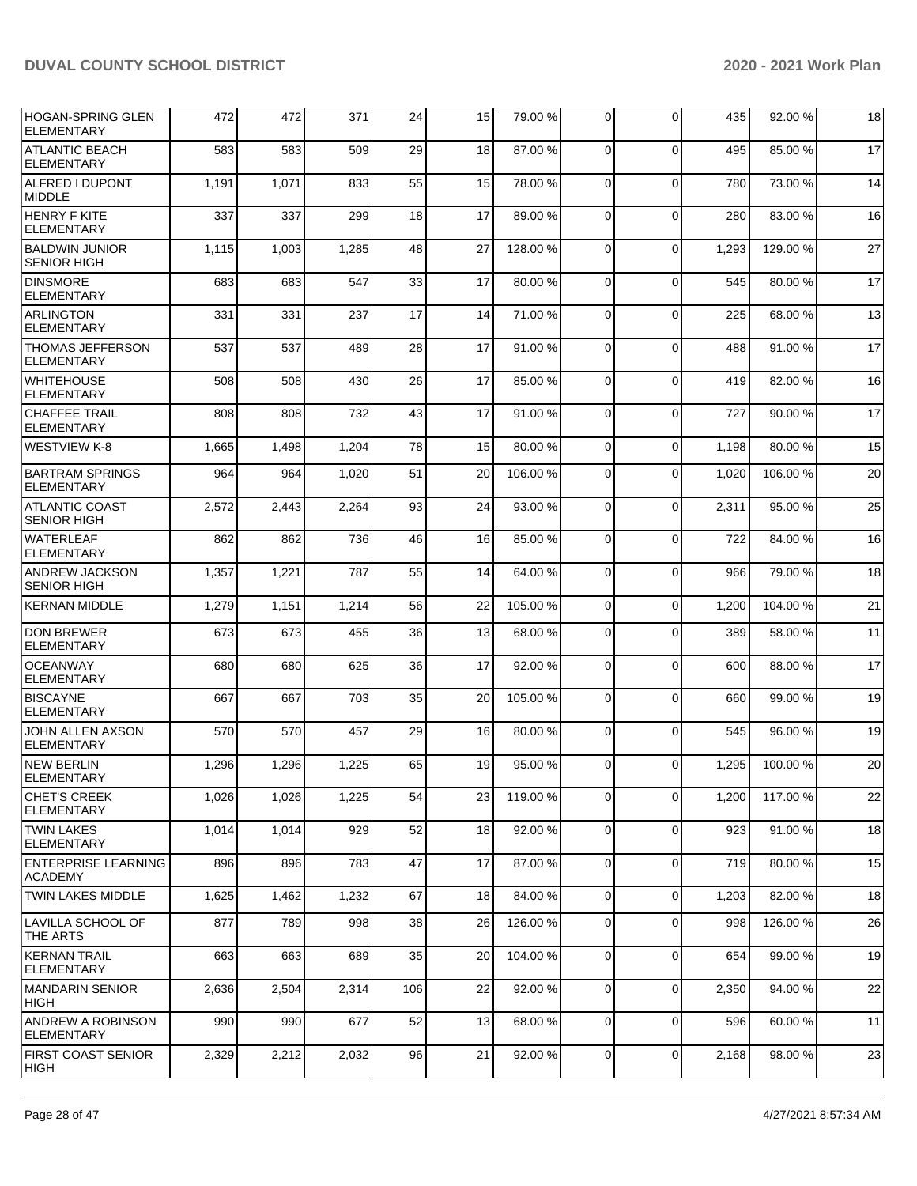| HOGAN-SPRING GLEN<br><b>ELEMENTARY</b>        | 472   | 472   | 371   | 24  | 15 | 79.00 %  | $\Omega$       | $\Omega$    | 435   | 92.00 %  | 18 |
|-----------------------------------------------|-------|-------|-------|-----|----|----------|----------------|-------------|-------|----------|----|
| <b>ATLANTIC BEACH</b><br><b>ELEMENTARY</b>    | 583   | 583   | 509   | 29  | 18 | 87.00%   | $\Omega$       | $\Omega$    | 495   | 85.00 %  | 17 |
| ALFRED I DUPONT<br><b>MIDDLE</b>              | 1,191 | 1,071 | 833   | 55  | 15 | 78.00 %  | $\mathbf 0$    | $\mathbf 0$ | 780   | 73.00 %  | 14 |
| HENRY F KITE<br><b>ELEMENTARY</b>             | 337   | 337   | 299   | 18  | 17 | 89.00 %  | $\Omega$       | $\mathbf 0$ | 280   | 83.00 %  | 16 |
| <b>BALDWIN JUNIOR</b><br><b>SENIOR HIGH</b>   | 1,115 | 1,003 | 1,285 | 48  | 27 | 128.00%  | $\Omega$       | $\Omega$    | 1,293 | 129.00%  | 27 |
| <b>DINSMORE</b><br><b>ELEMENTARY</b>          | 683   | 683   | 547   | 33  | 17 | 80.00 %  | $\mathbf 0$    | 0           | 545   | 80.00 %  | 17 |
| <b>ARLINGTON</b><br><b>ELEMENTARY</b>         | 331   | 331   | 237   | 17  | 14 | 71.00 %  | $\Omega$       | $\mathbf 0$ | 225   | 68.00 %  | 13 |
| <b>THOMAS JEFFERSON</b><br><b>ELEMENTARY</b>  | 537   | 537   | 489   | 28  | 17 | 91.00 %  | $\Omega$       | $\Omega$    | 488   | 91.00 %  | 17 |
| <b>WHITEHOUSE</b><br><b>ELEMENTARY</b>        | 508   | 508   | 430   | 26  | 17 | 85.00 %  | $\mathbf 0$    | $\mathbf 0$ | 419   | 82.00 %  | 16 |
| <b>CHAFFEE TRAIL</b><br><b>ELEMENTARY</b>     | 808   | 808   | 732   | 43  | 17 | 91.00%   | $\Omega$       | $\mathbf 0$ | 727   | 90.00 %  | 17 |
| <b>WESTVIEW K-8</b>                           | 1,665 | 1,498 | 1,204 | 78  | 15 | 80.00%   | $\Omega$       | 0           | 1,198 | 80.00 %  | 15 |
| <b>BARTRAM SPRINGS</b><br><b>ELEMENTARY</b>   | 964   | 964   | 1,020 | 51  | 20 | 106.00%  | $\Omega$       | $\Omega$    | 1,020 | 106.00 % | 20 |
| <b>ATLANTIC COAST</b><br><b>SENIOR HIGH</b>   | 2,572 | 2,443 | 2,264 | 93  | 24 | 93.00 %  | $\mathbf 0$    | 0           | 2,311 | 95.00 %  | 25 |
| <b>WATERLEAF</b><br><b>ELEMENTARY</b>         | 862   | 862   | 736   | 46  | 16 | 85.00 %  | $\Omega$       | $\Omega$    | 722   | 84.00 %  | 16 |
| <b>ANDREW JACKSON</b><br><b>SENIOR HIGH</b>   | 1,357 | 1,221 | 787   | 55  | 14 | 64.00 %  | $\Omega$       | $\Omega$    | 966   | 79.00 %  | 18 |
| <b>KERNAN MIDDLE</b>                          | 1,279 | 1,151 | 1,214 | 56  | 22 | 105.00%  | $\overline{0}$ | $\Omega$    | 1,200 | 104.00%  | 21 |
| <b>DON BREWER</b><br><b>ELEMENTARY</b>        | 673   | 673   | 455   | 36  | 13 | 68.00 %  | $\mathbf 0$    | $\Omega$    | 389   | 58.00 %  | 11 |
| <b>OCEANWAY</b><br><b>ELEMENTARY</b>          | 680   | 680   | 625   | 36  | 17 | 92.00 %  | $\Omega$       | $\mathbf 0$ | 600   | 88.00 %  | 17 |
| <b>BISCAYNE</b><br><b>ELEMENTARY</b>          | 667   | 667   | 703   | 35  | 20 | 105.00 % | $\Omega$       | $\Omega$    | 660   | 99.00 %  | 19 |
| JOHN ALLEN AXSON<br><b>ELEMENTARY</b>         | 570   | 570   | 457   | 29  | 16 | 80.00 %  | $\mathbf 0$    | $\Omega$    | 545   | 96.00 %  | 19 |
| <b>NEW BERLIN</b><br>ELEMENTARY               | 1,296 | 1,296 | 1,225 | 65  | 19 | 95.00 %  | $\Omega$       | $\Omega$    | 1,295 | 100.00%  | 20 |
| <b>CHET'S CREEK</b><br><b>ELEMENTARY</b>      | 1,026 | 1,026 | 1,225 | 54  | 23 | 119.00 % | $\Omega$       | $\Omega$    | 1,200 | 117.00 % | 22 |
| <b>TWIN LAKES</b><br><b>ELEMENTARY</b>        | 1,014 | 1,014 | 929   | 52  | 18 | 92.00 %  | $\overline{0}$ | 0           | 923   | 91.00%   | 18 |
| <b>ENTERPRISE LEARNING</b><br><b>ACADEMY</b>  | 896   | 896   | 783   | 47  | 17 | 87.00 %  | $\Omega$       | 0           | 719   | 80.00%   | 15 |
| TWIN LAKES MIDDLE                             | 1,625 | 1,462 | 1,232 | 67  | 18 | 84.00 %  | $\overline{0}$ | 0           | 1,203 | 82.00 %  | 18 |
| LAVILLA SCHOOL OF<br><b>THE ARTS</b>          | 877   | 789   | 998   | 38  | 26 | 126.00 % | $\Omega$       | $\Omega$    | 998   | 126.00 % | 26 |
| <b>KERNAN TRAIL</b><br>ELEMENTARY             | 663   | 663   | 689   | 35  | 20 | 104.00%  | $\overline{0}$ | 0           | 654   | 99.00 %  | 19 |
| MANDARIN SENIOR<br> HIGH                      | 2,636 | 2,504 | 2,314 | 106 | 22 | 92.00 %  | $\Omega$       | 0           | 2,350 | 94.00 %  | 22 |
| <b>ANDREW A ROBINSON</b><br><b>ELEMENTARY</b> | 990   | 990   | 677   | 52  | 13 | 68.00 %  | $\overline{0}$ | 0           | 596   | 60.00 %  | 11 |
| <b>FIRST COAST SENIOR</b><br>∣HIGH            | 2,329 | 2,212 | 2,032 | 96  | 21 | 92.00 %  | $\overline{0}$ | 0           | 2,168 | 98.00 %  | 23 |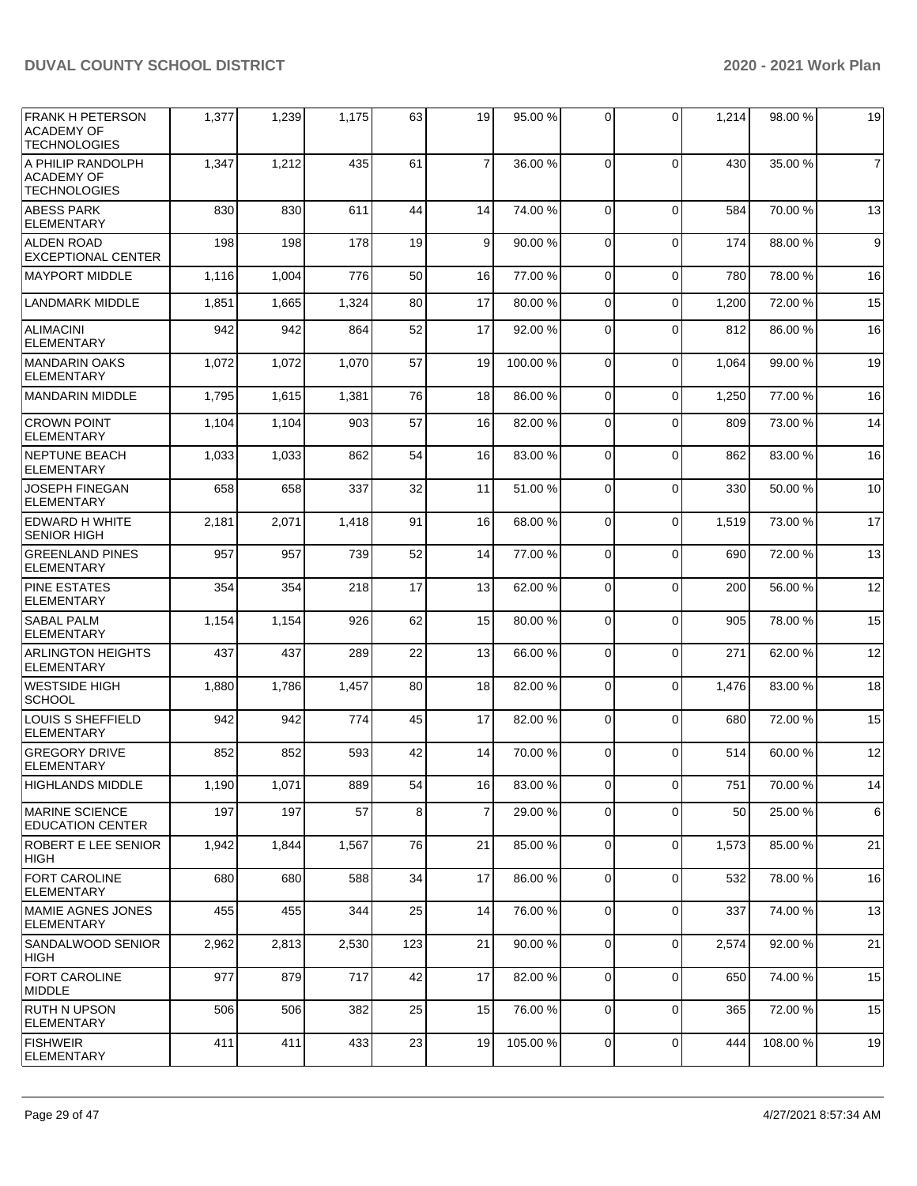| IFRANK H PETERSON<br><b>ACADEMY OF</b><br><b>TECHNOLOGIES</b> | 1,377 | 1,239 | 1,175 | 63  | 19             | 95.00 %  | $\Omega$       | $\Omega$       | 1,214 | 98.00 % | 19             |
|---------------------------------------------------------------|-------|-------|-------|-----|----------------|----------|----------------|----------------|-------|---------|----------------|
| A PHILIP RANDOLPH<br><b>ACADEMY OF</b><br>TECHNOLOGIES        | 1,347 | 1,212 | 435   | 61  | $\overline{7}$ | 36.00 %  | $\Omega$       | $\Omega$       | 430   | 35.00 % | $\overline{7}$ |
| <b>ABESS PARK</b><br><b>ELEMENTARY</b>                        | 830   | 830   | 611   | 44  | 14             | 74.00 %  | $\Omega$       | $\Omega$       | 584   | 70.00 % | 13             |
| <b>ALDEN ROAD</b><br><b>EXCEPTIONAL CENTER</b>                | 198   | 198   | 178   | 19  | 9              | 90.00 %  | $\Omega$       | $\Omega$       | 174   | 88.00 % | 9              |
| <b>IMAYPORT MIDDLE</b>                                        | 1,116 | 1,004 | 776   | 50  | 16             | 77.00 %  | $\Omega$       | $\Omega$       | 780   | 78.00 % | 16             |
| <b>LANDMARK MIDDLE</b>                                        | 1,851 | 1,665 | 1,324 | 80  | 17             | 80.00 %  | $\Omega$       | $\Omega$       | 1,200 | 72.00 % | 15             |
| <b>ALIMACINI</b><br><b>ELEMENTARY</b>                         | 942   | 942   | 864   | 52  | 17             | 92.00 %  | $\Omega$       | $\Omega$       | 812   | 86.00 % | 16             |
| <b>MANDARIN OAKS</b><br><b>ELEMENTARY</b>                     | 1,072 | 1,072 | 1,070 | 57  | 19             | 100.00%  | $\Omega$       | $\mathbf 0$    | 1,064 | 99.00 % | 19             |
| <b>MANDARIN MIDDLE</b>                                        | 1,795 | 1,615 | 1,381 | 76  | 18             | 86.00 %  | 0              | $\Omega$       | 1,250 | 77.00 % | 16             |
| <b>CROWN POINT</b><br><b>ELEMENTARY</b>                       | 1,104 | 1,104 | 903   | 57  | 16             | 82.00 %  | $\Omega$       | $\Omega$       | 809   | 73.00 % | 14             |
| <b>NEPTUNE BEACH</b><br><b>ELEMENTARY</b>                     | 1,033 | 1,033 | 862   | 54  | 16             | 83.00 %  | $\Omega$       | $\Omega$       | 862   | 83.00 % | 16             |
| <b>JOSEPH FINEGAN</b><br><b>ELEMENTARY</b>                    | 658   | 658   | 337   | 32  | 11             | 51.00 %  | $\Omega$       | $\Omega$       | 330   | 50.00 % | 10             |
| <b>EDWARD H WHITE</b><br><b>SENIOR HIGH</b>                   | 2,181 | 2,071 | 1,418 | 91  | 16             | 68.00 %  | $\Omega$       | $\Omega$       | 1,519 | 73.00 % | 17             |
| <b>GREENLAND PINES</b><br><b>ELEMENTARY</b>                   | 957   | 957   | 739   | 52  | 14             | 77.00 %  | $\Omega$       | $\Omega$       | 690   | 72.00 % | 13             |
| <b>PINE ESTATES</b><br><b>ELEMENTARY</b>                      | 354   | 354   | 218   | 17  | 13             | 62.00%   | $\Omega$       | $\mathbf 0$    | 200   | 56.00 % | 12             |
| <b>SABAL PALM</b><br><b>ELEMENTARY</b>                        | 1,154 | 1,154 | 926   | 62  | 15             | 80.00%   | $\Omega$       | $\Omega$       | 905   | 78.00 % | 15             |
| <b>ARLINGTON HEIGHTS</b><br><b>ELEMENTARY</b>                 | 437   | 437   | 289   | 22  | 13             | 66.00 %  | $\Omega$       | $\Omega$       | 271   | 62.00 % | 12             |
| <b>WESTSIDE HIGH</b><br><b>SCHOOL</b>                         | 1,880 | 1,786 | 1,457 | 80  | 18             | 82.00 %  | $\Omega$       | 0              | 1,476 | 83.00 % | 18             |
| <b>LOUIS S SHEFFIELD</b><br><b>ELEMENTARY</b>                 | 942   | 942   | 774   | 45  | 17             | 82.00 %  | $\Omega$       | $\Omega$       | 680   | 72.00 % | 15             |
| <b>GREGORY DRIVE</b><br><b>ELEMENTARY</b>                     | 852   | 852   | 593   | 42  | 14             | 70.00 %  | $\Omega$       | $\Omega$       | 514   | 60.00 % | 12             |
| HIGHLANDS MIDDLE                                              | 1,190 | 1,071 | 889   | 54  | 16             | 83.00 %  | $\overline{0}$ | $\overline{0}$ | 751   | 70.00 % | 14             |
| <b>IMARINE SCIENCE</b><br><b>EDUCATION CENTER</b>             | 197   | 197   | 57    | 8   | $\overline{7}$ | 29.00 %  | 0              | $\Omega$       | 50    | 25.00 % | 6              |
| ROBERT E LEE SENIOR<br>HIGH                                   | 1,942 | 1,844 | 1,567 | 76  | 21             | 85.00 %  | 0              | $\mathbf 0$    | 1,573 | 85.00 % | 21             |
| <b>FORT CAROLINE</b><br>ELEMENTARY                            | 680   | 680   | 588   | 34  | 17             | 86.00 %  | $\mathbf 0$    | $\mathbf 0$    | 532   | 78.00 % | 16             |
| MAMIE AGNES JONES<br>ELEMENTARY                               | 455   | 455   | 344   | 25  | 14             | 76.00 %  | 0              | $\mathbf 0$    | 337   | 74.00 % | 13             |
| SANDALWOOD SENIOR<br> HIGH                                    | 2,962 | 2,813 | 2,530 | 123 | 21             | 90.00 %  | 0              | $\mathbf 0$    | 2,574 | 92.00 % | 21             |
| <b>FORT CAROLINE</b><br><b>MIDDLE</b>                         | 977   | 879   | 717   | 42  | 17             | 82.00 %  | $\mathbf 0$    | $\Omega$       | 650   | 74.00 % | 15             |
| <b>RUTH N UPSON</b><br>ELEMENTARY                             | 506   | 506   | 382   | 25  | 15             | 76.00 %  | 0              | $\mathbf 0$    | 365   | 72.00 % | 15             |
| <b>FISHWEIR</b><br>ELEMENTARY                                 | 411   | 411   | 433   | 23  | 19             | 105.00 % | 0              | $\mathbf 0$    | 444   | 108.00% | 19             |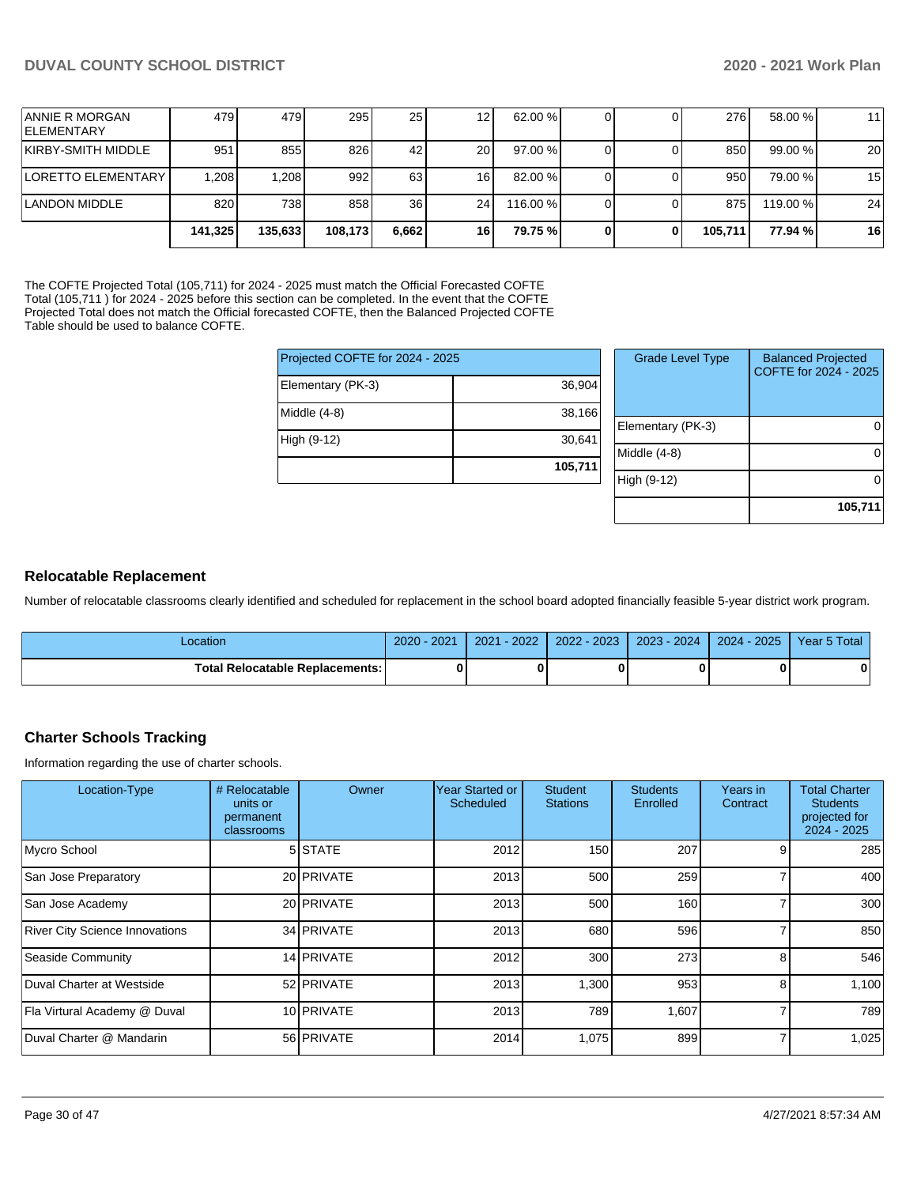| <b>ANNIE R MORGAN</b><br><b>IELEMENTARY</b> | 4791    | 479     | 295     | 25 I            | 12              | 62.00 %  |   | 276     | 58.00 %  | 11 |
|---------------------------------------------|---------|---------|---------|-----------------|-----------------|----------|---|---------|----------|----|
| KIRBY-SMITH MIDDLE                          | 951     | 855     | 826     | 42 <sub>1</sub> | 20              | 97.00 %  |   | 850     | 99.00 %  | 20 |
| <b>ILORETTO ELEMENTARY</b>                  | .208    | 1.208   | 992     | 63              | 16              | 82.00 %  |   | 950     | 79.00 %  | 15 |
| LANDON MIDDLE                               | 820     | 738     | 858     | 36 <sub>l</sub> | 24 <sub>l</sub> | 116.00 % |   | 875     | 119.00 % | 24 |
|                                             | 141,325 | 135.633 | 108,173 | 6.662           | 16              | 79.75 %  | 0 | 105.711 | 77.94 %  | 16 |

The COFTE Projected Total (105,711) for 2024 - 2025 must match the Official Forecasted COFTE Total (105,711 ) for 2024 - 2025 before this section can be completed. In the event that the COFTE Projected Total does not match the Official forecasted COFTE, then the Balanced Projected COFTE Table should be used to balance COFTE.

| Projected COFTE for 2024 - 2025 |         | <b>Grade Level Type</b> | <b>Balanced Projected</b><br>COFTE for 2024 - 2025 |  |  |
|---------------------------------|---------|-------------------------|----------------------------------------------------|--|--|
| Elementary (PK-3)               | 36,904  |                         |                                                    |  |  |
| Middle (4-8)                    | 38,166  |                         |                                                    |  |  |
|                                 |         | Elementary (PK-3)       | $\overline{0}$                                     |  |  |
| High (9-12)                     | 30,641  |                         |                                                    |  |  |
|                                 |         | Middle (4-8)            | $\overline{0}$                                     |  |  |
|                                 | 105,711 |                         |                                                    |  |  |
|                                 |         | High (9-12)             | $\overline{0}$                                     |  |  |
|                                 |         |                         |                                                    |  |  |
|                                 |         |                         | 105,711                                            |  |  |

#### **Relocatable Replacement**

Number of relocatable classrooms clearly identified and scheduled for replacement in the school board adopted financially feasible 5-year district work program.

| Location                                 | 2021<br>$2020 -$ | $-2022$<br>2021 | $2022 - 2023$ | $2023 - 2024$ | 2024 - 2025 | Year 5 Total |
|------------------------------------------|------------------|-----------------|---------------|---------------|-------------|--------------|
| <b>Total Relocatable Replacements: I</b> |                  |                 |               |               |             | 0            |

## **Charter Schools Tracking**

Information regarding the use of charter schools.

| Location-Type                         | # Relocatable<br>units or<br>permanent<br>classrooms | Owner      | <b>Year Started or</b><br><b>Scheduled</b> | <b>Student</b><br><b>Stations</b> | <b>Students</b><br>Enrolled | Years in<br>Contract | <b>Total Charter</b><br><b>Students</b><br>projected for<br>2024 - 2025 |
|---------------------------------------|------------------------------------------------------|------------|--------------------------------------------|-----------------------------------|-----------------------------|----------------------|-------------------------------------------------------------------------|
| Mycro School                          |                                                      | 5 STATE    | 2012                                       | 150                               | 207                         |                      | 285                                                                     |
| San Jose Preparatory                  |                                                      | 20 PRIVATE | 2013                                       | 500                               | 259                         |                      | 400                                                                     |
| San Jose Academy                      |                                                      | 20 PRIVATE | 2013                                       | 500                               | 160                         |                      | 300                                                                     |
| <b>River City Science Innovations</b> |                                                      | 34 PRIVATE | 2013                                       | 680                               | 596                         |                      | 850                                                                     |
| Seaside Community                     |                                                      | 14 PRIVATE | 2012                                       | 300                               | 273                         | 8                    | 546                                                                     |
| Duval Charter at Westside             |                                                      | 52 PRIVATE | 2013                                       | 1,300                             | 953                         | 8                    | 1,100                                                                   |
| Fla Virtural Academy @ Duval          |                                                      | 10 PRIVATE | 2013                                       | 789                               | 1,607                       |                      | 789                                                                     |
| Duval Charter @ Mandarin              |                                                      | 56 PRIVATE | 2014                                       | 1,075                             | 899                         |                      | 1,025                                                                   |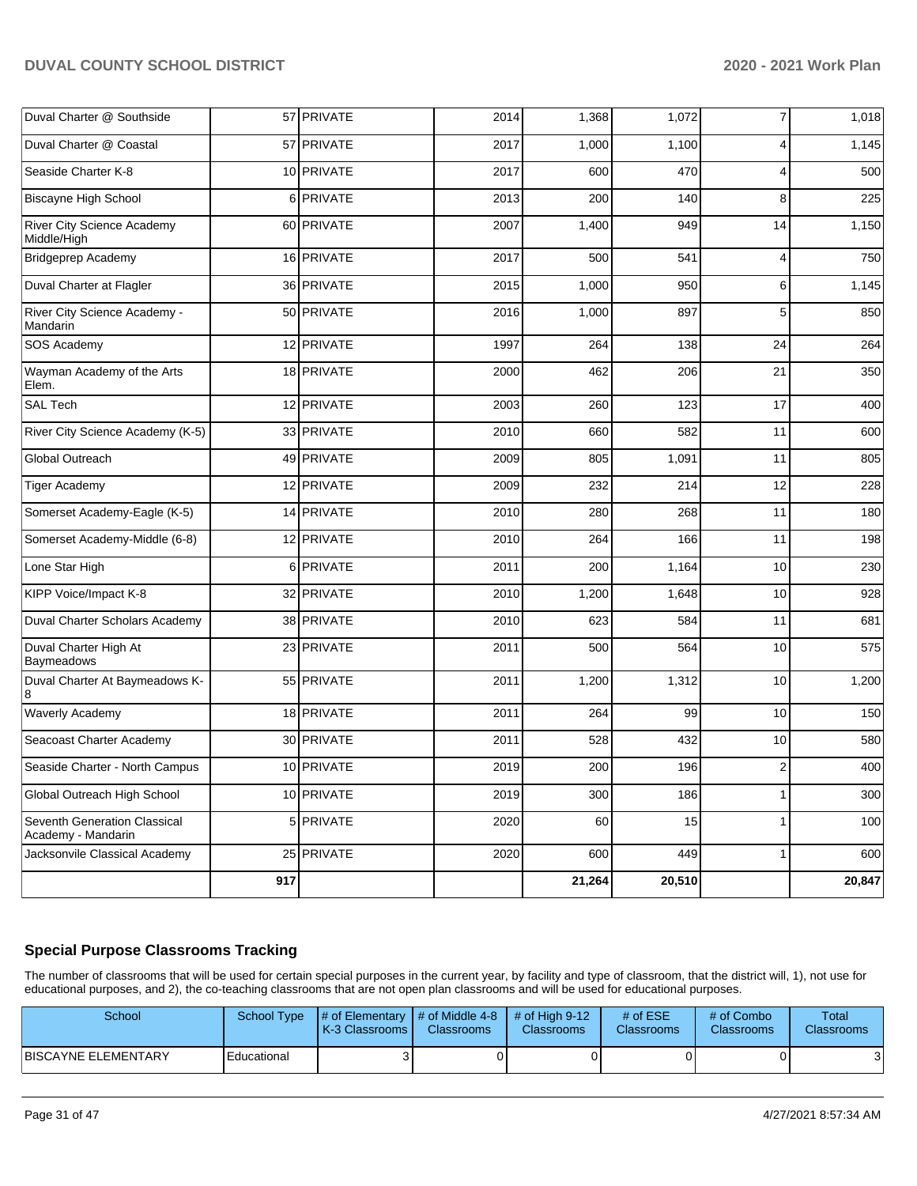| Duval Charter @ Southside                          |     | 57 PRIVATE | 2014 | 1,368  | 1,072  | $\overline{7}$          | 1,018  |
|----------------------------------------------------|-----|------------|------|--------|--------|-------------------------|--------|
| Duval Charter @ Coastal                            |     | 57 PRIVATE | 2017 | 1,000  | 1,100  | 4                       | 1,145  |
| Seaside Charter K-8                                |     | 10 PRIVATE | 2017 | 600    | 470    | 4                       | 500    |
| Biscayne High School                               |     | 6 PRIVATE  | 2013 | 200    | 140    | 8                       | 225    |
| River City Science Academy<br>Middle/High          |     | 60 PRIVATE | 2007 | 1,400  | 949    | 14                      | 1,150  |
| Bridgeprep Academy                                 |     | 16 PRIVATE | 2017 | 500    | 541    | 4                       | 750    |
| Duval Charter at Flagler                           |     | 36 PRIVATE | 2015 | 1,000  | 950    | 6                       | 1,145  |
| River City Science Academy -<br>Mandarin           |     | 50 PRIVATE | 2016 | 1,000  | 897    | 5                       | 850    |
| SOS Academy                                        |     | 12 PRIVATE | 1997 | 264    | 138    | 24                      | 264    |
| Wayman Academy of the Arts<br>Elem.                |     | 18 PRIVATE | 2000 | 462    | 206    | 21                      | 350    |
| <b>SAL Tech</b>                                    |     | 12 PRIVATE | 2003 | 260    | 123    | 17                      | 400    |
| River City Science Academy (K-5)                   |     | 33 PRIVATE | 2010 | 660    | 582    | 11                      | 600    |
| Global Outreach                                    |     | 49 PRIVATE | 2009 | 805    | 1,091  | 11                      | 805    |
| <b>Tiger Academy</b>                               |     | 12 PRIVATE | 2009 | 232    | 214    | 12                      | 228    |
| Somerset Academy-Eagle (K-5)                       |     | 14 PRIVATE | 2010 | 280    | 268    | 11                      | 180    |
| Somerset Academy-Middle (6-8)                      |     | 12 PRIVATE | 2010 | 264    | 166    | 11                      | 198    |
| Lone Star High                                     |     | 6 PRIVATE  | 2011 | 200    | 1,164  | 10                      | 230    |
| KIPP Voice/Impact K-8                              |     | 32 PRIVATE | 2010 | 1,200  | 1,648  | 10                      | 928    |
| Duval Charter Scholars Academy                     |     | 38 PRIVATE | 2010 | 623    | 584    | 11                      | 681    |
| Duval Charter High At<br>Baymeadows                |     | 23 PRIVATE | 2011 | 500    | 564    | 10                      | 575    |
| Duval Charter At Baymeadows K-<br>8                |     | 55 PRIVATE | 2011 | 1,200  | 1,312  | 10                      | 1,200  |
| <b>Waverly Academy</b>                             |     | 18 PRIVATE | 2011 | 264    | 99     | 10                      | 150    |
| Seacoast Charter Academy                           |     | 30 PRIVATE | 2011 | 528    | 432    | 10                      | 580    |
| Seaside Charter - North Campus                     |     | 10 PRIVATE | 2019 | 200    | 196    | $\overline{\mathbf{c}}$ | 400    |
| Global Outreach High School                        |     | 10 PRIVATE | 2019 | 300    | 186    | 1                       | 300    |
| Seventh Generation Classical<br>Academy - Mandarin |     | 5 PRIVATE  | 2020 | 60     | 15     | 1                       | 100    |
| Jacksonvile Classical Academy                      |     | 25 PRIVATE | 2020 | 600    | 449    | $\mathbf{1}$            | 600    |
|                                                    | 917 |            |      | 21,264 | 20,510 |                         | 20,847 |

## **Special Purpose Classrooms Tracking**

The number of classrooms that will be used for certain special purposes in the current year, by facility and type of classroom, that the district will, 1), not use for educational purposes, and 2), the co-teaching classrooms that are not open plan classrooms and will be used for educational purposes.

| School                      | School Type | $\parallel$ # of Elementary $\parallel$ # of Middle 4-8 $\parallel$ # of High 9-12<br>LK-3 Classrooms L | <b>Classrooms</b> | <b>Classrooms</b> | # of $ESE$<br><b>Classrooms</b> | $#$ of Combo<br><b>Classrooms</b> | Total<br>Classrooms |
|-----------------------------|-------------|---------------------------------------------------------------------------------------------------------|-------------------|-------------------|---------------------------------|-----------------------------------|---------------------|
| <b>IBISCAYNE ELEMENTARY</b> | Educational |                                                                                                         |                   |                   |                                 |                                   | ີ<br>J.             |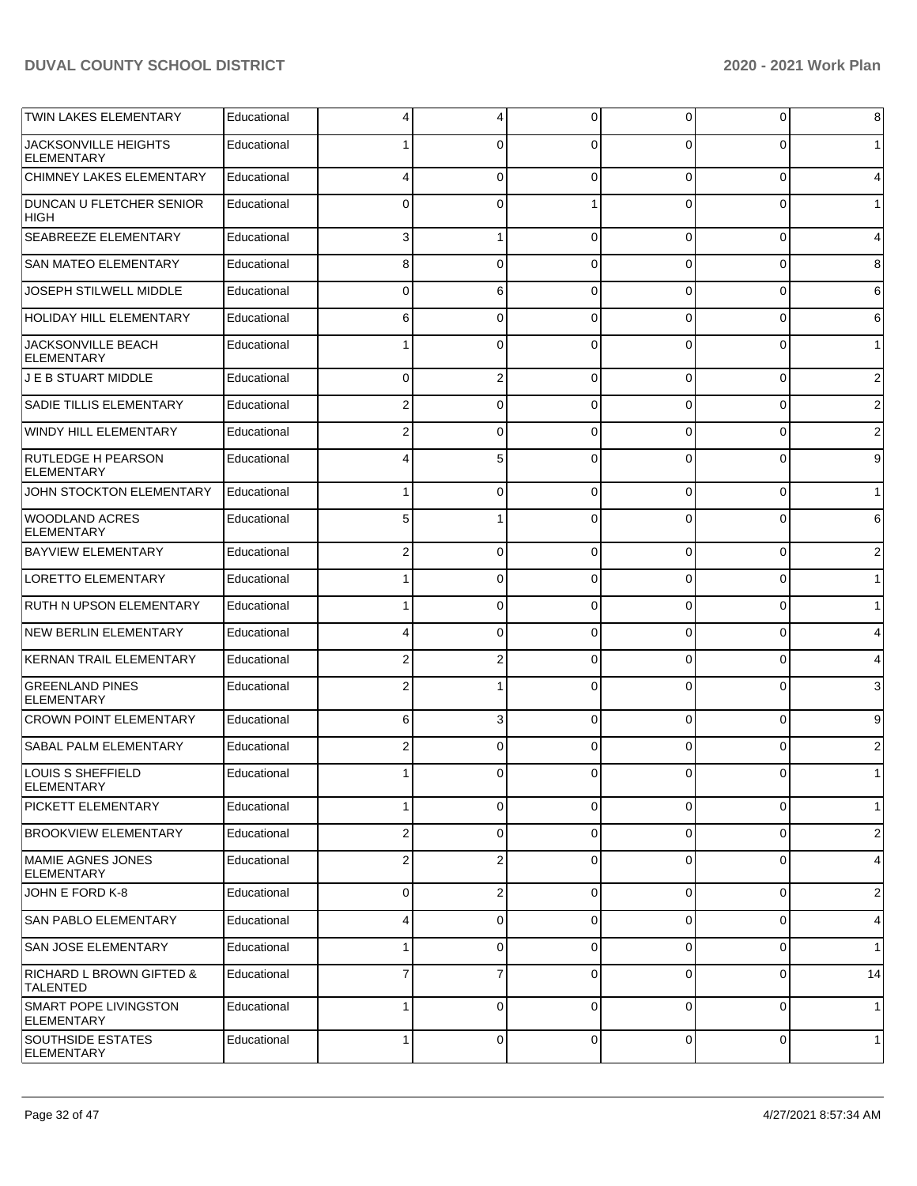| <b>TWIN LAKES ELEMENTARY</b>                      | Educational | 4                       | 4              | $\Omega$    | 0              | 0        | 8              |
|---------------------------------------------------|-------------|-------------------------|----------------|-------------|----------------|----------|----------------|
| <b>JACKSONVILLE HEIGHTS</b><br><b>ELEMENTARY</b>  | Educational |                         | 0              | $\Omega$    | $\Omega$       | $\Omega$ | $\mathbf 1$    |
| CHIMNEY LAKES ELEMENTARY                          | Educational | 4                       | 0              | $\Omega$    | 0              | 0        | 4              |
| DUNCAN U FLETCHER SENIOR<br>HIGH                  | Educational | 0                       | $\Omega$       |             | 0              | 0        | $\mathbf{1}$   |
| <b>SEABREEZE ELEMENTARY</b>                       | Educational | 3                       |                | $\Omega$    | 0              | 0        | 4              |
| <b>SAN MATEO ELEMENTARY</b>                       | Educational | 8                       | $\Omega$       | $\Omega$    | 0              | 0        | 8              |
| JOSEPH STILWELL MIDDLE                            | Educational | 0                       | 6              | $\Omega$    | 0              | 0        | 6              |
| <b>HOLIDAY HILL ELEMENTARY</b>                    | Educational | 6                       | 0              | $\Omega$    | 0              | 0        | 6              |
| JACKSONVILLE BEACH<br><b>ELEMENTARY</b>           | Educational |                         | $\Omega$       | $\Omega$    | 0              | 0        | $\mathbf{1}$   |
| J E B STUART MIDDLE                               | Educational | 0                       | 2              | $\Omega$    | 0              | 0        | $\overline{c}$ |
| <b>SADIE TILLIS ELEMENTARY</b>                    | Educational | 2                       | 0              | $\Omega$    | 0              | 0        | 2              |
| <b>WINDY HILL ELEMENTARY</b>                      | Educational | 2                       | 0              | $\Omega$    | 0              | 0        | $\overline{c}$ |
| <b>RUTLEDGE H PEARSON</b><br><b>ELEMENTARY</b>    | Educational | 4                       | 5              | $\Omega$    | $\Omega$       | 0        | 9              |
| JOHN STOCKTON ELEMENTARY                          | Educational | 1                       | 0              | $\Omega$    | 0              | 0        | $\mathbf{1}$   |
| <b>WOODLAND ACRES</b><br><b>ELEMENTARY</b>        | Educational | 5                       |                | $\Omega$    | 0              | 0        | 6              |
| <b>BAYVIEW ELEMENTARY</b>                         | Educational | 2                       | 0              | $\Omega$    | 0              | 0        | $\overline{2}$ |
| <b>LORETTO ELEMENTARY</b>                         | Educational |                         | 0              | $\Omega$    | 0              | 0        | $\mathbf{1}$   |
| <b>RUTH N UPSON ELEMENTARY</b>                    | Educational |                         | $\Omega$       | $\Omega$    | 0              | 0        | $\mathbf{1}$   |
| <b>NEW BERLIN ELEMENTARY</b>                      | Educational | 4                       | $\Omega$       | $\Omega$    | 0              | 0        | 4              |
| <b>KERNAN TRAIL ELEMENTARY</b>                    | Educational | 2                       | 2              | $\Omega$    | 0              | 0        | 4              |
| <b>GREENLAND PINES</b><br><b>ELEMENTARY</b>       | Educational | $\overline{2}$          |                | $\Omega$    | 0              | 0        | 3              |
| <b>CROWN POINT ELEMENTARY</b>                     | Educational | 6                       | 3              | $\Omega$    | 0              | 0        | 9              |
| <b>SABAL PALM ELEMENTARY</b>                      | Educational | 2                       | 0              | $\Omega$    | $\Omega$       | 0        | 2              |
| <b>LOUIS S SHEFFIELD</b><br><b>ELEMENTARY</b>     | Educational | 1                       | 0              | $\Omega$    | $\overline{0}$ | 0        | $\mathbf 1$    |
| <b>PICKETT ELEMENTARY</b>                         | Educational | $\mathbf{1}$            | 0              | $\mathbf 0$ | $\overline{0}$ | 0        | $\mathbf{1}$   |
| <b>BROOKVIEW ELEMENTARY</b>                       | Educational | $\overline{\mathbf{c}}$ | 0              | $\Omega$    | 0              | 0        | $\overline{2}$ |
| MAMIE AGNES JONES<br><b>ELEMENTARY</b>            | Educational | $\overline{2}$          | $\overline{2}$ | $\mathbf 0$ | 0              | 0        | 4              |
| JOHN E FORD K-8                                   | Educational | 0                       | 2              | $\Omega$    | 0              | 0        | $\overline{c}$ |
| <b>SAN PABLO ELEMENTARY</b>                       | Educational | 4                       | 0              | $\Omega$    | 0              | 0        | 4              |
| <b>SAN JOSE ELEMENTARY</b>                        | Educational | 1                       | 0              | $\Omega$    | 0              | 0        | $\mathbf{1}$   |
| RICHARD L BROWN GIFTED &<br><b>TALENTED</b>       | Educational | 7                       | 7              | $\Omega$    | 0              | 0        | 14             |
| <b>SMART POPE LIVINGSTON</b><br><b>ELEMENTARY</b> | Educational | 1                       | 0              | $\Omega$    | $\mathbf 0$    | 0        | $\mathbf{1}$   |
| <b>SOUTHSIDE ESTATES</b><br>ELEMENTARY            | Educational | $\mathbf{1}$            | 0              | $\mathbf 0$ | $\overline{0}$ | 0        | $\mathbf{1}$   |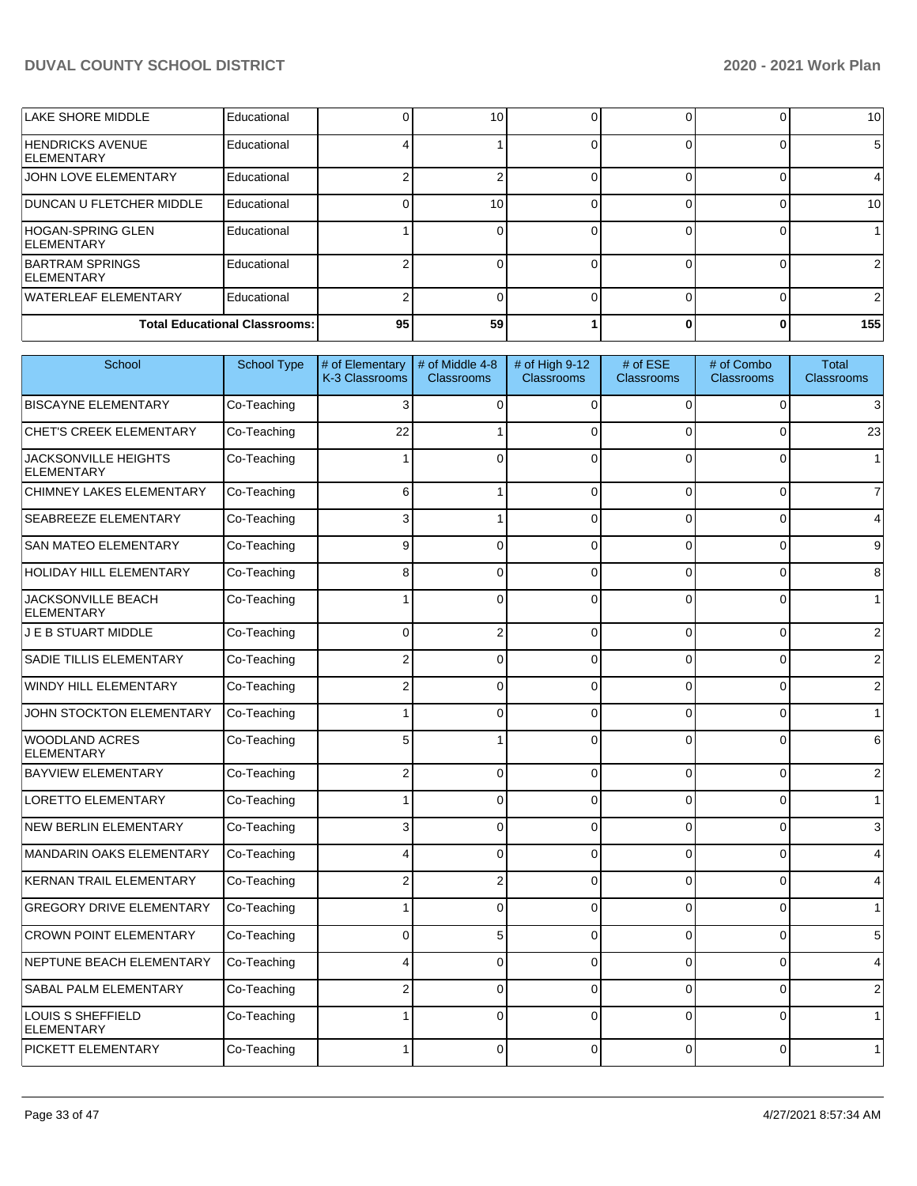| LAKE SHORE MIDDLE                             | Educational |    | 10  |  | 10 <sup>1</sup> |
|-----------------------------------------------|-------------|----|-----|--|-----------------|
| <b>HENDRICKS AVENUE</b><br><b>IELEMENTARY</b> | Educational |    |     |  | 5               |
| <b>JOHN LOVE ELEMENTARY</b>                   | Educational |    |     |  |                 |
| <b>IDUNCAN U FLETCHER MIDDLE</b>              | Educational |    | 10. |  | 10 l            |
| HOGAN-SPRING GLEN<br><b>IELEMENTARY</b>       | Educational |    |     |  |                 |
| BARTRAM SPRINGS<br><b>IELEMENTARY</b>         | Educational |    |     |  |                 |
| WATERLEAF ELEMENTARY                          | Educational |    |     |  |                 |
| <b>Total Educational Classrooms:</b>          |             | 95 | 59  |  | 155             |

| School                                           | <b>School Type</b> | # of Elementary<br>K-3 Classrooms | # of Middle 4-8<br>Classrooms | # of High 9-12<br><b>Classrooms</b> | # of ESE<br><b>Classrooms</b> | # of Combo<br><b>Classrooms</b> | <b>Total</b><br><b>Classrooms</b> |
|--------------------------------------------------|--------------------|-----------------------------------|-------------------------------|-------------------------------------|-------------------------------|---------------------------------|-----------------------------------|
| <b>BISCAYNE ELEMENTARY</b>                       | Co-Teaching        | 3                                 | $\Omega$                      | $\Omega$                            | $\Omega$                      | 0                               | $\overline{3}$                    |
| <b>CHET'S CREEK ELEMENTARY</b>                   | Co-Teaching        | 22                                |                               | $\Omega$                            | $\Omega$                      | 0                               | 23                                |
| <b>JACKSONVILLE HEIGHTS</b><br><b>ELEMENTARY</b> | Co-Teaching        | $\mathbf{1}$                      | $\Omega$                      | $\Omega$                            | $\Omega$                      | 0                               | 1                                 |
| CHIMNEY LAKES ELEMENTARY                         | Co-Teaching        | 6                                 | 1                             | $\Omega$                            | $\Omega$                      | 0                               | $\overline{7}$                    |
| <b>SEABREEZE ELEMENTARY</b>                      | Co-Teaching        | 3                                 |                               | $\Omega$                            | $\Omega$                      | $\overline{0}$                  | $\overline{4}$                    |
| <b>SAN MATEO ELEMENTARY</b>                      | Co-Teaching        | 9                                 | $\Omega$                      | $\Omega$                            | $\Omega$                      | $\overline{0}$                  | $9\,$                             |
| HOLIDAY HILL ELEMENTARY                          | Co-Teaching        | 8                                 | $\Omega$                      | $\Omega$                            | $\Omega$                      | 0                               | $\bf8$                            |
| <b>JACKSONVILLE BEACH</b><br><b>ELEMENTARY</b>   | Co-Teaching        |                                   | $\Omega$                      | $\Omega$                            | $\Omega$                      | 0                               | 1                                 |
| J E B STUART MIDDLE                              | Co-Teaching        | $\Omega$                          | $\overline{2}$                | $\Omega$                            | $\Omega$                      | 0                               | $\overline{2}$                    |
| <b>SADIE TILLIS ELEMENTARY</b>                   | Co-Teaching        | $\overline{2}$                    | $\Omega$                      | $\Omega$                            | $\Omega$                      | $\overline{0}$                  | $\overline{2}$                    |
| WINDY HILL ELEMENTARY                            | Co-Teaching        | $\overline{2}$                    | $\Omega$                      | $\Omega$                            | $\Omega$                      | 0                               | $\overline{2}$                    |
| JOHN STOCKTON ELEMENTARY                         | Co-Teaching        |                                   | $\Omega$                      | $\Omega$                            | $\Omega$                      | 0                               | 1                                 |
| <b>WOODLAND ACRES</b><br><b>ELEMENTARY</b>       | Co-Teaching        | 5                                 |                               | $\Omega$                            | 0                             | 0                               | $6 \mid$                          |
| <b>BAYVIEW ELEMENTARY</b>                        | Co-Teaching        | $\overline{2}$                    | $\Omega$                      | $\Omega$                            | $\Omega$                      | $\overline{0}$                  | $\overline{2}$                    |
| LORETTO ELEMENTARY                               | Co-Teaching        |                                   | $\Omega$                      | $\Omega$                            | $\Omega$                      | $\overline{0}$                  | 1                                 |
| NEW BERLIN ELEMENTARY                            | Co-Teaching        | 3                                 | $\Omega$                      | $\Omega$                            | $\Omega$                      | $\Omega$                        | $\mathbf{3}$                      |
| MANDARIN OAKS ELEMENTARY                         | Co-Teaching        | 4                                 | $\Omega$                      | $\Omega$                            | 0                             | 0                               | $\overline{4}$                    |
| KERNAN TRAIL ELEMENTARY                          | Co-Teaching        | $\overline{2}$                    | $\overline{2}$                | $\Omega$                            | 0                             | 0                               | $\overline{4}$                    |
| <b>GREGORY DRIVE ELEMENTARY</b>                  | Co-Teaching        | 1                                 | $\Omega$                      | $\Omega$                            | $\Omega$                      | $\Omega$                        | 1                                 |
| <b>CROWN POINT ELEMENTARY</b>                    | Co-Teaching        | $\Omega$                          | 5                             | $\Omega$                            | $\Omega$                      | $\overline{0}$                  | $5\phantom{.0}$                   |
| NEPTUNE BEACH ELEMENTARY                         | Co-Teaching        | 4                                 | $\Omega$                      | $\Omega$                            | $\Omega$                      | 0                               | $\overline{4}$                    |
| <b>SABAL PALM ELEMENTARY</b>                     | Co-Teaching        | $\overline{2}$                    | $\Omega$                      | $\Omega$                            | $\Omega$                      | $\Omega$                        | $\overline{2}$                    |
| LOUIS S SHEFFIELD<br><b>ELEMENTARY</b>           | Co-Teaching        | 1                                 | $\Omega$                      | $\Omega$                            | $\Omega$                      | 0                               | 1                                 |
| <b>PICKETT ELEMENTARY</b>                        | Co-Teaching        |                                   | U                             | $\Omega$                            | $\Omega$                      | 0                               | 1                                 |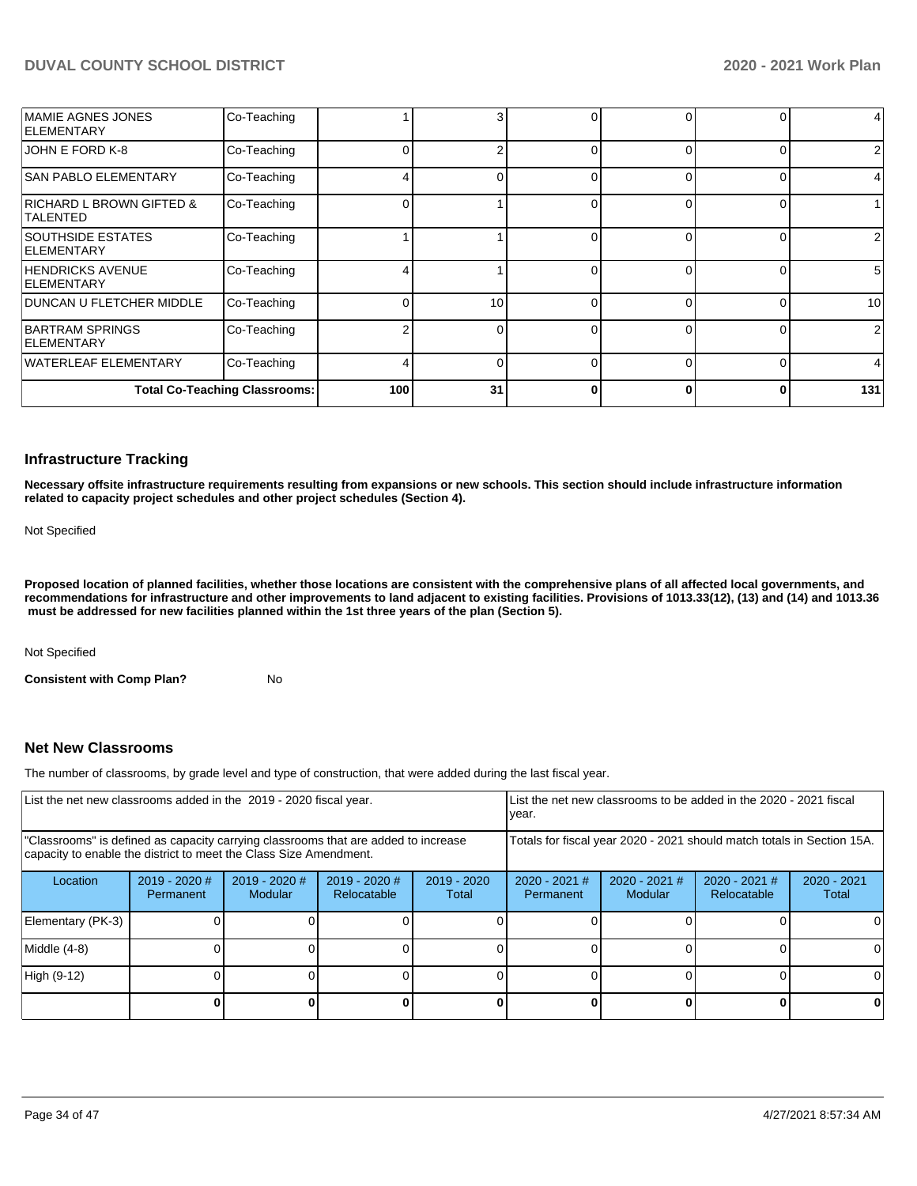| <b>IMAMIE AGNES JONES</b><br><b>IELEMENTARY</b>        | Co-Teaching                          |                  |    |              |          | 0            |                 |
|--------------------------------------------------------|--------------------------------------|------------------|----|--------------|----------|--------------|-----------------|
| JOHN E FORD K-8                                        | Co-Teaching                          |                  |    | $\Omega$     |          | $\Omega$     | $\overline{2}$  |
| <b>SAN PABLO ELEMENTARY</b>                            | Co-Teaching                          |                  |    | 0            |          | 0            |                 |
| <b>RICHARD L BROWN GIFTED &amp;</b><br><b>TALENTED</b> | Co-Teaching                          |                  |    |              |          | 0            |                 |
| <b>SOUTHSIDE ESTATES</b><br><b>IELEMENTARY</b>         | Co-Teaching                          |                  |    | ∩            | $\Omega$ | 0            | $\overline{2}$  |
| <b>HENDRICKS AVENUE</b><br><b>IELEMENTARY</b>          | Co-Teaching                          |                  |    |              |          | $\Omega$     | $5\overline{)}$ |
| DUNCAN U FLETCHER MIDDLE                               | Co-Teaching                          |                  | 10 | ∩            |          | 0            | 10              |
| BARTRAM SPRINGS<br><b>IELEMENTARY</b>                  | Co-Teaching                          |                  |    | ∩            |          | $\Omega$     | $\overline{2}$  |
| WATERLEAF ELEMENTARY                                   | Co-Teaching                          |                  |    | $\Omega$     |          | 0            | $\overline{4}$  |
|                                                        | <b>Total Co-Teaching Classrooms:</b> | 100 <sup>1</sup> | 31 | <sup>0</sup> | ŋ        | $\mathbf{0}$ | 131             |

#### **Infrastructure Tracking**

**Necessary offsite infrastructure requirements resulting from expansions or new schools. This section should include infrastructure information related to capacity project schedules and other project schedules (Section 4).** 

Not Specified

**Proposed location of planned facilities, whether those locations are consistent with the comprehensive plans of all affected local governments, and recommendations for infrastructure and other improvements to land adjacent to existing facilities. Provisions of 1013.33(12), (13) and (14) and 1013.36 must be addressed for new facilities planned within the 1st three years of the plan (Section 5).** 

Not Specified

**Consistent with Comp Plan?** No

### **Net New Classrooms**

The number of classrooms, by grade level and type of construction, that were added during the last fiscal year.

| List the net new classrooms added in the 2019 - 2020 fiscal year. |                              |                                                                                                                                                         |                              | List the net new classrooms to be added in the 2020 - 2021 fiscal<br>year. |                                                                        |                          |                                |                        |
|-------------------------------------------------------------------|------------------------------|---------------------------------------------------------------------------------------------------------------------------------------------------------|------------------------------|----------------------------------------------------------------------------|------------------------------------------------------------------------|--------------------------|--------------------------------|------------------------|
|                                                                   |                              | "Classrooms" is defined as capacity carrying classrooms that are added to increase<br>capacity to enable the district to meet the Class Size Amendment. |                              |                                                                            | Totals for fiscal year 2020 - 2021 should match totals in Section 15A. |                          |                                |                        |
| Location                                                          | $2019 - 2020$ #<br>Permanent | $2019 - 2020$ #<br><b>Modular</b>                                                                                                                       | 2019 - 2020 #<br>Relocatable | $2019 - 2020$<br>Total                                                     | $2020 - 2021$ #<br><b>Permanent</b>                                    | 2020 - 2021 #<br>Modular | $2020 - 2021$ #<br>Relocatable | $2020 - 2021$<br>Total |
| Elementary (PK-3)                                                 |                              |                                                                                                                                                         |                              |                                                                            |                                                                        |                          |                                |                        |
| Middle (4-8)                                                      |                              |                                                                                                                                                         |                              |                                                                            |                                                                        |                          |                                |                        |
| High (9-12)                                                       |                              |                                                                                                                                                         |                              |                                                                            |                                                                        |                          |                                |                        |
|                                                                   |                              |                                                                                                                                                         |                              |                                                                            |                                                                        |                          |                                | 0                      |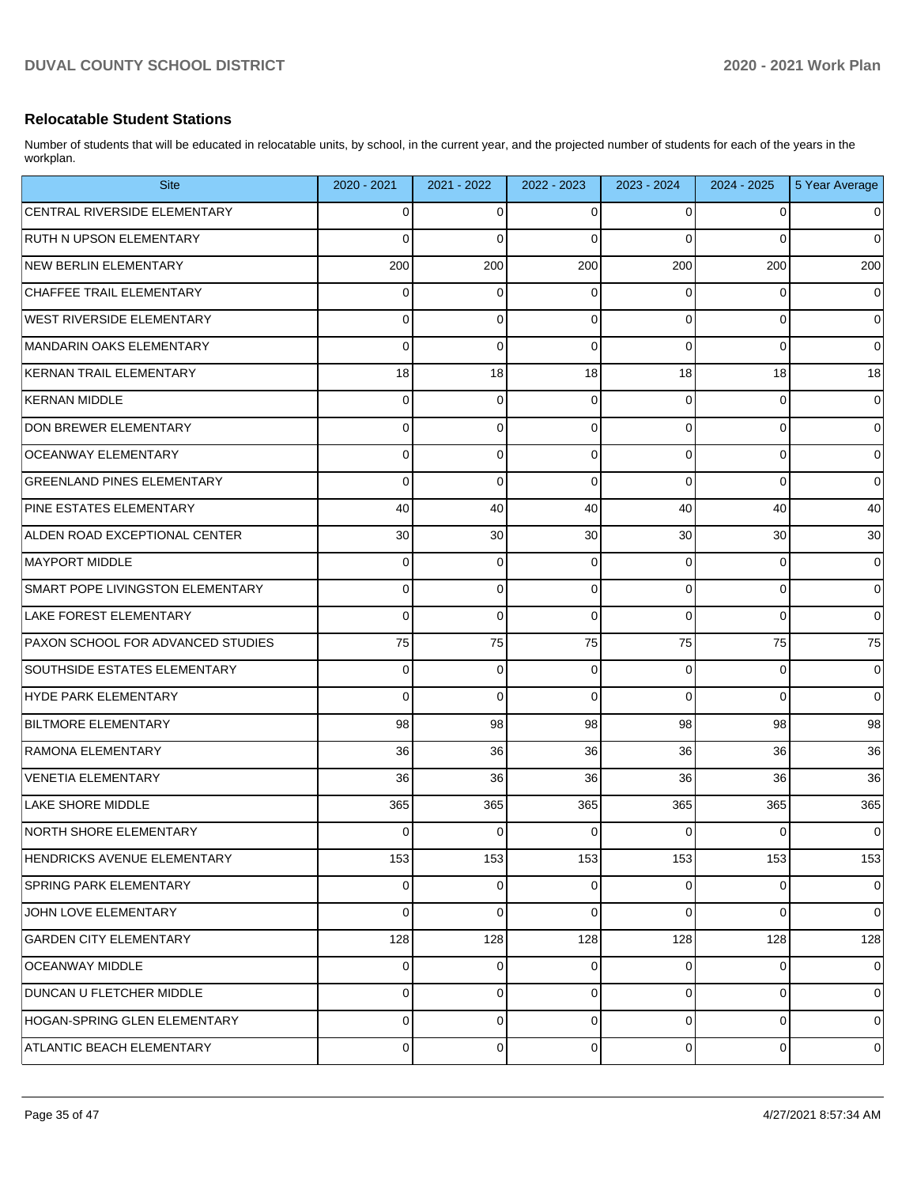### **Relocatable Student Stations**

Number of students that will be educated in relocatable units, by school, in the current year, and the projected number of students for each of the years in the workplan.

| <b>Site</b>                       | 2020 - 2021    | 2021 - 2022 | 2022 - 2023 | 2023 - 2024 | 2024 - 2025 | 5 Year Average |
|-----------------------------------|----------------|-------------|-------------|-------------|-------------|----------------|
| CENTRAL RIVERSIDE ELEMENTARY      | $\overline{0}$ | 0           | 0           | 0           | 0           | 0              |
| <b>RUTH N UPSON ELEMENTARY</b>    | $\Omega$       | $\mathbf 0$ | $\Omega$    | $\Omega$    | $\Omega$    | $\mathbf 0$    |
| NEW BERLIN ELEMENTARY             | 200            | 200         | 200         | 200         | 200         | 200            |
| CHAFFEE TRAIL ELEMENTARY          | 0              | 0           | $\mathbf 0$ | 0           | 0           | $\mathbf 0$    |
| <b>WEST RIVERSIDE ELEMENTARY</b>  | $\overline{0}$ | 0           | 0           | $\Omega$    | 0           | 0              |
| MANDARIN OAKS ELEMENTARY          | 0              | 0           | 0           | $\Omega$    | 0           | $\mathbf 0$    |
| KERNAN TRAIL ELEMENTARY           | 18             | 18          | 18          | 18          | 18          | 18             |
| <b>KERNAN MIDDLE</b>              | $\overline{0}$ | 0           | $\mathbf 0$ | $\Omega$    | 0           | $\mathbf 0$    |
| <b>DON BREWER ELEMENTARY</b>      | $\overline{0}$ | 0           | 0           | $\Omega$    | 0           | $\mathbf 0$    |
| OCEANWAY ELEMENTARY               | $\overline{0}$ | 0           | 0           | $\Omega$    | 0           | $\mathbf 0$    |
| <b>GREENLAND PINES ELEMENTARY</b> | $\overline{0}$ | $\mathbf 0$ | $\Omega$    | $\Omega$    | 0           | $\mathbf 0$    |
| PINE ESTATES ELEMENTARY           | 40             | 40          | 40          | 40          | 40          | 40             |
| ALDEN ROAD EXCEPTIONAL CENTER     | 30             | 30          | 30          | 30          | 30          | 30             |
| <b>MAYPORT MIDDLE</b>             | $\overline{0}$ | 0           | $\mathbf 0$ | $\Omega$    | 0           | $\mathbf 0$    |
| SMART POPE LIVINGSTON ELEMENTARY  | $\overline{0}$ | 0           | 0           | $\Omega$    | 0           | 0              |
| <b>LAKE FOREST ELEMENTARY</b>     | $\overline{0}$ | $\mathbf 0$ | 0           | $\Omega$    | 0           | $\mathbf 0$    |
| PAXON SCHOOL FOR ADVANCED STUDIES | 75             | 75          | 75          | 75          | 75          | 75             |
| SOUTHSIDE ESTATES ELEMENTARY      | 0              | 0           | 0           | $\Omega$    | 0           | $\mathbf 0$    |
| <b>HYDE PARK ELEMENTARY</b>       | $\overline{0}$ | 0           | $\Omega$    | $\Omega$    | 0           | $\mathbf 0$    |
| <b>BILTMORE ELEMENTARY</b>        | 98             | 98          | 98          | 98          | 98          | 98             |
| RAMONA ELEMENTARY                 | 36             | 36          | 36          | 36          | 36          | 36             |
| VENETIA ELEMENTARY                | 36             | 36          | 36          | 36          | 36          | 36             |
| <b>LAKE SHORE MIDDLE</b>          | 365            | 365         | 365         | 365         | 365         | 365            |
| NORTH SHORE ELEMENTARY            | $\overline{0}$ | 0           | 0           | 0           | 0           | 0              |
| HENDRICKS AVENUE ELEMENTARY       | 153            | 153         | 153         | 153         | 153         | 153            |
| <b>SPRING PARK ELEMENTARY</b>     | $\overline{0}$ | 0           | 0           | 0           | 0           | $\mathbf 0$    |
| JOHN LOVE ELEMENTARY              | $\overline{0}$ | $\mathbf 0$ | $\mathbf 0$ | $\Omega$    | 0           | $\mathbf 0$    |
| <b>GARDEN CITY ELEMENTARY</b>     | 128            | 128         | 128         | 128         | 128         | 128            |
| <b>OCEANWAY MIDDLE</b>            | $\overline{0}$ | 0           | 0           | 0           | 0           | $\mathbf 0$    |
| DUNCAN U FLETCHER MIDDLE          | $\overline{0}$ | 0           | 0           | 0           | 0           | 0              |
| HOGAN-SPRING GLEN ELEMENTARY      | $\overline{0}$ | 0           | 0           | 0           | 0           | $\mathbf 0$    |
| ATLANTIC BEACH ELEMENTARY         | $\overline{0}$ | 0           | 0           | 0           | 0           | 0              |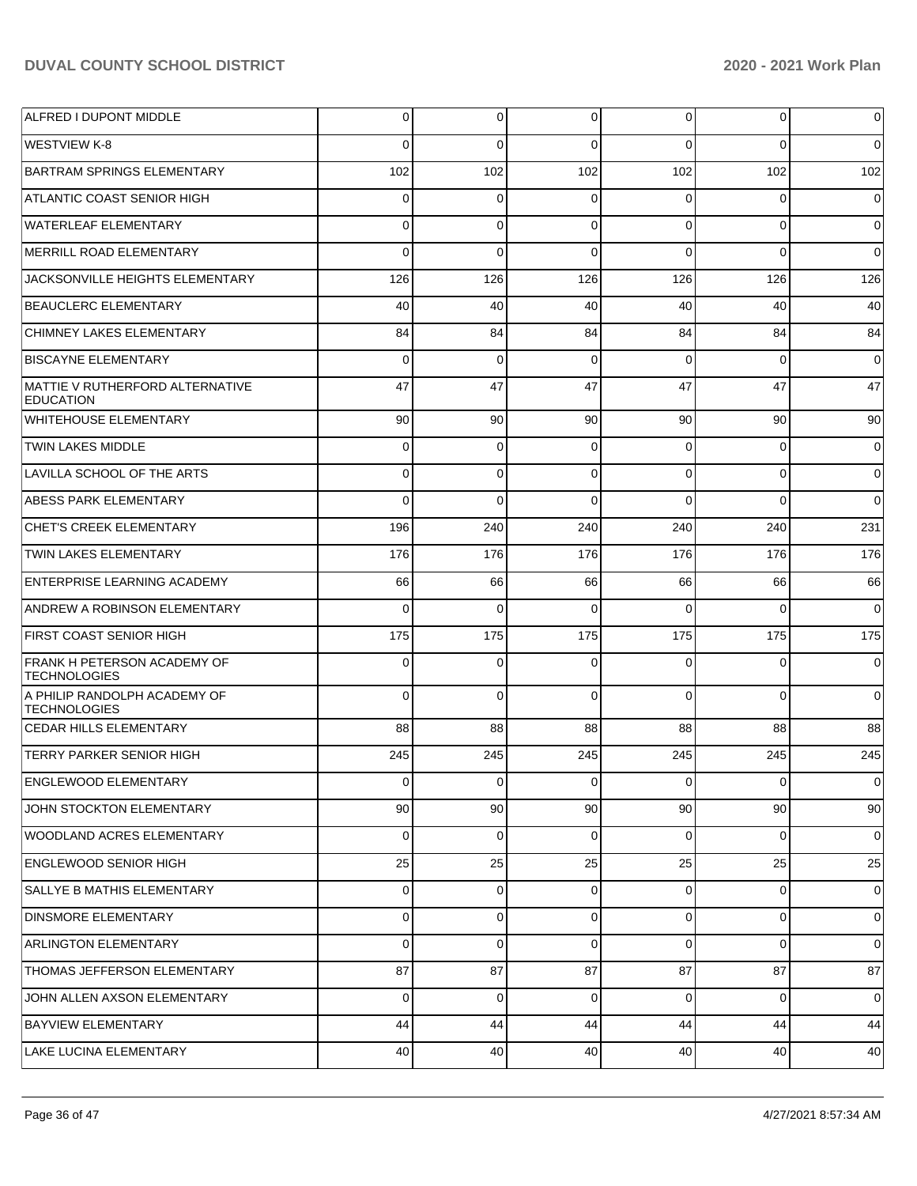| ALFRED I DUPONT MIDDLE                                    | 0           | $\overline{0}$ | 0        | 0        | $\overline{0}$  | $\mathbf 0$    |
|-----------------------------------------------------------|-------------|----------------|----------|----------|-----------------|----------------|
| IWESTVIEW K-8                                             | $\Omega$    | $\Omega$       | $\Omega$ | $\Omega$ | $\Omega$        | $\Omega$       |
| BARTRAM SPRINGS ELEMENTARY                                | 102         | 102            | 102      | 102      | 102             | 102            |
| ATLANTIC COAST SENIOR HIGH                                | $\Omega$    | $\mathbf 0$    | $\Omega$ | $\Omega$ | $\overline{0}$  | $\overline{0}$ |
| WATERLEAF ELEMENTARY                                      | $\Omega$    | $\mathbf 0$    | $\Omega$ | $\Omega$ | $\Omega$        | $\overline{0}$ |
| MERRILL ROAD ELEMENTARY                                   | $\Omega$    | $\Omega$       | $\Omega$ | $\Omega$ | $\Omega$        | $\Omega$       |
| JACKSONVILLE HEIGHTS ELEMENTARY                           | 126         | 126            | 126      | 126      | 126             | 126            |
| BEAUCLERC ELEMENTARY                                      | 40          | 40             | 40       | 40       | 40              | 40             |
| <b>CHIMNEY LAKES ELEMENTARY</b>                           | 84          | 84             | 84       | 84       | 84              | 84             |
| <b>BISCAYNE ELEMENTARY</b>                                | $\Omega$    | $\mathbf 0$    | $\Omega$ | $\Omega$ | $\Omega$        | $\overline{0}$ |
| MATTIE V RUTHERFORD ALTERNATIVE<br><b>EDUCATION</b>       | 47          | 47             | 47       | 47       | 47              | 47             |
| <b>WHITEHOUSE ELEMENTARY</b>                              | 90          | 90             | 90       | 90       | 90              | 90             |
| <b>TWIN LAKES MIDDLE</b>                                  | 0           | $\mathbf 0$    | $\Omega$ | $\Omega$ | $\mathbf 0$     | $\overline{0}$ |
| LAVILLA SCHOOL OF THE ARTS                                | $\mathbf 0$ | $\mathbf 0$    | $\Omega$ | $\Omega$ | $\mathbf 0$     | $\overline{0}$ |
| ABESS PARK ELEMENTARY                                     | 0           | $\mathbf 0$    | $\Omega$ | $\Omega$ | $\Omega$        | $\overline{0}$ |
| <b>CHET'S CREEK ELEMENTARY</b>                            | 196         | 240            | 240      | 240      | 240             | 231            |
| <b>TWIN LAKES ELEMENTARY</b>                              | 176         | 176            | 176      | 176      | 176             | 176            |
| ENTERPRISE LEARNING ACADEMY                               | 66          | 66             | 66       | 66       | 66              | 66             |
| ANDREW A ROBINSON ELEMENTARY                              | 0           | $\mathbf 0$    | $\Omega$ | $\Omega$ | $\Omega$        | $\overline{0}$ |
| <b>FIRST COAST SENIOR HIGH</b>                            | 175         | 175            | 175      | 175      | 175             | 175            |
| <b>FRANK H PETERSON ACADEMY OF</b><br><b>TECHNOLOGIES</b> | $\Omega$    | $\mathbf 0$    | $\Omega$ | $\Omega$ | $\Omega$        | $\overline{0}$ |
| A PHILIP RANDOLPH ACADEMY OF<br><b>TECHNOLOGIES</b>       | $\Omega$    | $\mathbf 0$    | $\Omega$ | $\Omega$ | $\Omega$        | $\overline{0}$ |
| <b>CEDAR HILLS ELEMENTARY</b>                             | 88          | 88             | 88       | 88       | 88              | 88             |
| <b>TERRY PARKER SENIOR HIGH</b>                           | 245         | 245            | 245      | 245      | 245             | 245            |
| <b>ENGLEWOOD ELEMENTARY</b>                               | 0           | $\pmb{0}$      | 0        | 0        | $\pmb{0}$       | $\mathbf 0$    |
| JOHN STOCKTON ELEMENTARY                                  | 90          | 90             | 90       | 90       | 90 <sub>1</sub> | 90             |
| <b>WOODLAND ACRES ELEMENTARY</b>                          | 0           | $\overline{0}$ | $\Omega$ | 0        | $\overline{0}$  | $\mathbf 0$    |
| <b>ENGLEWOOD SENIOR HIGH</b>                              | 25          | 25             | 25       | 25       | 25              | 25             |
| SALLYE B MATHIS ELEMENTARY                                | 0           | $\overline{0}$ | 0        | 0        | $\overline{0}$  | $\mathbf 0$    |
| <b>DINSMORE ELEMENTARY</b>                                | 0           | $\overline{0}$ | $\Omega$ | 0        | $\overline{0}$  | $\mathbf 0$    |
| ARLINGTON ELEMENTARY                                      | $\Omega$    | $\overline{0}$ | $\Omega$ | $\Omega$ | $\overline{0}$  | $\overline{0}$ |
| THOMAS JEFFERSON ELEMENTARY                               | 87          | 87             | 87       | 87       | 87              | 87             |
| JOHN ALLEN AXSON ELEMENTARY                               | 0           | $\overline{0}$ | $\Omega$ | 0        | $\overline{0}$  | $\mathbf 0$    |
| <b>BAYVIEW ELEMENTARY</b>                                 | 44          | 44             | 44       | 44       | 44              | 44             |
| LAKE LUCINA ELEMENTARY                                    | 40          | 40             | 40       | 40       | 40              | 40             |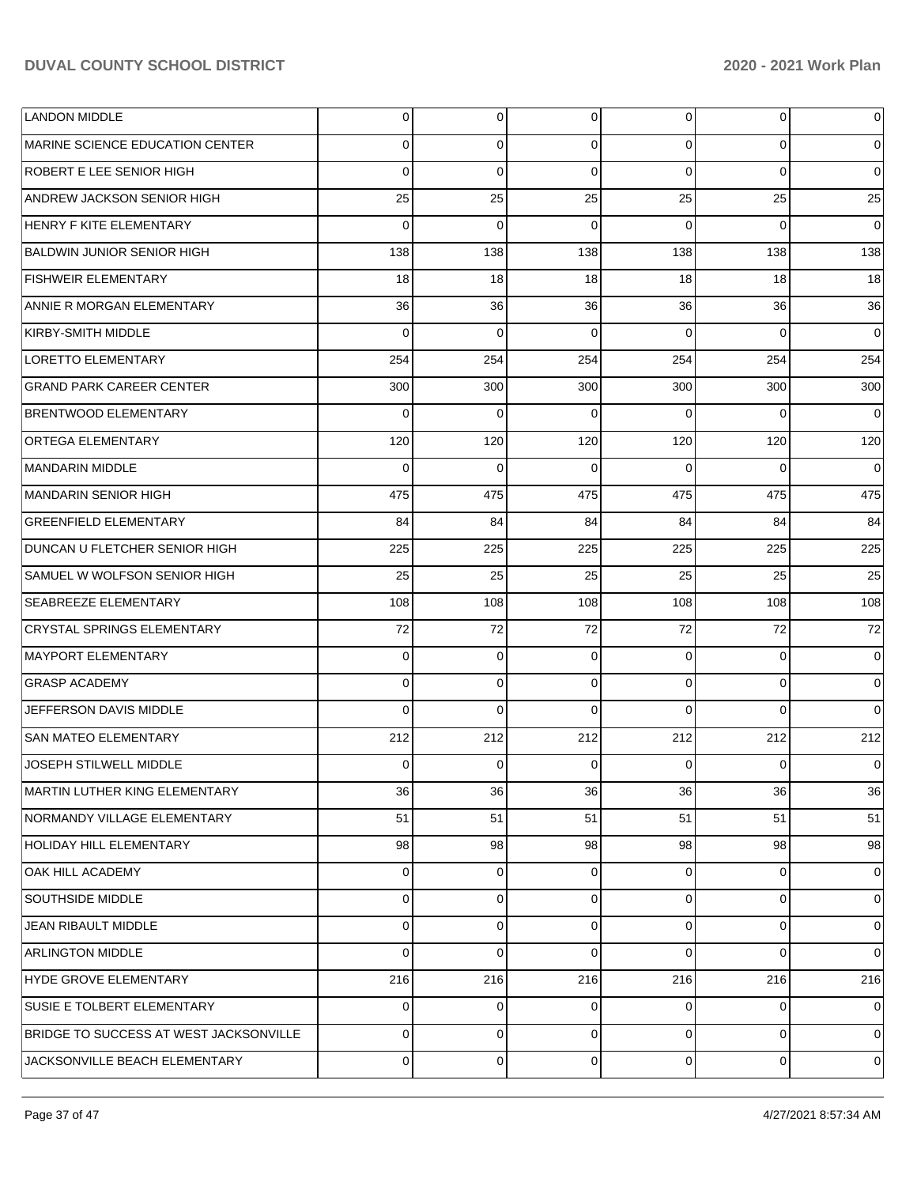| <b>LANDON MIDDLE</b>                   | $\overline{0}$ | $\overline{0}$ | $\overline{0}$ | $\overline{0}$ | $\overline{0}$ | $\mathbf 0$    |
|----------------------------------------|----------------|----------------|----------------|----------------|----------------|----------------|
| MARINE SCIENCE EDUCATION CENTER        | $\Omega$       | 0              | $\Omega$       | $\Omega$       | $\overline{0}$ | $\overline{0}$ |
| ROBERT E LEE SENIOR HIGH               | $\Omega$       | $\Omega$       | $\Omega$       | $\Omega$       | $\Omega$       | $\overline{0}$ |
| ANDREW JACKSON SENIOR HIGH             | 25             | 25             | 25             | 25             | 25             | 25             |
| <b>HENRY F KITE ELEMENTARY</b>         | $\Omega$       | $\Omega$       | $\Omega$       | $\Omega$       | $\Omega$       | $\overline{0}$ |
| <b>BALDWIN JUNIOR SENIOR HIGH</b>      | 138            | 138            | 138            | 138            | 138            | 138            |
| <b>FISHWEIR ELEMENTARY</b>             | 18             | 18             | 18             | 18             | 18             | 18             |
| ANNIE R MORGAN ELEMENTARY              | 36             | <b>36</b>      | 36             | 36             | 36             | 36             |
| KIRBY-SMITH MIDDLE                     | $\Omega$       | $\Omega$       | $\Omega$       | $\Omega$       | $\Omega$       | $\overline{0}$ |
| <b>LORETTO ELEMENTARY</b>              | 254            | 254            | 254            | 254            | 254            | 254            |
| <b>GRAND PARK CAREER CENTER</b>        | 300            | 300            | 300            | 300            | 300            | 300            |
| <b>BRENTWOOD ELEMENTARY</b>            | $\Omega$       | $\Omega$       | $\Omega$       | $\Omega$       | $\Omega$       | $\overline{0}$ |
| <b>ORTEGA ELEMENTARY</b>               | 120            | 120            | 120            | 120            | 120            | 120            |
| MANDARIN MIDDLE                        | $\Omega$       | $\Omega$       | $\Omega$       | $\Omega$       | $\Omega$       | $\overline{0}$ |
| MANDARIN SENIOR HIGH                   | 475            | 475            | 475            | 475            | 475            | 475            |
| <b>GREENFIELD ELEMENTARY</b>           | 84             | 84             | 84             | 84             | 84             | 84             |
| DUNCAN U FLETCHER SENIOR HIGH          | 225            | 225            | 225            | 225            | 225            | 225            |
| SAMUEL W WOLFSON SENIOR HIGH           | 25             | 25             | 25             | 25             | 25             | 25             |
| <b>SEABREEZE ELEMENTARY</b>            | 108            | 108            | 108            | 108            | 108            | 108            |
| <b>CRYSTAL SPRINGS ELEMENTARY</b>      | 72             | 72             | 72             | 72             | 72             | 72             |
| MAYPORT ELEMENTARY                     | $\Omega$       | $\mathbf 0$    | $\Omega$       | $\Omega$       | $\Omega$       | $\overline{0}$ |
| <b>GRASP ACADEMY</b>                   | $\Omega$       | $\mathbf 0$    | $\Omega$       | $\Omega$       | $\overline{0}$ | $\overline{0}$ |
| JEFFERSON DAVIS MIDDLE                 | $\Omega$       | $\Omega$       | $\Omega$       | $\Omega$       | $\Omega$       | $\Omega$       |
| <b>SAN MATEO ELEMENTARY</b>            | 212            | 212            | 212            | 212            | 212            | 212            |
| JOSEPH STILWELL MIDDLE                 | $\Omega$       | $\Omega$       | $\Omega$       | $\Omega$       | $\Omega$       | $\overline{0}$ |
| MARTIN LUTHER KING ELEMENTARY          | 36             | 36             | 36             | 36             | 36             | 36             |
| NORMANDY VILLAGE ELEMENTARY            | 51             | 51             | 51             | 51             | 51             | 51             |
| <b>HOLIDAY HILL ELEMENTARY</b>         | 98             | 98             | 98             | 98             | 98             | 98             |
| OAK HILL ACADEMY                       | $\Omega$       | $\overline{0}$ | $\Omega$       | $\Omega$       | $\overline{0}$ | $\overline{0}$ |
| SOUTHSIDE MIDDLE                       | $\Omega$       | $\overline{0}$ | $\Omega$       | $\Omega$       | $\overline{0}$ | $\mathbf 0$    |
| <b>JEAN RIBAULT MIDDLE</b>             | $\Omega$       | $\overline{0}$ | $\Omega$       | $\Omega$       | $\overline{0}$ | $\overline{0}$ |
| <b>ARLINGTON MIDDLE</b>                | $\Omega$       | $\Omega$       | $\Omega$       | $\Omega$       | $\overline{0}$ | $\overline{0}$ |
| HYDE GROVE ELEMENTARY                  | 216            | 216            | 216            | 216            | 216            | 216            |
| SUSIE E TOLBERT ELEMENTARY             | $\mathbf 0$    | $\overline{0}$ | $\Omega$       | $\Omega$       | $\overline{0}$ | $\mathbf 0$    |
| BRIDGE TO SUCCESS AT WEST JACKSONVILLE | $\Omega$       | $\overline{0}$ | $\Omega$       | $\Omega$       | $\overline{0}$ | $\overline{0}$ |
| JACKSONVILLE BEACH ELEMENTARY          | $\mathbf 0$    | $\mathbf 0$    | 0              | $\mathbf 0$    | $\overline{0}$ | $\mathbf 0$    |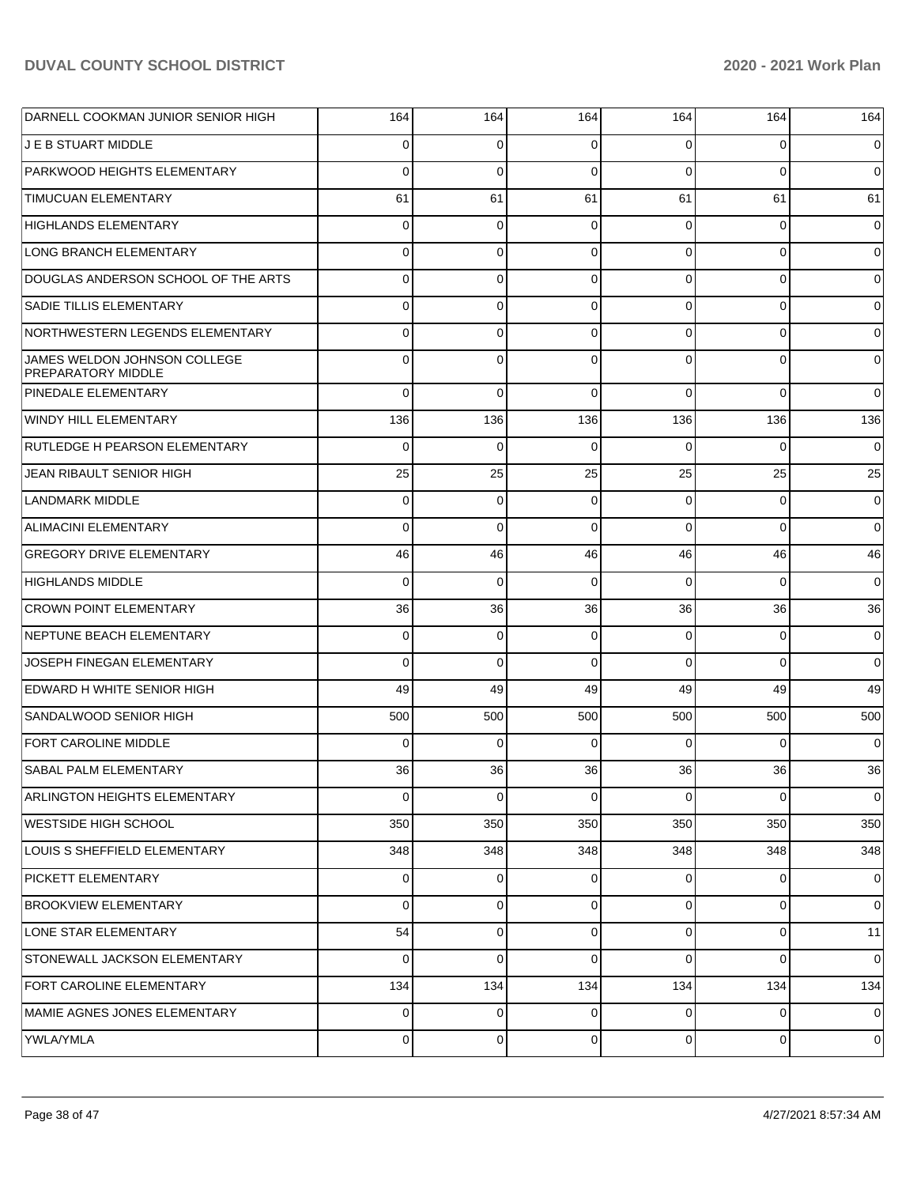| DARNELL COOKMAN JUNIOR SENIOR HIGH                        | 164            | 164         | 164            | 164            | 164            | 164            |
|-----------------------------------------------------------|----------------|-------------|----------------|----------------|----------------|----------------|
| J E B STUART MIDDLE                                       | 0              | 0           | 0              | 0              | 0              | 0              |
| PARKWOOD HEIGHTS ELEMENTARY                               | $\Omega$       | $\mathbf 0$ | $\mathbf 0$    | $\Omega$       | $\Omega$       | $\mathbf 0$    |
| <b>TIMUCUAN ELEMENTARY</b>                                | 61             | 61          | 61             | 61             | 61             | 61             |
| HIGHLANDS ELEMENTARY                                      | $\overline{0}$ | 0           | 0              | 0              | $\mathbf 0$    | 0              |
| LONG BRANCH ELEMENTARY                                    | $\overline{0}$ | 0           | $\mathbf 0$    | 0              | $\mathbf 0$    | 0              |
| DOUGLAS ANDERSON SCHOOL OF THE ARTS                       | $\overline{0}$ | 0           | $\mathbf 0$    | 0              | $\mathbf 0$    | 0              |
| <b>SADIE TILLIS ELEMENTARY</b>                            | $\overline{0}$ | 0           | $\mathbf 0$    | 0              | $\mathbf 0$    | 0              |
| NORTHWESTERN LEGENDS ELEMENTARY                           | $\overline{0}$ | 0           | $\mathbf 0$    | 0              | $\mathbf 0$    | $\mathbf 0$    |
| JAMES WELDON JOHNSON COLLEGE<br><b>PREPARATORY MIDDLE</b> | $\overline{0}$ | $\mathbf 0$ | $\mathbf 0$    | $\Omega$       | $\Omega$       | 0              |
| <b>PINEDALE ELEMENTARY</b>                                | $\Omega$       | $\Omega$    | $\Omega$       | $\Omega$       | $\Omega$       | $\mathbf 0$    |
| <b>WINDY HILL ELEMENTARY</b>                              | 136            | 136         | 136            | 136            | 136            | 136            |
| <b>RUTLEDGE H PEARSON ELEMENTARY</b>                      | $\Omega$       | $\Omega$    | $\Omega$       | $\Omega$       | $\Omega$       | $\mathbf 0$    |
| JEAN RIBAULT SENIOR HIGH                                  | 25             | 25          | 25             | 25             | 25             | 25             |
| <b>LANDMARK MIDDLE</b>                                    | $\mathbf 0$    | $\mathbf 0$ | $\Omega$       | $\Omega$       | $\mathbf 0$    | 0              |
| <b>ALIMACINI ELEMENTARY</b>                               | $\Omega$       | $\Omega$    | $\Omega$       | $\Omega$       | $\Omega$       | $\mathbf 0$    |
| <b>GREGORY DRIVE ELEMENTARY</b>                           | 46             | 46          | 46             | 46             | 46             | 46             |
| <b>HIGHLANDS MIDDLE</b>                                   | $\Omega$       | $\Omega$    | $\Omega$       | $\Omega$       | $\Omega$       | $\mathbf 0$    |
| <b>CROWN POINT ELEMENTARY</b>                             | 36             | 36          | 36             | 36             | 36             | 36             |
| NEPTUNE BEACH ELEMENTARY                                  | $\overline{0}$ | 0           | 0              | $\Omega$       | $\mathbf 0$    | 0              |
| JOSEPH FINEGAN ELEMENTARY                                 | $\Omega$       | $\mathbf 0$ | $\Omega$       | $\Omega$       | $\Omega$       | $\mathbf 0$    |
| EDWARD H WHITE SENIOR HIGH                                | 49             | 49          | 49             | 49             | 49             | 49             |
| SANDALWOOD SENIOR HIGH                                    | 500            | 500         | 500            | 500            | 500            | 500            |
| <b>FORT CAROLINE MIDDLE</b>                               | $\Omega$       | $\Omega$    | $\Omega$       | $\Omega$       | $\Omega$       | 0              |
| SABAL PALM ELEMENTARY                                     | 36             | 36          | 36             | 36             | 36             | 36             |
| <b>ARLINGTON HEIGHTS ELEMENTARY</b>                       | $\Omega$       | 0           | $\Omega$       | $\Omega$       | $\Omega$       | 0              |
| <b>WESTSIDE HIGH SCHOOL</b>                               | 350            | 350         | 350            | 350            | 350            | 350            |
| LOUIS S SHEFFIELD ELEMENTARY                              | 348            | 348         | 348            | 348            | 348            | 348            |
| PICKETT ELEMENTARY                                        | $\overline{0}$ | 0           | $\overline{0}$ | $\overline{0}$ | 0              | $\overline{0}$ |
| <b>BROOKVIEW ELEMENTARY</b>                               | $\overline{0}$ | 0           | 0              | $\overline{0}$ | $\mathbf 0$    | 0              |
| LONE STAR ELEMENTARY                                      | 54             | $\mathbf 0$ | $\overline{0}$ | $\overline{0}$ | $\mathbf 0$    | 11             |
| STONEWALL JACKSON ELEMENTARY                              | $\overline{0}$ | 0           | $\Omega$       | $\Omega$       | $\mathbf 0$    | 0              |
| FORT CAROLINE ELEMENTARY                                  | 134            | 134         | 134            | 134            | 134            | 134            |
| MAMIE AGNES JONES ELEMENTARY                              | $\overline{0}$ | $\mathbf 0$ | 0              | $\overline{0}$ | 0              | $\overline{0}$ |
| YWLA/YMLA                                                 | $\overline{0}$ | 0           | $\mathbf 0$    | $\overline{0}$ | $\overline{0}$ | $\overline{0}$ |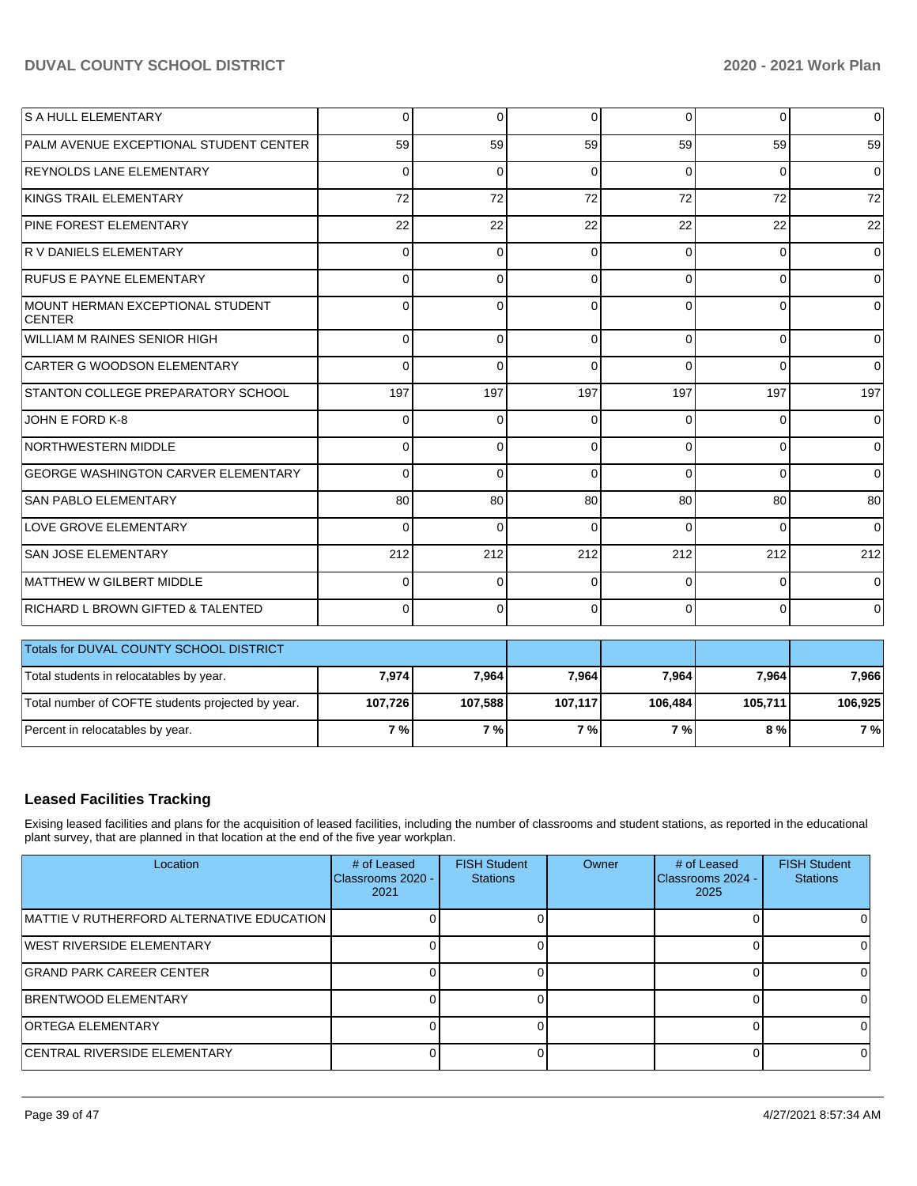| PALM AVENUE EXCEPTIONAL STUDENT CENTER<br>59<br>59<br>59<br>59<br>59<br><b>REYNOLDS LANE ELEMENTARY</b><br>$\Omega$<br>$\Omega$<br>$\Omega$<br>$\Omega$<br>$\Omega$<br>KINGS TRAIL ELEMENTARY<br>72<br>72<br>72<br>72<br>72<br>PINE FOREST ELEMENTARY<br>22<br>22<br>22<br>22<br>22<br>R V DANIELS ELEMENTARY<br>0<br>$\Omega$<br>$\overline{0}$<br>0<br>0<br><b>RUFUS E PAYNE ELEMENTARY</b><br>$\overline{0}$<br>$\Omega$<br>0<br>$\Omega$<br>$\Omega$<br>MOUNT HERMAN EXCEPTIONAL STUDENT<br>$\Omega$<br>$\Omega$<br>$\Omega$<br>$\Omega$<br>$\Omega$<br><b>CENTER</b><br>WILLIAM M RAINES SENIOR HIGH<br>$\Omega$<br>$\Omega$<br>$\Omega$<br>$\Omega$<br>$\Omega$<br>CARTER G WOODSON ELEMENTARY<br>$\Omega$<br>$\Omega$<br>$\Omega$<br>0<br>$\Omega$<br>STANTON COLLEGE PREPARATORY SCHOOL<br>197<br>197<br>197<br>197<br>197<br>JOHN E FORD K-8<br>$\overline{0}$<br>$\Omega$<br>0<br>$\Omega$<br>0<br>NORTHWESTERN MIDDLE<br>$\Omega$<br>$\Omega$<br>$\Omega$<br>$\Omega$<br>0<br><b>GEORGE WASHINGTON CARVER ELEMENTARY</b><br>$\Omega$<br>$\Omega$<br>$\Omega$<br>$\Omega$<br>0<br><b>SAN PABLO ELEMENTARY</b><br>80<br>80<br>80<br>80<br>80<br>LOVE GROVE ELEMENTARY<br>$\Omega$<br>$\Omega$<br>$\Omega$<br>$\Omega$<br>$\Omega$<br><b>SAN JOSE ELEMENTARY</b><br>212<br>212<br>212<br>212<br>212<br>MATTHEW W GILBERT MIDDLE<br>$\Omega$<br>$\Omega$<br>$\Omega$<br>$\Omega$<br>0<br>RICHARD L BROWN GIFTED & TALENTED<br>$\Omega$<br>$\Omega$<br>$\Omega$<br>$\Omega$<br>0<br>Totals for DUVAL COUNTY SCHOOL DISTRICT<br>7,974<br>7,964<br>7,964<br>7,964<br>Total students in relocatables by year.<br>7,964<br>Total number of COFTE students projected by year.<br>107,117<br>105,711<br>107,726<br>107,588<br>106,484<br>Percent in relocatables by year.<br>7%<br>7%<br>7%<br>7%<br>8 % | <b>S A HULL ELEMENTARY</b> | 0 | 0 | $\Omega$ | $\Omega$ | $\overline{0}$ | $\overline{0}$ |
|----------------------------------------------------------------------------------------------------------------------------------------------------------------------------------------------------------------------------------------------------------------------------------------------------------------------------------------------------------------------------------------------------------------------------------------------------------------------------------------------------------------------------------------------------------------------------------------------------------------------------------------------------------------------------------------------------------------------------------------------------------------------------------------------------------------------------------------------------------------------------------------------------------------------------------------------------------------------------------------------------------------------------------------------------------------------------------------------------------------------------------------------------------------------------------------------------------------------------------------------------------------------------------------------------------------------------------------------------------------------------------------------------------------------------------------------------------------------------------------------------------------------------------------------------------------------------------------------------------------------------------------------------------------------------------------------------------------------------------------------------------------------------------------------------------|----------------------------|---|---|----------|----------|----------------|----------------|
|                                                                                                                                                                                                                                                                                                                                                                                                                                                                                                                                                                                                                                                                                                                                                                                                                                                                                                                                                                                                                                                                                                                                                                                                                                                                                                                                                                                                                                                                                                                                                                                                                                                                                                                                                                                                          |                            |   |   |          |          |                | 59             |
|                                                                                                                                                                                                                                                                                                                                                                                                                                                                                                                                                                                                                                                                                                                                                                                                                                                                                                                                                                                                                                                                                                                                                                                                                                                                                                                                                                                                                                                                                                                                                                                                                                                                                                                                                                                                          |                            |   |   |          |          |                | $\overline{0}$ |
|                                                                                                                                                                                                                                                                                                                                                                                                                                                                                                                                                                                                                                                                                                                                                                                                                                                                                                                                                                                                                                                                                                                                                                                                                                                                                                                                                                                                                                                                                                                                                                                                                                                                                                                                                                                                          |                            |   |   |          |          |                | 72             |
|                                                                                                                                                                                                                                                                                                                                                                                                                                                                                                                                                                                                                                                                                                                                                                                                                                                                                                                                                                                                                                                                                                                                                                                                                                                                                                                                                                                                                                                                                                                                                                                                                                                                                                                                                                                                          |                            |   |   |          |          |                | 22             |
|                                                                                                                                                                                                                                                                                                                                                                                                                                                                                                                                                                                                                                                                                                                                                                                                                                                                                                                                                                                                                                                                                                                                                                                                                                                                                                                                                                                                                                                                                                                                                                                                                                                                                                                                                                                                          |                            |   |   |          |          |                | $\overline{0}$ |
|                                                                                                                                                                                                                                                                                                                                                                                                                                                                                                                                                                                                                                                                                                                                                                                                                                                                                                                                                                                                                                                                                                                                                                                                                                                                                                                                                                                                                                                                                                                                                                                                                                                                                                                                                                                                          |                            |   |   |          |          |                | $\overline{0}$ |
|                                                                                                                                                                                                                                                                                                                                                                                                                                                                                                                                                                                                                                                                                                                                                                                                                                                                                                                                                                                                                                                                                                                                                                                                                                                                                                                                                                                                                                                                                                                                                                                                                                                                                                                                                                                                          |                            |   |   |          |          |                | $\overline{0}$ |
|                                                                                                                                                                                                                                                                                                                                                                                                                                                                                                                                                                                                                                                                                                                                                                                                                                                                                                                                                                                                                                                                                                                                                                                                                                                                                                                                                                                                                                                                                                                                                                                                                                                                                                                                                                                                          |                            |   |   |          |          |                | $\Omega$       |
|                                                                                                                                                                                                                                                                                                                                                                                                                                                                                                                                                                                                                                                                                                                                                                                                                                                                                                                                                                                                                                                                                                                                                                                                                                                                                                                                                                                                                                                                                                                                                                                                                                                                                                                                                                                                          |                            |   |   |          |          |                | $\overline{0}$ |
|                                                                                                                                                                                                                                                                                                                                                                                                                                                                                                                                                                                                                                                                                                                                                                                                                                                                                                                                                                                                                                                                                                                                                                                                                                                                                                                                                                                                                                                                                                                                                                                                                                                                                                                                                                                                          |                            |   |   |          |          |                | 197            |
|                                                                                                                                                                                                                                                                                                                                                                                                                                                                                                                                                                                                                                                                                                                                                                                                                                                                                                                                                                                                                                                                                                                                                                                                                                                                                                                                                                                                                                                                                                                                                                                                                                                                                                                                                                                                          |                            |   |   |          |          |                | $\overline{0}$ |
|                                                                                                                                                                                                                                                                                                                                                                                                                                                                                                                                                                                                                                                                                                                                                                                                                                                                                                                                                                                                                                                                                                                                                                                                                                                                                                                                                                                                                                                                                                                                                                                                                                                                                                                                                                                                          |                            |   |   |          |          |                | $\overline{0}$ |
|                                                                                                                                                                                                                                                                                                                                                                                                                                                                                                                                                                                                                                                                                                                                                                                                                                                                                                                                                                                                                                                                                                                                                                                                                                                                                                                                                                                                                                                                                                                                                                                                                                                                                                                                                                                                          |                            |   |   |          |          |                | $\overline{0}$ |
|                                                                                                                                                                                                                                                                                                                                                                                                                                                                                                                                                                                                                                                                                                                                                                                                                                                                                                                                                                                                                                                                                                                                                                                                                                                                                                                                                                                                                                                                                                                                                                                                                                                                                                                                                                                                          |                            |   |   |          |          |                | 80             |
|                                                                                                                                                                                                                                                                                                                                                                                                                                                                                                                                                                                                                                                                                                                                                                                                                                                                                                                                                                                                                                                                                                                                                                                                                                                                                                                                                                                                                                                                                                                                                                                                                                                                                                                                                                                                          |                            |   |   |          |          |                | $\Omega$       |
|                                                                                                                                                                                                                                                                                                                                                                                                                                                                                                                                                                                                                                                                                                                                                                                                                                                                                                                                                                                                                                                                                                                                                                                                                                                                                                                                                                                                                                                                                                                                                                                                                                                                                                                                                                                                          |                            |   |   |          |          |                | 212            |
|                                                                                                                                                                                                                                                                                                                                                                                                                                                                                                                                                                                                                                                                                                                                                                                                                                                                                                                                                                                                                                                                                                                                                                                                                                                                                                                                                                                                                                                                                                                                                                                                                                                                                                                                                                                                          |                            |   |   |          |          |                | $\overline{0}$ |
|                                                                                                                                                                                                                                                                                                                                                                                                                                                                                                                                                                                                                                                                                                                                                                                                                                                                                                                                                                                                                                                                                                                                                                                                                                                                                                                                                                                                                                                                                                                                                                                                                                                                                                                                                                                                          |                            |   |   |          |          |                | $\Omega$       |
|                                                                                                                                                                                                                                                                                                                                                                                                                                                                                                                                                                                                                                                                                                                                                                                                                                                                                                                                                                                                                                                                                                                                                                                                                                                                                                                                                                                                                                                                                                                                                                                                                                                                                                                                                                                                          |                            |   |   |          |          |                |                |
|                                                                                                                                                                                                                                                                                                                                                                                                                                                                                                                                                                                                                                                                                                                                                                                                                                                                                                                                                                                                                                                                                                                                                                                                                                                                                                                                                                                                                                                                                                                                                                                                                                                                                                                                                                                                          |                            |   |   |          |          |                | 7,966          |
|                                                                                                                                                                                                                                                                                                                                                                                                                                                                                                                                                                                                                                                                                                                                                                                                                                                                                                                                                                                                                                                                                                                                                                                                                                                                                                                                                                                                                                                                                                                                                                                                                                                                                                                                                                                                          |                            |   |   |          |          |                | 106,925        |
|                                                                                                                                                                                                                                                                                                                                                                                                                                                                                                                                                                                                                                                                                                                                                                                                                                                                                                                                                                                                                                                                                                                                                                                                                                                                                                                                                                                                                                                                                                                                                                                                                                                                                                                                                                                                          |                            |   |   |          |          |                | 7 %            |

## **Leased Facilities Tracking**

Exising leased facilities and plans for the acquisition of leased facilities, including the number of classrooms and student stations, as reported in the educational plant survey, that are planned in that location at the end of the five year workplan.

| Location                                   | # of Leased<br>Classrooms 2020 -<br>2021 | <b>FISH Student</b><br><b>Stations</b> | Owner | # of Leased<br>Classrooms 2024 -<br>2025 | <b>FISH Student</b><br><b>Stations</b> |
|--------------------------------------------|------------------------------------------|----------------------------------------|-------|------------------------------------------|----------------------------------------|
| IMATTIE V RUTHERFORD ALTERNATIVE EDUCATION |                                          |                                        |       |                                          |                                        |
| <b>IWEST RIVERSIDE ELEMENTARY</b>          |                                          |                                        |       |                                          |                                        |
| IGRAND PARK CAREER CENTER                  |                                          |                                        |       |                                          |                                        |
| <b>BRENTWOOD ELEMENTARY</b>                |                                          |                                        |       |                                          |                                        |
| <b>ORTEGA ELEMENTARY</b>                   |                                          |                                        |       |                                          |                                        |
| <b>CENTRAL RIVERSIDE ELEMENTARY</b>        |                                          |                                        |       |                                          |                                        |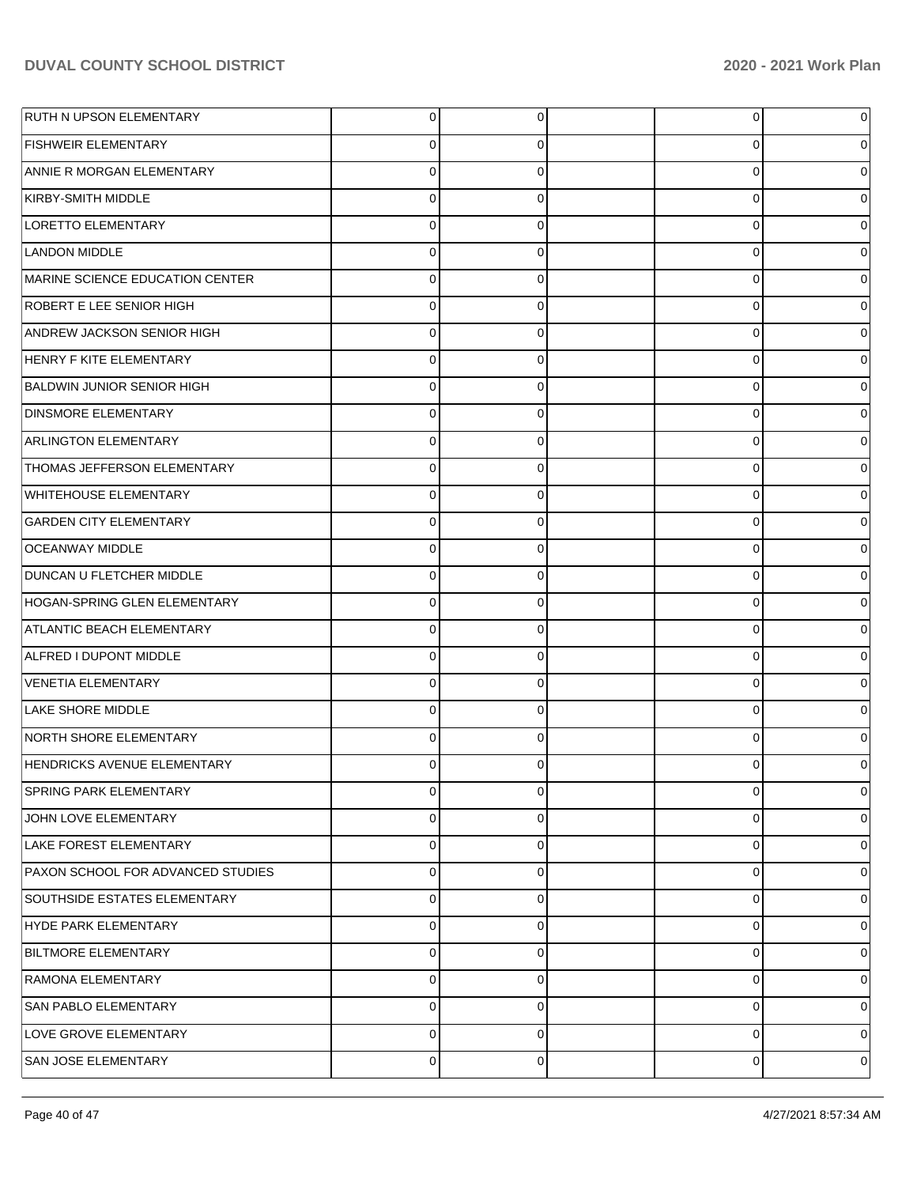| RUTH N UPSON ELEMENTARY           | $\overline{0}$ | 0              | 0 | 0           |
|-----------------------------------|----------------|----------------|---|-------------|
| <b>FISHWEIR ELEMENTARY</b>        | 0              | 0              | 0 | 0           |
| ANNIE R MORGAN ELEMENTARY         | $\Omega$       | 0              | 0 | 0           |
| KIRBY-SMITH MIDDLE                | $\Omega$       | $\Omega$       | 0 | 0           |
| LORETTO ELEMENTARY                | $\Omega$       | $\Omega$       | 0 | 0           |
| <b>LANDON MIDDLE</b>              | $\Omega$       | 0              | 0 | 0           |
| MARINE SCIENCE EDUCATION CENTER   | $\Omega$       | 0              | 0 |             |
| ROBERT E LEE SENIOR HIGH          | $\Omega$       | $\Omega$       | 0 | 0           |
| ANDREW JACKSON SENIOR HIGH        | $\Omega$       | 0              | 0 |             |
| <b>HENRY F KITE ELEMENTARY</b>    | $\Omega$       | 0              | 0 | 0           |
| <b>BALDWIN JUNIOR SENIOR HIGH</b> | $\Omega$       | 0              | 0 | 0           |
| <b>DINSMORE ELEMENTARY</b>        | $\Omega$       | 0              | 0 | 0           |
| <b>ARLINGTON ELEMENTARY</b>       | $\Omega$       | 0              | 0 |             |
| THOMAS JEFFERSON ELEMENTARY       | $\Omega$       | 0              | 0 | 0           |
| WHITEHOUSE ELEMENTARY             | $\Omega$       | 0              | 0 | 0           |
| <b>GARDEN CITY ELEMENTARY</b>     | $\Omega$       | 0              | 0 | 0           |
| <b>OCEANWAY MIDDLE</b>            | $\Omega$       | 0              | 0 |             |
| DUNCAN U FLETCHER MIDDLE          | $\Omega$       | $\mathbf 0$    | 0 | 0           |
| HOGAN-SPRING GLEN ELEMENTARY      | $\Omega$       | 0              | 0 |             |
| <b>ATLANTIC BEACH ELEMENTARY</b>  | $\Omega$       | 0              | 0 | 0           |
| ALFRED I DUPONT MIDDLE            | $\Omega$       | 0              | 0 | 0           |
| <b>VENETIA ELEMENTARY</b>         | $\Omega$       | $\Omega$       | 0 | 0           |
| LAKE SHORE MIDDLE                 | $\Omega$       | 0              | 0 |             |
| NORTH SHORE ELEMENTARY            | $\Omega$       | $\Omega$       | 0 | 0           |
| HENDRICKS AVENUE ELEMENTARY       | n              | 0              | 0 |             |
| SPRING PARK ELEMENTARY            | $\overline{0}$ | $\overline{0}$ | 0 | 0           |
| JOHN LOVE ELEMENTARY              | 0              | $\Omega$       | 0 | 0           |
| LAKE FOREST ELEMENTARY            | $\Omega$       | $\Omega$       | 0 | 0           |
| PAXON SCHOOL FOR ADVANCED STUDIES | $\Omega$       | $\Omega$       | 0 | 0           |
| SOUTHSIDE ESTATES ELEMENTARY      | $\Omega$       | $\Omega$       | 0 | 0           |
| HYDE PARK ELEMENTARY              | 0              | $\Omega$       | 0 | 0           |
| <b>BILTMORE ELEMENTARY</b>        | $\Omega$       | $\Omega$       | 0 | 0           |
| RAMONA ELEMENTARY                 | $\Omega$       | $\Omega$       | 0 | 0           |
| SAN PABLO ELEMENTARY              | $\Omega$       | $\Omega$       | 0 | 0           |
| LOVE GROVE ELEMENTARY             | $\Omega$       | $\Omega$       | 0 | 0           |
| SAN JOSE ELEMENTARY               | 0              | 0              | 0 | $\mathbf 0$ |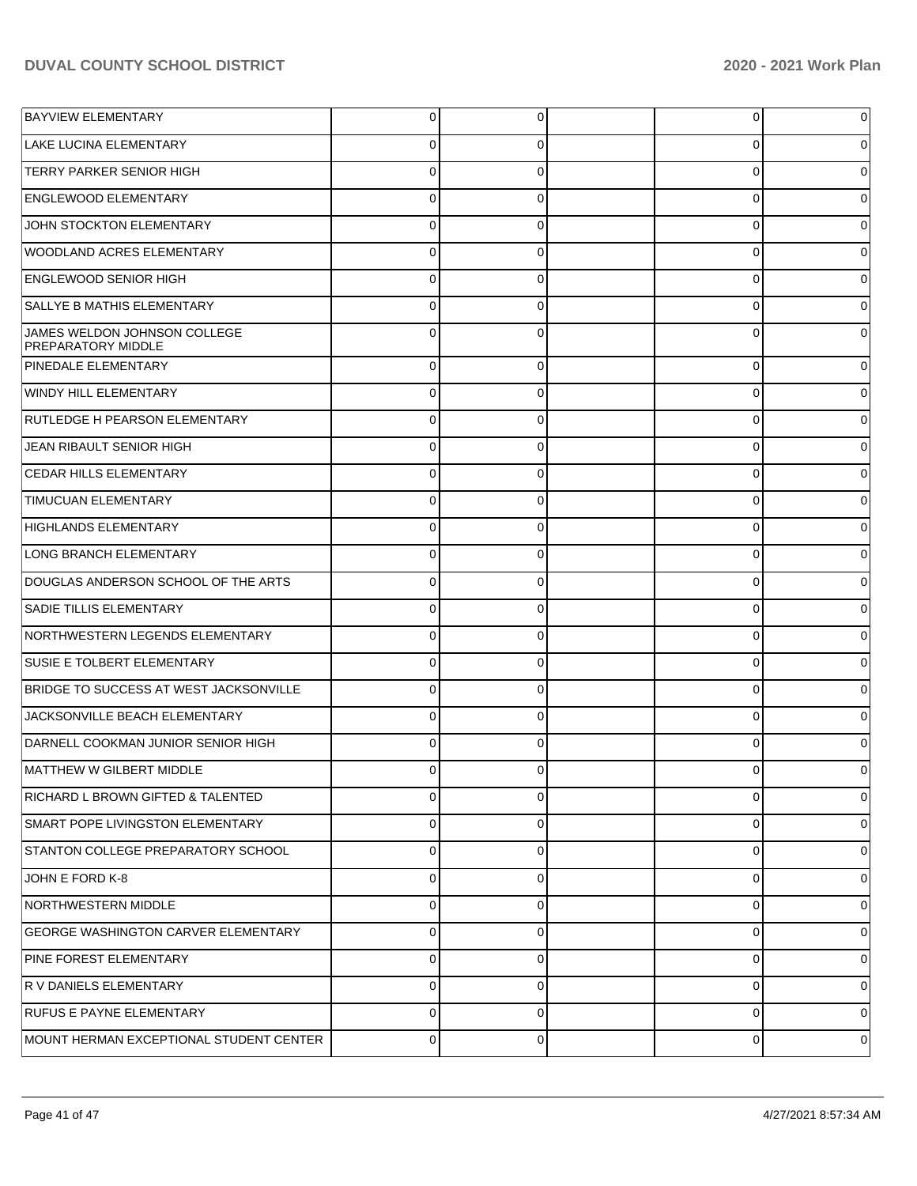| <b>BAYVIEW ELEMENTARY</b>                                 | 0           | 0        | 0           | 0           |
|-----------------------------------------------------------|-------------|----------|-------------|-------------|
| <b>LAKE LUCINA ELEMENTARY</b>                             | 0           | 0        | 0           | 0           |
| <b>TERRY PARKER SENIOR HIGH</b>                           | $\Omega$    | $\Omega$ | $\mathbf 0$ | 0           |
| <b>ENGLEWOOD ELEMENTARY</b>                               | $\Omega$    | 0        | $\mathbf 0$ | 0           |
| JOHN STOCKTON ELEMENTARY                                  | $\Omega$    | $\Omega$ | $\mathbf 0$ | 0           |
| <b>WOODLAND ACRES ELEMENTARY</b>                          | $\Omega$    | 0        | 0           | 0           |
| <b>ENGLEWOOD SENIOR HIGH</b>                              | $\Omega$    | $\Omega$ | $\mathbf 0$ | 0           |
| <b>SALLYE B MATHIS ELEMENTARY</b>                         | $\Omega$    | 0        | 0           | 0           |
| JAMES WELDON JOHNSON COLLEGE<br><b>PREPARATORY MIDDLE</b> | $\Omega$    | 0        | $\Omega$    | 0           |
| <b>PINEDALE ELEMENTARY</b>                                | $\Omega$    | $\Omega$ | 0           | 0           |
| WINDY HILL ELEMENTARY                                     | 0           | 0        | 0           |             |
| RUTLEDGE H PEARSON ELEMENTARY                             | 0           | 0        | 0           | 0           |
| JEAN RIBAULT SENIOR HIGH                                  | 0           | 0        | 0           |             |
| <b>CEDAR HILLS ELEMENTARY</b>                             | $\Omega$    | 0        | 0           | 0           |
| <b>TIMUCUAN ELEMENTARY</b>                                | 0           | 0        | 0           |             |
| <b>HIGHLANDS ELEMENTARY</b>                               | 0           | 0        | 0           | 0           |
| LONG BRANCH ELEMENTARY                                    | 0           | 0        | 0           | 0           |
| DOUGLAS ANDERSON SCHOOL OF THE ARTS                       | 0           | 0        | 0           | 0           |
| SADIE TILLIS ELEMENTARY                                   | $\Omega$    | 0        | 0           |             |
| NORTHWESTERN LEGENDS ELEMENTARY                           | $\mathbf 0$ | 0        | 0           | 0           |
| SUSIE E TOLBERT ELEMENTARY                                | 0           | 0        | 0           | 0           |
| BRIDGE TO SUCCESS AT WEST JACKSONVILLE                    | 0           | 0        | 0           | 0           |
| JACKSONVILLE BEACH ELEMENTARY                             | $\Omega$    | 0        | 0           |             |
| DARNELL COOKMAN JUNIOR SENIOR HIGH                        | $\Omega$    | 0        | 0           |             |
| MATTHEW W GILBERT MIDDLE                                  | C           | 0        | 0           | 0           |
| RICHARD L BROWN GIFTED & TALENTED                         | $\mathbf 0$ | 0        | 0           | $\mathbf 0$ |
| SMART POPE LIVINGSTON ELEMENTARY                          | 0           | 0        | 0           | 0           |
| STANTON COLLEGE PREPARATORY SCHOOL                        | 0           | 0        | 0           | 0           |
| JOHN E FORD K-8                                           | 0           | 0        | 0           | 0           |
| NORTHWESTERN MIDDLE                                       | $\mathbf 0$ | 0        | 0           | 0           |
| <b>GEORGE WASHINGTON CARVER ELEMENTARY</b>                | 0           | 0        | 0           | 0           |
| PINE FOREST ELEMENTARY                                    | 0           | 0        | 0           | 0           |
| R V DANIELS ELEMENTARY                                    | 0           | 0        | 0           | 0           |
| <b>RUFUS E PAYNE ELEMENTARY</b>                           | 0           | 0        | 0           | 0           |
| MOUNT HERMAN EXCEPTIONAL STUDENT CENTER                   | 0           | 0        | $\mathbf 0$ | 0           |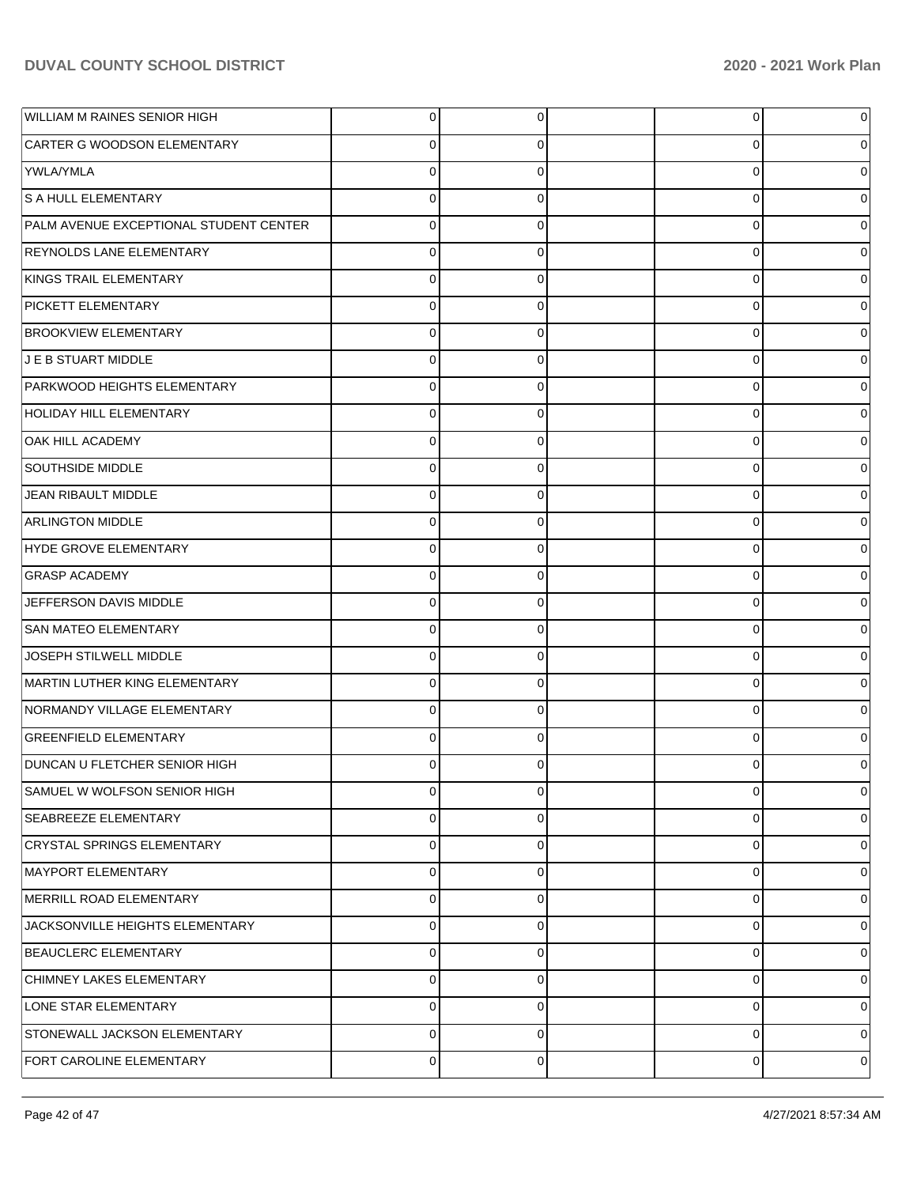| <b>WILLIAM M RAINES SENIOR HIGH</b>    | $\overline{0}$ | 0              | 0           | 0           |
|----------------------------------------|----------------|----------------|-------------|-------------|
| CARTER G WOODSON ELEMENTARY            | $\mathbf 0$    | 0              | 0           | 0           |
| YWLA/YMLA                              | $\mathbf 0$    | $\mathbf 0$    | 0           | 0           |
| S A HULL ELEMENTARY                    | $\mathbf 0$    | 0              | 0           | 0           |
| PALM AVENUE EXCEPTIONAL STUDENT CENTER | $\mathbf 0$    | 0              | 0           | 0           |
| REYNOLDS LANE ELEMENTARY               | $\mathbf 0$    | 0              | 0           | 0           |
| KINGS TRAIL ELEMENTARY                 | $\mathbf 0$    | 0              | 0           | 0           |
| PICKETT ELEMENTARY                     | $\mathbf 0$    | 0              | 0           | 0           |
| <b>BROOKVIEW ELEMENTARY</b>            | $\mathbf 0$    | 0              | 0           | 0           |
| J E B STUART MIDDLE                    | $\mathbf 0$    | 0              | 0           | 0           |
| PARKWOOD HEIGHTS ELEMENTARY            | $\mathbf 0$    | 0              | 0           | 0           |
| HOLIDAY HILL ELEMENTARY                | $\mathbf 0$    | 0              | 0           | 0           |
| OAK HILL ACADEMY                       | $\mathbf 0$    | 0              | 0           | 0           |
| <b>SOUTHSIDE MIDDLE</b>                | $\mathbf 0$    | 0              | 0           | 0           |
| JEAN RIBAULT MIDDLE                    | $\mathbf 0$    | 0              | 0           | 0           |
| <b>ARLINGTON MIDDLE</b>                | $\mathbf 0$    | 0              | 0           | 0           |
| HYDE GROVE ELEMENTARY                  | $\mathbf 0$    | 0              | 0           | 0           |
| <b>GRASP ACADEMY</b>                   | $\mathbf 0$    | 0              | 0           | 0           |
| JEFFERSON DAVIS MIDDLE                 | $\mathbf 0$    | 0              | 0           | 0           |
| <b>SAN MATEO ELEMENTARY</b>            | $\mathbf 0$    | 0              | 0           | 0           |
| JOSEPH STILWELL MIDDLE                 | $\mathbf 0$    | 0              | 0           | 0           |
| MARTIN LUTHER KING ELEMENTARY          | $\mathbf 0$    | 0              | 0           | 0           |
| NORMANDY VILLAGE ELEMENTARY            | $\mathbf 0$    | 0              | 0           | 0           |
| <b>GREENFIELD ELEMENTARY</b>           | $\mathbf 0$    | 0              | 0           | 0           |
| <b>DUNCAN U FLETCHER SENIOR HIGH</b>   | 0              | 0              | U           |             |
| SAMUEL W WOLFSON SENIOR HIGH           | $\overline{0}$ | $\overline{0}$ | 0           | 0           |
| SEABREEZE ELEMENTARY                   | $\mathbf 0$    | 0              | 0           | 0           |
| CRYSTAL SPRINGS ELEMENTARY             | $\mathbf 0$    | $\mathbf 0$    | $\mathbf 0$ | 0           |
| MAYPORT ELEMENTARY                     | $\mathbf 0$    | 0              | 0           | $\mathbf 0$ |
| MERRILL ROAD ELEMENTARY                | $\mathbf 0$    | $\mathbf 0$    | 0           | 0           |
| JACKSONVILLE HEIGHTS ELEMENTARY        | $\mathbf 0$    | 0              | $\mathbf 0$ | 0           |
| BEAUCLERC ELEMENTARY                   | $\mathbf 0$    | $\mathbf 0$    | $\mathbf 0$ | 0           |
| CHIMNEY LAKES ELEMENTARY               | $\mathbf 0$    | 0              | 0           | $\mathbf 0$ |
| LONE STAR ELEMENTARY                   | $\mathbf 0$    | $\mathbf 0$    | 0           | 0           |
| STONEWALL JACKSON ELEMENTARY           | $\mathbf 0$    | 0              | $\mathbf 0$ | 0           |
| FORT CAROLINE ELEMENTARY               | $\pmb{0}$      | 0              | 0           | 0           |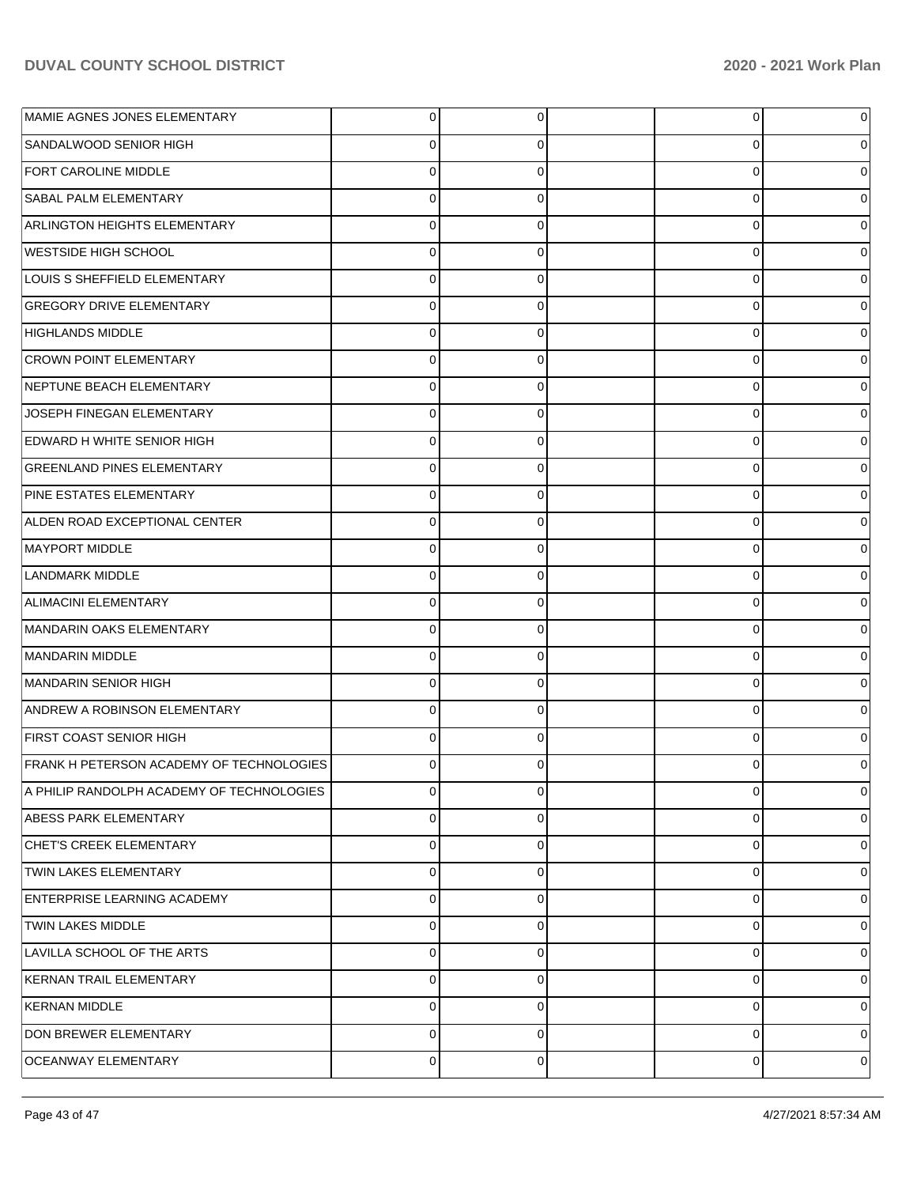| MAMIE AGNES JONES ELEMENTARY                    |             | 0        | $\overline{0}$ | 0              |
|-------------------------------------------------|-------------|----------|----------------|----------------|
| SANDALWOOD SENIOR HIGH                          |             | 0        | 0              | 0              |
| <b>FORT CAROLINE MIDDLE</b>                     | 0           | 0        | 0              | 0              |
| <b>SABAL PALM ELEMENTARY</b>                    | 0           | 0        | 0              | 0              |
| <b>ARLINGTON HEIGHTS ELEMENTARY</b>             | 0           | 0        | 0              | 0              |
| WESTSIDE HIGH SCHOOL                            | 0           | 0        | 0              | 0              |
| LOUIS S SHEFFIELD ELEMENTARY                    | 0           | 0        | $\mathbf 0$    | 0              |
| <b>GREGORY DRIVE ELEMENTARY</b>                 | 0           | 0        | 0              | 0              |
| HIGHLANDS MIDDLE                                | 0           | 0        | 0              | 0              |
| <b>CROWN POINT ELEMENTARY</b>                   | 0           | 0        | 0              | 0              |
| NEPTUNE BEACH ELEMENTARY                        | 0           | 0        | 0              | 0              |
| JOSEPH FINEGAN ELEMENTARY                       | 0           | 0        | 0              | 0              |
| EDWARD H WHITE SENIOR HIGH                      | 0           | 0        | $\mathbf 0$    | 0              |
| <b>GREENLAND PINES ELEMENTARY</b>               | 0           | 0        | 0              | 0              |
| <b>PINE ESTATES ELEMENTARY</b>                  | 0           | 0        | 0              | 0              |
| ALDEN ROAD EXCEPTIONAL CENTER                   | 0           | 0        | 0              | 0              |
| MAYPORT MIDDLE                                  | 0           | 0        | 0              | 0              |
| LANDMARK MIDDLE                                 | 0           | 0        | 0              | 0              |
| ALIMACINI ELEMENTARY                            | 0           | 0        | $\mathbf 0$    | 0              |
| MANDARIN OAKS ELEMENTARY                        | 0           | 0        | 0              | 0              |
| MANDARIN MIDDLE                                 | 0           | 0        | 0              | 0              |
| MANDARIN SENIOR HIGH                            | 0           | 0        | 0              | 0              |
| ANDREW A ROBINSON ELEMENTARY                    | 0           | 0        | 0              | 0              |
| <b>FIRST COAST SENIOR HIGH</b>                  | 0           | 0        | 0              | 0              |
| <b>FRANK H PETERSON ACADEMY OF TECHNOLOGIES</b> | 0           |          | 0              |                |
| A PHILIP RANDOLPH ACADEMY OF TECHNOLOGIES       | 0           | 0        | $\overline{0}$ | $\overline{0}$ |
| ABESS PARK ELEMENTARY                           | $\Omega$    | 0        | 0              | 0              |
| CHET'S CREEK ELEMENTARY                         | $\mathbf 0$ | $\Omega$ | 0              | 0              |
| TWIN LAKES ELEMENTARY                           | 0           | $\Omega$ | $\mathbf 0$    | 0              |
| <b>ENTERPRISE LEARNING ACADEMY</b>              | $\mathbf 0$ | $\Omega$ | $\mathbf 0$    | 0              |
| <b>TWIN LAKES MIDDLE</b>                        | $\Omega$    | 0        | $\mathbf 0$    | 0              |
| LAVILLA SCHOOL OF THE ARTS                      | 0           | $\Omega$ | $\mathbf 0$    | 0              |
| KERNAN TRAIL ELEMENTARY                         | 0           | 0        | 0              | 0              |
| <b>KERNAN MIDDLE</b>                            | 0           | $\Omega$ | $\mathbf 0$    | 0              |
| <b>DON BREWER ELEMENTARY</b>                    | 0           | 0        | $\mathbf 0$    | 0              |
| <b>OCEANWAY ELEMENTARY</b>                      | 0           | 0        | 0              | 0              |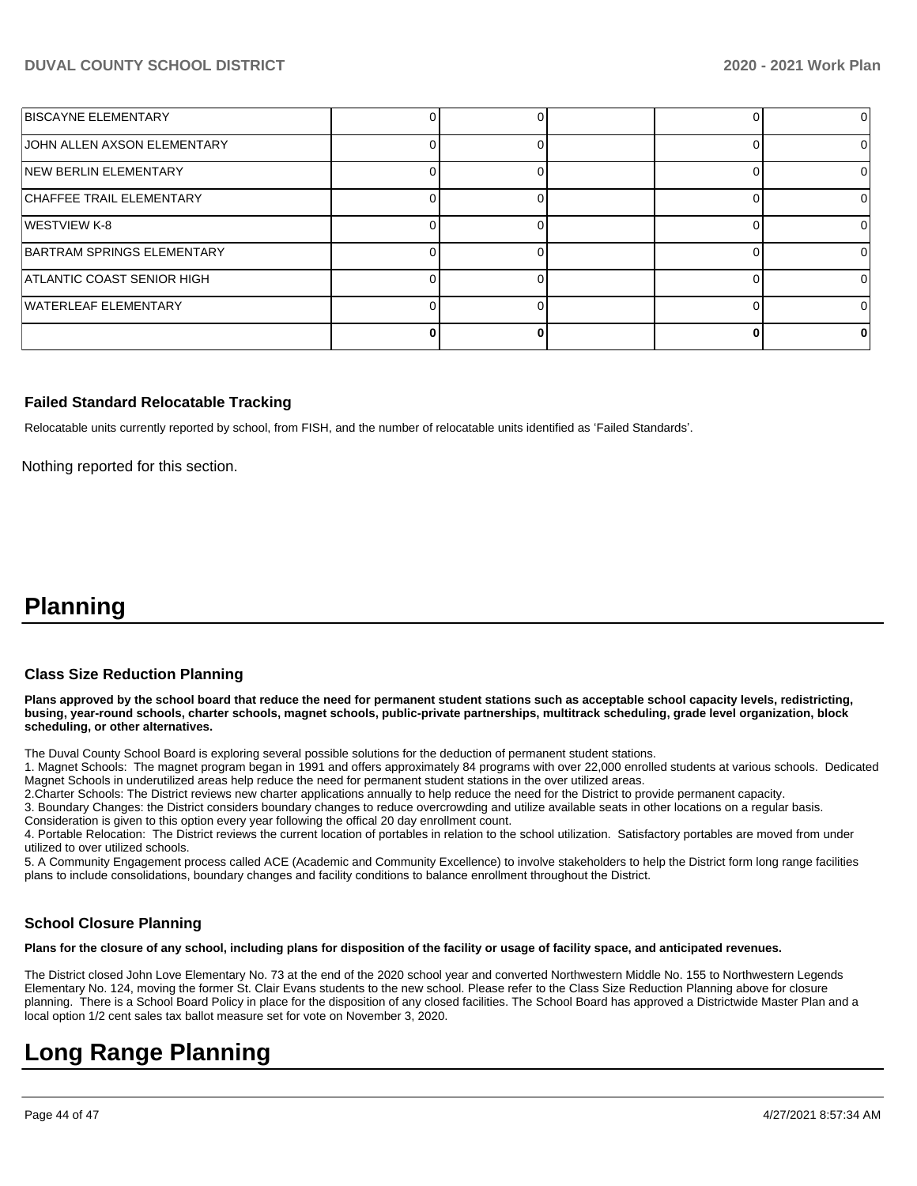| <b>BISCAYNE ELEMENTARY</b>      |  |  |  |
|---------------------------------|--|--|--|
| JOHN ALLEN AXSON ELEMENTARY     |  |  |  |
| <b>INEW BERLIN ELEMENTARY</b>   |  |  |  |
| <b>CHAFFEE TRAIL ELEMENTARY</b> |  |  |  |
| WESTVIEW K-8                    |  |  |  |
| BARTRAM SPRINGS ELEMENTARY      |  |  |  |
| ATLANTIC COAST SENIOR HIGH      |  |  |  |
| WATERLEAF ELEMENTARY            |  |  |  |
|                                 |  |  |  |

#### **Failed Standard Relocatable Tracking**

Relocatable units currently reported by school, from FISH, and the number of relocatable units identified as 'Failed Standards'.

Nothing reported for this section.

# **Planning**

#### **Class Size Reduction Planning**

**Plans approved by the school board that reduce the need for permanent student stations such as acceptable school capacity levels, redistricting, busing, year-round schools, charter schools, magnet schools, public-private partnerships, multitrack scheduling, grade level organization, block scheduling, or other alternatives.**

The Duval County School Board is exploring several possible solutions for the deduction of permanent student stations.

1. Magnet Schools: The magnet program began in 1991 and offers approximately 84 programs with over 22,000 enrolled students at various schools. Dedicated Magnet Schools in underutilized areas help reduce the need for permanent student stations in the over utilized areas.

2.Charter Schools: The District reviews new charter applications annually to help reduce the need for the District to provide permanent capacity.

3. Boundary Changes: the District considers boundary changes to reduce overcrowding and utilize available seats in other locations on a regular basis.

Consideration is given to this option every year following the offical 20 day enrollment count.

4. Portable Relocation: The District reviews the current location of portables in relation to the school utilization. Satisfactory portables are moved from under utilized to over utilized schools.

5. A Community Engagement process called ACE (Academic and Community Excellence) to involve stakeholders to help the District form long range facilities plans to include consolidations, boundary changes and facility conditions to balance enrollment throughout the District.

## **School Closure Planning**

**Plans for the closure of any school, including plans for disposition of the facility or usage of facility space, and anticipated revenues.** 

The District closed John Love Elementary No. 73 at the end of the 2020 school year and converted Northwestern Middle No. 155 to Northwestern Legends Elementary No. 124, moving the former St. Clair Evans students to the new school. Please refer to the Class Size Reduction Planning above for closure planning. There is a School Board Policy in place for the disposition of any closed facilities. The School Board has approved a Districtwide Master Plan and a local option 1/2 cent sales tax ballot measure set for vote on November 3, 2020.

# **Long Range Planning**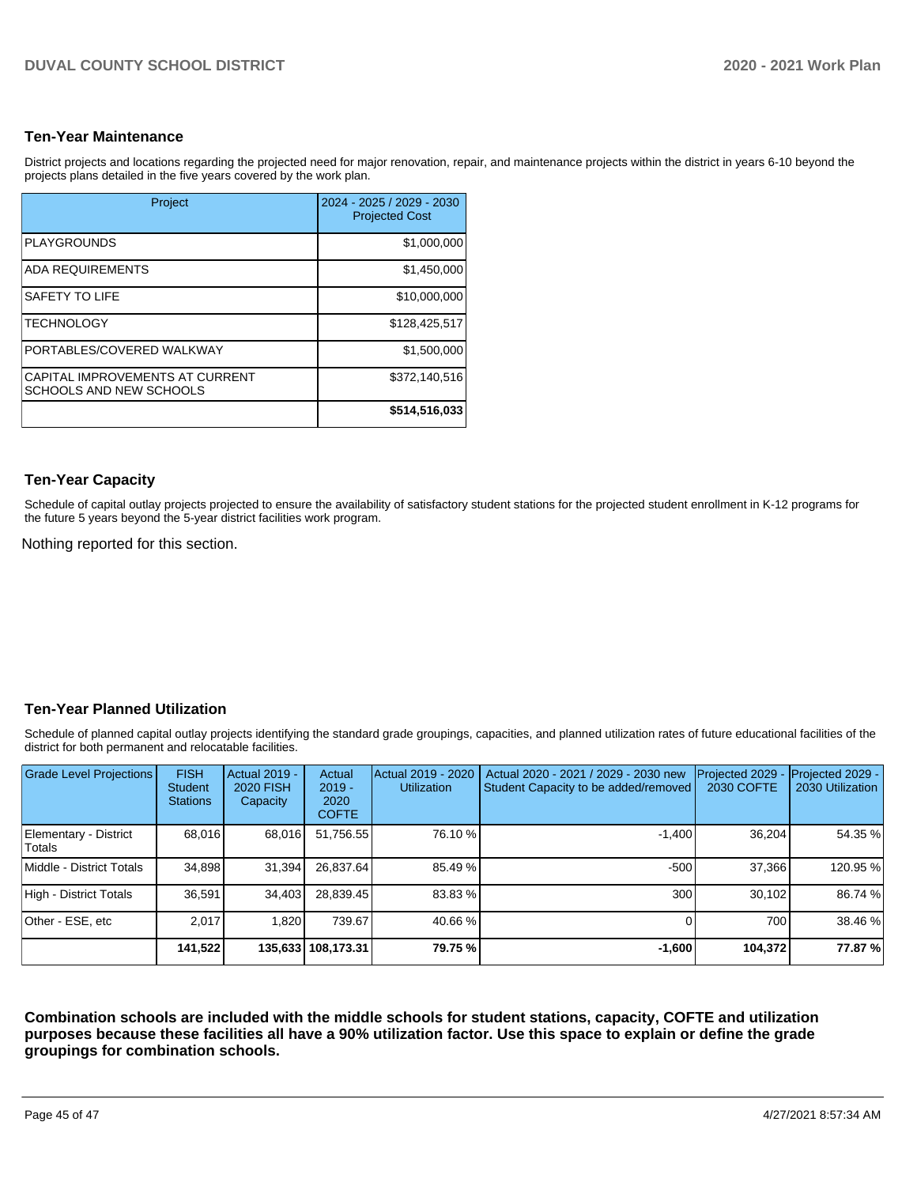### **Ten-Year Maintenance**

District projects and locations regarding the projected need for major renovation, repair, and maintenance projects within the district in years 6-10 beyond the projects plans detailed in the five years covered by the work plan.

| Project                                                    | 2024 - 2025 / 2029 - 2030<br><b>Projected Cost</b> |
|------------------------------------------------------------|----------------------------------------------------|
| <b>PLAYGROUNDS</b>                                         | \$1,000,000                                        |
| <b>ADA REQUIREMENTS</b>                                    | \$1,450,000                                        |
| SAFETY TO LIFE                                             | \$10,000,000                                       |
| <b>TECHNOLOGY</b>                                          | \$128,425,517                                      |
| PORTABLES/COVERED WALKWAY                                  | \$1,500,000                                        |
| CAPITAL IMPROVEMENTS AT CURRENT<br>SCHOOLS AND NEW SCHOOLS | \$372,140,516                                      |
|                                                            | \$514,516,033                                      |

## **Ten-Year Capacity**

Schedule of capital outlay projects projected to ensure the availability of satisfactory student stations for the projected student enrollment in K-12 programs for the future 5 years beyond the 5-year district facilities work program.

Nothing reported for this section.

## **Ten-Year Planned Utilization**

Schedule of planned capital outlay projects identifying the standard grade groupings, capacities, and planned utilization rates of future educational facilities of the district for both permanent and relocatable facilities.

| Grade Level Projections         | <b>FISH</b><br><b>Student</b><br><b>Stations</b> | Actual 2019 -<br>2020 FISH<br>Capacity | Actual<br>$2019 -$<br>2020<br><b>COFTE</b> | Actual 2019 - 2020<br><b>Utilization</b> | Actual 2020 - 2021 / 2029 - 2030 new<br>Student Capacity to be added/removed | Projected 2029<br>2030 COFTE | Projected 2029 -<br>2030 Utilization |
|---------------------------------|--------------------------------------------------|----------------------------------------|--------------------------------------------|------------------------------------------|------------------------------------------------------------------------------|------------------------------|--------------------------------------|
| Elementary - District<br>Totals | 68,016                                           | 68,016                                 | 51,756.55                                  | 76.10 %                                  | $-1,400$                                                                     | 36,204                       | 54.35 %                              |
| Middle - District Totals        | 34.898                                           | 31.394                                 | 26.837.64                                  | 85.49 %                                  | $-500$                                                                       | 37.366                       | 120.95%                              |
| High - District Totals          | 36,591                                           | 34.403                                 | 28.839.45                                  | 83.83 %                                  | 300                                                                          | 30.102                       | 86.74 %                              |
| Other - ESE, etc                | 2.017                                            | 1.820                                  | 739.67                                     | 40.66 %                                  |                                                                              | 700 l                        | 38.46 %                              |
|                                 | 141,522                                          |                                        | 135,633 108,173.31                         | 79.75 %                                  | $-1,600$                                                                     | 104,372                      | 77.87 %                              |

**Combination schools are included with the middle schools for student stations, capacity, COFTE and utilization purposes because these facilities all have a 90% utilization factor. Use this space to explain or define the grade groupings for combination schools.**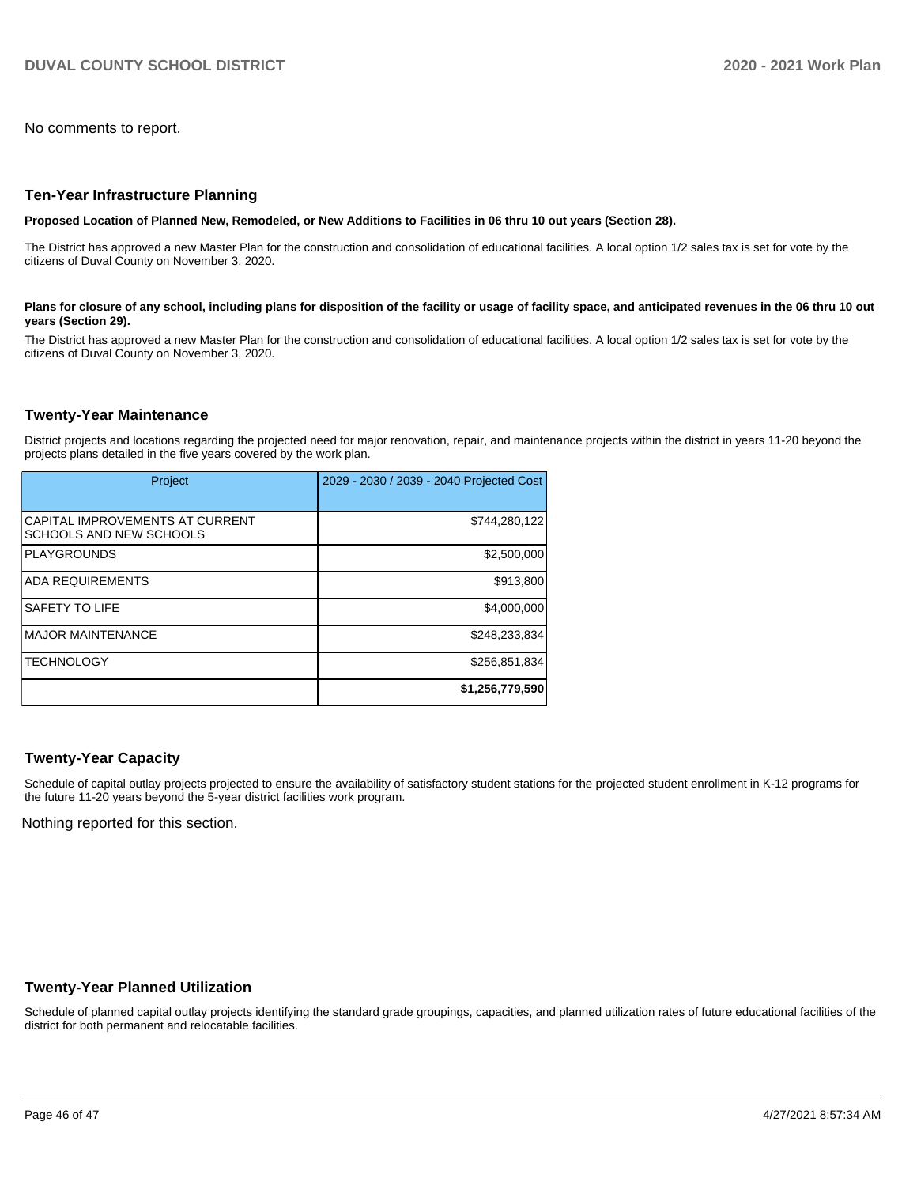No comments to report.

#### **Ten-Year Infrastructure Planning**

**Proposed Location of Planned New, Remodeled, or New Additions to Facilities in 06 thru 10 out years (Section 28).**

The District has approved a new Master Plan for the construction and consolidation of educational facilities. A local option 1/2 sales tax is set for vote by the citizens of Duval County on November 3, 2020.

#### Plans for closure of any school, including plans for disposition of the facility or usage of facility space, and anticipated revenues in the 06 thru 10 out **years (Section 29).**

The District has approved a new Master Plan for the construction and consolidation of educational facilities. A local option 1/2 sales tax is set for vote by the citizens of Duval County on November 3, 2020.

#### **Twenty-Year Maintenance**

District projects and locations regarding the projected need for major renovation, repair, and maintenance projects within the district in years 11-20 beyond the projects plans detailed in the five years covered by the work plan.

| Project                                                           | 2029 - 2030 / 2039 - 2040 Projected Cost |
|-------------------------------------------------------------------|------------------------------------------|
| CAPITAL IMPROVEMENTS AT CURRENT<br><b>SCHOOLS AND NEW SCHOOLS</b> | \$744,280,122                            |
| <b>PLAYGROUNDS</b>                                                | \$2,500,000                              |
| <b>ADA REQUIREMENTS</b>                                           | \$913,800                                |
| <b>SAFETY TO LIFE</b>                                             | \$4,000,000                              |
| <b>IMAJOR MAINTENANCE</b>                                         | \$248,233,834                            |
| <b>ITECHNOLOGY</b>                                                | \$256,851,834                            |
|                                                                   | \$1,256,779,590                          |

## **Twenty-Year Capacity**

Schedule of capital outlay projects projected to ensure the availability of satisfactory student stations for the projected student enrollment in K-12 programs for the future 11-20 years beyond the 5-year district facilities work program.

Nothing reported for this section.

#### **Twenty-Year Planned Utilization**

Schedule of planned capital outlay projects identifying the standard grade groupings, capacities, and planned utilization rates of future educational facilities of the district for both permanent and relocatable facilities.